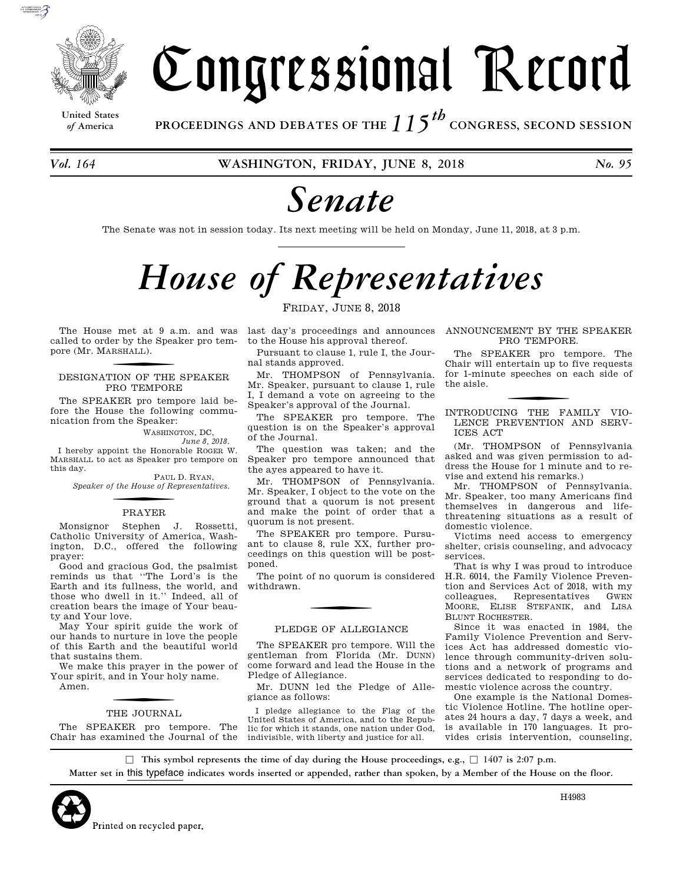

**United States**

Congressional Record

*of* **America PROCEEDINGS AND DEBATES OF THE** *115th*  **CONGRESS, SECOND SESSION**

*Vol. 164* **WASHINGTON, FRIDAY, JUNE 8, 2018** *No. 95* 

# *Senate*

The Senate was not in session today. Its next meeting will be held on Monday, June 11, 2018, at 3 p.m.

# *House of Representatives*

FRIDAY, JUNE 8, 2018

The House met at 9 a.m. and was called to order by the Speaker pro tempore (Mr. MARSHALL ).

#### DESIGNATION OF THE SPEAKER PRO TEMPORE

The SPEAKER pro tempore laid before the House the following communication from the Speaker:

WASHINGTON, DC,

*June 8, 2018.*  I hereby appoint the Honorable ROGER W. MARSHALL to act as Speaker pro tempore on this day.

PAUL D. RYAN, *Speaker of the House of Representatives.* 

# f PRAYER

Monsignor Stephen J. Rossetti, Catholic University of America, Washington, D.C., offered the following prayer:

Good and gracious God, the psalmist reminds us that ''The Lord's is the Earth and its fullness, the world, and those who dwell in it.'' Indeed, all of creation bears the image of Your beauty and Your love.

May Your spirit guide the work of our hands to nurture in love the people of this Earth and the beautiful world that sustains them.

We make this prayer in the power of Your spirit, and in Your holy name. Amen.

# THE JOURNAL

The SPEAKER pro tempore. The Chair has examined the Journal of the last day's proceedings and announces to the House his approval thereof.

Pursuant to clause 1, rule I, the Journal stands approved.

Mr. THOMPSON of Pennsylvania. Mr. Speaker, pursuant to clause 1, rule I, I demand a vote on agreeing to the Speaker's approval of the Journal.

The SPEAKER pro tempore. The question is on the Speaker's approval of the Journal.

The question was taken; and the Speaker pro tempore announced that the ayes appeared to have it.

Mr. THOMPSON of Pennsylvania. Mr. Speaker, I object to the vote on the ground that a quorum is not present and make the point of order that a quorum is not present.

The SPEAKER pro tempore. Pursuant to clause 8, rule XX, further proceedings on this question will be postponed.

The point of no quorum is considered withdrawn.

#### PLEDGE OF ALLEGIANCE

The SPEAKER pro tempore. Will the gentleman from Florida (Mr. DUNN) come forward and lead the House in the Pledge of Allegiance.

Mr. DUNN led the Pledge of Allegiance as follows:

I pledge allegiance to the Flag of the United States of America, and to the Republic for which it stands, one nation under God, indivisible, with liberty and justice for all.

ANNOUNCEMENT BY THE SPEAKER PRO TEMPORE.

The SPEAKER pro tempore. The Chair will entertain up to five requests for 1-minute speeches on each side of the aisle.

INTRODUCING THE FAMILY VIO-LENCE PREVENTION AND SERV-ICES ACT

(Mr. THOMPSON of Pennsylvania asked and was given permission to address the House for 1 minute and to revise and extend his remarks.)

Mr. THOMPSON of Pennsylvania. Mr. Speaker, too many Americans find themselves in dangerous and lifethreatening situations as a result of domestic violence.

Victims need access to emergency shelter, crisis counseling, and advocacy services.

That is why I was proud to introduce H.R. 6014, the Family Violence Prevention and Services Act of 2018, with my colleagues, Representatives GWEN MOORE, ELISE STEFANIK, and LISA BLUNT ROCHESTER.

Since it was enacted in 1984, the Family Violence Prevention and Services Act has addressed domestic violence through community-driven solutions and a network of programs and services dedicated to responding to domestic violence across the country.

One example is the National Domestic Violence Hotline. The hotline operates 24 hours a day, 7 days a week, and is available in 170 languages. It provides crisis intervention, counseling,

b **This symbol represents the time of day during the House proceedings, e.g.,** b **1407 is 2:07 p.m. Matter set in** this typeface **indicates words inserted or appended, rather than spoken, by a Member of the House on the floor.**



H4983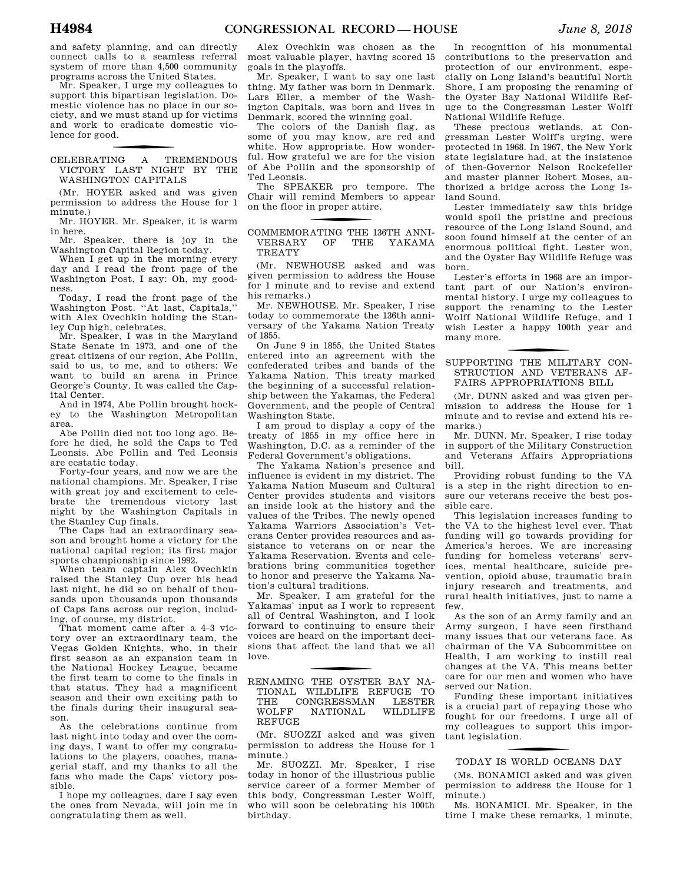and safety planning, and can directly connect calls to a seamless referral system of more than 4,500 community programs across the United States.

Mr. Speaker, I urge my colleagues to support this bipartisan legislation. Domestic violence has no place in our society, and we must stand up for victims and work to eradicate domestic violence for good.

#### f CELEBRATING A TREMENDOUS VICTORY LAST NIGHT BY THE WASHINGTON CAPITALS

(Mr. HOYER asked and was given permission to address the House for 1 minute.)

Mr. HOYER. Mr. Speaker, it is warm in here.

Mr. Speaker, there is joy in the Washington Capital Region today.

When I get up in the morning every day and I read the front page of the Washington Post, I say: Oh, my goodness.

Today, I read the front page of the Washington Post. ''At last, Capitals,'' with Alex Ovechkin holding the Stanley Cup high, celebrates.

Mr. Speaker, I was in the Maryland State Senate in 1973, and one of the great citizens of our region, Abe Pollin, said to us, to me, and to others: We want to build an arena in Prince George's County. It was called the Capital Center.

And in 1974, Abe Pollin brought hockey to the Washington Metropolitan area.

Abe Pollin died not too long ago. Before he died, he sold the Caps to Ted Leonsis. Abe Pollin and Ted Leonsis are ecstatic today.

Forty-four years, and now we are the national champions. Mr. Speaker, I rise with great joy and excitement to celebrate the tremendous victory last night by the Washington Capitals in the Stanley Cup finals.

The Caps had an extraordinary season and brought home a victory for the national capital region; its first major sports championship since 1992.

When team captain Alex Ovechkin raised the Stanley Cup over his head last night, he did so on behalf of thousands upon thousands upon thousands of Caps fans across our region, including, of course, my district.

That moment came after a 4–3 victory over an extraordinary team, the Vegas Golden Knights, who, in their first season as an expansion team in the National Hockey League, became the first team to come to the finals in that status. They had a magnificent season and their own exciting path to the finals during their inaugural season.

As the celebrations continue from last night into today and over the coming days, I want to offer my congratulations to the players, coaches, managerial staff, and my thanks to all the fans who made the Caps' victory possible.

I hope my colleagues, dare I say even the ones from Nevada, will join me in congratulating them as well.

Alex Ovechkin was chosen as the most valuable player, having scored 15 goals in the playoffs.

Mr. Speaker, I want to say one last thing. My father was born in Denmark. Lars Eller, a member of the Washington Capitals, was born and lives in Denmark, scored the winning goal.

The colors of the Danish flag, as some of you may know, are red and white. How appropriate. How wonderful. How grateful we are for the vision of Abe Pollin and the sponsorship of Ted Leonsis.

The SPEAKER pro tempore. The Chair will remind Members to appear on the floor in proper attire.

#### COMMEMORATING THE 136TH ANNI-VERSARY OF THE YAKAMA TREATY

(Mr. NEWHOUSE asked and was given permission to address the House for 1 minute and to revise and extend his remarks)

Mr. NEWHOUSE. Mr. Speaker, I rise today to commemorate the 136th anniversary of the Yakama Nation Treaty of 1855.

On June 9 in 1855, the United States entered into an agreement with the confederated tribes and bands of the Yakama Nation. This treaty marked the beginning of a successful relationship between the Yakamas, the Federal Government, and the people of Central Washington State.

I am proud to display a copy of the treaty of 1855 in my office here in Washington, D.C. as a reminder of the Federal Government's obligations.

The Yakama Nation's presence and influence is evident in my district. The Yakama Nation Museum and Cultural Center provides students and visitors an inside look at the history and the values of the Tribes. The newly opened Yakama Warriors Association's Veterans Center provides resources and assistance to veterans on or near the Yakama Reservation. Events and celebrations bring communities together to honor and preserve the Yakama Nation's cultural traditions.

Mr. Speaker, I am grateful for the Yakamas' input as I work to represent all of Central Washington, and I look forward to continuing to ensure their voices are heard on the important decisions that affect the land that we all love.

#### f RENAMING THE OYSTER BAY NA-TIONAL WILDLIFE REFUGE TO<br>THE CONGRESSMAN LESTER THE CONGRESSMAN<br>WOLFF NATIONAL NATIONAL WILDLIFE REFUGE

(Mr. SUOZZI asked and was given permission to address the House for 1 minute.)

Mr. SUOZZI. Mr. Speaker, I rise today in honor of the illustrious public service career of a former Member of this body, Congressman Lester Wolff, who will soon be celebrating his 100th birthday.

In recognition of his monumental contributions to the preservation and protection of our environment, especially on Long Island's beautiful North Shore, I am proposing the renaming of the Oyster Bay National Wildlife Refuge to the Congressman Lester Wolff National Wildlife Refuge.

These precious wetlands, at Congressman Lester Wolff's urging, were protected in 1968. In 1967, the New York state legislature had, at the insistence of then-Governor Nelson Rockefeller and master planner Robert Moses, authorized a bridge across the Long Island Sound.

Lester immediately saw this bridge would spoil the pristine and precious resource of the Long Island Sound, and soon found himself at the center of an enormous political fight. Lester won, and the Oyster Bay Wildlife Refuge was born.

Lester's efforts in 1968 are an important part of our Nation's environmental history. I urge my colleagues to support the renaming to the Lester Wolff National Wildlife Refuge, and I wish Lester a happy 100th year and many more.

#### SUPPORTING THE MILITARY CON-STRUCTION AND VETERANS AF-FAIRS APPROPRIATIONS BILL

(Mr. DUNN asked and was given permission to address the House for 1 minute and to revise and extend his remarks.)

Mr. DUNN. Mr. Speaker, I rise today in support of the Military Construction and Veterans Affairs Appropriations bill.

Providing robust funding to the VA is a step in the right direction to ensure our veterans receive the best possible care.

This legislation increases funding to the VA to the highest level ever. That funding will go towards providing for America's heroes. We are increasing funding for homeless veterans' services, mental healthcare, suicide prevention, opioid abuse, traumatic brain injury research and treatments, and rural health initiatives, just to name a few.

As the son of an Army family and an Army surgeon, I have seen firsthand many issues that our veterans face. As chairman of the VA Subcommittee on Health, I am working to instill real changes at the VA. This means better care for our men and women who have served our Nation.

Funding these important initiatives is a crucial part of repaying those who fought for our freedoms. I urge all of my colleagues to support this important legislation.

# f TODAY IS WORLD OCEANS DAY

(Ms. BONAMICI asked and was given permission to address the House for 1 minute.)

Ms. BONAMICI. Mr. Speaker, in the time I make these remarks, 1 minute,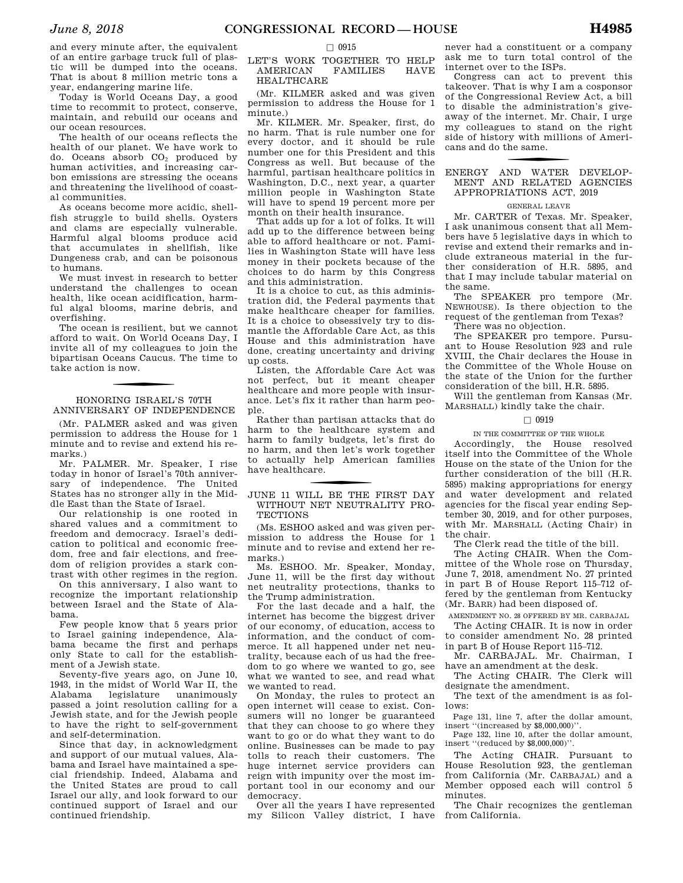and every minute after, the equivalent of an entire garbage truck full of plastic will be dumped into the oceans. That is about 8 million metric tons a year, endangering marine life.

Today is World Oceans Day, a good time to recommit to protect, conserve, maintain, and rebuild our oceans and our ocean resources.

The health of our oceans reflects the health of our planet. We have work to do. Oceans absorb CO<sup>2</sup> produced by human activities, and increasing carbon emissions are stressing the oceans and threatening the livelihood of coastal communities.

As oceans become more acidic, shellfish struggle to build shells. Oysters and clams are especially vulnerable. Harmful algal blooms produce acid that accumulates in shellfish, like Dungeness crab, and can be poisonous to humans.

We must invest in research to better understand the challenges to ocean health, like ocean acidification, harmful algal blooms, marine debris, and overfishing.

The ocean is resilient, but we cannot afford to wait. On World Oceans Day, I invite all of my colleagues to join the bipartisan Oceans Caucus. The time to take action is now.

#### HONORING ISRAEL'S 70TH ANNIVERSARY OF INDEPENDENCE

(Mr. PALMER asked and was given permission to address the House for 1 minute and to revise and extend his remarks.)

Mr. PALMER. Mr. Speaker, I rise today in honor of Israel's 70th anniversary of independence. The United States has no stronger ally in the Middle East than the State of Israel.

Our relationship is one rooted in shared values and a commitment to freedom and democracy. Israel's dedication to political and economic freedom, free and fair elections, and freedom of religion provides a stark contrast with other regimes in the region.

On this anniversary, I also want to recognize the important relationship between Israel and the State of Alabama.

Few people know that 5 years prior to Israel gaining independence, Alabama became the first and perhaps only State to call for the establishment of a Jewish state.

Seventy-five years ago, on June 10, 1943, in the midst of World War II, the Alabama legislature unanimously passed a joint resolution calling for a Jewish state, and for the Jewish people to have the right to self-government and self-determination.

Since that day, in acknowledgment and support of our mutual values, Alabama and Israel have maintained a special friendship. Indeed, Alabama and the United States are proud to call Israel our ally, and look forward to our continued support of Israel and our continued friendship.

#### $\square$  0915

#### LET'S WORK TOGETHER TO HELP AMERICAN FAMILIES HAVE HEALTHCARE

(Mr. KILMER asked and was given permission to address the House for 1 minute.)

Mr. KILMER. Mr. Speaker, first, do no harm. That is rule number one for every doctor, and it should be rule number one for this President and this Congress as well. But because of the harmful, partisan healthcare politics in Washington, D.C., next year, a quarter million people in Washington State will have to spend 19 percent more per month on their health insurance.

That adds up for a lot of folks. It will add up to the difference between being able to afford healthcare or not. Families in Washington State will have less money in their pockets because of the choices to do harm by this Congress and this administration.

It is a choice to cut, as this administration did, the Federal payments that make healthcare cheaper for families. It is a choice to obsessively try to dismantle the Affordable Care Act, as this House and this administration have done, creating uncertainty and driving up costs.

Listen, the Affordable Care Act was not perfect, but it meant cheaper healthcare and more people with insurance. Let's fix it rather than harm people.

Rather than partisan attacks that do harm to the healthcare system and harm to family budgets, let's first do no harm, and then let's work together to actually help American families have healthcare.

#### JUNE 11 WILL BE THE FIRST DAY WITHOUT NET NEUTRALITY PRO-**TECTIONS**

(Ms. ESHOO asked and was given permission to address the House for 1 minute and to revise and extend her remarks.)

Ms. ESHOO. Mr. Speaker, Monday, June 11, will be the first day without net neutrality protections, thanks to the Trump administration.

For the last decade and a half, the internet has become the biggest driver of our economy, of education, access to information, and the conduct of commerce. It all happened under net neutrality, because each of us had the freedom to go where we wanted to go, see what we wanted to see, and read what we wanted to read.

On Monday, the rules to protect an open internet will cease to exist. Consumers will no longer be guaranteed that they can choose to go where they want to go or do what they want to do online. Businesses can be made to pay tolls to reach their customers. The huge internet service providers can reign with impunity over the most important tool in our economy and our democracy.

Over all the years I have represented my Silicon Valley district, I have

never had a constituent or a company ask me to turn total control of the internet over to the ISPs.

Congress can act to prevent this takeover. That is why I am a cosponsor of the Congressional Review Act, a bill to disable the administration's giveaway of the internet. Mr. Chair, I urge my colleagues to stand on the right side of history with millions of Americans and do the same.

#### f ENERGY AND WATER DEVELOP-MENT AND RELATED AGENCIES APPROPRIATIONS ACT, 2019

#### GENERAL LEAVE

Mr. CARTER of Texas. Mr. Speaker, I ask unanimous consent that all Members have 5 legislative days in which to revise and extend their remarks and include extraneous material in the further consideration of H.R. 5895, and that I may include tabular material on the same.

The SPEAKER pro tempore (Mr. NEWHOUSE). Is there objection to the request of the gentleman from Texas?

There was no objection.

The SPEAKER pro tempore. Pursuant to House Resolution 923 and rule XVIII, the Chair declares the House in the Committee of the Whole House on the state of the Union for the further consideration of the bill, H.R. 5895.

Will the gentleman from Kansas (Mr. MARSHALL) kindly take the chair.

#### $\Box$  0919

IN THE COMMITTEE OF THE WHOLE

Accordingly, the House resolved itself into the Committee of the Whole House on the state of the Union for the further consideration of the bill (H.R. 5895) making appropriations for energy and water development and related agencies for the fiscal year ending September 30, 2019, and for other purposes, with Mr. MARSHALL (Acting Chair) in the chair.

The Clerk read the title of the bill.

The Acting CHAIR. When the Committee of the Whole rose on Thursday, June 7, 2018, amendment No. 27 printed in part B of House Report 115–712 offered by the gentleman from Kentucky (Mr. BARR) had been disposed of.

AMENDMENT NO. 28 OFFERED BY MR. CARBAJAL

The Acting CHAIR. It is now in order to consider amendment No. 28 printed in part B of House Report 115–712.

Mr. CARBAJAL. Mr. Chairman, I have an amendment at the desk.

The Acting CHAIR. The Clerk will designate the amendment.

The text of the amendment is as follows:

Page 131, line 7, after the dollar amount, insert ''(increased by \$8,000,000)''.

Page 132, line 10, after the dollar amount, insert ''(reduced by \$8,000,000)''.

The Acting CHAIR. Pursuant to House Resolution 923, the gentleman from California (Mr. CARBAJAL) and a Member opposed each will control 5 minutes.

The Chair recognizes the gentleman from California.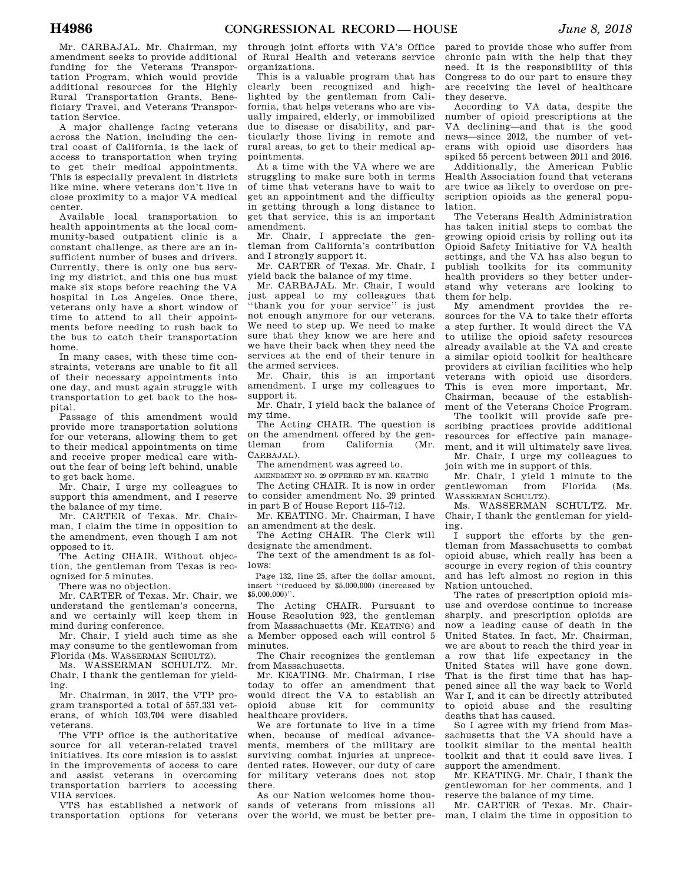Mr. CARBAJAL. Mr. Chairman, my amendment seeks to provide additional funding for the Veterans Transportation Program, which would provide additional resources for the Highly Rural Transportation Grants, Beneficiary Travel, and Veterans Transportation Service.

A major challenge facing veterans across the Nation, including the central coast of California, is the lack of access to transportation when trying to get their medical appointments. This is especially prevalent in districts like mine, where veterans don't live in close proximity to a major VA medical center.

Available local transportation to health appointments at the local community-based outpatient clinic is a constant challenge, as there are an insufficient number of buses and drivers. Currently, there is only one bus serving my district, and this one bus must make six stops before reaching the VA hospital in Los Angeles. Once there, veterans only have a short window of time to attend to all their appointments before needing to rush back to the bus to catch their transportation home.

In many cases, with these time constraints, veterans are unable to fit all of their necessary appointments into one day, and must again struggle with transportation to get back to the hospital.

Passage of this amendment would provide more transportation solutions for our veterans, allowing them to get to their medical appointments on time and receive proper medical care without the fear of being left behind, unable to get back home.

Mr. Chair, I urge my colleagues to support this amendment, and I reserve the balance of my time.

Mr. CARTER of Texas. Mr. Chairman, I claim the time in opposition to the amendment, even though I am not opposed to it.

The Acting CHAIR. Without objection, the gentleman from Texas is recognized for 5 minutes.

There was no objection.

Mr. CARTER of Texas. Mr. Chair, we understand the gentleman's concerns, and we certainly will keep them in mind during conference.

Mr. Chair, I yield such time as she may consume to the gentlewoman from Florida (Ms. WASSERMAN SCHULTZ).

Ms. WASSERMAN SCHULTZ. Mr. Chair, I thank the gentleman for yielding.

Mr. Chairman, in 2017, the VTP program transported a total of 557,331 veterans, of which 103,704 were disabled veterans.

The VTP office is the authoritative source for all veteran-related travel initiatives. Its core mission is to assist in the improvements of access to care and assist veterans in overcoming transportation barriers to accessing VHA services.

VTS has established a network of transportation options for veterans over the world, we must be better pre-

through joint efforts with VA's Office of Rural Health and veterans service organizations.

This is a valuable program that has clearly been recognized and highlighted by the gentleman from California, that helps veterans who are visually impaired, elderly, or immobilized due to disease or disability, and particularly those living in remote and rural areas, to get to their medical appointments.

At a time with the VA where we are struggling to make sure both in terms of time that veterans have to wait to get an appointment and the difficulty in getting through a long distance to get that service, this is an important amendment.

Mr. Chair, I appreciate the gentleman from California's contribution and I strongly support it.

Mr. CARTER of Texas. Mr. Chair, I yield back the balance of my time.

Mr. CARBAJAL. Mr. Chair, I would just appeal to my colleagues that ''thank you for your service'' is just not enough anymore for our veterans. We need to step up. We need to make sure that they know we are here and we have their back when they need the services at the end of their tenure in the armed services.

Mr. Chair, this is an important amendment. I urge my colleagues to support it.

Mr. Chair, I yield back the balance of my time.

The Acting CHAIR. The question is on the amendment offered by the gentleman from California (Mr. CARBAJAL).

The amendment was agreed to.

AMENDMENT NO. 29 OFFERED BY MR. KEATING

The Acting CHAIR. It is now in order to consider amendment No. 29 printed in part B of House Report 115–712.

Mr. KEATING. Mr. Chairman, I have an amendment at the desk.

The Acting CHAIR. The Clerk will designate the amendment.

The text of the amendment is as follows:

Page 132, line 25, after the dollar amount, insert ''(reduced by \$5,000,000) (increased by \$5,000,000)''.

The Acting CHAIR. Pursuant to House Resolution 923, the gentleman from Massachusetts (Mr. KEATING) and a Member opposed each will control 5 minutes.

The Chair recognizes the gentleman from Massachusetts.

Mr. KEATING. Mr. Chairman, I rise today to offer an amendment that would direct the VA to establish an opioid abuse kit for community healthcare providers.

We are fortunate to live in a time when, because of medical advancements, members of the military are surviving combat injuries at unprecedented rates. However, our duty of care for military veterans does not stop there.

As our Nation welcomes home thousands of veterans from missions all

pared to provide those who suffer from chronic pain with the help that they need. It is the responsibility of this Congress to do our part to ensure they are receiving the level of healthcare they deserve.

According to VA data, despite the number of opioid prescriptions at the VA declining—and that is the good news—since 2012, the number of veterans with opioid use disorders has spiked 55 percent between 2011 and 2016.

Additionally, the American Public Health Association found that veterans are twice as likely to overdose on prescription opioids as the general population.

The Veterans Health Administration has taken initial steps to combat the growing opioid crisis by rolling out its Opioid Safety Initiative for VA health settings, and the VA has also begun to publish toolkits for its community health providers so they better understand why veterans are looking to them for help.

My amendment provides the resources for the VA to take their efforts a step further. It would direct the VA to utilize the opioid safety resources already available at the VA and create a similar opioid toolkit for healthcare providers at civilian facilities who help veterans with opioid use disorders. This is even more important, Mr. Chairman, because of the establishment of the Veterans Choice Program.

The toolkit will provide safe prescribing practices provide additional resources for effective pain management, and it will ultimately save lives. Mr. Chair, I urge my colleagues to

join with me in support of this.

Mr. Chair, I yield 1 minute to the gentlewoman from Florida (Ms. WASSERMAN SCHULTZ).

Ms. WASSERMAN SCHULTZ. Mr. Chair, I thank the gentleman for yielding.

I support the efforts by the gentleman from Massachusetts to combat opioid abuse, which really has been a scourge in every region of this country and has left almost no region in this Nation untouched.

The rates of prescription opioid misuse and overdose continue to increase sharply, and prescription opioids are now a leading cause of death in the United States. In fact, Mr. Chairman, we are about to reach the third year in a row that life expectancy in the United States will have gone down. That is the first time that has happened since all the way back to World War I, and it can be directly attributed to opioid abuse and the resulting deaths that has caused.

So I agree with my friend from Massachusetts that the VA should have a toolkit similar to the mental health toolkit and that it could save lives. I support the amendment.

Mr. KEATING. Mr. Chair, I thank the gentlewoman for her comments, and I reserve the balance of my time.

Mr. CARTER of Texas. Mr. Chairman, I claim the time in opposition to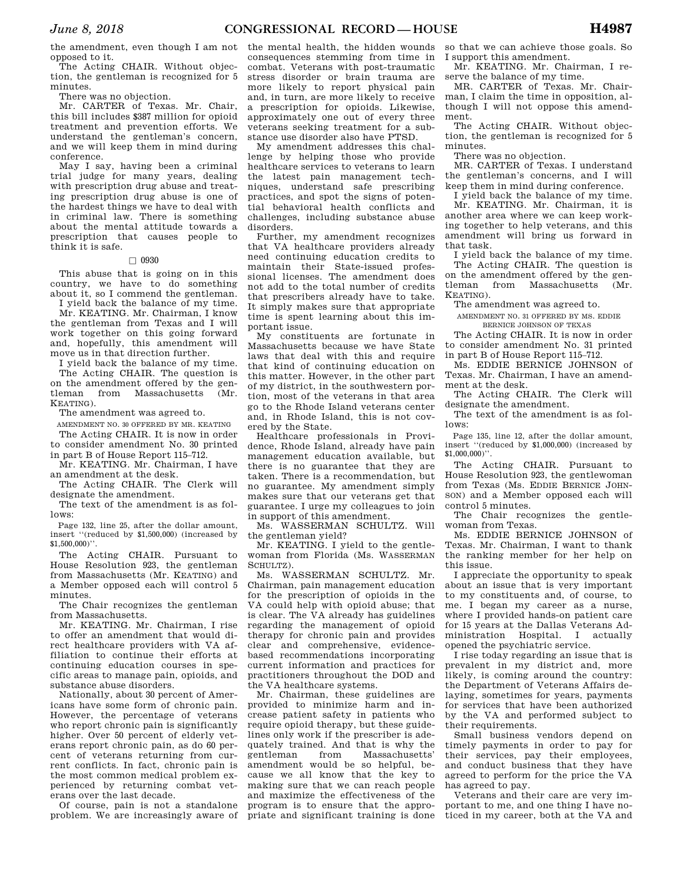the amendment, even though I am not opposed to it.

The Acting CHAIR. Without objection, the gentleman is recognized for 5 minutes.

There was no objection.

Mr. CARTER of Texas. Mr. Chair, this bill includes \$387 million for opioid treatment and prevention efforts. We understand the gentleman's concern, and we will keep them in mind during conference.

May I say, having been a criminal trial judge for many years, dealing with prescription drug abuse and treating prescription drug abuse is one of the hardest things we have to deal with in criminal law. There is something about the mental attitude towards a prescription that causes people to think it is safe.

#### $\Box$  0930

This abuse that is going on in this country, we have to do something about it, so I commend the gentleman.

I yield back the balance of my time. Mr. KEATING. Mr. Chairman, I know the gentleman from Texas and I will work together on this going forward and, hopefully, this amendment will move us in that direction further.

I yield back the balance of my time. The Acting CHAIR. The question is on the amendment offered by the gentleman from Massachusetts (Mr. KEATING).

The amendment was agreed to.

AMENDMENT NO. 30 OFFERED BY MR. KEATING The Acting CHAIR. It is now in order

to consider amendment No. 30 printed in part B of House Report 115–712.

Mr. KEATING. Mr. Chairman, I have an amendment at the desk.

The Acting CHAIR. The Clerk will designate the amendment.

The text of the amendment is as follows:

Page 132, line 25, after the dollar amount, insert ''(reduced by \$1,500,000) (increased by  $$1,500,000$ <sup>"</sup>.

The Acting CHAIR. Pursuant to House Resolution 923, the gentleman from Massachusetts (Mr. KEATING) and a Member opposed each will control 5 minutes.

The Chair recognizes the gentleman from Massachusetts.

Mr. KEATING. Mr. Chairman, I rise to offer an amendment that would direct healthcare providers with VA affiliation to continue their efforts at continuing education courses in specific areas to manage pain, opioids, and substance abuse disorders.

Nationally, about 30 percent of Americans have some form of chronic pain. However, the percentage of veterans who report chronic pain is significantly higher. Over 50 percent of elderly veterans report chronic pain, as do 60 percent of veterans returning from current conflicts. In fact, chronic pain is the most common medical problem experienced by returning combat veterans over the last decade.

Of course, pain is not a standalone problem. We are increasingly aware of

the mental health, the hidden wounds consequences stemming from time in combat. Veterans with post-traumatic stress disorder or brain trauma are more likely to report physical pain and, in turn, are more likely to receive a prescription for opioids. Likewise, approximately one out of every three veterans seeking treatment for a substance use disorder also have PTSD.

My amendment addresses this challenge by helping those who provide healthcare services to veterans to learn the latest pain management techniques, understand safe prescribing practices, and spot the signs of potential behavioral health conflicts and challenges, including substance abuse disorders.

Further, my amendment recognizes that VA healthcare providers already need continuing education credits to maintain their State-issued professional licenses. The amendment does not add to the total number of credits that prescribers already have to take. It simply makes sure that appropriate time is spent learning about this important issue.

My constituents are fortunate in Massachusetts because we have State laws that deal with this and require that kind of continuing education on this matter. However, in the other part of my district, in the southwestern portion, most of the veterans in that area go to the Rhode Island veterans center and, in Rhode Island, this is not covered by the State.

Healthcare professionals in Providence, Rhode Island, already have pain management education available, but there is no guarantee that they are taken. There is a recommendation, but no guarantee. My amendment simply makes sure that our veterans get that guarantee. I urge my colleagues to join in support of this amendment.

Ms. WASSERMAN SCHULTZ. Will the gentleman yield?

Mr. KEATING. I yield to the gentlewoman from Florida (Ms. WASSERMAN SCHULTZ).

Ms. WASSERMAN SCHULTZ. Mr. Chairman, pain management education for the prescription of opioids in the VA could help with opioid abuse; that is clear. The VA already has guidelines regarding the management of opioid therapy for chronic pain and provides clear and comprehensive, evidencebased recommendations incorporating current information and practices for practitioners throughout the DOD and the VA healthcare systems.

Mr. Chairman, these guidelines are provided to minimize harm and increase patient safety in patients who require opioid therapy, but these guidelines only work if the prescriber is adequately trained. And that is why the gentleman from Massachusetts' amendment would be so helpful, because we all know that the key to making sure that we can reach people and maximize the effectiveness of the program is to ensure that the appropriate and significant training is done

so that we can achieve those goals. So I support this amendment.

Mr. KEATING. Mr. Chairman, I reserve the balance of my time.

MR. CARTER of Texas. Mr. Chairman, I claim the time in opposition, although I will not oppose this amendment.

The Acting CHAIR. Without objection, the gentleman is recognized for 5 minutes.

There was no objection.

MR. CARTER of Texas. I understand the gentleman's concerns, and I will keep them in mind during conference.

I yield back the balance of my time. Mr. KEATING. Mr. Chairman, it is another area where we can keep working together to help veterans, and this amendment will bring us forward in that task.

I yield back the balance of my time.

The Acting CHAIR. The question is on the amendment offered by the gentleman from Massachusetts (Mr. KEATING).

The amendment was agreed to.

AMENDMENT NO. 31 OFFERED BY MS. EDDIE BERNICE JOHNSON OF TEXAS

The Acting CHAIR. It is now in order to consider amendment No. 31 printed in part B of House Report 115–712.

Ms. EDDIE BERNICE JOHNSON of Texas. Mr. Chairman, I have an amendment at the desk.

The Acting CHAIR. The Clerk will designate the amendment.

The text of the amendment is as follows:

Page 135, line 12, after the dollar amount, insert ''(reduced by \$1,000,000) (increased by \$1,000,000)''.

The Acting CHAIR. Pursuant to House Resolution 923, the gentlewoman from Texas (Ms. EDDIE BERNICE JOHN-SON) and a Member opposed each will control 5 minutes.

The Chair recognizes the gentlewoman from Texas.

Ms. EDDIE BERNICE JOHNSON of Texas. Mr. Chairman, I want to thank the ranking member for her help on this issue.

I appreciate the opportunity to speak about an issue that is very important to my constituents and, of course, to me. I began my career as a nurse, where I provided hands-on patient care for 15 years at the Dallas Veterans Administration Hospital. I actually opened the psychiatric service.

I rise today regarding an issue that is prevalent in my district and, more likely, is coming around the country: the Department of Veterans Affairs delaying, sometimes for years, payments for services that have been authorized by the VA and performed subject to their requirements.

Small business vendors depend on timely payments in order to pay for their services, pay their employees, and conduct business that they have agreed to perform for the price the VA has agreed to pay.

Veterans and their care are very important to me, and one thing I have noticed in my career, both at the VA and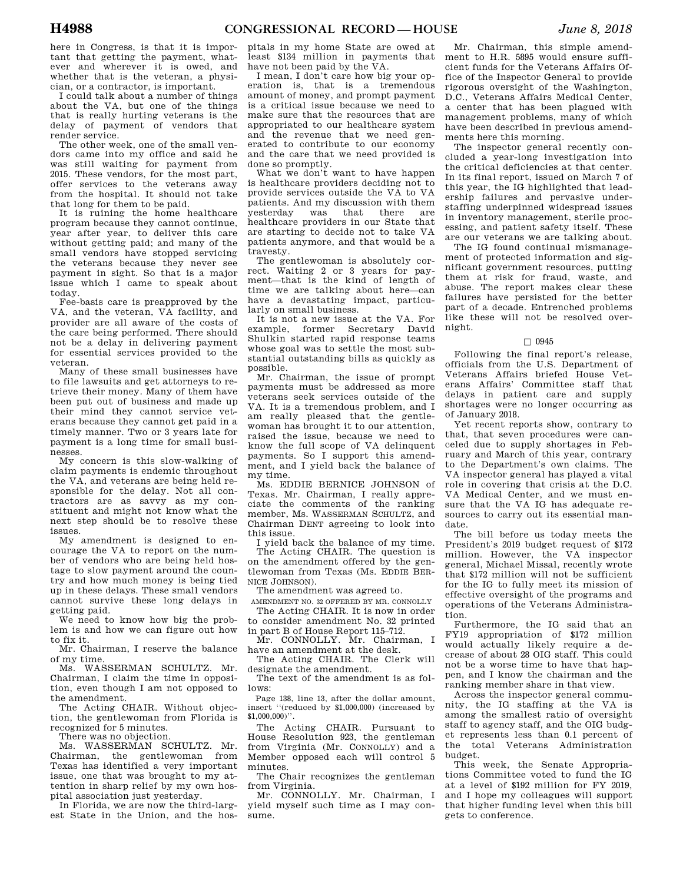here in Congress, is that it is important that getting the payment, whatever and wherever it is owed, and whether that is the veteran, a physician, or a contractor, is important.

I could talk about a number of things about the VA, but one of the things that is really hurting veterans is the delay of payment of vendors that render service.

The other week, one of the small vendors came into my office and said he was still waiting for payment from 2015. These vendors, for the most part, offer services to the veterans away from the hospital. It should not take that long for them to be paid.

It is ruining the home healthcare program because they cannot continue, year after year, to deliver this care without getting paid; and many of the small vendors have stopped servicing the veterans because they never see payment in sight. So that is a major issue which I came to speak about today.

Fee-basis care is preapproved by the VA, and the veteran, VA facility, and provider are all aware of the costs of the care being performed. There should not be a delay in delivering payment for essential services provided to the veteran.

Many of these small businesses have to file lawsuits and get attorneys to retrieve their money. Many of them have been put out of business and made up their mind they cannot service veterans because they cannot get paid in a timely manner. Two or 3 years late for payment is a long time for small businesses.

My concern is this slow-walking of claim payments is endemic throughout the VA, and veterans are being held responsible for the delay. Not all contractors are as savvy as my constituent and might not know what the next step should be to resolve these issues.

My amendment is designed to encourage the VA to report on the number of vendors who are being held hostage to slow payment around the country and how much money is being tied up in these delays. These small vendors cannot survive these long delays in getting paid.

We need to know how big the problem is and how we can figure out how to fix it.

Mr. Chairman, I reserve the balance of my time.

Ms. WASSERMAN SCHULTZ. Mr. Chairman, I claim the time in opposition, even though I am not opposed to the amendment.

The Acting CHAIR. Without objection, the gentlewoman from Florida is recognized for 5 minutes.

There was no objection.

Ms. WASSERMAN SCHULTZ. Mr. Chairman, the gentlewoman from Texas has identified a very important issue, one that was brought to my attention in sharp relief by my own hospital association just yesterday.

In Florida, we are now the third-largest State in the Union, and the hos-

pitals in my home State are owed at least \$134 million in payments that have not been paid by the VA.

I mean, I don't care how big your operation is, that is a tremendous amount of money, and prompt payment is a critical issue because we need to make sure that the resources that are appropriated to our healthcare system and the revenue that we need generated to contribute to our economy and the care that we need provided is done so promptly.

What we don't want to have happen is healthcare providers deciding not to provide services outside the VA to VA patients. And my discussion with them<br>vesterday was that there are yesterday was that there are healthcare providers in our State that are starting to decide not to take VA patients anymore, and that would be a travesty.

The gentlewoman is absolutely correct. Waiting 2 or 3 years for payment—that is the kind of length of time we are talking about here—can have a devastating impact, particularly on small business.

It is not a new issue at the VA. For example, former Secretary David Shulkin started rapid response teams whose goal was to settle the most substantial outstanding bills as quickly as possible.

Mr. Chairman, the issue of prompt payments must be addressed as more veterans seek services outside of the VA. It is a tremendous problem, and I am really pleased that the gentlewoman has brought it to our attention, raised the issue, because we need to know the full scope of VA delinquent payments. So I support this amendment, and I yield back the balance of my time.

Ms. EDDIE BERNICE JOHNSON of Texas. Mr. Chairman, I really appreciate the comments of the ranking member, Ms. WASSERMAN SCHULTZ, and Chairman DENT agreeing to look into this issue.

I yield back the balance of my time. The Acting CHAIR. The question is on the amendment offered by the gentlewoman from Texas (Ms. EDDIE BER-NICE JOHNSON).

The amendment was agreed to.

AMENDMENT NO. 32 OFFERED BY MR. CONNOLLY The Acting CHAIR. It is now in order to consider amendment No. 32 printed

in part B of House Report 115–712. Mr. CONNOLLY. Mr. Chairman, I

have an amendment at the desk. The Acting CHAIR. The Clerk will

designate the amendment.

The text of the amendment is as follows:

Page 138, line 13, after the dollar amount, insert ''(reduced by \$1,000,000) (increased by  $$1,000,000$ <sup>"</sup>.

The Acting CHAIR. Pursuant to House Resolution 923, the gentleman from Virginia (Mr. CONNOLLY) and a Member opposed each will control 5 minutes.

The Chair recognizes the gentleman from Virginia.

Mr. CONNOLLY. Mr. Chairman, I yield myself such time as I may consume.

Mr. Chairman, this simple amendment to H.R. 5895 would ensure sufficient funds for the Veterans Affairs Office of the Inspector General to provide rigorous oversight of the Washington, D.C., Veterans Affairs Medical Center, a center that has been plagued with management problems, many of which have been described in previous amendments here this morning.

The inspector general recently concluded a year-long investigation into the critical deficiencies at that center. In its final report, issued on March 7 of this year, the IG highlighted that leadership failures and pervasive understaffing underpinned widespread issues in inventory management, sterile processing, and patient safety itself. These are our veterans we are talking about.

The IG found continual mismanagement of protected information and significant government resources, putting them at risk for fraud, waste, and abuse. The report makes clear these failures have persisted for the better part of a decade. Entrenched problems like these will not be resolved overnight.

#### $\Box$  0945

Following the final report's release, officials from the U.S. Department of Veterans Affairs briefed House Veterans Affairs' Committee staff that delays in patient care and supply shortages were no longer occurring as of January 2018.

Yet recent reports show, contrary to that, that seven procedures were canceled due to supply shortages in February and March of this year, contrary to the Department's own claims. The VA inspector general has played a vital role in covering that crisis at the D.C. VA Medical Center, and we must ensure that the VA IG has adequate resources to carry out its essential mandate.

The bill before us today meets the President's 2019 budget request of \$172 million. However, the VA inspector general, Michael Missal, recently wrote that \$172 million will not be sufficient for the IG to fully meet its mission of effective oversight of the programs and operations of the Veterans Administration.

Furthermore, the IG said that an FY19 appropriation of \$172 million would actually likely require a decrease of about 28 OIG staff. This could not be a worse time to have that happen, and I know the chairman and the ranking member share in that view.

Across the inspector general community, the IG staffing at the VA is among the smallest ratio of oversight staff to agency staff, and the OIG budget represents less than 0.1 percent of the total Veterans Administration budget.

This week, the Senate Appropriations Committee voted to fund the IG at a level of \$192 million for FY 2019, and I hope my colleagues will support that higher funding level when this bill gets to conference.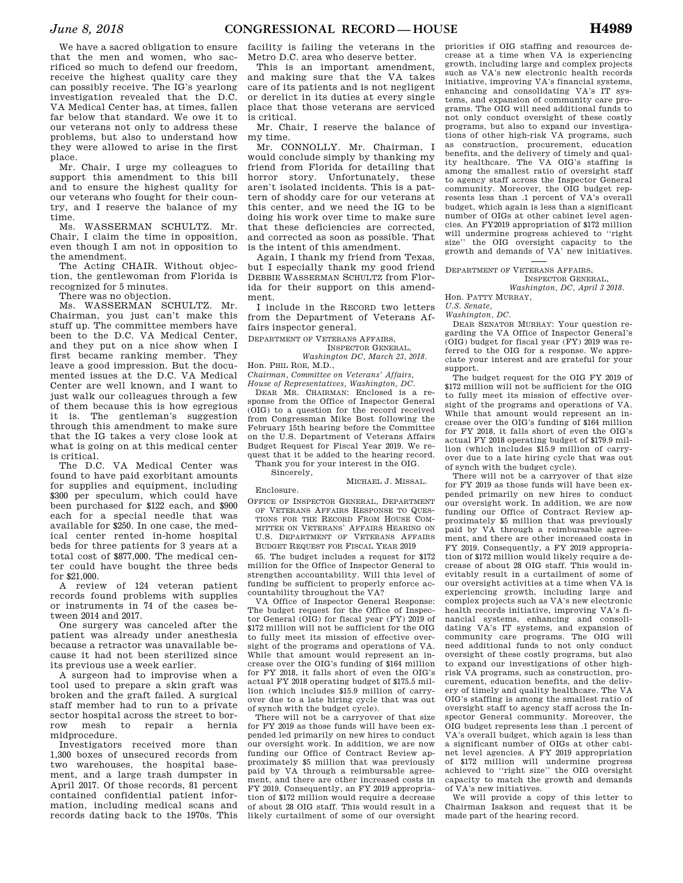We have a sacred obligation to ensure that the men and women, who sacrificed so much to defend our freedom, receive the highest quality care they can possibly receive. The IG's yearlong investigation revealed that the D.C. VA Medical Center has, at times, fallen far below that standard. We owe it to our veterans not only to address these problems, but also to understand how they were allowed to arise in the first place.

Mr. Chair, I urge my colleagues to support this amendment to this bill and to ensure the highest quality for our veterans who fought for their country, and I reserve the balance of my time.

Ms. WASSERMAN SCHULTZ. Mr. Chair, I claim the time in opposition, even though I am not in opposition to the amendment.

The Acting CHAIR. Without objection, the gentlewoman from Florida is recognized for 5 minutes.

There was no objection.

Ms. WASSERMAN SCHULTZ. Mr. Chairman, you just can't make this stuff up. The committee members have been to the D.C. VA Medical Center, and they put on a nice show when I first became ranking member. They leave a good impression. But the documented issues at the D.C. VA Medical Center are well known, and I want to just walk our colleagues through a few of them because this is how egregious it is. The gentleman's suggestion through this amendment to make sure that the IG takes a very close look at what is going on at this medical center is critical.

The D.C. VA Medical Center was found to have paid exorbitant amounts for supplies and equipment, including \$300 per speculum, which could have been purchased for \$122 each, and \$900 each for a special needle that was available for \$250. In one case, the medical center rented in-home hospital beds for three patients for 3 years at a total cost of \$877,000. The medical center could have bought the three beds for \$21,000.

A review of 124 veteran patient records found problems with supplies or instruments in 74 of the cases between 2014 and 2017.

One surgery was canceled after the patient was already under anesthesia because a retractor was unavailable because it had not been sterilized since its previous use a week earlier.

A surgeon had to improvise when a tool used to prepare a skin graft was broken and the graft failed. A surgical staff member had to run to a private sector hospital across the street to borrow mesh to repair a hernia midprocedure.

Investigators received more than 1,300 boxes of unsecured records from two warehouses, the hospital basement, and a large trash dumpster in April 2017. Of those records, 81 percent contained confidential patient information, including medical scans and records dating back to the 1970s. This

facility is failing the veterans in the Metro D.C. area who deserve better.

This is an important amendment, and making sure that the VA takes care of its patients and is not negligent or derelict in its duties at every single place that those veterans are serviced is critical.

Mr. Chair, I reserve the balance of my time.

Mr. CONNOLLY. Mr. Chairman, I would conclude simply by thanking my friend from Florida for detailing that horror story. Unfortunately, these aren't isolated incidents. This is a pattern of shoddy care for our veterans at this center, and we need the IG to be doing his work over time to make sure that these deficiencies are corrected, and corrected as soon as possible. That is the intent of this amendment.

Again, I thank my friend from Texas, but I especially thank my good friend DEBBIE WASSERMAN SCHULTZ from Florida for their support on this amendment.

I include in the RECORD two letters from the Department of Veterans Affairs inspector general.

DEPARTMENT OF VETERANS AFFAIRS,

INSPECTOR GENERAL, *Washington DC, March 23, 2018.* 

Hon. PHIL ROE, M.D., *Chairman, Committee on Veterans' Affairs, House of Representatives, Washington, DC.* 

DEAR MR. CHAIRMAN: Enclosed is a response from the Office of Inspector General (OIG) to a question for the record received from Congressman Mike Bost following the February 15th hearing before the Committee on the U.S. Department of Veterans Affairs Budget Request for Fiscal Year 2019. We request that it be added to the hearing record. Thank you for your interest in the OIG.

Sincerely,

Enclosure.

MICHAEL J. MISSAL.

OFFICE OF INSPECTOR GENERAL, DEPARTMENT OF VETERANS AFFAIRS RESPONSE TO QUES-TIONS FOR THE RECORD FROM HOUSE COM-MITTEE ON VETERANS' AFFAIRS HEARING ON U.S. DEPARTMENT OF VETERANS AFFAIRS BUDGET REQUEST FOR FISCAL YEAR 2019

65. The budget includes a request for \$172 million for the Office of Inspector General to strengthen accountability. Will this level of funding be sufficient to properly enforce accountability throughout the VA?

VA Office of Inspector General Response: The budget request for the Office of Inspector General (OIG) for fiscal year (FY) 2019 of \$172 million will not be sufficient for the OIG to fully meet its mission of effective oversight of the programs and operations of VA. While that amount would represent an increase over the OIG's funding of \$164 million for FY 2018, it falls short of even the OIG's actual FY 2018 operating budget of \$175.5 million (which includes \$15.9 million of carryover due to a late hiring cycle that was out of synch with the budget cycle).

There will not be a carryover of that size for FY 2019 as those funds will have been expended led primarily on new hires to conduct our oversight work. In addition, we are now funding our Office of Contract Review approximately \$5 million that was previously paid by VA through a reimbursable agreement, and there are other increased costs in FY 2019. Consequently, an FY 2019 appropriation of \$172 million would require a decrease of about 28 OIG staff. This would result in a likely curtailment of some of our oversight

priorities if OIG staffing and resources decrease at a time when VA is experiencing growth, including large and complex projects such as VA's new electronic health records initiative, improving VA's financial systems, enhancing and consolidating VA's IT systems, and expansion of community care programs. The OIG will need additional funds to not only conduct oversight of these costly programs, but also to expand our investigations of other high-risk VA programs, such as construction, procurement, education benefits, and the delivery of timely and quality healthcare. The VA OIG's staffing is among the smallest ratio of oversight staff to agency staff across the Inspector General community. Moreover, the OIG budget represents less than .1 percent of VA's overall budget, which again is less than a significant number of OIGs at other cabinet level agencies. An FY2019 appropriation of \$172 million will undermine progress achieved to ''right size'' the OIG oversight capacity to the growth and demands of VA' new initiatives.

DEPARTMENT OF VETERANS AFFAIRS,

INSPECTOR GENERAL, *Washington, DC, April 3 2018.* 

Hon. PATTY MURRAY,

*U.S. Senate,* 

*Washington, DC.* 

DEAR SENATOR MURRAY: Your question regarding the VA Office of Inspector General's (OIG) budget for fiscal year (FY) 2019 was referred to the OIG for a response. We appreciate your interest and are grateful for your support.

The budget request for the OIG FY 2019 of \$172 million will not be sufficient for the OIG to fully meet its mission of effective oversight of the programs and operations of VA. While that amount would represent an increase over the OIG's funding of \$164 million for FY 2018, it falls short of even the OIG's actual FY 2018 operating budget of \$179.9 million (which includes \$15.9 million of carryover due to a late hiring cycle that was out of synch with the budget cycle).

There will not be a carryover of that size for FY 2019 as those funds will have been expended primarily on new hires to conduct our oversight work. In addition, we are now funding our Office of Contract Review approximately \$5 million that was previously paid by VA through a reimbursable agreement, and there are other increased costs in FY 2019. Consequently, a FY 2019 appropriation of \$172 million would likely require a decrease of about 28 OIG staff. This would inevitably result in a curtailment of some of our oversight activities at a time when VA is experiencing growth, including large and complex projects such as VA's new electronic health records initiative, improving VA's financial systems, enhancing and consolidating VA's IT systems, and expansion of community care programs. The OIG will need additional funds to not only conduct oversight of these costly programs, but also to expand our investigations of other highrisk VA programs, such as construction, procurement, education benefits, and the delivery of timely and quality healthcare. The VA OIG's staffing is among the smallest ratio of oversight staff to agency staff across the Inspector General community. Moreover, the OIG budget represents less than .1 percent of VA's overall budget, which again is less than a significant number of OIGs at other cabinet level agencies. A FY 2019 appropriation of \$172 million will undermine progress achieved to ''right size'' the OIG oversight capacity to match the growth and demands of VA's new initiatives.

We will provide a copy of this letter to Chairman Isakson and request that it be made part of the hearing record.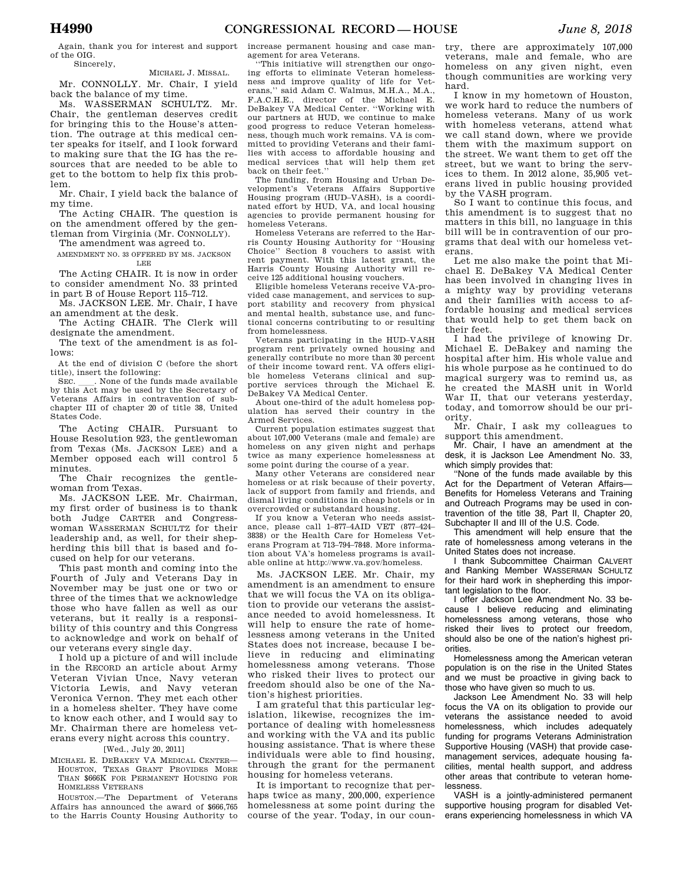Again, thank you for interest and support of the OIG. Sincerely,

#### MICHAEL J. MISSAL.

Mr. CONNOLLY. Mr. Chair, I yield back the balance of my time.

Ms. WASSERMAN SCHULTZ. Mr. Chair, the gentleman deserves credit for bringing this to the House's attention. The outrage at this medical center speaks for itself, and I look forward to making sure that the IG has the resources that are needed to be able to get to the bottom to help fix this problem.

Mr. Chair, I yield back the balance of my time.

The Acting CHAIR. The question is on the amendment offered by the gentleman from Virginia (Mr. CONNOLLY).

The amendment was agreed to.

AMENDMENT NO. 33 OFFERED BY MS. JACKSON LEE

The Acting CHAIR. It is now in order to consider amendment No. 33 printed in part B of House Report 115–712.

Ms. JACKSON LEE. Mr. Chair, I have an amendment at the desk.

The Acting CHAIR. The Clerk will designate the amendment.

The text of the amendment is as follows:

At the end of division C (before the short title), insert the following:

SEC. Such a None of the funds made available by this Act may be used by the Secretary of Veterans Affairs in contravention of subchapter III of chapter 20 of title 38, United States Code.

The Acting CHAIR. Pursuant to House Resolution 923, the gentlewoman from Texas (Ms. JACKSON LEE) and a Member opposed each will control 5 minutes.

The Chair recognizes the gentlewoman from Texas.

Ms. JACKSON LEE. Mr. Chairman, my first order of business is to thank both Judge CARTER and Congresswoman WASSERMAN SCHULTZ for their leadership and, as well, for their shepherding this bill that is based and focused on help for our veterans.

This past month and coming into the Fourth of July and Veterans Day in November may be just one or two or three of the times that we acknowledge those who have fallen as well as our veterans, but it really is a responsibility of this country and this Congress to acknowledge and work on behalf of our veterans every single day.

I hold up a picture of and will include in the RECORD an article about Army Veteran Vivian Unce, Navy veteran Victoria Lewis, and Navy veteran Veronica Vernon. They met each other in a homeless shelter. They have come to know each other, and I would say to Mr. Chairman there are homeless veterans every night across this country. [Wed., July 20, 2011]

MICHAEL E. DEBAKEY VA MEDICAL CENTER— HOUSTON, TEXAS GRANT PROVIDES MORE THAN \$666K FOR PERMANENT HOUSING FOR HOMELESS VETERANS

HOUSTON.—The Department of Veterans Affairs has announced the award of \$666,765 to the Harris County Housing Authority to increase permanent housing and case management for area Veterans.

''This initiative will strengthen our ongoing efforts to eliminate Veteran homelessness and improve quality of life for Veterans,'' said Adam C. Walmus, M.H.A., M.A., F.A.C.H.E., director of the Michael DeBakey VA Medical Center. ''Working with our partners at HUD, we continue to make good progress to reduce Veteran homelessness, though much work remains. VA is committed to providing Veterans and their families with access to affordable housing and medical services that will help them get back on their feet.''

The funding, from Housing and Urban Development's Veterans Affairs Supportive Housing program (HUD–VASH), is a coordinated effort by HUD, VA, and local housing agencies to provide permanent housing for homeless Veterans.

Homeless Veterans are referred to the Harris County Housing Authority for ''Housing Choice'' Section 8 vouchers to assist with rent payment. With this latest grant, the Harris County Housing Authority will receive 125 additional housing vouchers.

Eligible homeless Veterans receive VA-provided case management, and services to support stability and recovery from physical and mental health, substance use, and functional concerns contributing to or resulting from homelessness.

Veterans participating in the HUD–VASH program rent privately owned housing and generally contribute no more than 30 percent of their income toward rent. VA offers eligible homeless Veterans clinical and supportive services through the Michael E. DeBakey VA Medical Center.

About one-third of the adult homeless population has served their country in the Armed Services.

Current population estimates suggest that about 107,000 Veterans (male and female) are homeless on any given night and perhaps twice as many experience homelessness at some point during the course of a year.

Many other Veterans are considered near homeless or at risk because of their poverty, lack of support from family and friends, and dismal living conditions in cheap hotels or in overcrowded or substandard housing.

If you know a Veteran who needs assistance, please call 1–877–4AID VET (877–424– 3838) or the Health Care for Homeless Veterans Program at 713–794–7848. More information about VA's homeless programs is available online at http://www.va.gov/homeless.

Ms. JACKSON LEE. Mr. Chair, my amendment is an amendment to ensure that we will focus the VA on its obligation to provide our veterans the assistance needed to avoid homelessness. It will help to ensure the rate of homelessness among veterans in the United States does not increase, because I believe in reducing and eliminating homelessness among veterans. Those who risked their lives to protect our freedom should also be one of the Nation's highest priorities.

I am grateful that this particular legislation, likewise, recognizes the importance of dealing with homelessness and working with the VA and its public housing assistance. That is where these individuals were able to find housing, through the grant for the permanent housing for homeless veterans.

It is important to recognize that perhaps twice as many, 200,000, experience homelessness at some point during the course of the year. Today, in our country, there are approximately 107,000 veterans, male and female, who are homeless on any given night, even though communities are working very hard.

I know in my hometown of Houston, we work hard to reduce the numbers of homeless veterans. Many of us work with homeless veterans, attend what we call stand down, where we provide them with the maximum support on the street. We want them to get off the street, but we want to bring the services to them. In 2012 alone, 35,905 veterans lived in public housing provided by the VASH program.

So I want to continue this focus, and this amendment is to suggest that no matters in this bill, no language in this bill will be in contravention of our programs that deal with our homeless veterans.

Let me also make the point that Michael E. DeBakey VA Medical Center has been involved in changing lives in a mighty way by providing veterans and their families with access to affordable housing and medical services that would help to get them back on their feet.

I had the privilege of knowing Dr. Michael E. DeBakey and naming the hospital after him. His whole value and his whole purpose as he continued to do magical surgery was to remind us, as he created the MASH unit in World War II, that our veterans yesterday, today, and tomorrow should be our priority.

Mr. Chair, I ask my colleagues to support this amendment.

Mr. Chair, I have an amendment at the desk, it is Jackson Lee Amendment No. 33, which simply provides that:

''None of the funds made available by this Act for the Department of Veteran Affairs-Benefits for Homeless Veterans and Training and Outreach Programs may be used in contravention of the title 38, Part II, Chapter 20, Subchapter II and III of the U.S. Code.

This amendment will help ensure that the rate of homelessness among veterans in the United States does not increase.

I thank Subcommittee Chairman CALVERT and Ranking Member WASSERMAN SCHULTZ for their hard work in shepherding this important legislation to the floor.

I offer Jackson Lee Amendment No. 33 because I believe reducing and eliminating homelessness among veterans, those who risked their lives to protect our freedom, should also be one of the nation's highest priorities.

Homelessness among the American veteran population is on the rise in the United States and we must be proactive in giving back to those who have given so much to us.

Jackson Lee Amendment No. 33 will help focus the VA on its obligation to provide our veterans the assistance needed to avoid homelessness, which includes adequately funding for programs Veterans Administration Supportive Housing (VASH) that provide casemanagement services, adequate housing facilities, mental health support, and address other areas that contribute to veteran homelessness.

VASH is a jointly-administered permanent supportive housing program for disabled Veterans experiencing homelessness in which VA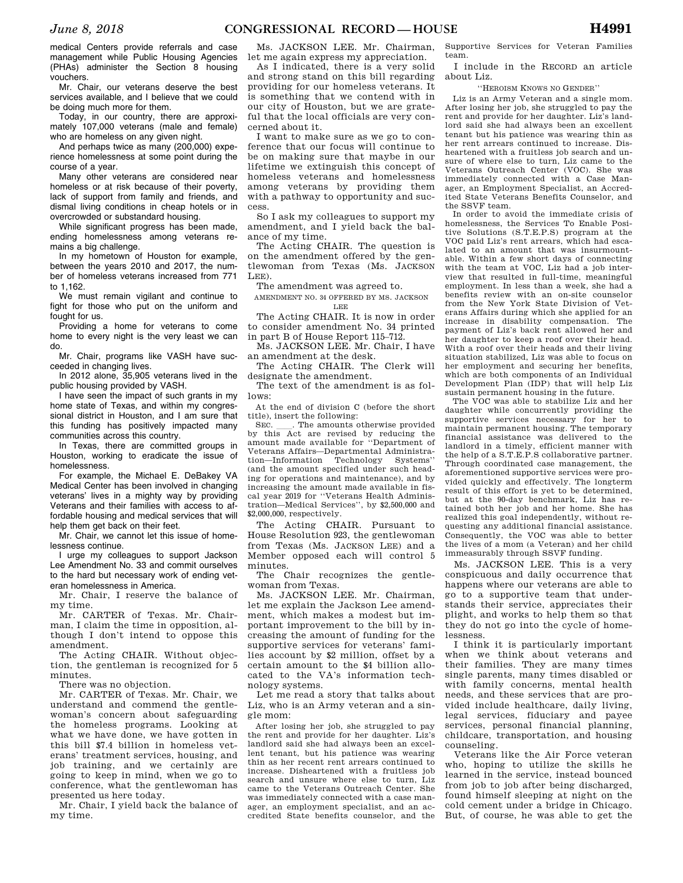medical Centers provide referrals and case management while Public Housing Agencies (PHAs) administer the Section 8 housing vouchers.

Mr. Chair, our veterans deserve the best services available, and I believe that we could be doing much more for them.

Today, in our country, there are approximately 107,000 veterans (male and female) who are homeless on any given night.

And perhaps twice as many (200,000) experience homelessness at some point during the course of a year.

Many other veterans are considered near homeless or at risk because of their poverty, lack of support from family and friends, and dismal living conditions in cheap hotels or in overcrowded or substandard housing.

While significant progress has been made, ending homelessness among veterans remains a big challenge.

In my hometown of Houston for example, between the years 2010 and 2017, the number of homeless veterans increased from 771 to 1,162

We must remain vigilant and continue to fight for those who put on the uniform and fought for us.

Providing a home for veterans to come home to every night is the very least we can do.

Mr. Chair, programs like VASH have succeeded in changing lives.

In 2012 alone, 35,905 veterans lived in the public housing provided by VASH.

I have seen the impact of such grants in my home state of Texas, and within my congressional district in Houston, and I am sure that this funding has positively impacted many communities across this country.

In Texas, there are committed groups in Houston, working to eradicate the issue of homelessness.

For example, the Michael E. DeBakey VA Medical Center has been involved in changing veterans' lives in a mighty way by providing Veterans and their families with access to affordable housing and medical services that will help them get back on their feet.

Mr. Chair, we cannot let this issue of homelessness continue.

I urge my colleagues to support Jackson Lee Amendment No. 33 and commit ourselves to the hard but necessary work of ending veteran homelessness in America.

Mr. Chair, I reserve the balance of my time.

Mr. CARTER of Texas. Mr. Chairman, I claim the time in opposition, although I don't intend to oppose this amendment.

The Acting CHAIR. Without objection, the gentleman is recognized for 5 minutes.

There was no objection.

Mr. CARTER of Texas. Mr. Chair, we understand and commend the gentlewoman's concern about safeguarding the homeless programs. Looking at what we have done, we have gotten in this bill \$7.4 billion in homeless veterans' treatment services, housing, and job training, and we certainly are going to keep in mind, when we go to conference, what the gentlewoman has presented us here today.

Mr. Chair, I yield back the balance of my time.

Ms. JACKSON LEE. Mr. Chairman, let me again express my appreciation.

As I indicated, there is a very solid and strong stand on this bill regarding providing for our homeless veterans. It is something that we contend with in our city of Houston, but we are grateful that the local officials are very concerned about it.

I want to make sure as we go to conference that our focus will continue to be on making sure that maybe in our lifetime we extinguish this concept of homeless veterans and homelessness among veterans by providing them with a pathway to opportunity and success.

So I ask my colleagues to support my amendment, and I yield back the balance of my time.

The Acting CHAIR. The question is on the amendment offered by the gentlewoman from Texas (Ms. JACKSON LEE).

The amendment was agreed to.

AMENDMENT NO. 34 OFFERED BY MS. JACKSON LEE

The Acting CHAIR. It is now in order to consider amendment No. 34 printed in part B of House Report 115–712.

Ms. JACKSON LEE. Mr. Chair, I have an amendment at the desk.

The Acting CHAIR. The Clerk will designate the amendment.

The text of the amendment is as follows:

At the end of division C (before the short title), insert the following:

SEC. Let The amounts otherwise provided<br>by this Act are revised by reducing the amount made available for ''Department of Veterans Affairs—Departmental Administration—Information Technology Systems'' (and the amount specified under such heading for operations and maintenance), and by increasing the amount made available in fiscal year 2019 for ''Veterans Health Administration—Medical Services'', by \$2,500,000 and \$2,000,000, respectively.

The Acting CHAIR. Pursuant to House Resolution 923, the gentlewoman from Texas (Ms. JACKSON LEE) and a Member opposed each will control 5 minutes.

The Chair recognizes the gentlewoman from Texas.

Ms. JACKSON LEE. Mr. Chairman, let me explain the Jackson Lee amendment, which makes a modest but important improvement to the bill by increasing the amount of funding for the supportive services for veterans' families account by \$2 million, offset by a certain amount to the \$4 billion allocated to the VA's information technology systems.

Let me read a story that talks about Liz, who is an Army veteran and a single mom:

After losing her job, she struggled to pay the rent and provide for her daughter. Liz's landlord said she had always been an excellent tenant, but his patience was wearing thin as her recent rent arrears continued to increase. Disheartened with a fruitless job search and unsure where else to turn, Liz came to the Veterans Outreach Center. She was immediately connected with a case manager, an employment specialist, and an accredited State benefits counselor, and the Supportive Services for Veteran Families team.

I include in the RECORD an article about Liz.

''HEROISM KNOWS NO GENDER''

Liz is an Army Veteran and a single mom. After losing her job, she struggled to pay the rent and provide for her daughter. Liz's landlord said she had always been an excellent tenant but his patience was wearing thin as her rent arrears continued to increase. Disheartened with a fruitless job search and unsure of where else to turn, Liz came to the Veterans Outreach Center (VOC). She was immediately connected with a Case Manager, an Employment Specialist, an Accredited State Veterans Benefits Counselor, and the SSVF team.

In order to avoid the immediate crisis of homelessness, the Services To Enable Positive Solutions (S.T.E.P.S) program at the VOC paid Liz's rent arrears, which had escalated to an amount that was insurmountable. Within a few short days of connecting with the team at VOC, Liz had a job interview that resulted in full-time, meaningful employment. In less than a week, she had a benefits review with an on-site counselor from the New York State Division of Veterans Affairs during which she applied for an increase in disability compensation. The payment of Liz's back rent allowed her and her daughter to keep a roof over their head. With a roof over their heads and their living situation stabilized, Liz was able to focus on her employment and securing her benefits, which are both components of an Individual Development Plan (IDP) that will help Liz sustain permanent housing in the future.

The VOC was able to stabilize Liz and her daughter while concurrently providing the supportive services necessary for her to maintain permanent housing. The temporary financial assistance was delivered to the landlord in a timely, efficient manner with the help of a S.T.E.P.S collaborative partner. Through coordinated case management, the aforementioned supportive services were provided quickly and effectively. The longterm result of this effort is yet to be determined, but at the 90-day benchmark, Liz has retained both her job and her home. She has realized this goal independently, without requesting any additional financial assistance. Consequently, the VOC was able to better the lives of a mom (a Veteran) and her child immeasurably through SSVF funding.

Ms. JACKSON LEE. This is a very conspicuous and daily occurrence that happens where our veterans are able to go to a supportive team that understands their service, appreciates their plight, and works to help them so that they do not go into the cycle of homelessness.

I think it is particularly important when we think about veterans and their families. They are many times single parents, many times disabled or with family concerns, mental health needs, and these services that are provided include healthcare, daily living, legal services, fiduciary and payee services, personal financial planning, childcare, transportation, and housing counseling.

Veterans like the Air Force veteran who, hoping to utilize the skills he learned in the service, instead bounced from job to job after being discharged, found himself sleeping at night on the cold cement under a bridge in Chicago. But, of course, he was able to get the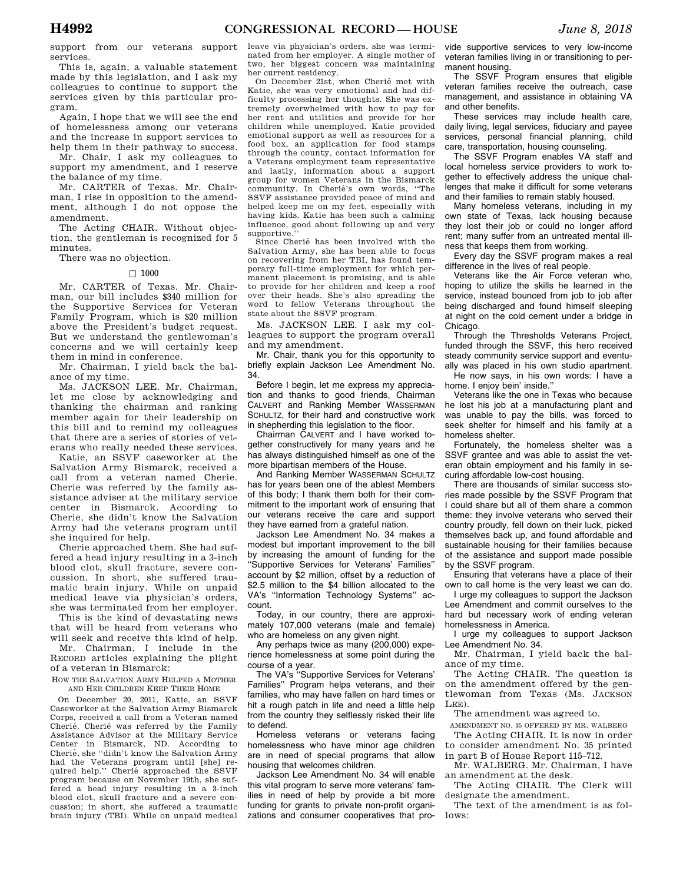support from our veterans support services.

This is, again, a valuable statement made by this legislation, and I ask my colleagues to continue to support the services given by this particular program.

Again, I hope that we will see the end of homelessness among our veterans and the increase in support services to help them in their pathway to success.

Mr. Chair, I ask my colleagues to support my amendment, and I reserve the balance of my time.

Mr. CARTER of Texas. Mr. Chairman, I rise in opposition to the amendment, although I do not oppose the amendment.

The Acting CHAIR. Without objection, the gentleman is recognized for 5 minutes.

There was no objection.

#### $\Box$  1000

Mr. CARTER of Texas. Mr. Chairman, our bill includes \$340 million for the Supportive Services for Veteran Family Program, which is \$20 million above the President's budget request. But we understand the gentlewoman's concerns and we will certainly keep them in mind in conference.

Mr. Chairman, I yield back the balance of my time.

Ms. JACKSON LEE. Mr. Chairman, let me close by acknowledging and thanking the chairman and ranking member again for their leadership on this bill and to remind my colleagues that there are a series of stories of veterans who really needed these services.

Katie, an SSVF caseworker at the Salvation Army Bismarck, received a call from a veteran named Cherie. Cherie was referred by the family assistance adviser at the military service center in Bismarck. According to Cherie, she didn't know the Salvation Army had the veterans program until she inquired for help.

Cherie approached them. She had suffered a head injury resulting in a 3-inch blood clot, skull fracture, severe concussion. In short, she suffered traumatic brain injury. While on unpaid medical leave via physician's orders, she was terminated from her employer.

This is the kind of devastating news that will be heard from veterans who will seek and receive this kind of help.

Mr. Chairman, I include in the RECORD articles explaining the plight of a veteran in Bismarck:

HOW THE SALVATION ARMY HELPED A MOTHER AND HER CHILDREN KEEP THEIR HOME

On December 20, 2011, Katie, an SSVF Caseworker at the Salvation Army Bismarck Corps, received a call from a Veteran named Cherié. Cherié was referred by the Family Assistance Advisor at the Military Service Center in Bismarck, ND. According to Cherié, she "didn't know the Salvation Army had the Veterans program until [she] required help." Cherie approached the SSVF program because on November 19th, she suffered a head injury resulting in a 3-inch blood clot, skull fracture and a severe concussion; in short, she suffered a traumatic brain injury (TBI). While on unpaid medical leave via physician's orders, she was terminated from her employer. A single mother of two, her biggest concern was maintaining her current residency.

On December 21st, when Cherié met with Katie, she was very emotional and had difficulty processing her thoughts. She was extremely overwhelmed with how to pay for her rent and utilities and provide for her children while unemployed. Katie provided emotional support as well as resources for a food box, an application for food stamps through the county, contact information for a Veterans employment team representative and lastly, information about a support group for women Veterans in the Bismarck community. In Cherié's own words, "The SSVF assistance provided peace of mind and helped keep me on my feet, especially with having kids. Katie has been such a calming influence, good about following up and very supportive.

Since Cherié has been involved with the Salvation Army, she has been able to focus on recovering from her TBI, has found temporary full-time employment for which permanent placement is promising, and is able to provide for her children and keep a roof over their heads. She's also spreading the word to fellow Veterans throughout the state about the SSVF program.

Ms. JACKSON LEE. I ask my colleagues to support the program overall and my amendment.

Mr. Chair, thank you for this opportunity to briefly explain Jackson Lee Amendment No. 34.

Before I begin, let me express my appreciation and thanks to good friends, Chairman CALVERT and Ranking Member WASSERMAN SCHULTZ, for their hard and constructive work in shepherding this legislation to the floor.

Chairman CALVERT and I have worked together constructively for many years and he has always distinguished himself as one of the more bipartisan members of the House.

And Ranking Member WASSERMAN SCHULTZ has for years been one of the ablest Members of this body; I thank them both for their commitment to the important work of ensuring that our veterans receive the care and support they have earned from a grateful nation.

Jackson Lee Amendment No. 34 makes a modest but important improvement to the bill by increasing the amount of funding for the ''Supportive Services for Veterans' Families'' account by \$2 million, offset by a reduction of \$2.5 million to the \$4 billion allocated to the VA's ''Information Technology Systems'' account.

Today, in our country, there are approximately 107,000 veterans (male and female) who are homeless on any given night.

Any perhaps twice as many (200,000) experience homelessness at some point during the course of a year.

The VA's ''Supportive Services for Veterans' Families'' Program helps veterans, and their families, who may have fallen on hard times or hit a rough patch in life and need a little help from the country they selflessly risked their life to defend.

Homeless veterans or veterans facing homelessness who have minor age children are in need of special programs that allow housing that welcomes children.

Jackson Lee Amendment No. 34 will enable this vital program to serve more veterans' families in need of help by provide a bit more funding for grants to private non-profit organizations and consumer cooperatives that pro-

vide supportive services to very low-income veteran families living in or transitioning to permanent housing.

The SSVF Program ensures that eligible veteran families receive the outreach, case management, and assistance in obtaining VA and other benefits.

These services may include health care, daily living, legal services, fiduciary and payee services, personal financial planning, child care, transportation, housing counseling.

The SSVF Program enables VA staff and local homeless service providers to work together to effectively address the unique challenges that make it difficult for some veterans and their families to remain stably housed.

Many homeless veterans, including in my own state of Texas, lack housing because they lost their job or could no longer afford rent; many suffer from an untreated mental illness that keeps them from working.

Every day the SSVF program makes a real difference in the lives of real people.

Veterans like the Air Force veteran who, hoping to utilize the skills he learned in the service, instead bounced from job to job after being discharged and found himself sleeping at night on the cold cement under a bridge in Chicago.

Through the Thresholds Veterans Project, funded through the SSVF, this hero received steady community service support and eventually was placed in his own studio apartment. He now says, in his own words: I have a

home. I enjoy bein' inside.'' Veterans like the one in Texas who because

he lost his job at a manufacturing plant and was unable to pay the bills, was forced to seek shelter for himself and his family at a homeless shelter.

Fortunately, the homeless shelter was a SSVF grantee and was able to assist the veteran obtain employment and his family in securing affordable low-cost housing.

There are thousands of similar success stories made possible by the SSVF Program that I could share but all of them share a common theme: they involve veterans who served their country proudly, fell down on their luck, picked themselves back up, and found affordable and sustainable housing for their families because of the assistance and support made possible by the SSVF program.

Ensuring that veterans have a place of their own to call home is the very least we can do.

I urge my colleagues to support the Jackson Lee Amendment and commit ourselves to the hard but necessary work of ending veteran homelessness in America.

I urge my colleagues to support Jackson Lee Amendment No. 34.

Mr. Chairman, I yield back the balance of my time.

The Acting CHAIR. The question is on the amendment offered by the gentlewoman from Texas (Ms. JACKSON LEE).

The amendment was agreed to.

AMENDMENT NO. 35 OFFERED BY MR. WALBERG

The Acting CHAIR. It is now in order to consider amendment No. 35 printed in part B of House Report 115–712.

Mr. WALBERG. Mr. Chairman, I have an amendment at the desk.

The Acting CHAIR. The Clerk will designate the amendment.

The text of the amendment is as follows: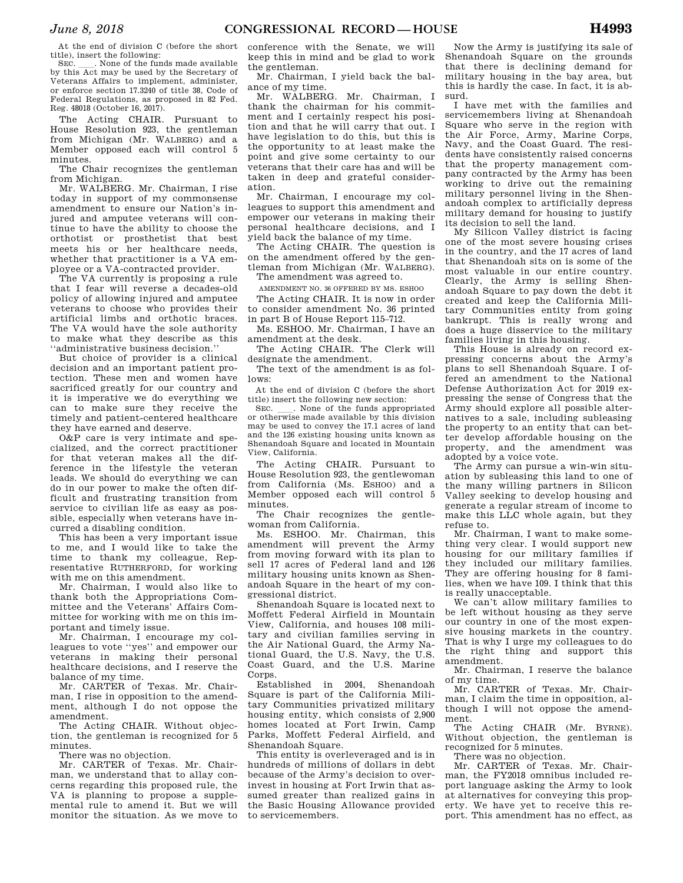At the end of division C (before the short title), insert the following:

SEC. Such a None of the funds made available by this Act may be used by the Secretary of Veterans Affairs to implement, administer, or enforce section 17.3240 of title 38, Code of Federal Regulations, as proposed in 82 Fed. Reg. 48018 (October 16, 2017).

The Acting CHAIR. Pursuant to House Resolution 923, the gentleman from Michigan (Mr. WALBERG) and a Member opposed each will control 5 minutes.

The Chair recognizes the gentleman from Michigan.

Mr. WALBERG. Mr. Chairman, I rise today in support of my commonsense amendment to ensure our Nation's injured and amputee veterans will continue to have the ability to choose the orthotist or prosthetist that best meets his or her healthcare needs, whether that practitioner is a VA employee or a VA-contracted provider.

The VA currently is proposing a rule that I fear will reverse a decades-old policy of allowing injured and amputee veterans to choose who provides their artificial limbs and orthotic braces. The VA would have the sole authority to make what they describe as this ''administrative business decision.''

But choice of provider is a clinical decision and an important patient protection. These men and women have sacrificed greatly for our country and it is imperative we do everything we can to make sure they receive the timely and patient-centered healthcare they have earned and deserve.

O&P care is very intimate and specialized, and the correct practitioner for that veteran makes all the difference in the lifestyle the veteran leads. We should do everything we can do in our power to make the often difficult and frustrating transition from service to civilian life as easy as possible, especially when veterans have incurred a disabling condition.

This has been a very important issue to me, and I would like to take the time to thank my colleague, Representative RUTHERFORD, for working with me on this amendment.

Mr. Chairman, I would also like to thank both the Appropriations Committee and the Veterans' Affairs Committee for working with me on this important and timely issue.

Mr. Chairman, I encourage my colleagues to vote ''yes'' and empower our veterans in making their personal healthcare decisions, and I reserve the balance of my time.

Mr. CARTER of Texas. Mr. Chairman, I rise in opposition to the amendment, although I do not oppose the amendment.

The Acting CHAIR. Without objection, the gentleman is recognized for 5 minutes.

There was no objection.

Mr. CARTER of Texas. Mr. Chairman, we understand that to allay concerns regarding this proposed rule, the VA is planning to propose a supplemental rule to amend it. But we will monitor the situation. As we move to conference with the Senate, we will keep this in mind and be glad to work the gentleman.

Mr. Chairman, I yield back the balance of my time.

Mr. WALBERG. Mr. Chairman, I thank the chairman for his commitment and I certainly respect his position and that he will carry that out. I have legislation to do this, but this is the opportunity to at least make the point and give some certainty to our veterans that their care has and will be taken in deep and grateful consideration.

Mr. Chairman, I encourage my colleagues to support this amendment and empower our veterans in making their personal healthcare decisions, and I yield back the balance of my time.

The Acting CHAIR. The question is on the amendment offered by the gentleman from Michigan (Mr. WALBERG).

The amendment was agreed to. AMENDMENT NO. 36 OFFERED BY MS. ESHOO

The Acting CHAIR. It is now in order to consider amendment No. 36 printed in part B of House Report 115–712.

Ms. ESHOO. Mr. Chairman, I have an amendment at the desk.

The Acting CHAIR. The Clerk will designate the amendment.

The text of the amendment is as follows:

At the end of division C (before the short

title) insert the following new section:<br>SEC. None of the funds appropriated SEC.  $\quad$  None of the funds appropriated or otherwise made available by this division may be used to convey the 17.1 acres of land and the 126 existing housing units known as Shenandoah Square and located in Mountain View, California.

The Acting CHAIR. Pursuant to House Resolution 923, the gentlewoman from California (Ms. ESHOO) and a Member opposed each will control 5 minutes.

The Chair recognizes the gentlewoman from California.

Ms. ESHOO. Mr. Chairman, this amendment will prevent the Army from moving forward with its plan to sell 17 acres of Federal land and 126 military housing units known as Shenandoah Square in the heart of my congressional district.

Shenandoah Square is located next to Moffett Federal Airfield in Mountain View, California, and houses 108 military and civilian families serving in the Air National Guard, the Army National Guard, the U.S. Navy, the U.S. Coast Guard, and the U.S. Marine Corps.

Established in 2004, Shenandoah Square is part of the California Military Communities privatized military housing entity, which consists of 2,900 homes located at Fort Irwin, Camp Parks, Moffett Federal Airfield, and Shenandoah Square.

This entity is overleveraged and is in hundreds of millions of dollars in debt because of the Army's decision to overinvest in housing at Fort Irwin that assumed greater than realized gains in the Basic Housing Allowance provided to servicemembers.

Now the Army is justifying its sale of Shenandoah Square on the grounds that there is declining demand for military housing in the bay area, but this is hardly the case. In fact, it is absurd.

I have met with the families and servicemembers living at Shenandoah Square who serve in the region with the Air Force, Army, Marine Corps, Navy, and the Coast Guard. The residents have consistently raised concerns that the property management company contracted by the Army has been working to drive out the remaining military personnel living in the Shenandoah complex to artificially depress military demand for housing to justify its decision to sell the land.

My Silicon Valley district is facing one of the most severe housing crises in the country, and the 17 acres of land that Shenandoah sits on is some of the most valuable in our entire country. Clearly, the Army is selling Shenandoah Square to pay down the debt it created and keep the California Military Communities entity from going bankrupt. This is really wrong and does a huge disservice to the military families living in this housing.

This House is already on record expressing concerns about the Army's plans to sell Shenandoah Square. I offered an amendment to the National Defense Authorization Act for 2019 expressing the sense of Congress that the Army should explore all possible alternatives to a sale, including subleasing the property to an entity that can better develop affordable housing on the property, and the amendment was adopted by a voice vote.

The Army can pursue a win-win situation by subleasing this land to one of the many willing partners in Silicon Valley seeking to develop housing and generate a regular stream of income to make this LLC whole again, but they refuse to.

Mr. Chairman, I want to make something very clear. I would support new housing for our military families if they included our military families. They are offering housing for 8 families, when we have 109. I think that this is really unacceptable.

We can't allow military families to be left without housing as they serve our country in one of the most expensive housing markets in the country. That is why I urge my colleagues to do the right thing and support this amendment.

Mr. Chairman, I reserve the balance of my time.

Mr. CARTER of Texas. Mr. Chairman, I claim the time in opposition, although I will not oppose the amendment.

The Acting CHAIR (Mr. BYRNE). Without objection, the gentleman is recognized for 5 minutes.

There was no objection.

Mr. CARTER of Texas. Mr. Chairman, the FY2018 omnibus included report language asking the Army to look at alternatives for conveying this property. We have yet to receive this report. This amendment has no effect, as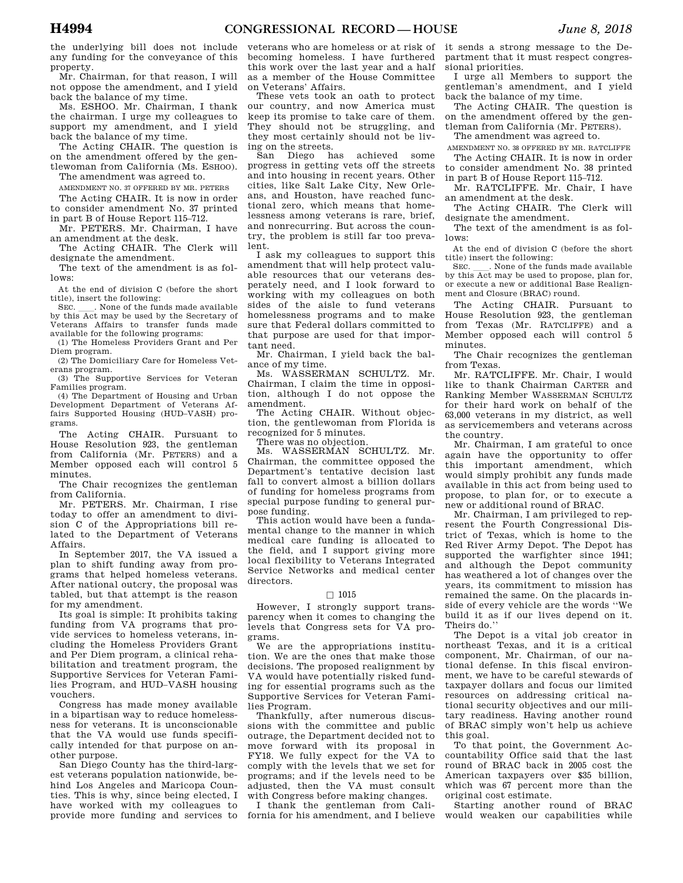the underlying bill does not include any funding for the conveyance of this property.

Mr. Chairman, for that reason, I will not oppose the amendment, and I yield back the balance of my time.

Ms. ESHOO. Mr. Chairman, I thank the chairman. I urge my colleagues to support my amendment, and I yield back the balance of my time.

The Acting CHAIR. The question is on the amendment offered by the gentlewoman from California (Ms. ESHOO).

The amendment was agreed to.

AMENDMENT NO. 37 OFFERED BY MR. PETERS The Acting CHAIR. It is now in order

to consider amendment No. 37 printed in part B of House Report 115–712.

Mr. PETERS. Mr. Chairman, I have an amendment at the desk.

The Acting CHAIR. The Clerk will designate the amendment.

The text of the amendment is as follows:

At the end of division C (before the short

title), insert the following: SEC. Such a None of the funds made available by this Act may be used by the Secretary of Veterans Affairs to transfer funds made available for the following programs:

(1) The Homeless Providers Grant and Per Diem program.

(2) The Domiciliary Care for Homeless Veterans program.

(3) The Supportive Services for Veteran Families program.

(4) The Department of Housing and Urban Development Department of Veterans Affairs Supported Housing (HUD–VASH) programs.

The Acting CHAIR. Pursuant to House Resolution 923, the gentleman from California (Mr. PETERS) and a Member opposed each will control 5 minutes.

The Chair recognizes the gentleman from California.

Mr. PETERS. Mr. Chairman, I rise today to offer an amendment to division C of the Appropriations bill related to the Department of Veterans Affairs.

In September 2017, the VA issued a plan to shift funding away from programs that helped homeless veterans. After national outcry, the proposal was tabled, but that attempt is the reason for my amendment.

Its goal is simple: It prohibits taking funding from VA programs that provide services to homeless veterans, including the Homeless Providers Grant and Per Diem program, a clinical rehabilitation and treatment program, the Supportive Services for Veteran Families Program, and HUD–VASH housing vouchers.

Congress has made money available in a bipartisan way to reduce homelessness for veterans. It is unconscionable that the VA would use funds specifically intended for that purpose on another purpose.

San Diego County has the third-largest veterans population nationwide, behind Los Angeles and Maricopa Counties. This is why, since being elected, I have worked with my colleagues to provide more funding and services to

veterans who are homeless or at risk of becoming homeless. I have furthered this work over the last year and a half as a member of the House Committee on Veterans' Affairs.

These vets took an oath to protect our country, and now America must keep its promise to take care of them. They should not be struggling, and they most certainly should not be living on the streets.

San Diego has achieved some progress in getting vets off the streets and into housing in recent years. Other cities, like Salt Lake City, New Orleans, and Houston, have reached functional zero, which means that homelessness among veterans is rare, brief, and nonrecurring. But across the country, the problem is still far too prevalent.

I ask my colleagues to support this amendment that will help protect valuable resources that our veterans desperately need, and I look forward to working with my colleagues on both sides of the aisle to fund veterans homelessness programs and to make sure that Federal dollars committed to that purpose are used for that important need.

Mr. Chairman, I yield back the balance of my time.

Ms. WASSERMAN SCHULTZ. Mr. Chairman, I claim the time in opposition, although I do not oppose the amendment.

The Acting CHAIR. Without objection, the gentlewoman from Florida is recognized for 5 minutes.

There was no objection.

Ms. WASSERMAN SCHULTZ. Mr. Chairman, the committee opposed the Department's tentative decision last fall to convert almost a billion dollars of funding for homeless programs from special purpose funding to general purpose funding.

This action would have been a fundamental change to the manner in which medical care funding is allocated to the field, and I support giving more local flexibility to Veterans Integrated Service Networks and medical center directors.

#### $\square$  1015

However, I strongly support transparency when it comes to changing the levels that Congress sets for VA programs.

We are the appropriations institution. We are the ones that make those decisions. The proposed realignment by VA would have potentially risked funding for essential programs such as the Supportive Services for Veteran Families Program.

Thankfully, after numerous discussions with the committee and public outrage, the Department decided not to move forward with its proposal in FY18. We fully expect for the VA to comply with the levels that we set for programs; and if the levels need to be adjusted, then the VA must consult with Congress before making changes.

I thank the gentleman from California for his amendment, and I believe it sends a strong message to the Department that it must respect congressional priorities.

I urge all Members to support the gentleman's amendment, and I yield back the balance of my time.

The Acting CHAIR. The question is on the amendment offered by the gentleman from California (Mr. PETERS).

The amendment was agreed to.

AMENDMENT NO. 38 OFFERED BY MR. RATCLIFFE The Acting CHAIR. It is now in order

to consider amendment No. 38 printed in part B of House Report 115–712.

Mr. RATCLIFFE. Mr. Chair, I have an amendment at the desk.

The Acting CHAIR. The Clerk will designate the amendment.

The text of the amendment is as follows:

At the end of division C (before the short title) insert the following:

SEC. \_\_\_\_. None of the funds made available by this Act may be used to propose, plan for, or execute a new or additional Base Realignment and Closure (BRAC) round.

The Acting CHAIR. Pursuant to House Resolution 923, the gentleman from Texas (Mr. RATCLIFFE) and a Member opposed each will control 5 minutes.

The Chair recognizes the gentleman from Texas.

Mr. RATCLIFFE. Mr. Chair, I would like to thank Chairman CARTER and Ranking Member WASSERMAN SCHULTZ for their hard work on behalf of the 63,000 veterans in my district, as well as servicemembers and veterans across the country.

Mr. Chairman, I am grateful to once again have the opportunity to offer this important amendment, which would simply prohibit any funds made available in this act from being used to propose, to plan for, or to execute a new or additional round of BRAC.

Mr. Chairman, I am privileged to represent the Fourth Congressional District of Texas, which is home to the Red River Army Depot. The Depot has supported the warfighter since 1941; and although the Depot community has weathered a lot of changes over the years, its commitment to mission has remained the same. On the placards inside of every vehicle are the words ''We build it as if our lives depend on it. Theirs do.''

The Depot is a vital job creator in northeast Texas, and it is a critical component, Mr. Chairman, of our national defense. In this fiscal environment, we have to be careful stewards of taxpayer dollars and focus our limited resources on addressing critical national security objectives and our military readiness. Having another round of BRAC simply won't help us achieve this goal.

To that point, the Government Accountability Office said that the last round of BRAC back in 2005 cost the American taxpayers over \$35 billion, which was 67 percent more than the original cost estimate.

Starting another round of BRAC would weaken our capabilities while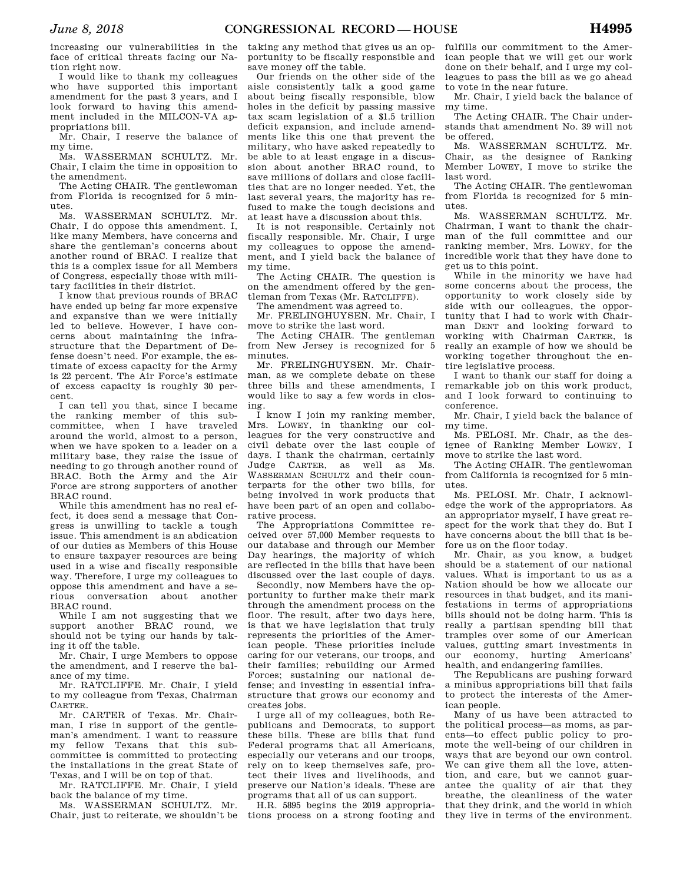increasing our vulnerabilities in the face of critical threats facing our Nation right now.

I would like to thank my colleagues who have supported this important amendment for the past 3 years, and I look forward to having this amendment included in the MILCON-VA appropriations bill.

Mr. Chair, I reserve the balance of my time.

Ms. WASSERMAN SCHULTZ. Mr. Chair, I claim the time in opposition to the amendment.

The Acting CHAIR. The gentlewoman from Florida is recognized for 5 minutes.

Ms. WASSERMAN SCHULTZ. Mr. Chair, I do oppose this amendment. I, like many Members, have concerns and share the gentleman's concerns about another round of BRAC. I realize that this is a complex issue for all Members of Congress, especially those with military facilities in their district.

I know that previous rounds of BRAC have ended up being far more expensive and expansive than we were initially led to believe. However, I have concerns about maintaining the infrastructure that the Department of Defense doesn't need. For example, the estimate of excess capacity for the Army is 22 percent. The Air Force's estimate of excess capacity is roughly 30 percent.

I can tell you that, since I became the ranking member of this subcommittee, when I have traveled around the world, almost to a person, when we have spoken to a leader on a military base, they raise the issue of needing to go through another round of BRAC. Both the Army and the Air Force are strong supporters of another BRAC round.

While this amendment has no real effect, it does send a message that Congress is unwilling to tackle a tough issue. This amendment is an abdication of our duties as Members of this House to ensure taxpayer resources are being used in a wise and fiscally responsible way. Therefore, I urge my colleagues to oppose this amendment and have a serious conversation about another BRAC round.

While I am not suggesting that we support another BRAC round, we should not be tying our hands by taking it off the table.

Mr. Chair, I urge Members to oppose the amendment, and I reserve the balance of my time.

Mr. RATCLIFFE. Mr. Chair, I yield to my colleague from Texas, Chairman CARTER.

Mr. CARTER of Texas. Mr. Chairman, I rise in support of the gentleman's amendment. I want to reassure my fellow Texans that this subcommittee is committed to protecting the installations in the great State of Texas, and I will be on top of that.

Mr. RATCLIFFE. Mr. Chair, I yield back the balance of my time.

Ms. WASSERMAN SCHULTZ. Mr. Chair, just to reiterate, we shouldn't be

taking any method that gives us an opportunity to be fiscally responsible and save money off the table.

Our friends on the other side of the aisle consistently talk a good game about being fiscally responsible, blow holes in the deficit by passing massive tax scam legislation of a \$1.5 trillion deficit expansion, and include amendments like this one that prevent the military, who have asked repeatedly to be able to at least engage in a discussion about another BRAC round, to save millions of dollars and close facilities that are no longer needed. Yet, the last several years, the majority has refused to make the tough decisions and at least have a discussion about this.

It is not responsible. Certainly not fiscally responsible. Mr. Chair, I urge my colleagues to oppose the amendment, and I yield back the balance of my time.

The Acting CHAIR. The question is on the amendment offered by the gentleman from Texas (Mr. RATCLIFFE).

The amendment was agreed to.

Mr. FRELINGHUYSEN. Mr. Chair, I move to strike the last word.

The Acting CHAIR. The gentleman from New Jersey is recognized for 5 minutes.

Mr. FRELINGHUYSEN. Mr. Chairman, as we complete debate on these three bills and these amendments, I would like to say a few words in closing.

I know I join my ranking member, Mrs. LOWEY, in thanking our colleagues for the very constructive and civil debate over the last couple of days. I thank the chairman, certainly Judge CARTER, as well as Ms. WASSERMAN SCHILTZ and their counterparts for the other two bills, for being involved in work products that have been part of an open and collaborative process.

The Appropriations Committee received over 57,000 Member requests to our database and through our Member Day hearings, the majority of which are reflected in the bills that have been discussed over the last couple of days.

Secondly, now Members have the opportunity to further make their mark through the amendment process on the floor. The result, after two days here, is that we have legislation that truly represents the priorities of the American people. These priorities include caring for our veterans, our troops, and their families; rebuilding our Armed Forces; sustaining our national defense; and investing in essential infrastructure that grows our economy and creates jobs.

I urge all of my colleagues, both Republicans and Democrats, to support these bills. These are bills that fund Federal programs that all Americans, especially our veterans and our troops, rely on to keep themselves safe, protect their lives and livelihoods, and preserve our Nation's ideals. These are programs that all of us can support.

H.R. 5895 begins the 2019 appropriations process on a strong footing and

fulfills our commitment to the American people that we will get our work done on their behalf, and I urge my colleagues to pass the bill as we go ahead to vote in the near future.

Mr. Chair, I yield back the balance of my time.

The Acting CHAIR. The Chair understands that amendment No. 39 will not be offered.

Ms. WASSERMAN SCHULTZ. Mr. Chair, as the designee of Ranking Member LOWEY, I move to strike the last word.

The Acting CHAIR. The gentlewoman from Florida is recognized for 5 minutes.

Ms. WASSERMAN SCHULTZ. Mr. Chairman, I want to thank the chairman of the full committee and our ranking member, Mrs. LOWEY, for the incredible work that they have done to get us to this point.

While in the minority we have had some concerns about the process, the opportunity to work closely side by side with our colleagues, the opportunity that I had to work with Chairman DENT and looking forward to working with Chairman CARTER, is really an example of how we should be working together throughout the entire legislative process.

I want to thank our staff for doing a remarkable job on this work product, and I look forward to continuing to conference.

Mr. Chair, I yield back the balance of my time.

Ms. PELOSI. Mr. Chair, as the designee of Ranking Member LOWEY, I move to strike the last word.

The Acting CHAIR. The gentlewoman from California is recognized for 5 minutes.

Ms. PELOSI. Mr. Chair, I acknowledge the work of the appropriators. As an appropriator myself, I have great respect for the work that they do. But I have concerns about the bill that is before us on the floor today.

Mr. Chair, as you know, a budget should be a statement of our national values. What is important to us as a Nation should be how we allocate our resources in that budget, and its manifestations in terms of appropriations bills should not be doing harm. This is really a partisan spending bill that tramples over some of our American values, gutting smart investments in our economy, hurting Americans' health, and endangering families.

The Republicans are pushing forward a minibus appropriations bill that fails to protect the interests of the American people.

Many of us have been attracted to the political process—as moms, as parents—to effect public policy to promote the well-being of our children in ways that are beyond our own control. We can give them all the love, attention, and care, but we cannot guarantee the quality of air that they breathe, the cleanliness of the water that they drink, and the world in which they live in terms of the environment.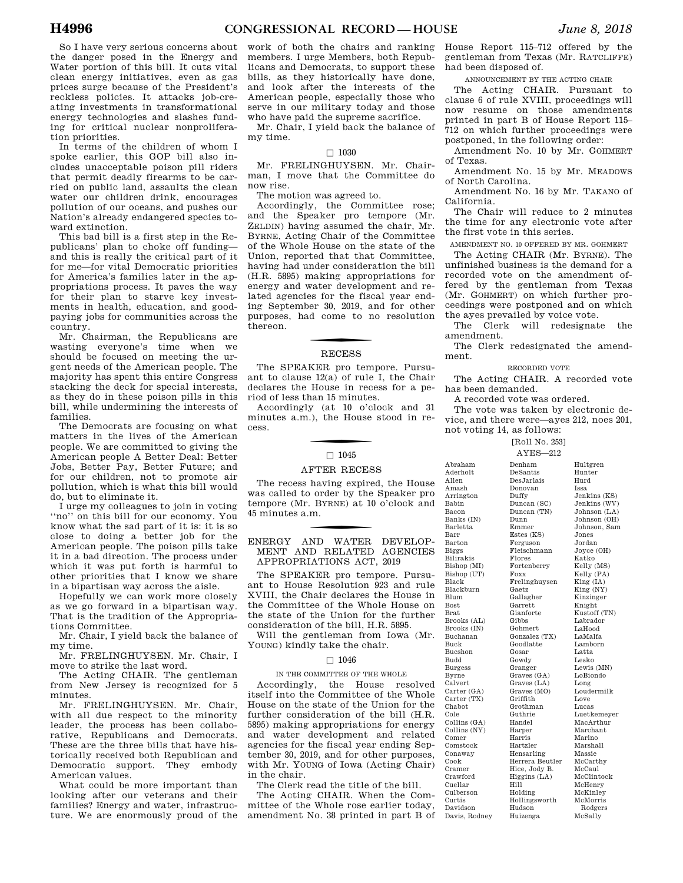So I have very serious concerns about the danger posed in the Energy and Water portion of this bill. It cuts vital clean energy initiatives, even as gas prices surge because of the President's reckless policies. It attacks job-creating investments in transformational energy technologies and slashes funding for critical nuclear nonproliferation priorities.

In terms of the children of whom I spoke earlier, this GOP bill also includes unacceptable poison pill riders that permit deadly firearms to be carried on public land, assaults the clean water our children drink, encourages pollution of our oceans, and pushes our Nation's already endangered species toward extinction.

This bad bill is a first step in the Republicans' plan to choke off funding and this is really the critical part of it for me—for vital Democratic priorities for America's families later in the appropriations process. It paves the way for their plan to starve key investments in health, education, and goodpaying jobs for communities across the country.

Mr. Chairman, the Republicans are wasting everyone's time when we should be focused on meeting the urgent needs of the American people. The majority has spent this entire Congress stacking the deck for special interests, as they do in these poison pills in this bill, while undermining the interests of families.

The Democrats are focusing on what matters in the lives of the American people. We are committed to giving the American people A Better Deal: Better Jobs, Better Pay, Better Future; and for our children, not to promote air pollution, which is what this bill would do, but to eliminate it.

I urge my colleagues to join in voting ''no'' on this bill for our economy. You know what the sad part of it is: it is so close to doing a better job for the American people. The poison pills take it in a bad direction. The process under which it was put forth is harmful to other priorities that I know we share in a bipartisan way across the aisle.

Hopefully we can work more closely as we go forward in a bipartisan way. That is the tradition of the Appropriations Committee.

Mr. Chair, I yield back the balance of my time.

Mr. FRELINGHUYSEN. Mr. Chair, I move to strike the last word.

The Acting CHAIR. The gentleman from New Jersey is recognized for 5 minutes.

Mr. FRELINGHUYSEN. Mr. Chair, with all due respect to the minority leader, the process has been collaborative, Republicans and Democrats. These are the three bills that have historically received both Republican and Democratic support. They embody American values.

What could be more important than looking after our veterans and their families? Energy and water, infrastructure. We are enormously proud of the

work of both the chairs and ranking members. I urge Members, both Republicans and Democrats, to support these bills, as they historically have done, and look after the interests of the American people, especially those who serve in our military today and those who have paid the supreme sacrifice.

Mr. Chair, I yield back the balance of my time.

#### $\square$  1030

Mr. FRELINGHUYSEN. Mr. Chairman, I move that the Committee do now rise.

The motion was agreed to.

Accordingly, the Committee rose; and the Speaker pro tempore (Mr. ZELDIN) having assumed the chair, Mr. BYRNE, Acting Chair of the Committee of the Whole House on the state of the Union, reported that that Committee, having had under consideration the bill (H.R. 5895) making appropriations for energy and water development and related agencies for the fiscal year ending September 30, 2019, and for other purposes, had come to no resolution thereon.

# **RECESS**

The SPEAKER pro tempore. Pursuant to clause 12(a) of rule I, the Chair declares the House in recess for a period of less than 15 minutes.

Accordingly (at 10 o'clock and 31 minutes a.m.), the House stood in recess.

#### $\square$  1045

#### AFTER RECESS

The recess having expired, the House was called to order by the Speaker pro tempore (Mr. BYRNE) at 10 o'clock and 45 minutes a.m.

f ENERGY AND WATER DEVELOP-MENT AND RELATED AGENCIES APPROPRIATIONS ACT, 2019

The SPEAKER pro tempore. Pursuant to House Resolution 923 and rule XVIII, the Chair declares the House in the Committee of the Whole House on the state of the Union for the further consideration of the bill, H.R. 5895.

Will the gentleman from Iowa (Mr. YOUNG) kindly take the chair.

#### $\Box$  1046

#### IN THE COMMITTEE OF THE WHOLE

Accordingly, the House resolved itself into the Committee of the Whole House on the state of the Union for the further consideration of the bill (H.R. 5895) making appropriations for energy and water development and related agencies for the fiscal year ending September 30, 2019, and for other purposes, with Mr. YOUNG of Iowa (Acting Chair) in the chair.

The Clerk read the title of the bill.

The Acting CHAIR. When the Committee of the Whole rose earlier today, amendment No. 38 printed in part B of

House Report 115–712 offered by the gentleman from Texas (Mr. RATCLIFFE) had been disposed of.

ANNOUNCEMENT BY THE ACTING CHAIR

The Acting CHAIR. Pursuant to clause 6 of rule XVIII, proceedings will now resume on those amendments printed in part B of House Report 115– 712 on which further proceedings were postponed, in the following order:

Amendment No. 10 by Mr. GOHMERT of Texas.

Amendment No. 15 by Mr. MEADOWS of North Carolina.

Amendment No. 16 by Mr. TAKANO of California.

The Chair will reduce to 2 minutes the time for any electronic vote after the first vote in this series.

AMENDMENT NO. 10 OFFERED BY MR. GOHMERT

The Acting CHAIR (Mr. BYRNE). The unfinished business is the demand for a recorded vote on the amendment offered by the gentleman from Texas (Mr. GOHMERT) on which further proceedings were postponed and on which the ayes prevailed by voice vote.

The Clerk will redesignate the amendment.

The Clerk redesignated the amendment.

RECORDED VOTE

The Acting CHAIR. A recorded vote has been demanded.

A recorded vote was ordered.

Allen Amash

Babin Bacon

Barr

Biggs

Black

Blum Bost Brat

Buck

Budd

Byrne

Cole

Comer

Cook

Curtis

The vote was taken by electronic device, and there were—ayes 212, noes 201, not voting 14, as follows:

> [Roll No. 253] AYES—212

Abraham Aderholt Arrington Banks (IN) Barletta Barton Bilirakis Bishop (MI) Bishop (UT) Blackburn Brooks (AL) Brooks (IN) Buchanan Bucshon Burgess Calvert Carter (GA) Carter (TX) Chabot Collins (GA) Collins (NY) Comstock Conaway Cramer Crawford Cuellar Culberson Davidson Davis, Rodney Denham DeSantis DesJarlais Donovan Duffy Duncan (SC) Duncan (TN) Dunn Emmer Estes (KS) Ferguson Fleischmann Flores Fortenberry Foxx Frelinghuysen Gaetz Gallagher Garrett Gianforte Gibbs Gohmert Gonzalez (TX) Goodlatte Gosar Gowdy Granger Graves (GA) Graves (LA) Graves (MO) Griffith Grothman Guthrie Handel Harper Harris Hartzler Hensarling Herrera Beutler Hice, Jody B. Higgins (LA) Hill Holding Hollingsworth Hudson Huizenga

Hultgren Hunter Hurd Issa Jenkins (KS) Jenkins (WV) Johnson (LA) Johnson (OH) Johnson, Sam Jones Jordan Joyce (OH) Katko<br>Kelly (MS) Kelly (PA) King (IA) King (NY) Kinzinger Knight Kustoff (TN) Labrador LaHood LaMalfa Lamborn Latta Lesko Lewis (MN) LoBiondo Long Loudermilk Love Lucas Luetkemeyer MacArthur Marchant Marino Marshall Massie McCarthy McCaul McClintock McHenry McKinley McMorris Rodgers McSally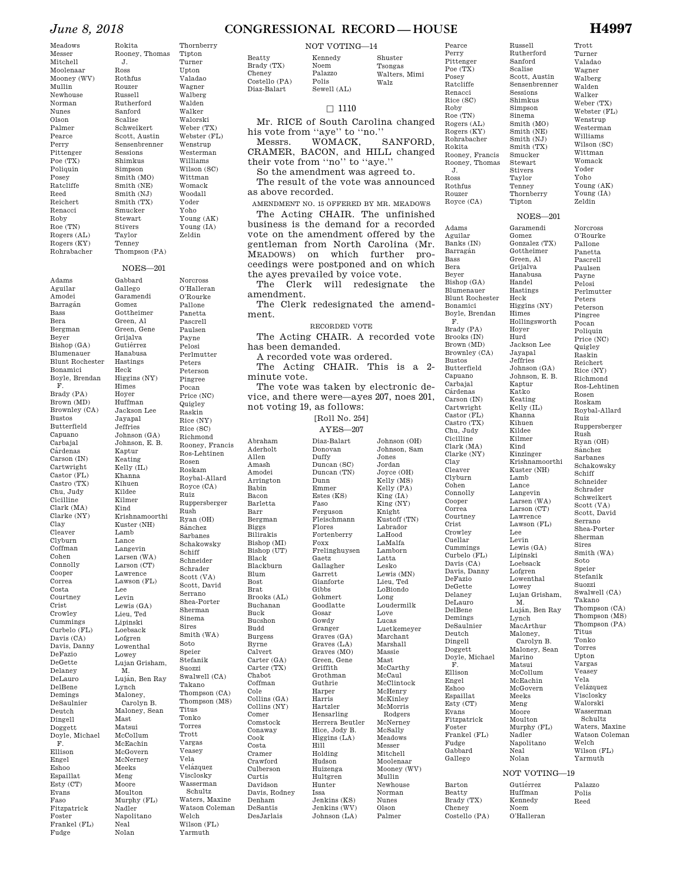#### *June 8, 2018* **CONGRESSIONAL RECORD — HOUSE H4997**

#### NOT VOTING—14

Beatty Brady (TX) Costello (PA) Diaz-Balart Kennedy Noem Palazzo Polis Sewell (AL)

Cheney

#### Shuster Tsongas Walters, Mimi Walz

Pearce Perry Pittenger Poe (TX) Posey Ratcliffe Renacci Rice (SC) Roby Roe (TN) Rogers (AL) Rogers (KY) Rohrabacher Rokita Rooney, Francis Rooney, Thomas J. Ross Rothfus Rouzer Royce (CA)

Adams Aguilar Banks (IN) Barraga´n

#### $\Box$  1110

Mr. RICE of South Carolina changed his vote from "aye" to "no."<br>Messrs. WOMACK,

SANFORD, CRAMER, BACON, and HILL changed their vote from ''no'' to ''aye.''

So the amendment was agreed to.

The result of the vote was announced as above recorded.

AMENDMENT NO. 15 OFFERED BY MR. MEADOWS The Acting CHAIR. The unfinished business is the demand for a recorded vote on the amendment offered by the gentleman from North Carolina (Mr. MEADOWS) on which further pro-MEADOWS) on which ceedings were postponed and on which the ayes prevailed by voice vote.

The Clerk will redesignate the amendment.

The Clerk redesignated the amendment.

RECORDED VOTE

The Acting CHAIR. A recorded vote has been demanded.

A recorded vote was ordered.

The Acting CHAIR. This is a 2 minute vote.

The vote was taken by electronic device, and there were—ayes 207, noes 201, not voting 19, as follows:

[Roll No. 254]

AYES—207

Abraham Aderholt Allen Amash Amodei Arrington Babin Bacon Barletta Barr Bergman Biggs Bilirakis Bishop (MI) Bishop (UT) Black Blackburn Blum Bost Brat Brooks (AL) Buchanan Buck Bucshon Budd Burgess Byrne Calvert Carter (GA) Carter (TX) Chabot Coffman Cole Collins (GA) Collins (NY) Comer Comstock Conaway Cook Costa Cramer Crawford Culberson Curtis Davidson Davis, Rodney Denham DeSantis DesJarlais

Diaz-Balart Donovan Duffy Duncan (SC) Duncan (TN) Dunn Emmer Estes (KS) Faso Ferguson Fleischmann Flores Fortenberry Foxx Frelinghuysen Gaetz Gallagher Garrett Gianforte Gibbs Gohmert Goodlatte Gosar Gowdy Granger Graves (GA) Graves (LA) Graves (MO) Green, Gene Griffith Grothman Guthrie Harper Harris Hartzler Hensarling Herrera Beutler Hice, Jody B. Higgins (LA) Hill Holding Hudson Huizenga Hultgren Hunter Issa Jenkins (KS) Jenkins (WV) Johnson (LA) Jones Jordan LaHood Latta Lesko Long Love Lucas Massie Mast Messer Mullin Nunes Olson Palmer

Johnson (OH) Johnson, Sam Joyce (OH) Kelly (MS) Kelly (PA) King (IA) King (NY) Knight<br>Kustoff (TN) Labrador LaMalfa Lamborn Lewis (MN) Lieu, Ted LoBiondo Loudermilk Luetkemeyer Marchant Marshall McCarthy McCaul McClintock McHenry McKinley McMorris Rodgers McNerney McSally Meadows Mitchell Moolenaar Mooney (WV) Newhouse Norman

Bass Bera Beyer Bishop (GA) Blumenauer Blunt Rochester Bonamici Boyle, Brendan F. Brady (PA) Brooks (IN) Brown (MD) Brownley (CA) Bustos Butterfield Capuano Carbajal Cárdenas Carson (IN) Cartwright Castor (FL) Castro (TX) Chu, Judy Cicilline Clark (MA) Clarke (NY) Clay Cleaver Clyburn Cohen Connolly Cooper Correa Courtney Crist Crowley Cuellar Cummings  $Curbelo$  $(FL)$ Davis (CA) Davis, Danny DeFazio DeGette Delaney DeLauro DelBene Demings DeSaulnier Deutch Dingell Doggett Doyle, Michael F. Ellison Engel Eshoo Espaillat Esty (CT) Evans Fitzpatrick Foster Frankel (FL) Fudge Gabbard Gallego Barton

Beatty Brady (TX) Cheney Costello (PA) Rutherford Scott, Austin Sensenbrenner Sessions Shimkus Simpson Smith (MO) Smith (NE) Smith (NJ) Smith (TX) Smucker Thornberry Trott Turner Valadao Wagner Walberg Walden Walker Wenstrup Williams Wittman Womack Yoder Yoho Zeldin NOES—201 Garamendi Gonzalez (TX) Gottheimer Green, Al Grijalva Hanabusa Hastings Higgins (NY) Hollingsworth Jackson Lee Johnson (GA) Johnson, E. B. Kelly (IL) Kinzinger Krishnamoorthi Kuster (NH) Langevin Larsen (WA) Larson (CT) Lawrence Lawson (FL) Lewis (GA) Lipinski Loebsack Lowenthal Lujan Grisham, Luján, Ben Ray MacArthur Maloney, Carolyn B. Maloney, Sean McCollum McEachin Norcross O'Rourke Pallone Panetta Pascrell Paulsen Payne Pelosi Peters Peterson Pingree Pocan Poliquin **Quigley** Raskin Reichert Rosen Roskam Ruiz Rush Sa´nchez Sarbanes Schiff Schrader Serrano Sherman Sires Soto Speier Stefanik Suozzi Takano Titus Tonko Torres Upton Vargas Veasey Vela

Thompson (MS) Thompson (PA) Visclosky Schultz Waters, Maxine Watson Coleman

NOT VOTING—19

Kennedy Noem

Gutiérrez Huffman O'Halleran Palazzo Polis Reed

Weber (TX) Webster (FL) Westerman Wilson (SC) Young (AK) Young (IA)

Russell

Sanford Scalise

Sinema

Stewart Stivers Taylor Tenney

Tipton

Gomez

Handel

Heck

Himes

Hoyer Hurd

Jayapal Jeffries

Kaptur Katko Keating

Khanna Kihuen Kildee Kilmer Kind

Lamb Lance

Lee Levin

Lofgren

Lowey

M.

Lynch

Marino Matsui

McGovern Meeks Meng Moore Moulton Murphy (FL) Nadler Napolitano Neal Nolan

Perlmutter Price (NC) Rice (NY) Richmond Ros-Lehtinen Roybal-Allard Ruppersberger Ryan (OH) Schakowsky Schneider Schweikert Scott (VA) Scott, David Shea-Porter Smith (WA) Swalwell (CA) Thompson (CA) Velázquez Walorski Wasserman Welch Wilson (FL) Yarmuth

Rokita Rooney, Thomas J. Ross Rothfus Rouzer Russell Rutherford Sanford Scalise Schweikert

Thornberry Tipton Turner Upton Valadao

Sessions Shimkus Simpson

Smith (NE) Smith (NJ) Smith (TX) Smucker Stewart Stivers Taylor Tenney

Meadows Messer Mitchell Moolenaar Mooney (WV) Mullin Newhouse Norman Nunes Olson Palmer Pearce Perry Pittenger Poe (TX) Poliquin Posey Ratcliffe Reed Reichert Renacci Roby Roe (TN) Rogers (AL) Rogers (KY) Rohrabacher

Adams Aguilar Amodei Barraga´n Bass Bera Bergman Beyer Bishop (GA) Blumenauer Blunt Rochester Bonamici Boyle, Brendan F. Brady (PA) Brown (MD) Brownley (CA) Bustos Butterfield Capuano Carbajal Cárdenas Carson (IN) Cartwright Castor (FL) Castro (TX) Chu, Judy Cicilline Clark (MA) Clarke (NY) Clay Cleaver Clyburn Coffman Cohen Connolly Cooper Correa Costa Courtney Crist Crowley Cummings Curbelo (FL) Davis (CA) Davis, Danny DeFazio DeGette Delaney DeLauro DelBene Demings DeSaulnier Deutch Dingell Doggett Doyle, Michael F. Ellison Engel Eshoo Espaillat Esty (CT) Evans Faso Fitzpatrick Foster Frankel (FL) Fudge

NOES—201 Gabbard Gallego Garamendi Gomez Gottheimer Green, Al Green, Gene Grijalva Gutiérrez Hanabusa Hastings Heck Higgins (NY) Himes Hoyer Huffman Jackson Lee Jayapal Jeffries Johnson (GA) Johnson, E. B. Kaptur Keating Kelly (IL) Khanna Kihuen Kildee Kilmer Kind Krishnamoorthi Kuster (NH) Lamb Lance Langevin Larsen (WA) Larson (CT) Lawrence Lawson (FL) Lee Levin Lewis (GA) Lieu, Ted Lipinski Loebsack Lofgren Lowenthal Lowey Lujan Grisham, M. Luján, Ben Ray Lynch Maloney, Carolyn B. Maloney, Sean Mast Matsui McCollum McEachin McGovern McNerney Meeks Meng Moore Moulton Murphy (FL) Nadler Napolitano Sires Smith (WA) Soto Speier Stefanik Suozzi Swalwell (CA) Takano Thompson (CA) Thompson (MS) Titus Tonko Torres Trott Vargas Veasey Vela Velázquez Visclosky Wasserman Schultz Waters, Maxine Watson Coleman Welch

Neal Nolan Wilson (FL) Yarmuth

Scott, Austin Sensenbrenner Smith (MO) Thompson (PA) Wagner Walberg Walden Walker Walorski Weber (TX) Webster (FL) Wenstrup Westerman Williams Wilson (SC) Wittman Womack Woodall Yoder Yoho Young (AK) Young (IA) Zeldin Norcross O'Halleran O'Rourke Pallone Panetta Pascrell Paulsen Payne Pelosi Perlmutter Peters Peterson Pingree Pocan Price (NC) Quigley Raskin Rice (NY) Rice (SC) Richmond Rooney, Francis Ros-Lehtinen Rosen Roskam Roybal-Allard Royce (CA) Ruiz Ruppersberger Rush Ryan (OH) Sánchez Sarbanes Schakowsky Schiff Schneider Schrader Scott (VA) Scott, David Serrano Shea-Porter Sherman Sinema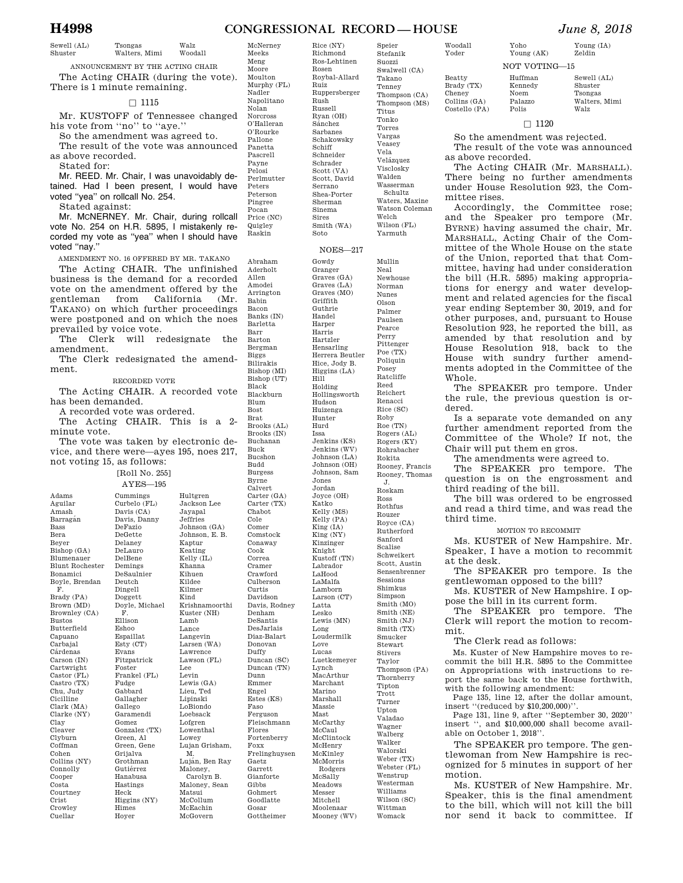#### **H4998 CONGRESSIONAL RECORD — HOUSE** *June 8, 2018*

Rice (NY) Richmond

Rosen

Ruiz

Rush Russell Ryan (OH) Sa´nchez Sarbanes Schakowsky Schiff Schneider Schrader Scott (VA) Scott, David Serrano Shea-Porter Sherman Sinema Sires Smith (WA) Soto

Gowdy Granger Graves (GA) Graves (LA) Graves (MO) Griffith Guthrie Handel Harper Harris Hartzler

Sewell (AL) Tsongas

Shuster Walters, Mimi Walz Woodall

ANNOUNCEMENT BY THE ACTING CHAIR The Acting CHAIR (during the vote). There is 1 minute remaining.

#### $\Box$  1115

Mr. KUSTOFF of Tennessee changed his vote from ''no'' to ''aye.''

So the amendment was agreed to. The result of the vote was announced as above recorded.

Stated for:

Mr. REED. Mr. Chair, I was unavoidably detained. Had I been present, I would have voted ''yea'' on rollcall No. 254.

Stated against:

Mr. MCNERNEY. Mr. Chair, during rollcall vote No. 254 on H.R. 5895, I mistakenly recorded my vote as ''yea'' when I should have voted ''nay.''

AMENDMENT NO. 16 OFFERED BY MR. TAKANO The Acting CHAIR. The unfinished business is the demand for a recorded vote on the amendment offered by the<br>gentleman from California (Mr) gentleman from California (Mr. TAKANO) on which further proceedings were postponed and on which the noes prevailed by voice vote.

The Clerk will redesignate the amendment.

The Clerk redesignated the amendment.

#### RECORDED VOTE

The Acting CHAIR. A recorded vote has been demanded.

A recorded vote was ordered. The Acting CHAIR. This is a 2-

minute vote. The vote was taken by electronic de-

vice, and there were—ayes 195, noes 217, not voting 15, as follows:

[Roll No. 255]

Adams Aguilar Amash Barraga´n Bass Bera Beyer Bishop (GA) Blumenauer Blunt Rochester Bonamici Boyle, Brendan F. Brady (PA) Brown (MD) Brownley (CA) Bustos Butterfield Capuano Carbajal Cárdenas Carson (IN) Cartwright Castor (FL) Castro (TX) Chu, Judy Cicilline Clark (MA) Clarke (NY) Clay Cleaver Clyburn Coffman Cohen Collins (NY) Connolly Cooper Costa Courtney Crist Crowley Cuellar

AYES—195 Curbelo (FL) Davis (CA) Davis, Danny DeFazio DeGette Delaney DeLauro DelBene Demings DeSaulnier Deutch Dingell Doggett Doyle, Michael Ellison Eshoo Espaillat Esty (CT) Evans Fitzpatrick Foster Frankel (FL) Fudge Gabbard Gallagher Gallego Garamendi Gomez Gonzalez (TX) Green, Al Green, Gene Grijalva Grothman Gutiérrez Hanabusa Hastings Heck Higgins (NY) Himes Hultgren Jackson Lee Jayapal Jeffries Johnson (GA) Johnson, E. B. Kaptur Keating Kelly (IL) Khanna Kihuen Kildee Kilmer Kind Krishnamoorthi Kuster (NH) Lamb Lance Langevin Larsen (WA) Lawrence  $\mbox{Lawson}$  (FL) Lee Levin Lewis (GA) Lieu, Ted Lipinski LoBiondo Loebsack Lofgren Lowenthal Lowey Lujan Grisham, M. Luján, Ben Rav Maloney, Carolyn B. Maloney, Sean Matsui McCollum McEachin McGovern

| ٠                            |
|------------------------------|
|                              |
| McNerney                     |
| Meeks                        |
| Meng                         |
| Moore                        |
| Moulton                      |
| Murphy (FL)                  |
| Nadler                       |
| Napolitano                   |
| Nolan                        |
|                              |
| Norcross                     |
| O'Halleran                   |
| O'Rourke                     |
| Pallone                      |
| Panetta                      |
| Pascrell                     |
| Payne                        |
| Pelosi                       |
|                              |
| Perlmutter                   |
| Peters                       |
| Peterson                     |
| Pingree                      |
| Pocan                        |
| Price (NC)                   |
| Quigley                      |
| Raskin                       |
|                              |
|                              |
|                              |
| Abraham<br>Aderholt<br>Allen |
| Amodei                       |
|                              |
| Arrington                    |
| Babin                        |
| Bacon                        |
| Banks (IN)                   |
| Barletta                     |
| Barr                         |
| Barton                       |
|                              |
| Bergman                      |
| <b>Biggs</b>                 |
| Bilirakis                    |
| Bishop (MI)                  |
| Bishop (UT)                  |
| Black                        |
| Blackburn                    |
| Blum                         |
| <b>Bost</b>                  |
|                              |
| $_{\rm Brat}$                |
| Brooks (AL)                  |
| Brooks (IN)                  |
| Buchanan                     |
| Buck                         |
| Bucshon                      |
| Budd                         |

Byrne Calvert Carter (GA) Carter (TX) Chabot Comer Comstock Conaway Correa Cramer Crawford Culberson Curtis Davidson Davis, Rodney Denham DeSantis DesJarlais Diaz-Balart Donovan Duffy Duncan (SC) Duncan (TN) Emmer Engel Estes (KS) Ferguson Fleischmann Flores Fortenberry Frelinghuysen Gaetz Garrett Gianforte Gibbs Gohmert Goodlatte Gosar Hensarling Hice, Jody B. Higgins (LA) Hill Holding Hollingsworth Hudson Huizenga Hunter Hurd Issa Jenkins (KS) Jenkins (WV) Johnson (LA) Johnson (OH) Johnson, Sam Jones Jordan Joyce (OH) Katko Kelly (MS) Kelly (PA) King (IA) King (NY) Kinzinger Knight Kustoff (TN) Labrador LaHood LaMalfa Lamborn Larson (CT) Latta Lesko Lewis (MN) Long Loudermilk Love Lucas Luetkemeyer Lynch MacArthur Marchant Marino Marshall Massie Mast McCarthy McCaul McClintock McHenry McKinley McMorris Rodgers McSally Meadows Messer Mitchell Moolenaar

Cole

Cook

Dunn

Faso

Foxx

Gottheimer

Mooney (WV)

Ros-Lehtinen Roybal-Allard Ruppersberger Speier Stefanik Suozzi Swalwell (CA) Takano Tenney  $Th$  $Th$ Tit To:  $To$ Va Vea Vel  $Ve$ V<sub>is</sub> Wa Wa Schultz  $Wa$ Wa  $W_{\mathcal{P}}$ Wi<sup>-</sup> Ya NOES—217 Herrera Beutler  $M<sub>u</sub>$ Nea Ne<sup>x</sup>  $No$ Nu Ols Palmer Pau  $Pe<sub>z</sub>$ Per Pit  $P<sub>O</sub>$  $Po<sub>i</sub>$ Pos Ra Reed Reichert Re: R<sub>ic</sub> Ro  $R<sub>0</sub>$  $Ro$  $Ro$  $Ro$  $Ro$  $Ro$  $Ro$ J.  $R<sub>0</sub>$ Ro  $Ro$  $Ro$  $R<sub>O</sub>$ Ru San  $Sc$  $Sc$ Sco Ser **Ses**  $Sh<sup>2</sup>$ Sin  $Sm$  $Sm$ Smith (NJ)

Smith (TX) Smucker Stewart Stivers Taylor Thompson (PA) Thornberry Tipton Trott Turner Upton Valadao Wagner Walberg Walker Walorski Weber (TX) Webster (FL) Wenstrup Westerman Williams Wilson (SC)

> Wittman Womack

| ompson (MS)                   |
|-------------------------------|
|                               |
| us                            |
| ıko                           |
| res:                          |
|                               |
| rgas                          |
| usey                          |
| a                             |
| ázquez                        |
| closky                        |
| lden                          |
|                               |
| sserman                       |
| chultz                        |
| ters, Maxine                  |
| tson Coleman                  |
| lch                           |
| son (FL)                      |
| rmuth                         |
|                               |
|                               |
|                               |
| llin                          |
|                               |
| ιl                            |
| whouse                        |
| rman                          |
| nes                           |
| on                            |
| mer                           |
| ilsen                         |
|                               |
| $_{\rm tree}$                 |
| тy                            |
| tenger                        |
| E(TX)                         |
| iquin                         |
| sey                           |
| tcliffe                       |
| эd                            |
| chert                         |
|                               |
|                               |
|                               |
|                               |
|                               |
| iacci<br>e (SC)<br>bу         |
| $\epsilon$ (TN)               |
|                               |
| gers (AL)<br>gers (KY)        |
| hrabacher                     |
|                               |
| kita                          |
|                               |
|                               |
| oney, Francis<br>oney, Thomas |
| skam                          |
| 3S                            |
| thfus                         |
| izer                          |
| yce (CA)                      |
| $_{\rm therford}$             |
| ıford                         |
| ılise                         |
| ıweikert                      |
| tt, Austin                    |
|                               |
| nsenbrenner                   |
| sions                         |
| mkus                          |
| npson                         |
| ith (MO)<br>ith (NE)          |

Woodall Yoder Beatty Brady (TX) Cheney

Huffman Kennedy

NOT VOTING—15

Yoho Young (AK)

Collins (GA) Costello (PA) Noem Palazzo Polis

Shuster

Tsongas Walters, Mimi Walz

Sewell (AL)

#### $\Box$  1120

So the amendment was rejected.

The result of the vote was announced as above recorded.

The Acting CHAIR (Mr. MARSHALL). There being no further amendments under House Resolution 923, the Committee rises.

Accordingly, the Committee rose; and the Speaker pro tempore (Mr. BYRNE) having assumed the chair, Mr. MARSHALL, Acting Chair of the Committee of the Whole House on the state of the Union, reported that that Committee, having had under consideration the bill (H.R. 5895) making appropriations for energy and water development and related agencies for the fiscal year ending September 30, 2019, and for other purposes, and, pursuant to House Resolution 923, he reported the bill, as amended by that resolution and by House Resolution 918, back to the House with sundry further amendments adopted in the Committee of the Whole.

The SPEAKER pro tempore. Under the rule, the previous question is ordered.

Is a separate vote demanded on any further amendment reported from the Committee of the Whole? If not, the Chair will put them en gros.

The amendments were agreed to.

The SPEAKER pro tempore. The question is on the engrossment and third reading of the bill.

The bill was ordered to be engrossed and read a third time, and was read the third time.

MOTION TO RECOMMIT

Ms. KUSTER of New Hampshire. Mr. Speaker, I have a motion to recommit at the desk.

The SPEAKER pro tempore. Is the gentlewoman opposed to the bill?

Ms. KUSTER of New Hampshire. I oppose the bill in its current form.

The SPEAKER pro tempore. The Clerk will report the motion to recommit.

The Clerk read as follows:

Ms. Kuster of New Hampshire moves to recommit the bill H.R. 5895 to the Committee on Appropriations with instructions to report the same back to the House forthwith, with the following amendment:

Page 135, line 12, after the dollar amount, insert ''(reduced by \$10,200,000)''.

Page 131, line 9, after ''September 30, 2020'' insert '', and \$10,000,000 shall become available on October 1, 2018''.

The SPEAKER pro tempore. The gentlewoman from New Hampshire is recognized for 5 minutes in support of her motion.

Ms. KUSTER of New Hampshire. Mr. Speaker, this is the final amendment to the bill, which will not kill the bill nor send it back to committee. If

# Young (IA)

Zeldin

Cummings

F.

Hoyer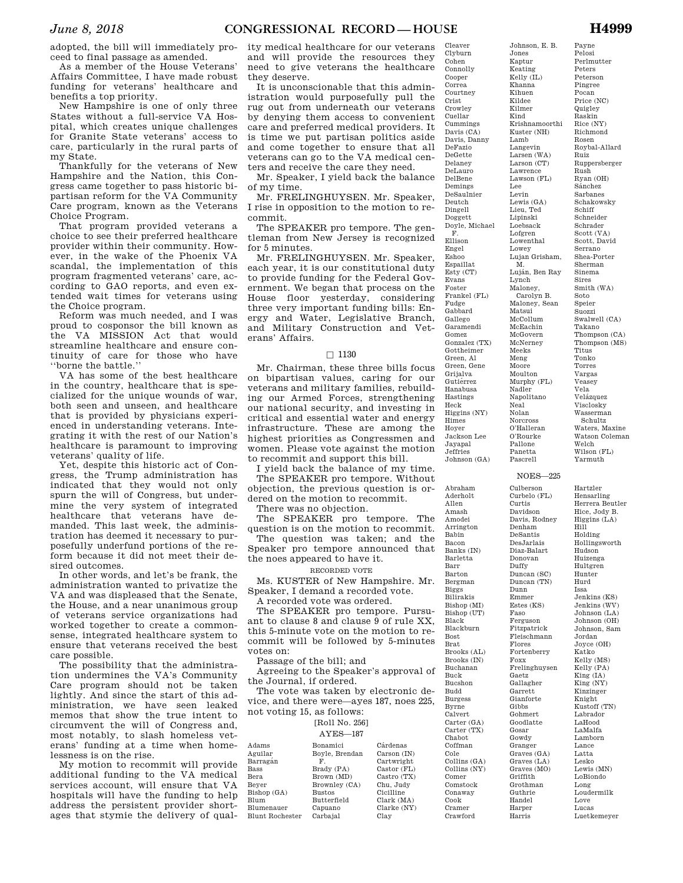adopted, the bill will immediately proceed to final passage as amended.

As a member of the House Veterans' Affairs Committee, I have made robust funding for veterans' healthcare and benefits a top priority.

New Hampshire is one of only three States without a full-service VA Hospital, which creates unique challenges for Granite State veterans' access to care, particularly in the rural parts of my State.

Thankfully for the veterans of New Hampshire and the Nation, this Congress came together to pass historic bipartisan reform for the VA Community Care program, known as the Veterans Choice Program.

That program provided veterans a choice to see their preferred healthcare provider within their community. However, in the wake of the Phoenix VA scandal, the implementation of this program fragmented veterans' care, according to GAO reports, and even extended wait times for veterans using the Choice program.

Reform was much needed, and I was proud to cosponsor the bill known as the VA MISSION Act that would streamline healthcare and ensure continuity of care for those who have ''borne the battle.''

VA has some of the best healthcare in the country, healthcare that is specialized for the unique wounds of war, both seen and unseen, and healthcare that is provided by physicians experienced in understanding veterans. Integrating it with the rest of our Nation's healthcare is paramount to improving veterans' quality of life.

Yet, despite this historic act of Congress, the Trump administration has indicated that they would not only spurn the will of Congress, but undermine the very system of integrated healthcare that veterans have demanded. This last week, the administration has deemed it necessary to purposefully underfund portions of the reform because it did not meet their desired outcomes.

In other words, and let's be frank, the administration wanted to privatize the VA and was displeased that the Senate, the House, and a near unanimous group of veterans service organizations had worked together to create a commonsense, integrated healthcare system to ensure that veterans received the best care possible.

The possibility that the administration undermines the VA's Community Care program should not be taken lightly. And since the start of this administration, we have seen leaked memos that show the true intent to circumvent the will of Congress and, most notably, to slash homeless veterans' funding at a time when homelessness is on the rise.

My motion to recommit will provide additional funding to the VA medical services account, will ensure that VA hospitals will have the funding to help address the persistent provider shortages that stymie the delivery of quality medical healthcare for our veterans and will provide the resources they need to give veterans the healthcare they deserve.

It is unconscionable that this administration would purposefully pull the rug out from underneath our veterans by denying them access to convenient care and preferred medical providers. It is time we put partisan politics aside and come together to ensure that all veterans can go to the VA medical centers and receive the care they need.

Mr. Speaker, I yield back the balance of my time.

Mr. FRELINGHUYSEN. Mr. Speaker, I rise in opposition to the motion to recommit.

The SPEAKER pro tempore. The gentleman from New Jersey is recognized for 5 minutes.

Mr. FRELINGHUYSEN. Mr. Speaker, each year, it is our constitutional duty to provide funding for the Federal Government. We began that process on the House floor yesterday, considering three very important funding bills: Energy and Water, Legislative Branch, and Military Construction and Veterans' Affairs.

#### $\Box$  1130

Mr. Chairman, these three bills focus on bipartisan values, caring for our veterans and military families, rebuilding our Armed Forces, strengthening our national security, and investing in critical and essential water and energy infrastructure. These are among the highest priorities as Congressmen and women. Please vote against the motion to recommit and support this bill.

I yield back the balance of my time. The SPEAKER pro tempore. Without objection, the previous question is ordered on the motion to recommit. There was no objection.

The SPEAKER pro tempore. The

question is on the motion to recommit. The question was taken; and the

Speaker pro tempore announced that the noes appeared to have it.

#### RECORDED VOTE

Ms. KUSTER of New Hampshire. Mr. Speaker, I demand a recorded vote. A recorded vote was ordered.

The SPEAKER pro tempore. Pursuant to clause 8 and clause 9 of rule XX, this 5-minute vote on the motion to recommit will be followed by 5-minutes votes on:

Passage of the bill; and

Adams

Bass Bera Beyer

Blum Blumenauer Blunt Rochester

Agreeing to the Speaker's approval of the Journal, if ordered.

The vote was taken by electronic device, and there were—ayes 187, noes 225, not voting 15, as follows:

| [Roll No. 256] |  |  |
|----------------|--|--|
|----------------|--|--|

AYES—187 Aguilar Barraga´n Bishop (GA) Bonamici Boyle, Brendan F. Brady (PA) Brown (MD) Brownley (CA) Bustos Butterfield Cárdenas Carson (IN) Cartwright Castor (FL) Castro (TX) Chu, Judy Cicilline Clark (MA)

Clarke (NY) Clay

Capuano Carbajal

Cleaver Clyburn Cohen Connolly Cooper Correa Courtney Crist Crowley Cuellar Cummings Davis (CA) Davis, Danny DeFazio DeGette Delaney DeLauro DelBene Demings DeSaulnier Deutch Dingell Doggett Doyle, Michael F. Ellison Engel Eshoo Espaillat Esty (CT) Evans Foster Frankel (FL) Fudge Gabbard Gallego Garamendi Gomez Gonzalez (TX) Gottheimer Green, Al Green, Gene Grijalva Gutiérrez Hanabusa Hastings Heck Higgins (NY) Himes Hoyer Jackson Lee Jayapal Jeffries Johnson (GA) Johnson, E. B. Jones Kaptur Keating Kelly (IL) Khanna Kihuen Kildee Kilmer Kind Krishnamoorthi Kuster (NH) Lamb Langevin Larsen (WA) Larson (CT) Lawrence  $\rm Lawson$   $\rm (FL)$ Lee Levin Lewis (GA) Lieu, Ted Lipinski Loebsack Lofgren Lowenthal Lowey Lujan Grisham, Luján, Ben Ray Lynch Maloney, Maloney, Sean Matsui McCollum McEachin McGovern McNerney Meeks Meng Moore Moulton Murphy (FL) Nadler Napolitano Neal Nolan Norcross O'Halleran O'Rourke Pallone Panetta Pascrell

M.

Carolyn B.

Payne

Pelosi Perlmutter Peters Peterson Pingree Pocan Price (NC) Quigley Raskin Rice (NY) Richmond Rosen Roybal-Allard Ruiz Ruppersberger Rush Ryan (OH) Sa´nchez Sarbanes Schakowsky Schiff Schneider Schrader Scott (VA) Scott, David Serrano Shea-Porter Sherman Sinema Sires Smith (WA) Soto Speier Suozzi Swalwell (CA) Takano Thompson (CA) Thompson (MS) Titus Tonko Torres Vargas Veasey Vela Velázquez Visclosky Wasserman Schultz Waters, Maxine Watson Coleman Welch Wilson (FL)

#### NOES—225

Abraham Aderholt Allen Amash Amodei Arrington Babin Bacon Banks (IN) Barletta Barr Barton Bergman Biggs Bilirakis Bishop (MI) Bishop (UT) Black Blackburn Bost Brat Brooks (AL) Brooks (IN) Buchanan Buck Bucshon Budd Burgess Byrne Calvert Carter (GA) Carter (TX) Chabot Coffman Cole Collins (GA) Collins (NY) Comer Comstock Conaway Cook Cramer Crawford Culberson Curbelo (FL) Curtis Davidson Davis, Rodney Denham DeSantis DesJarlais Diaz-Balart Donovan Duffy Duncan (SC) Duncan (TN) Dunn Emmer Estes (KS) Faso Ferguson Fitzpatrick Fleischmann Flores Fortenberry Foxx Frelinghuysen Gaetz Gallagher Garrett. Gianforte Gibbs Gohmert Goodlatte Gosar Gowdy Granger Graves (GA)  $G$ raves  $(LA)$ Graves (MO) Griffith Grothman Guthrie Handel Harper Harris

Hartzler Hensarling Herrera Beutler Hice, Jody B. Higgins (LA) Hill Holding Hollingsworth Hudson Huizenga Hultgren Hunter Hurd Issa Jenkins (KS) Jenkins (WV) Johnson (LA) Johnson (OH) Johnson, Sam Jordan Joyce (OH) Katko Kelly (MS) Kelly (PA) King (IA) King (NY) Kinzinger Knight Kustoff (TN) Labrador LaHood LaMalfa Lamborn Lance Latta Lesko Lewis (MN) LoBiondo Long Loudermilk Love Lucas Luetkemeyer

Yarmuth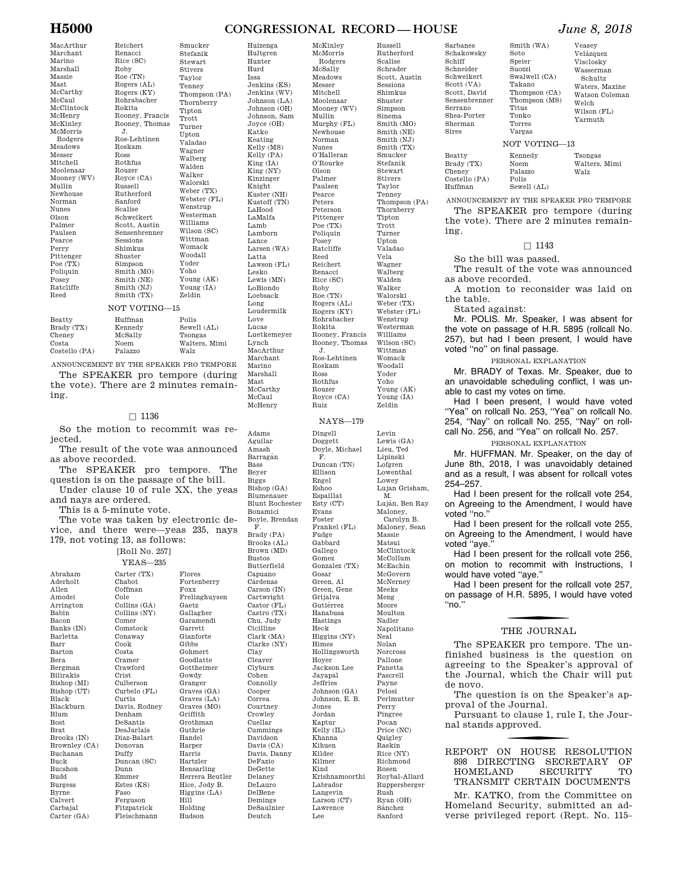#### **H5000 CONGRESSIONAL RECORD — HOUSE** *June 8, 2018*

McKinley McMorris Rodgers McSally

MacArthur

Reichert

Marchant Marino Marshall Massie Mast McCarthy McCaul McClintock McHenry McKinley McMorris Rodgers Meadows Messer Mitchell Moolenaar Mooney (WV) Mullin Newhouse Norman Nunes Olson Palmer Paulsen Pearce Perry Pittenger Poe (TX) Poliquin Posey Ratcliffe Reed Beatty Brady (TX)

Cheney Costa Costello (PA)

Renacci Rice (SC) Roby Roe (TN) Rogers (AL) Rogers (KY) Rohrabacher Rokita Rooney, Francis Rooney, Thomas J. Ros-Lehtinen Roskam Ross Rothfus Rouzer Royce (CA) Russell Rutherford Sanford Scalise Schweikert Scott, Austin Sensenbrenner Sessions Shimkus Shuster Simpson Smith (MO) Smith (NE) Smith (NJ) Smith (TX) Stefanik Stewart Stivers Taylor Tenney Thompson (PA) Thornberry Tipton Trott Turner Upton Valadao Wagner Walberg Walden Walker Walorski Weber (TX) Webster (FL) Wenstrup Westerman Williams Wilson (SC) Wittman Womack Woodall Yoder Yoho Young (AK) Young (IA) Zeldin NOT VOTING—15 Huffman Kennedy McSally Noem Palazzo Polis Sewell (AL) Tsongas Walters, Mimi Walz

Smucker

ANNOUNCEMENT BY THE SPEAKER PRO TEMPORE The SPEAKER pro tempore (during the vote). There are 2 minutes remaining.

#### $\Box$  1136

So the motion to recommit was rejected.

The result of the vote was announced as above recorded.

The SPEAKER pro tempore. The question is on the passage of the bill. Under clause 10 of rule XX, the yeas

and nays are ordered.

This is a 5-minute vote.

The vote was taken by electronic device, and there were—yeas 235, nays 179, not voting 13, as follows:

YEAS—235 Abraham Aderholt Allen Amodei Arrington Babin Bacon Banks (IN) Barletta Barr Barton Bera Bergman Bilirakis Bishop (MI) Bishop (UT) Black Blackburn Blum Bost Brat Brooks (IN) Brownley (CA) Buchanan Buck Bucshon Budd Burgess Byrne Calvert Carbaial Carter (GA) Carter (TX) Chabot Coffman Cole Collins (GA) Collins (NY) Comer Comstock Conaway Cook Costa Cramer Crawford Crist Culberson Curbelo (FL) Curtis Davis, Rodney Denham DeSantis DesJarlais Diaz-Balart Donovan Duffy Duncan (SC) Dunn Emmer Estes (KS) Faso Ferguson Fitzpatrick Fleischmann

[Roll No. 257] Flores Fortenberry Foxx Frelinghuysen Gaetz Gallagher Garamendi Garrett Gianforte  $Gibbs$ Gohmert Goodlatte Gottheimer Gowdy Granger Graves (GA) Graves (LA) Graves (MO) Griffith Grothman Guthrie Handel Harper Harris Hartzler Hensarling Herrera Beutler Hice, Jody B. Higgins (LA) Hill Holding

Hudson

Hultgren Hunter Hurd Issa Jenkins (KS) Jenkins (WV) Johnson (LA) Johnson (OH) Johnson, Sam Joyce (OH) Katko Keating Kelly (MS) Kelly (PA) King (IA)  $King(NY)$ Kinzinger Knight Kuster (NH) Kustoff (TN) LaHood LaMalfa Lamb Lamborn Lance Larsen (WA) Latta Lawson (FL) Lesko Lewis (MN) LoBiondo Loebsack Long Loudermilk Love Lucas Luetkemeyer Lynch MacArthur Marchant Marino Marshall Mast McCarthy McCaul McHenry

Adams Aguilar Amash Barragán Bass Beyer Biggs Bishop (GA) Blumenauer

Bonamici Boyle, Brendan F. Brady (PA) Brooks (AL) Brown (MD) Bustos Butterfield Capuano Cárdenas  $\rm Carson~(IN)$ Cartwright Castor (FL) Castro (TX) Chu, Judy Cicilline Clark (MA) Clarke (NY) Clay Cleaver Clyburn Cohen Connolly Cooper Correa Courtney Crowley Cuellar Cummings Davidson Davis (CA) Davis, Danny DeFazio DeGette Delaney DeLauro DelBene Demings DeSaulnier Deutch

Huizenga

Meadows Messer Mitchell Moolenaar Mooney (WV) Mullin Murphy (FL) Newhouse Norman Nunes O'Halleran O'Rourke Olson Palmer Paulsen Pearce Peters Peterson Pittenger Poe (TX) Poliquin Posey Ratcliffe Reed Reichert Renacci Rice (SC) Roby Roe (TN) Rogers (AL) Rogers (KY) Rohrabacher Rokita Rooney, Francis Rooney, Thomas J. Ros-Lehtinen Roskam Ross Rothfus Rouzer Royce (CA) Ruiz

NAYS—179

Blunt Rochester Dingell Doggett Doyle, Michael F. Duncan (TN) Ellison Engel Eshoo Espaillat Esty (CT) Evans Foster Frankel (FL) Fudge Gabbard Gallego Gomez Gonzalez (TX) Gosar Green, Al Green, Gene Grijalva Gutiérrez Hanabusa Hastings Heck Higgins (NY) Himes Hollingsworth Hoyer Jackson Lee Jayapal Jeffries  $Johnson (GA)$ Johnson, E. B. Jones Jordan Kaptur Kelly (IL) Khanna Kihuen Kildee Kilmer Kind Krishnamoorthi Labrador Langevin Larson (CT) Lawrence Lee

Rutherford Scalise Schrader Scott, Austin Sessions Shimkus Shuster Simpson Sinema Smith (MO) Smith (NE) Smith (NJ) Smith (TX) Smucker Stefanik Stewart Stivers Taylor Tenney Thompson (PA) Thornberry Tipton Trott Turner Upton Valadao Vela Wagner Walberg Walden Walker Walorski Weber (TX) Webster (FL) Wenstrup Westerman Williams Wilson (SC) Wittman Womack Woodall Yoder Yoho Young (AK) Young (IA) Zeldin

Russell

Levin Lewis (GA) Lieu, Ted Lipinski Lofgren Lowenthal Lowey Lujan Grisham, M<sub>b</sub> Luján, Ben Ray Maloney, Carolyn B. Maloney, Sean Massie Matsui McClintock McCollum McEachin McGovern McNerney Meeks Meng Moore Moulton Nadler Napolitano Neal Nolan Norcross Pallone Panetta Pascrell Payne Pelosi Perlmutter Perry Pingree Pocan Price (NC) Quigley Raskin Rice (NY) Richmond Rosen Roybal-Allard Ruppersberger Rush Ryan (OH) Sa´nchez Sanford

Schakowsky Schiff Schneider Schweikert Scott (VA) Scott, David Sensenbrenner Serrano Shea-Porter Sherman Sires Beatty

Sarbanes

Brady (TX) Cheney Costello (PA) Huffman

Thompson (CA) Thompson (MS) Veasey velázquez Visclosky Wasserman Schultz

Waters, Maxine Watson Coleman Welch Wilson (FL) Yarmuth

#### NOT VOTING—13

Smith (WA) Soto Speier Suozzi Swalwell (CA) Takano

Titus Tonko Torres Vargas

Kennedy Noem Palazzo Polis Sewell (AL) Tsongas Walters, Mimi Walz

ANNOUNCEMENT BY THE SPEAKER PRO TEMPORE The SPEAKER pro tempore (during the vote). There are 2 minutes remaining.

#### $\Box$  1143

So the bill was passed.

The result of the vote was announced as above recorded.

A motion to reconsider was laid on the table.

Stated against:

Mr. POLIS. Mr. Speaker, I was absent for the vote on passage of H.R. 5895 (rollcall No. 257), but had I been present, I would have voted ''no'' on final passage.

#### PERSONAL EXPLANATION

Mr. BRADY of Texas. Mr. Speaker, due to an unavoidable scheduling conflict, I was unable to cast my votes on time.

Had I been present, I would have voted ''Yea'' on rollcall No. 253, ''Yea'' on rollcall No. 254, ''Nay'' on rollcall No. 255, ''Nay'' on rollcall No. 256, and ''Yea'' on rollcall No. 257.

PERSONAL EXPLANATION

Mr. HUFFMAN. Mr. Speaker, on the day of June 8th, 2018, I was unavoidably detained and as a result, I was absent for rollcall votes 254–257.

Had I been present for the rollcall vote 254, on Agreeing to the Amendment, I would have voted "no."

Had I been present for the rollcall vote 255, on Agreeing to the Amendment, I would have voted "ave.

Had I been present for the rollcall vote 256, on motion to recommit with Instructions, I would have voted ''aye.''

Had I been present for the rollcall vote 257, on passage of H.R. 5895, I would have voted ''no.''

# THE JOURNAL

The SPEAKER pro tempore. The unfinished business is the question on agreeing to the Speaker's approval of the Journal, which the Chair will put de novo.

The question is on the Speaker's approval of the Journal.

Pursuant to clause 1, rule I, the Journal stands approved.

f REPORT ON HOUSE RESOLUTION 898 DIRECTING SECRETARY OF HOMELAND SECURITY TO HOMELAND TRANSMIT CERTAIN DOCUMENTS

Mr. KATKO, from the Committee on Homeland Security, submitted an adverse privileged report (Rept. No. 115–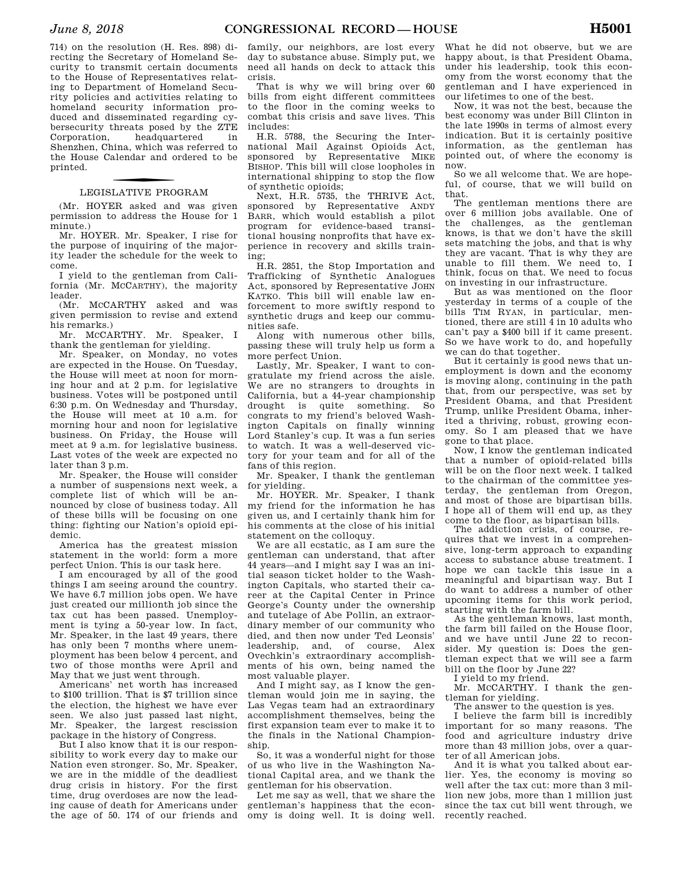714) on the resolution (H. Res. 898) directing the Secretary of Homeland Security to transmit certain documents to the House of Representatives relating to Department of Homeland Security policies and activities relating to homeland security information produced and disseminated regarding cybersecurity threats posed by the ZTE Corporation, headquartered in Shenzhen, China, which was referred to the House Calendar and ordered to be printed.

# LEGISLATIVE PROGRAM

(Mr. HOYER asked and was given permission to address the House for 1 minute.)

Mr. HOYER. Mr. Speaker, I rise for the purpose of inquiring of the majority leader the schedule for the week to come.

I yield to the gentleman from California (Mr. MCCARTHY), the majority leader.

(Mr. MCCARTHY asked and was given permission to revise and extend his remarks.)

Mr. MCCARTHY. Mr. Speaker, I thank the gentleman for yielding.

Mr. Speaker, on Monday, no votes are expected in the House. On Tuesday, the House will meet at noon for morning hour and at 2 p.m. for legislative business. Votes will be postponed until 6:30 p.m. On Wednesday and Thursday, the House will meet at 10 a.m. for morning hour and noon for legislative business. On Friday, the House will meet at 9 a.m. for legislative business. Last votes of the week are expected no later than 3 p.m.

Mr. Speaker, the House will consider a number of suspensions next week, a complete list of which will be announced by close of business today. All of these bills will be focusing on one thing: fighting our Nation's opioid epidemic.

America has the greatest mission statement in the world: form a more perfect Union. This is our task here.

I am encouraged by all of the good things I am seeing around the country. We have 6.7 million jobs open. We have just created our millionth job since the tax cut has been passed. Unemployment is tying a 50-year low. In fact, Mr. Speaker, in the last 49 years, there has only been 7 months where unemployment has been below 4 percent, and two of those months were April and May that we just went through.

Americans' net worth has increased to \$100 trillion. That is \$7 trillion since the election, the highest we have ever seen. We also just passed last night, Mr. Speaker, the largest rescission package in the history of Congress.

But I also know that it is our responsibility to work every day to make our Nation even stronger. So, Mr. Speaker, we are in the middle of the deadliest drug crisis in history. For the first time, drug overdoses are now the leading cause of death for Americans under the age of 50. 174 of our friends and

family, our neighbors, are lost every day to substance abuse. Simply put, we need all hands on deck to attack this crisis.

That is why we will bring over 60 bills from eight different committees to the floor in the coming weeks to combat this crisis and save lives. This includes:

H.R. 5788, the Securing the International Mail Against Opioids Act, sponsored by Representative MIKE BISHOP. This bill will close loopholes in international shipping to stop the flow of synthetic opioids;

Next, H.R. 5735, the THRIVE Act, sponsored by Representative ANDY BARR, which would establish a pilot program for evidence-based transitional housing nonprofits that have experience in recovery and skills training:

H.R. 2851, the Stop Importation and Trafficking of Synthetic Analogues Act, sponsored by Representative JOHN KATKO. This bill will enable law enforcement to more swiftly respond to synthetic drugs and keep our communities safe.

Along with numerous other bills, passing these will truly help us form a more perfect Union.

Lastly, Mr. Speaker, I want to congratulate my friend across the aisle. We are no strangers to droughts in California, but a 44-year championship drought is quite something. So congrats to my friend's beloved Washington Capitals on finally winning Lord Stanley's cup. It was a fun series to watch. It was a well-deserved victory for your team and for all of the fans of this region.

Mr. Speaker, I thank the gentleman for yielding.

Mr. HOYER. Mr. Speaker, I thank my friend for the information he has given us, and I certainly thank him for his comments at the close of his initial statement on the colloquy.

We are all ecstatic, as I am sure the gentleman can understand, that after 44 years—and I might say I was an initial season ticket holder to the Washington Capitals, who started their career at the Capital Center in Prince George's County under the ownership and tutelage of Abe Pollin, an extraordinary member of our community who died, and then now under Ted Leonsis' leadership, and, of course, Alex Ovechkin's extraordinary accomplishments of his own, being named the most valuable player.

And I might say, as I know the gentleman would join me in saying, the Las Vegas team had an extraordinary accomplishment themselves, being the first expansion team ever to make it to the finals in the National Championship.

So, it was a wonderful night for those of us who live in the Washington National Capital area, and we thank the gentleman for his observation.

Let me say as well, that we share the gentleman's happiness that the economy is doing well. It is doing well.

What he did not observe, but we are happy about, is that President Obama, under his leadership, took this economy from the worst economy that the gentleman and I have experienced in our lifetimes to one of the best.

Now, it was not the best, because the best economy was under Bill Clinton in the late 1990s in terms of almost every indication. But it is certainly positive information, as the gentleman has pointed out, of where the economy is now.

So we all welcome that. We are hopeful, of course, that we will build on that.

The gentleman mentions there are over 6 million jobs available. One of the challenges, as the gentleman knows, is that we don't have the skill sets matching the jobs, and that is why they are vacant. That is why they are unable to fill them. We need to, I think, focus on that. We need to focus on investing in our infrastructure.

But as was mentioned on the floor yesterday in terms of a couple of the bills TIM RYAN, in particular, mentioned, there are still 4 in 10 adults who can't pay a \$400 bill if it came present. So we have work to do, and hopefully we can do that together.

But it certainly is good news that unemployment is down and the economy is moving along, continuing in the path that, from our perspective, was set by President Obama, and that President Trump, unlike President Obama, inherited a thriving, robust, growing economy. So I am pleased that we have gone to that place.

Now, I know the gentleman indicated that a number of opioid-related bills will be on the floor next week. I talked to the chairman of the committee yesterday, the gentleman from Oregon, and most of those are bipartisan bills. I hope all of them will end up, as they come to the floor, as bipartisan bills.

The addiction crisis, of course, requires that we invest in a comprehensive, long-term approach to expanding access to substance abuse treatment. I hope we can tackle this issue in a meaningful and bipartisan way. But I do want to address a number of other upcoming items for this work period, starting with the farm bill.

As the gentleman knows, last month, the farm bill failed on the House floor, and we have until June 22 to reconsider. My question is: Does the gentleman expect that we will see a farm bill on the floor by June 22?

I yield to my friend.

Mr. MCCARTHY. I thank the gentleman for yielding.

The answer to the question is yes.

I believe the farm bill is incredibly important for so many reasons. The food and agriculture industry drive more than 43 million jobs, over a quarter of all American jobs.

And it is what you talked about earlier. Yes, the economy is moving so well after the tax cut: more than 3 million new jobs, more than 1 million just since the tax cut bill went through, we recently reached.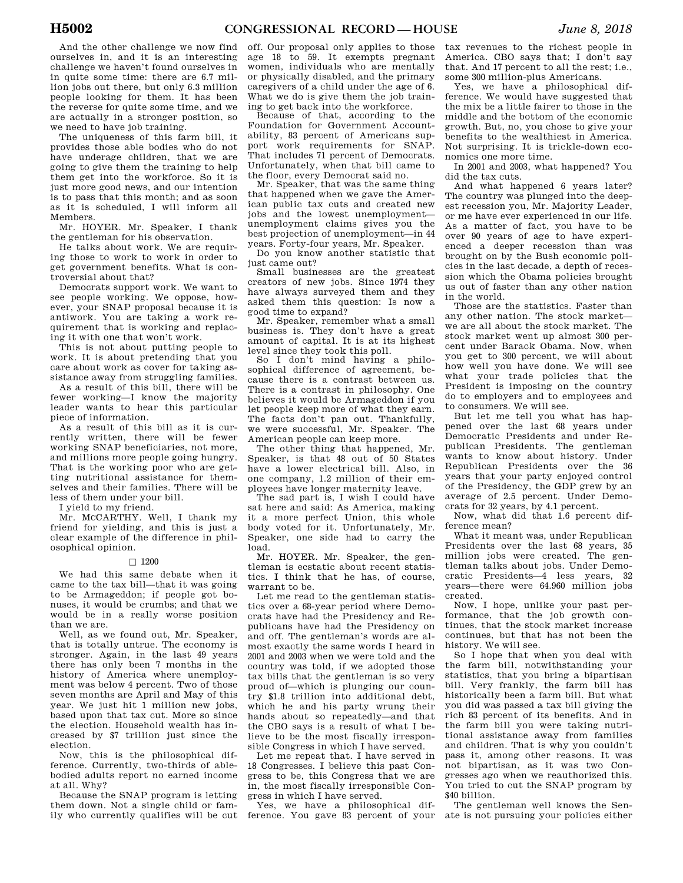And the other challenge we now find ourselves in, and it is an interesting challenge we haven't found ourselves in in quite some time: there are 6.7 million jobs out there, but only 6.3 million people looking for them. It has been the reverse for quite some time, and we are actually in a stronger position, so we need to have job training.

The uniqueness of this farm bill, it provides those able bodies who do not have underage children, that we are going to give them the training to help them get into the workforce. So it is just more good news, and our intention is to pass that this month; and as soon as it is scheduled, I will inform all Members.

Mr. HOYER. Mr. Speaker, I thank the gentleman for his observation.

He talks about work. We are requiring those to work to work in order to get government benefits. What is controversial about that?

Democrats support work. We want to see people working. We oppose, however, your SNAP proposal because it is antiwork. You are taking a work requirement that is working and replacing it with one that won't work.

This is not about putting people to work. It is about pretending that you care about work as cover for taking assistance away from struggling families.

As a result of this bill, there will be fewer working—I know the majority leader wants to hear this particular piece of information.

As a result of this bill as it is currently written, there will be fewer working SNAP beneficiaries, not more, and millions more people going hungry. That is the working poor who are getting nutritional assistance for themselves and their families. There will be less of them under your bill.

I yield to my friend.

Mr. MCCARTHY. Well, I thank my friend for yielding, and this is just a clear example of the difference in philosophical opinion.

#### $\Box$  1200

We had this same debate when it came to the tax bill—that it was going to be Armageddon; if people got bonuses, it would be crumbs; and that we would be in a really worse position than we are.

Well, as we found out, Mr. Speaker, that is totally untrue. The economy is stronger. Again, in the last 49 years there has only been 7 months in the history of America where unemployment was below 4 percent. Two of those seven months are April and May of this year. We just hit 1 million new jobs, based upon that tax cut. More so since the election. Household wealth has increased by \$7 trillion just since the election.

Now, this is the philosophical difference. Currently, two-thirds of ablebodied adults report no earned income at all. Why?

Because the SNAP program is letting them down. Not a single child or family who currently qualifies will be cut

off. Our proposal only applies to those age 18 to 59. It exempts pregnant women, individuals who are mentally or physically disabled, and the primary caregivers of a child under the age of 6. What we do is give them the job training to get back into the workforce.

Because of that, according to the Foundation for Government Accountability, 83 percent of Americans support work requirements for SNAP. That includes 71 percent of Democrats. Unfortunately, when that bill came to the floor, every Democrat said no.

Mr. Speaker, that was the same thing that happened when we gave the American public tax cuts and created new jobs and the lowest unemployment unemployment claims gives you the best projection of unemployment—in 44 years. Forty-four years, Mr. Speaker.

Do you know another statistic that just came out?

Small businesses are the greatest creators of new jobs. Since 1974 they have always surveyed them and they asked them this question: Is now a good time to expand?

Mr. Speaker, remember what a small business is. They don't have a great amount of capital. It is at its highest level since they took this poll.

So I don't mind having a philosophical difference of agreement, because there is a contrast between us. There is a contrast in philosophy. One believes it would be Armageddon if you let people keep more of what they earn. The facts don't pan out. Thankfully, we were successful, Mr. Speaker. The American people can keep more.

The other thing that happened, Mr. Speaker, is that 48 out of 50 States have a lower electrical bill. Also, in one company, 1.2 million of their employees have longer maternity leave.

The sad part is, I wish I could have sat here and said: As America, making it a more perfect Union, this whole body voted for it. Unfortunately, Mr. Speaker, one side had to carry the load.

Mr. HOYER. Mr. Speaker, the gentleman is ecstatic about recent statistics. I think that he has, of course, warrant to be.

Let me read to the gentleman statistics over a 68-year period where Democrats have had the Presidency and Republicans have had the Presidency on and off. The gentleman's words are almost exactly the same words I heard in 2001 and 2003 when we were told and the country was told, if we adopted those tax bills that the gentleman is so very proud of—which is plunging our country \$1.8 trillion into additional debt, which he and his party wrung their hands about so repeatedly—and that the CBO says is a result of what I believe to be the most fiscally irresponsible Congress in which I have served.

Let me repeat that. I have served in 18 Congresses. I believe this past Congress to be, this Congress that we are in, the most fiscally irresponsible Congress in which I have served.

Yes, we have a philosophical dif-

tax revenues to the richest people in America. CBO says that; I don't say that. And 17 percent to all the rest; i.e., some 300 million-plus Americans.

Yes, we have a philosophical difference. We would have suggested that the mix be a little fairer to those in the middle and the bottom of the economic growth. But, no, you chose to give your benefits to the wealthiest in America. Not surprising. It is trickle-down economics one more time.

In 2001 and 2003, what happened? You did the tax cuts.

And what happened 6 years later? The country was plunged into the deepest recession you, Mr. Majority Leader, or me have ever experienced in our life. As a matter of fact, you have to be over 90 years of age to have experienced a deeper recession than was brought on by the Bush economic policies in the last decade, a depth of recession which the Obama policies brought us out of faster than any other nation in the world.

Those are the statistics. Faster than any other nation. The stock market we are all about the stock market. The stock market went up almost 300 percent under Barack Obama. Now, when you get to 300 percent, we will about how well you have done. We will see what your trade policies that the President is imposing on the country do to employers and to employees and to consumers. We will see.

But let me tell you what has happened over the last 68 years under Democratic Presidents and under Republican Presidents. The gentleman wants to know about history. Under Republican Presidents over the 36 years that your party enjoyed control of the Presidency, the GDP grew by an average of 2.5 percent. Under Democrats for 32 years, by 4.1 percent.

Now, what did that 1.6 percent difference mean?

What it meant was, under Republican Presidents over the last 68 years, 35 million jobs were created. The gentleman talks about jobs. Under Democratic Presidents—4 less years, 32 years—there were 64.960 million jobs created.

Now, I hope, unlike your past performance, that the job growth continues, that the stock market increase continues, but that has not been the history. We will see.

So I hope that when you deal with the farm bill, notwithstanding your statistics, that you bring a bipartisan bill. Very frankly, the farm bill has historically been a farm bill. But what you did was passed a tax bill giving the rich 83 percent of its benefits. And in the farm bill you were taking nutritional assistance away from families and children. That is why you couldn't pass it, among other reasons. It was not bipartisan, as it was two Congresses ago when we reauthorized this. You tried to cut the SNAP program by \$40 billion.

ference. You gave 83 percent of your ate is not pursuing your policies either The gentleman well knows the Sen-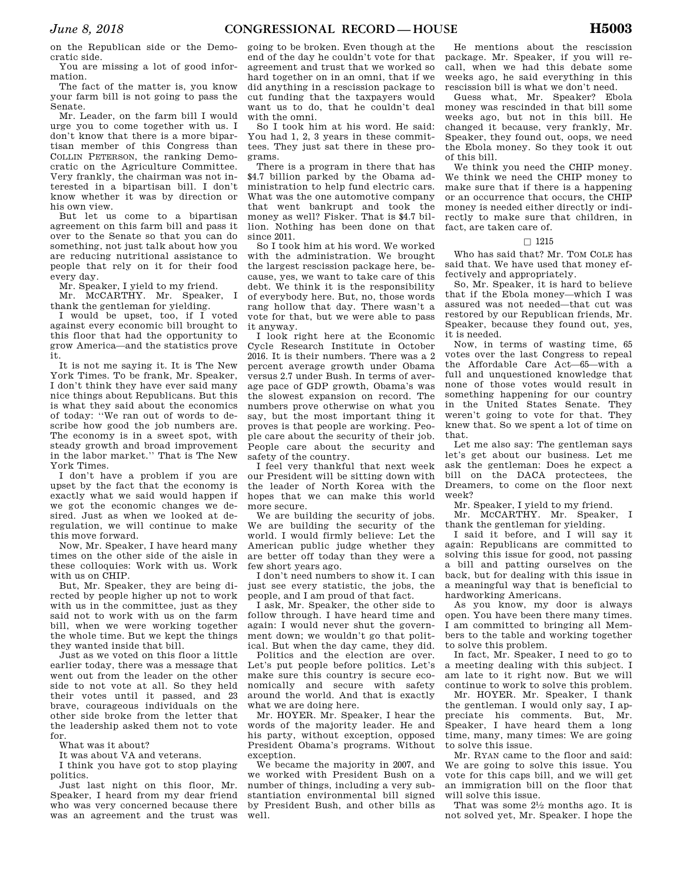on the Republican side or the Democratic side.

You are missing a lot of good information.

The fact of the matter is, you know your farm bill is not going to pass the Senate.

Mr. Leader, on the farm bill I would urge you to come together with us. I don't know that there is a more bipartisan member of this Congress than COLLIN PETERSON, the ranking Democratic on the Agriculture Committee. Very frankly, the chairman was not interested in a bipartisan bill. I don't know whether it was by direction or his own view.

But let us come to a bipartisan agreement on this farm bill and pass it over to the Senate so that you can do something, not just talk about how you are reducing nutritional assistance to people that rely on it for their food every day.

Mr. Speaker, I yield to my friend.

Mr. MCCARTHY. Mr. Speaker, I thank the gentleman for yielding.

I would be upset, too, if I voted against every economic bill brought to this floor that had the opportunity to grow America—and the statistics prove it.

It is not me saying it. It is The New York Times. To be frank, Mr. Speaker, I don't think they have ever said many nice things about Republicans. But this is what they said about the economics of today: ''We ran out of words to describe how good the job numbers are. The economy is in a sweet spot, with steady growth and broad improvement in the labor market.'' That is The New York Times.

I don't have a problem if you are upset by the fact that the economy is exactly what we said would happen if we got the economic changes we desired. Just as when we looked at deregulation, we will continue to make this move forward.

Now, Mr. Speaker, I have heard many times on the other side of the aisle in these colloquies: Work with us. Work with us on CHIP.

But, Mr. Speaker, they are being directed by people higher up not to work with us in the committee, just as they said not to work with us on the farm bill, when we were working together the whole time. But we kept the things they wanted inside that bill.

Just as we voted on this floor a little earlier today, there was a message that went out from the leader on the other side to not vote at all. So they held their votes until it passed, and 23 brave, courageous individuals on the other side broke from the letter that the leadership asked them not to vote for.

What was it about?

It was about VA and veterans.

I think you have got to stop playing politics.

Just last night on this floor, Mr. Speaker, I heard from my dear friend who was very concerned because there was an agreement and the trust was going to be broken. Even though at the end of the day he couldn't vote for that agreement and trust that we worked so hard together on in an omni, that if we did anything in a rescission package to cut funding that the taxpayers would want us to do, that he couldn't deal with the omni.

So I took him at his word. He said: You had 1, 2, 3 years in these committees. They just sat there in these programs.

There is a program in there that has \$4.7 billion parked by the Obama administration to help fund electric cars. What was the one automotive company that went bankrupt and took the money as well? Fisker. That is \$4.7 billion. Nothing has been done on that since 2011.

So I took him at his word. We worked with the administration. We brought the largest rescission package here, because, yes, we want to take care of this debt. We think it is the responsibility of everybody here. But, no, those words rang hollow that day. There wasn't a vote for that, but we were able to pass it anyway.

I look right here at the Economic Cycle Research Institute in October 2016. It is their numbers. There was a 2 percent average growth under Obama versus 2.7 under Bush. In terms of average pace of GDP growth, Obama's was the slowest expansion on record. The numbers prove otherwise on what you say, but the most important thing it proves is that people are working. People care about the security of their job. People care about the security and safety of the country.

I feel very thankful that next week our President will be sitting down with the leader of North Korea with the hopes that we can make this world more secure.

We are building the security of jobs. We are building the security of the world. I would firmly believe: Let the American public judge whether they are better off today than they were a few short years ago.

I don't need numbers to show it. I can just see every statistic, the jobs, the people, and I am proud of that fact.

I ask, Mr. Speaker, the other side to follow through. I have heard time and again: I would never shut the government down; we wouldn't go that political. But when the day came, they did.

Politics and the election are over. Let's put people before politics. Let's make sure this country is secure economically and secure with safety around the world. And that is exactly what we are doing here.

Mr. HOYER. Mr. Speaker, I hear the words of the majority leader. He and his party, without exception, opposed President Obama's programs. Without exception.

We became the majority in 2007, and we worked with President Bush on a number of things, including a very substantiation environmental bill signed by President Bush, and other bills as well.

He mentions about the rescission package. Mr. Speaker, if you will recall, when we had this debate some weeks ago, he said everything in this rescission bill is what we don't need.

Guess what, Mr. Speaker? Ebola money was rescinded in that bill some weeks ago, but not in this bill. He changed it because, very frankly, Mr. Speaker, they found out, oops, we need the Ebola money. So they took it out of this bill.

We think you need the CHIP money. We think we need the CHIP money to make sure that if there is a happening or an occurrence that occurs, the CHIP money is needed either directly or indirectly to make sure that children, in fact, are taken care of.

#### $\Box$  1215

Who has said that? Mr. TOM COLE has said that. We have used that money effectively and appropriately.

So, Mr. Speaker, it is hard to believe that if the Ebola money—which I was assured was not needed—that cut was restored by our Republican friends, Mr. Speaker, because they found out, yes, it is needed.

Now, in terms of wasting time, 65 votes over the last Congress to repeal the Affordable Care Act—65—with a full and unquestioned knowledge that none of those votes would result in something happening for our country in the United States Senate. They weren't going to vote for that. They knew that. So we spent a lot of time on that.

Let me also say: The gentleman says let's get about our business. Let me ask the gentleman: Does he expect a bill on the DACA protectees, the Dreamers, to come on the floor next week?

Mr. Speaker, I yield to my friend.

Mr. MCCARTHY. Mr. Speaker, I thank the gentleman for yielding.

I said it before, and I will say it again: Republicans are committed to solving this issue for good, not passing a bill and patting ourselves on the back, but for dealing with this issue in a meaningful way that is beneficial to hardworking Americans.

As you know, my door is always open. You have been there many times. I am committed to bringing all Members to the table and working together to solve this problem.

In fact, Mr. Speaker, I need to go to a meeting dealing with this subject. I am late to it right now. But we will continue to work to solve this problem.

Mr. HOYER. Mr. Speaker, I thank the gentleman. I would only say, I appreciate his comments. But, Mr. Speaker, I have heard them a long time, many, many times: We are going to solve this issue.

Mr. RYAN came to the floor and said: We are going to solve this issue. You vote for this caps bill, and we will get an immigration bill on the floor that will solve this issue.

That was some 21⁄2 months ago. It is not solved yet, Mr. Speaker. I hope the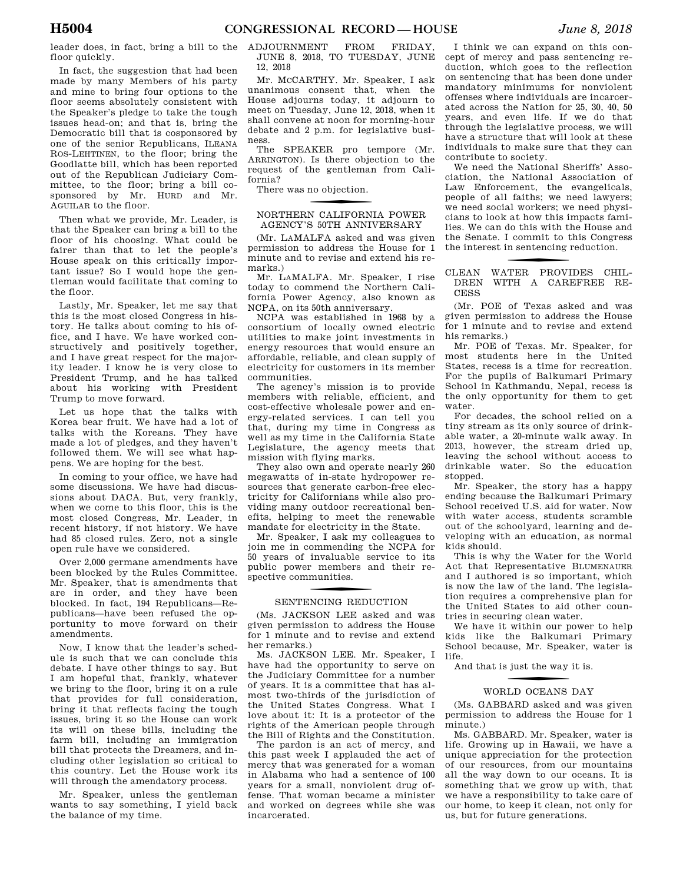leader does, in fact, bring a bill to the ADJOURNMENT FROM FRIDAY, floor quickly.

In fact, the suggestion that had been made by many Members of his party and mine to bring four options to the floor seems absolutely consistent with the Speaker's pledge to take the tough issues head-on; and that is, bring the Democratic bill that is cosponsored by one of the senior Republicans, ILEANA ROS-LEHTINEN, to the floor; bring the Goodlatte bill, which has been reported out of the Republican Judiciary Committee, to the floor; bring a bill cosponsored by Mr. HURD and Mr. AGUILAR to the floor.

Then what we provide, Mr. Leader, is that the Speaker can bring a bill to the floor of his choosing. What could be fairer than that to let the people's House speak on this critically important issue? So I would hope the gentleman would facilitate that coming to the floor.

Lastly, Mr. Speaker, let me say that this is the most closed Congress in history. He talks about coming to his office, and I have. We have worked constructively and positively together, and I have great respect for the majority leader. I know he is very close to President Trump, and he has talked about his working with President Trump to move forward.

Let us hope that the talks with Korea bear fruit. We have had a lot of talks with the Koreans. They have made a lot of pledges, and they haven't followed them. We will see what happens. We are hoping for the best.

In coming to your office, we have had some discussions. We have had discussions about DACA. But, very frankly, when we come to this floor, this is the most closed Congress, Mr. Leader, in recent history, if not history. We have had 85 closed rules. Zero, not a single open rule have we considered.

Over 2,000 germane amendments have been blocked by the Rules Committee. Mr. Speaker, that is amendments that are in order, and they have been blocked. In fact, 194 Republicans—Republicans—have been refused the opportunity to move forward on their amendments.

Now, I know that the leader's schedule is such that we can conclude this debate. I have other things to say. But I am hopeful that, frankly, whatever we bring to the floor, bring it on a rule that provides for full consideration, bring it that reflects facing the tough issues, bring it so the House can work its will on these bills, including the farm bill, including an immigration bill that protects the Dreamers, and including other legislation so critical to this country. Let the House work its will through the amendatory process.

Mr. Speaker, unless the gentleman wants to say something, I yield back the balance of my time.

JUNE 8, 2018, TO TUESDAY, JUNE 12, 2018

Mr. MCCARTHY. Mr. Speaker, I ask unanimous consent that, when the House adjourns today, it adjourn to meet on Tuesday, June 12, 2018, when it shall convene at noon for morning-hour debate and 2 p.m. for legislative business.

The SPEAKER pro tempore (Mr. ARRINGTON). Is there objection to the request of the gentleman from California?

There was no objection.

#### f NORTHERN CALIFORNIA POWER AGENCY'S 50TH ANNIVERSARY

(Mr. LAMALFA asked and was given permission to address the House for 1 minute and to revise and extend his remarks.)

Mr. LAMALFA. Mr. Speaker, I rise today to commend the Northern California Power Agency, also known as NCPA, on its 50th anniversary.

NCPA was established in 1968 by a consortium of locally owned electric utilities to make joint investments in energy resources that would ensure an affordable, reliable, and clean supply of electricity for customers in its member communities.

The agency's mission is to provide members with reliable, efficient, and cost-effective wholesale power and energy-related services. I can tell you that, during my time in Congress as well as my time in the California State Legislature, the agency meets that mission with flying marks.

They also own and operate nearly 260 megawatts of in-state hydropower resources that generate carbon-free electricity for Californians while also providing many outdoor recreational benefits, helping to meet the renewable mandate for electricity in the State.

Mr. Speaker, I ask my colleagues to join me in commending the NCPA for 50 years of invaluable service to its public power members and their respective communities.

# SENTENCING REDUCTION

(Ms. JACKSON LEE asked and was given permission to address the House for 1 minute and to revise and extend her remarks.)

Ms. JACKSON LEE. Mr. Speaker, I have had the opportunity to serve on the Judiciary Committee for a number of years. It is a committee that has almost two-thirds of the jurisdiction of the United States Congress. What I love about it: It is a protector of the rights of the American people through the Bill of Rights and the Constitution.

The pardon is an act of mercy, and this past week I applauded the act of mercy that was generated for a woman in Alabama who had a sentence of 100 years for a small, nonviolent drug offense. That woman became a minister and worked on degrees while she was incarcerated.

I think we can expand on this concept of mercy and pass sentencing reduction, which goes to the reflection on sentencing that has been done under mandatory minimums for nonviolent offenses where individuals are incarcerated across the Nation for 25, 30, 40, 50 years, and even life. If we do that through the legislative process, we will have a structure that will look at these individuals to make sure that they can contribute to society.

We need the National Sheriffs' Association, the National Association of Law Enforcement, the evangelicals, people of all faiths; we need lawyers; we need social workers; we need physicians to look at how this impacts families. We can do this with the House and the Senate. I commit to this Congress the interest in sentencing reduction.

#### CLEAN WATER PROVIDES CHIL-DREN WITH A CAREFREE RE-CESS

(Mr. POE of Texas asked and was given permission to address the House for 1 minute and to revise and extend his remarks.)

Mr. POE of Texas. Mr. Speaker, for most students here in the United States, recess is a time for recreation. For the pupils of Balkumari Primary School in Kathmandu, Nepal, recess is the only opportunity for them to get water.

For decades, the school relied on a tiny stream as its only source of drinkable water, a 20-minute walk away. In 2013, however, the stream dried up, leaving the school without access to drinkable water. So the education stopped.

Mr. Speaker, the story has a happy ending because the Balkumari Primary School received U.S. aid for water. Now with water access, students scramble out of the schoolyard, learning and developing with an education, as normal kids should.

This is why the Water for the World Act that Representative BLUMENAUER and I authored is so important, which is now the law of the land. The legislation requires a comprehensive plan for the United States to aid other countries in securing clean water.

We have it within our power to help kids like the Balkumari Primary School because, Mr. Speaker, water is life.

And that is just the way it is.

# WORLD OCEANS DAY

(Ms. GABBARD asked and was given permission to address the House for 1 minute.)

Ms. GABBARD. Mr. Speaker, water is life. Growing up in Hawaii, we have a unique appreciation for the protection of our resources, from our mountains all the way down to our oceans. It is something that we grow up with, that we have a responsibility to take care of our home, to keep it clean, not only for us, but for future generations.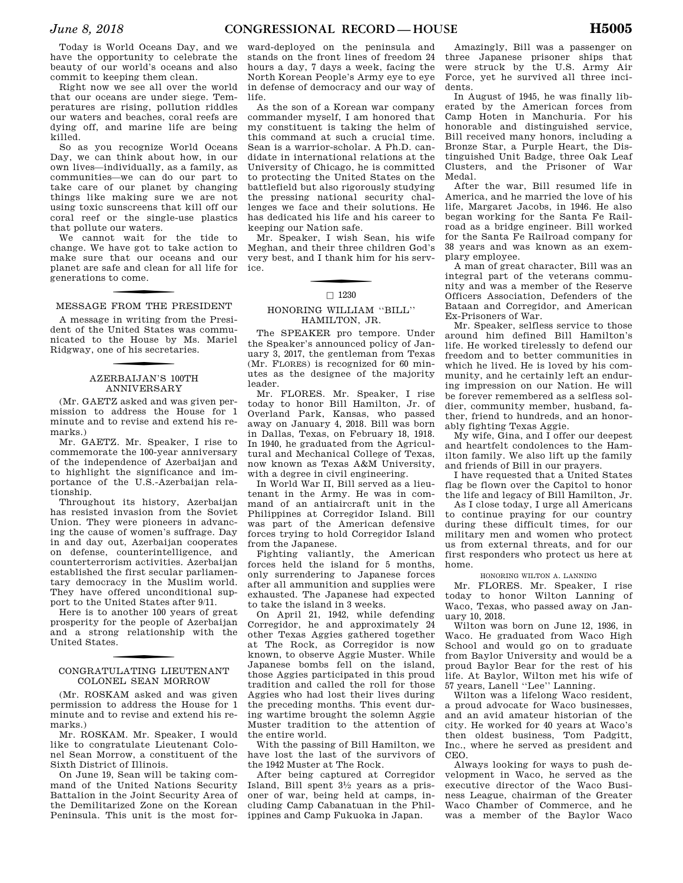Today is World Oceans Day, and we have the opportunity to celebrate the beauty of our world's oceans and also commit to keeping them clean.

Right now we see all over the world that our oceans are under siege. Temperatures are rising, pollution riddles our waters and beaches, coral reefs are dying off, and marine life are being killed.

So as you recognize World Oceans Day, we can think about how, in our own lives—individually, as a family, as communities—we can do our part to take care of our planet by changing things like making sure we are not using toxic sunscreens that kill off our coral reef or the single-use plastics that pollute our waters.

We cannot wait for the tide to change. We have got to take action to make sure that our oceans and our planet are safe and clean for all life for generations to come.

# f MESSAGE FROM THE PRESIDENT

A message in writing from the President of the United States was communicated to the House by Ms. Mariel Ridgway, one of his secretaries.

### f AZERBAIJAN'S 100TH ANNIVERSARY

(Mr. GAETZ asked and was given permission to address the House for 1 minute and to revise and extend his remarks.)

Mr. GAETZ. Mr. Speaker, I rise to commemorate the 100-year anniversary of the independence of Azerbaijan and to highlight the significance and importance of the U.S.-Azerbaijan relationship.

Throughout its history, Azerbaijan has resisted invasion from the Soviet Union. They were pioneers in advancing the cause of women's suffrage. Day in and day out, Azerbaijan cooperates on defense, counterintelligence, and counterterrorism activities. Azerbaijan established the first secular parliamentary democracy in the Muslim world. They have offered unconditional support to the United States after 9/11.

Here is to another 100 years of great prosperity for the people of Azerbaijan and a strong relationship with the United States.

#### CONGRATULATING LIEUTENANT COLONEL SEAN MORROW

(Mr. ROSKAM asked and was given permission to address the House for 1 minute and to revise and extend his remarks.)

Mr. ROSKAM. Mr. Speaker, I would like to congratulate Lieutenant Colonel Sean Morrow, a constituent of the Sixth District of Illinois.

On June 19, Sean will be taking command of the United Nations Security Battalion in the Joint Security Area of the Demilitarized Zone on the Korean Peninsula. This unit is the most for-

ward-deployed on the peninsula and stands on the front lines of freedom 24 hours a day, 7 days a week, facing the North Korean People's Army eye to eye in defense of democracy and our way of life.

As the son of a Korean war company commander myself, I am honored that my constituent is taking the helm of this command at such a crucial time. Sean is a warrior-scholar. A Ph.D. candidate in international relations at the University of Chicago, he is committed to protecting the United States on the battlefield but also rigorously studying the pressing national security challenges we face and their solutions. He has dedicated his life and his career to keeping our Nation safe.

Mr. Speaker, I wish Sean, his wife Meghan, and their three children God's very best, and I thank him for his service.

#### $\Box$  1230

#### HONORING WILLIAM ''BILL'' HAMILTON, JR.

The SPEAKER pro tempore. Under the Speaker's announced policy of January 3, 2017, the gentleman from Texas (Mr. FLORES) is recognized for 60 minutes as the designee of the majority leader.

Mr. FLORES. Mr. Speaker, I rise today to honor Bill Hamilton, Jr. of Overland Park, Kansas, who passed away on January 4, 2018. Bill was born in Dallas, Texas, on February 18, 1918. In 1940, he graduated from the Agricultural and Mechanical College of Texas, now known as Texas A&M University, with a degree in civil engineering.

In World War II, Bill served as a lieutenant in the Army. He was in command of an antiaircraft unit in the Philippines at Corregidor Island. Bill was part of the American defensive forces trying to hold Corregidor Island from the Japanese.

Fighting valiantly, the American forces held the island for 5 months, only surrendering to Japanese forces after all ammunition and supplies were exhausted. The Japanese had expected to take the island in 3 weeks.

On April 21, 1942, while defending Corregidor, he and approximately 24 other Texas Aggies gathered together at The Rock, as Corregidor is now known, to observe Aggie Muster. While Japanese bombs fell on the island, those Aggies participated in this proud tradition and called the roll for those Aggies who had lost their lives during the preceding months. This event during wartime brought the solemn Aggie Muster tradition to the attention of the entire world.

With the passing of Bill Hamilton, we have lost the last of the survivors of the 1942 Muster at The Rock.

After being captured at Corregidor Island, Bill spent 31⁄2 years as a prisoner of war, being held at camps, including Camp Cabanatuan in the Philippines and Camp Fukuoka in Japan.

Amazingly, Bill was a passenger on three Japanese prisoner ships that were struck by the U.S. Army Air Force, yet he survived all three incidents.

In August of 1945, he was finally liberated by the American forces from Camp Hoten in Manchuria. For his honorable and distinguished service, Bill received many honors, including a Bronze Star, a Purple Heart, the Distinguished Unit Badge, three Oak Leaf Clusters, and the Prisoner of War Medal.

After the war, Bill resumed life in America, and he married the love of his life, Margaret Jacobs, in 1946. He also began working for the Santa Fe Railroad as a bridge engineer. Bill worked for the Santa Fe Railroad company for 38 years and was known as an exemplary employee.

A man of great character, Bill was an integral part of the veterans community and was a member of the Reserve Officers Association, Defenders of the Bataan and Corregidor, and American Ex-Prisoners of War.

Mr. Speaker, selfless service to those around him defined Bill Hamilton's life. He worked tirelessly to defend our freedom and to better communities in which he lived. He is loved by his community, and he certainly left an enduring impression on our Nation. He will be forever remembered as a selfless soldier, community member, husband, father, friend to hundreds, and an honorably fighting Texas Aggie.

My wife, Gina, and I offer our deepest and heartfelt condolences to the Hamilton family. We also lift up the family and friends of Bill in our prayers.

I have requested that a United States flag be flown over the Capitol to honor the life and legacy of Bill Hamilton, Jr.

As I close today, I urge all Americans to continue praying for our country during these difficult times, for our military men and women who protect us from external threats, and for our first responders who protect us here at home.

#### HONORING WILTON A. LANNING

Mr. FLORES. Mr. Speaker, I rise today to honor Wilton Lanning of Waco, Texas, who passed away on January 10, 2018.

Wilton was born on June 12, 1936, in Waco. He graduated from Waco High School and would go on to graduate from Baylor University and would be a proud Baylor Bear for the rest of his life. At Baylor, Wilton met his wife of 57 years, Lanell ''Lee'' Lanning.

Wilton was a lifelong Waco resident, a proud advocate for Waco businesses, and an avid amateur historian of the city. He worked for 40 years at Waco's then oldest business, Tom Padgitt, Inc., where he served as president and CEO.

Always looking for ways to push development in Waco, he served as the executive director of the Waco Business League, chairman of the Greater Waco Chamber of Commerce, and he was a member of the Baylor Waco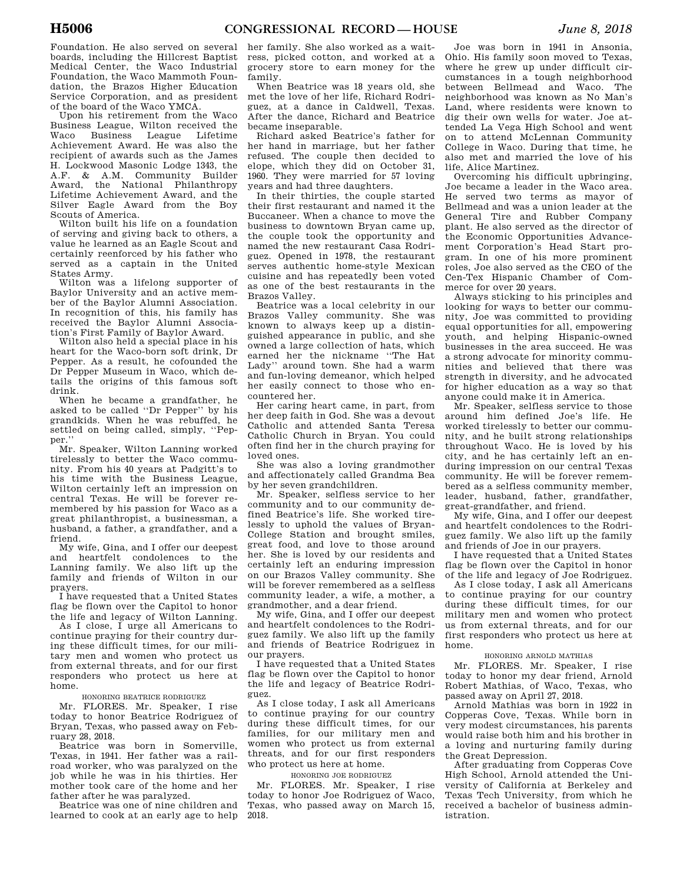Foundation. He also served on several boards, including the Hillcrest Baptist Medical Center, the Waco Industrial Foundation, the Waco Mammoth Foundation, the Brazos Higher Education Service Corporation, and as president of the board of the Waco YMCA.

Upon his retirement from the Waco Business League, Wilton received the Waco Business League Lifetime Achievement Award. He was also the recipient of awards such as the James H. Lockwood Masonic Lodge 1343, the A.F. & A.M. Community Builder Award, the National Philanthropy Lifetime Achievement Award, and the Silver Eagle Award from the Boy Scouts of America.

Wilton built his life on a foundation of serving and giving back to others, a value he learned as an Eagle Scout and certainly reenforced by his father who served as a captain in the United States Army.

Wilton was a lifelong supporter of Baylor University and an active member of the Baylor Alumni Association. In recognition of this, his family has received the Baylor Alumni Association's First Family of Baylor Award.

Wilton also held a special place in his heart for the Waco-born soft drink, Dr Pepper. As a result, he cofounded the Dr Pepper Museum in Waco, which details the origins of this famous soft drink.

When he became a grandfather, he asked to be called ''Dr Pepper'' by his grandkids. When he was rebuffed, he settled on being called, simply, ''Pepper.''

Mr. Speaker, Wilton Lanning worked tirelessly to better the Waco community. From his 40 years at Padgitt's to his time with the Business League, Wilton certainly left an impression on central Texas. He will be forever remembered by his passion for Waco as a great philanthropist, a businessman, a husband, a father, a grandfather, and a friend.

My wife, Gina, and I offer our deepest and heartfelt condolences to the Lanning family. We also lift up the family and friends of Wilton in our prayers.

I have requested that a United States flag be flown over the Capitol to honor the life and legacy of Wilton Lanning.

As I close, I urge all Americans to continue praying for their country during these difficult times, for our military men and women who protect us from external threats, and for our first responders who protect us here at home.

HONORING BEATRICE RODRIGUEZ

Mr. FLORES. Mr. Speaker, I rise today to honor Beatrice Rodriguez of Bryan, Texas, who passed away on February 28, 2018.

Beatrice was born in Somerville, Texas, in 1941. Her father was a railroad worker, who was paralyzed on the job while he was in his thirties. Her mother took care of the home and her father after he was paralyzed.

Beatrice was one of nine children and learned to cook at an early age to help

her family. She also worked as a waitress, picked cotton, and worked at a grocery store to earn money for the family.

When Beatrice was 18 years old, she met the love of her life, Richard Rodriguez, at a dance in Caldwell, Texas. After the dance, Richard and Beatrice became inseparable.

Richard asked Beatrice's father for her hand in marriage, but her father refused. The couple then decided to elope, which they did on October 31, 1960. They were married for 57 loving years and had three daughters.

In their thirties, the couple started their first restaurant and named it the Buccaneer. When a chance to move the business to downtown Bryan came up, the couple took the opportunity and named the new restaurant Casa Rodriguez. Opened in 1978, the restaurant serves authentic home-style Mexican cuisine and has repeatedly been voted as one of the best restaurants in the Brazos Valley.

Beatrice was a local celebrity in our Brazos Valley community. She was known to always keep up a distinguished appearance in public, and she owned a large collection of hats, which earned her the nickname ''The Hat Lady'' around town. She had a warm and fun-loving demeanor, which helped her easily connect to those who encountered her.

Her caring heart came, in part, from her deep faith in God. She was a devout Catholic and attended Santa Teresa Catholic Church in Bryan. You could often find her in the church praying for loved ones.

She was also a loving grandmother and affectionately called Grandma Bea by her seven grandchildren.

Mr. Speaker, selfless service to her community and to our community defined Beatrice's life. She worked tirelessly to uphold the values of Bryan-College Station and brought smiles, great food, and love to those around her. She is loved by our residents and certainly left an enduring impression on our Brazos Valley community. She will be forever remembered as a selfless community leader, a wife, a mother, a grandmother, and a dear friend.

My wife, Gina, and I offer our deepest and heartfelt condolences to the Rodriguez family. We also lift up the family and friends of Beatrice Rodriguez in our prayers.

I have requested that a United States flag be flown over the Capitol to honor the life and legacy of Beatrice Rodriguez.

As I close today, I ask all Americans to continue praying for our country during these difficult times, for our families, for our military men and women who protect us from external threats, and for our first responders who protect us here at home.

#### HONORING JOE RODRIGUEZ

Mr. FLORES. Mr. Speaker, I rise today to honor Joe Rodriguez of Waco, Texas, who passed away on March 15, 2018.

Joe was born in 1941 in Ansonia, Ohio. His family soon moved to Texas, where he grew up under difficult circumstances in a tough neighborhood between Bellmead and Waco. The neighborhood was known as No Man's Land, where residents were known to dig their own wells for water. Joe attended La Vega High School and went on to attend McLennan Community College in Waco. During that time, he also met and married the love of his life, Alice Martinez.

Overcoming his difficult upbringing, Joe became a leader in the Waco area. He served two terms as mayor of Bellmead and was a union leader at the General Tire and Rubber Company plant. He also served as the director of the Economic Opportunities Advancement Corporation's Head Start program. In one of his more prominent roles, Joe also served as the CEO of the Cen-Tex Hispanic Chamber of Commerce for over 20 years.

Always sticking to his principles and looking for ways to better our community, Joe was committed to providing equal opportunities for all, empowering youth, and helping Hispanic-owned businesses in the area succeed. He was a strong advocate for minority communities and believed that there was strength in diversity, and he advocated for higher education as a way so that anyone could make it in America.

Mr. Speaker, selfless service to those around him defined Joe's life. He worked tirelessly to better our community, and he built strong relationships throughout Waco. He is loved by his city, and he has certainly left an enduring impression on our central Texas community. He will be forever remembered as a selfless community member, leader, husband, father, grandfather, great-grandfather, and friend.

My wife, Gina, and I offer our deepest and heartfelt condolences to the Rodriguez family. We also lift up the family and friends of Joe in our prayers.

I have requested that a United States flag be flown over the Capitol in honor of the life and legacy of Joe Rodriguez.

As I close today, I ask all Americans to continue praying for our country during these difficult times, for our military men and women who protect us from external threats, and for our first responders who protect us here at home.

#### HONORING ARNOLD MATHIAS

Mr. FLORES. Mr. Speaker, I rise today to honor my dear friend, Arnold Robert Mathias, of Waco, Texas, who passed away on April 27, 2018.

Arnold Mathias was born in 1922 in Copperas Cove, Texas. While born in very modest circumstances, his parents would raise both him and his brother in a loving and nurturing family during the Great Depression.

After graduating from Copperas Cove High School, Arnold attended the University of California at Berkeley and Texas Tech University, from which he received a bachelor of business administration.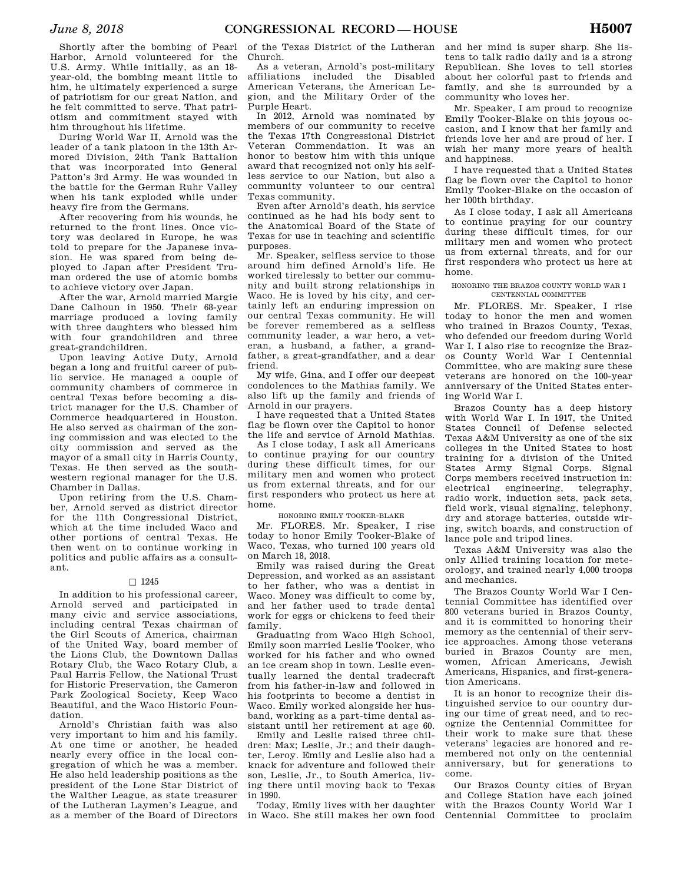Shortly after the bombing of Pearl Harbor, Arnold volunteered for the U.S. Army. While initially, as an 18 year-old, the bombing meant little to him, he ultimately experienced a surge of patriotism for our great Nation, and he felt committed to serve. That patriotism and commitment stayed with him throughout his lifetime.

During World War II, Arnold was the leader of a tank platoon in the 13th Armored Division, 24th Tank Battalion that was incorporated into General Patton's 3rd Army. He was wounded in the battle for the German Ruhr Valley when his tank exploded while under heavy fire from the Germans.

After recovering from his wounds, he returned to the front lines. Once victory was declared in Europe, he was told to prepare for the Japanese invasion. He was spared from being deployed to Japan after President Truman ordered the use of atomic bombs to achieve victory over Japan.

After the war, Arnold married Margie Dane Calhoun in 1950. Their 68-year marriage produced a loving family with three daughters who blessed him with four grandchildren and three great-grandchildren.

Upon leaving Active Duty, Arnold began a long and fruitful career of public service. He managed a couple of community chambers of commerce in central Texas before becoming a district manager for the U.S. Chamber of Commerce headquartered in Houston. He also served as chairman of the zoning commission and was elected to the city commission and served as the mayor of a small city in Harris County, Texas. He then served as the southwestern regional manager for the U.S. Chamber in Dallas.

Upon retiring from the U.S. Chamber, Arnold served as district director for the 11th Congressional District, which at the time included Waco and other portions of central Texas. He then went on to continue working in politics and public affairs as a consultant.

#### $\Box$  1245

In addition to his professional career, Arnold served and participated in many civic and service associations, including central Texas chairman of the Girl Scouts of America, chairman of the United Way, board member of the Lions Club, the Downtown Dallas Rotary Club, the Waco Rotary Club, a Paul Harris Fellow, the National Trust for Historic Preservation, the Cameron Park Zoological Society, Keep Waco Beautiful, and the Waco Historic Foundation.

Arnold's Christian faith was also very important to him and his family. At one time or another, he headed nearly every office in the local congregation of which he was a member. He also held leadership positions as the president of the Lone Star District of the Walther League, as state treasurer of the Lutheran Laymen's League, and as a member of the Board of Directors

of the Texas District of the Lutheran Church.

As a veteran, Arnold's post-military affiliations included the Disabled American Veterans, the American Legion, and the Military Order of the Purple Heart.

In 2012, Arnold was nominated by members of our community to receive the Texas 17th Congressional District Veteran Commendation. It was an honor to bestow him with this unique award that recognized not only his selfless service to our Nation, but also a community volunteer to our central Texas community.

Even after Arnold's death, his service continued as he had his body sent to the Anatomical Board of the State of Texas for use in teaching and scientific purposes.

Mr. Speaker, selfless service to those around him defined Arnold's life. He worked tirelessly to better our community and built strong relationships in Waco. He is loved by his city, and certainly left an enduring impression on our central Texas community. He will be forever remembered as a selfless community leader, a war hero, a veteran, a husband, a father, a grandfather, a great-grandfather, and a dear friend.

My wife, Gina, and I offer our deepest condolences to the Mathias family. We also lift up the family and friends of Arnold in our prayers.

I have requested that a United States flag be flown over the Capitol to honor the life and service of Arnold Mathias.

As I close today, I ask all Americans to continue praying for our country during these difficult times, for our military men and women who protect us from external threats, and for our first responders who protect us here at home.

HONORING EMILY TOOKER-BLAKE

Mr. FLORES. Mr. Speaker, I rise today to honor Emily Tooker-Blake of Waco, Texas, who turned 100 years old on March 18, 2018.

Emily was raised during the Great Depression, and worked as an assistant to her father, who was a dentist in Waco. Money was difficult to come by, and her father used to trade dental work for eggs or chickens to feed their family.

Graduating from Waco High School, Emily soon married Leslie Tooker, who worked for his father and who owned an ice cream shop in town. Leslie eventually learned the dental tradecraft from his father-in-law and followed in his footprints to become a dentist in Waco. Emily worked alongside her husband, working as a part-time dental assistant until her retirement at age 60.

Emily and Leslie raised three children: Max; Leslie, Jr.; and their daughter, Leroy. Emily and Leslie also had a knack for adventure and followed their son, Leslie, Jr., to South America, living there until moving back to Texas in 1990.

Today, Emily lives with her daughter in Waco. She still makes her own food and her mind is super sharp. She listens to talk radio daily and is a strong Republican. She loves to tell stories about her colorful past to friends and family, and she is surrounded by a community who loves her.

Mr. Speaker, I am proud to recognize Emily Tooker-Blake on this joyous occasion, and I know that her family and friends love her and are proud of her. I wish her many more years of health and happiness.

I have requested that a United States flag be flown over the Capitol to honor Emily Tooker-Blake on the occasion of her 100th birthday.

As I close today, I ask all Americans to continue praying for our country during these difficult times, for our military men and women who protect us from external threats, and for our first responders who protect us here at home.

#### HONORING THE BRAZOS COUNTY WORLD WAR I CENTENNIAL COMMITTEE

Mr. FLORES. Mr. Speaker, I rise today to honor the men and women who trained in Brazos County, Texas, who defended our freedom during World War I. I also rise to recognize the Brazos County World War I Centennial Committee, who are making sure these veterans are honored on the 100-year anniversary of the United States entering World War I.

Brazos County has a deep history with World War I. In 1917, the United States Council of Defense selected Texas A&M University as one of the six colleges in the United States to host training for a division of the United States Army Signal Corps. Signal Corps members received instruction in: electrical engineering, telegraphy, radio work, induction sets, pack sets, field work, visual signaling, telephony, dry and storage batteries, outside wiring, switch boards, and construction of lance pole and tripod lines.

Texas A&M University was also the only Allied training location for meteorology, and trained nearly 4,000 troops and mechanics.

The Brazos County World War I Centennial Committee has identified over 800 veterans buried in Brazos County, and it is committed to honoring their memory as the centennial of their service approaches. Among those veterans buried in Brazos County are men, women, African Americans, Jewish Americans, Hispanics, and first-generation Americans.

It is an honor to recognize their distinguished service to our country during our time of great need, and to recognize the Centennial Committee for their work to make sure that these veterans' legacies are honored and remembered not only on the centennial anniversary, but for generations to come.

Our Brazos County cities of Bryan and College Station have each joined with the Brazos County World War I Centennial Committee to proclaim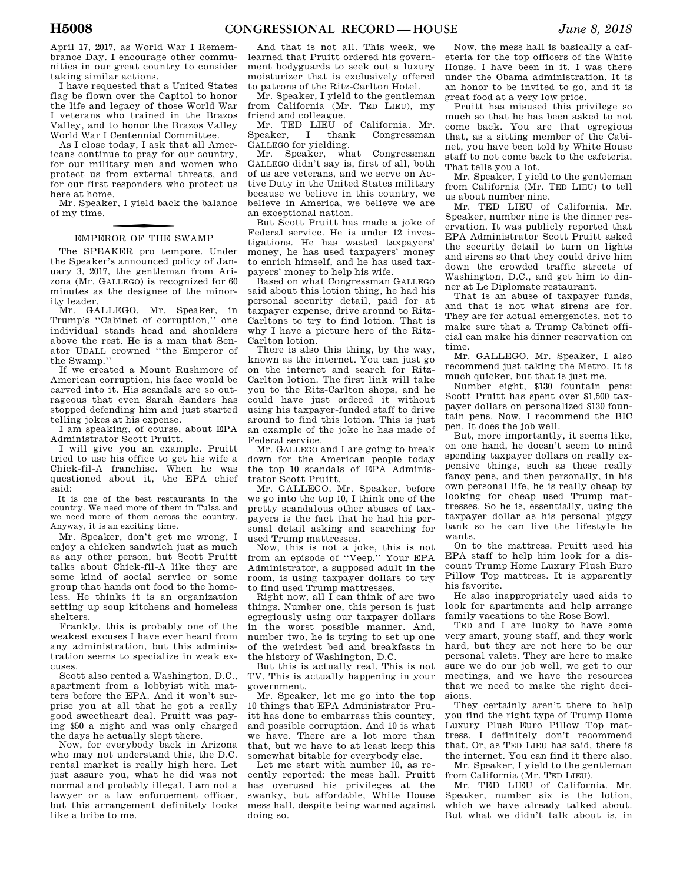April 17, 2017, as World War I Remembrance Day. I encourage other communities in our great country to consider taking similar actions.

I have requested that a United States flag be flown over the Capitol to honor the life and legacy of those World War I veterans who trained in the Brazos Valley, and to honor the Brazos Valley World War I Centennial Committee.

As I close today, I ask that all Americans continue to pray for our country, for our military men and women who protect us from external threats, and for our first responders who protect us here at home.

Mr. Speaker, I yield back the balance of my time.

# f EMPEROR OF THE SWAMP

The SPEAKER pro tempore. Under the Speaker's announced policy of January 3, 2017, the gentleman from Arizona (Mr. GALLEGO) is recognized for 60 minutes as the designee of the minority leader.

Mr. GALLEGO. Mr. Speaker, in Trump's ''Cabinet of corruption,'' one individual stands head and shoulders above the rest. He is a man that Senator UDALL crowned ''the Emperor of the Swamp.''

If we created a Mount Rushmore of American corruption, his face would be carved into it. His scandals are so outrageous that even Sarah Sanders has stopped defending him and just started telling jokes at his expense.

I am speaking, of course, about EPA Administrator Scott Pruitt.

I will give you an example. Pruitt tried to use his office to get his wife a Chick-fil-A franchise. When he was questioned about it, the EPA chief said:

It is one of the best restaurants in the country. We need more of them in Tulsa and we need more of them across the country. Anyway, it is an exciting time.

Mr. Speaker, don't get me wrong, I enjoy a chicken sandwich just as much as any other person, but Scott Pruitt talks about Chick-fil-A like they are some kind of social service or some group that hands out food to the homeless. He thinks it is an organization setting up soup kitchens and homeless shelters.

Frankly, this is probably one of the weakest excuses I have ever heard from any administration, but this administration seems to specialize in weak excuses.

Scott also rented a Washington, D.C., apartment from a lobbyist with matters before the EPA. And it won't surprise you at all that he got a really good sweetheart deal. Pruitt was paying \$50 a night and was only charged the days he actually slept there.

Now, for everybody back in Arizona who may not understand this, the D.C. rental market is really high here. Let just assure you, what he did was not normal and probably illegal. I am not a lawyer or a law enforcement officer, but this arrangement definitely looks like a bribe to me.

And that is not all. This week, we learned that Pruitt ordered his government bodyguards to seek out a luxury moisturizer that is exclusively offered to patrons of the Ritz-Carlton Hotel.

Mr. Speaker, I yield to the gentleman from California (Mr. TED LIEU), my friend and colleague.

Mr. TED LIEU of California. Mr. Speaker, I thank Congressman GALLEGO for yielding.

Mr. Speaker, what Congressman GALLEGO didn't say is, first of all, both of us are veterans, and we serve on Active Duty in the United States military because we believe in this country, we believe in America, we believe we are an exceptional nation.

But Scott Pruitt has made a joke of Federal service. He is under 12 investigations. He has wasted taxpayers' money, he has used taxpayers' money to enrich himself, and he has used taxpayers' money to help his wife.

Based on what Congressman GALLEGO said about this lotion thing, he had his personal security detail, paid for at taxpayer expense, drive around to Ritz-Carltons to try to find lotion. That is why I have a picture here of the Ritz-Carlton lotion.

There is also this thing, by the way, known as the internet. You can just go on the internet and search for Ritz-Carlton lotion. The first link will take you to the Ritz-Carlton shops, and he could have just ordered it without using his taxpayer-funded staff to drive around to find this lotion. This is just an example of the joke he has made of Federal service.

Mr. GALLEGO and I are going to break down for the American people today the top 10 scandals of EPA Administrator Scott Pruitt.

Mr. GALLEGO. Mr. Speaker, before we go into the top 10, I think one of the pretty scandalous other abuses of taxpayers is the fact that he had his personal detail asking and searching for used Trump mattresses.

Now, this is not a joke, this is not from an episode of ''Veep.'' Your EPA Administrator, a supposed adult in the room, is using taxpayer dollars to try to find used Trump mattresses.

Right now, all I can think of are two things. Number one, this person is just egregiously using our taxpayer dollars in the worst possible manner. And, number two, he is trying to set up one of the weirdest bed and breakfasts in the history of Washington, D.C.

But this is actually real. This is not TV. This is actually happening in your government.

Mr. Speaker, let me go into the top 10 things that EPA Administrator Pruitt has done to embarrass this country, and possible corruption. And 10 is what we have. There are a lot more than that, but we have to at least keep this somewhat bitable for everybody else.

Let me start with number 10, as recently reported: the mess hall. Pruitt has overused his privileges at the swanky, but affordable, White House mess hall, despite being warned against doing so.

Now, the mess hall is basically a cafeteria for the top officers of the White House. I have been in it. I was there under the Obama administration. It is an honor to be invited to go, and it is great food at a very low price.

Pruitt has misused this privilege so much so that he has been asked to not come back. You are that egregious that, as a sitting member of the Cabinet, you have been told by White House staff to not come back to the cafeteria. That tells you a lot.

Mr. Speaker, I yield to the gentleman from California (Mr. TED LIEU) to tell us about number nine.

Mr. TED LIEU of California. Mr. Speaker, number nine is the dinner reservation. It was publicly reported that EPA Administrator Scott Pruitt asked the security detail to turn on lights and sirens so that they could drive him down the crowded traffic streets of Washington, D.C., and get him to dinner at Le Diplomate restaurant.

That is an abuse of taxpayer funds, and that is not what sirens are for. They are for actual emergencies, not to make sure that a Trump Cabinet official can make his dinner reservation on time.

Mr. GALLEGO. Mr. Speaker, I also recommend just taking the Metro. It is much quicker, but that is just me.

Number eight, \$130 fountain pens: Scott Pruitt has spent over \$1,500 taxpayer dollars on personalized \$130 fountain pens. Now, I recommend the BIC pen. It does the job well.

But, more importantly, it seems like, on one hand, he doesn't seem to mind spending taxpayer dollars on really expensive things, such as these really fancy pens, and then personally, in his own personal life, he is really cheap by looking for cheap used Trump mattresses. So he is, essentially, using the taxpayer dollar as his personal piggy bank so he can live the lifestyle he wants.

On to the mattress. Pruitt used his EPA staff to help him look for a discount Trump Home Luxury Plush Euro Pillow Top mattress. It is apparently his favorite.

He also inappropriately used aids to look for apartments and help arrange family vacations to the Rose Bowl.

TED and I are lucky to have some very smart, young staff, and they work hard, but they are not here to be our personal valets. They are here to make sure we do our job well, we get to our meetings, and we have the resources that we need to make the right decisions.

They certainly aren't there to help you find the right type of Trump Home Luxury Plush Euro Pillow Top mattress. I definitely don't recommend that. Or, as TED LIEU has said, there is the internet. You can find it there also.

Mr. Speaker, I yield to the gentleman from California (Mr. TED LIEU).

Mr. TED LIEU of California. Mr. Speaker, number six is the lotion, which we have already talked about. But what we didn't talk about is, in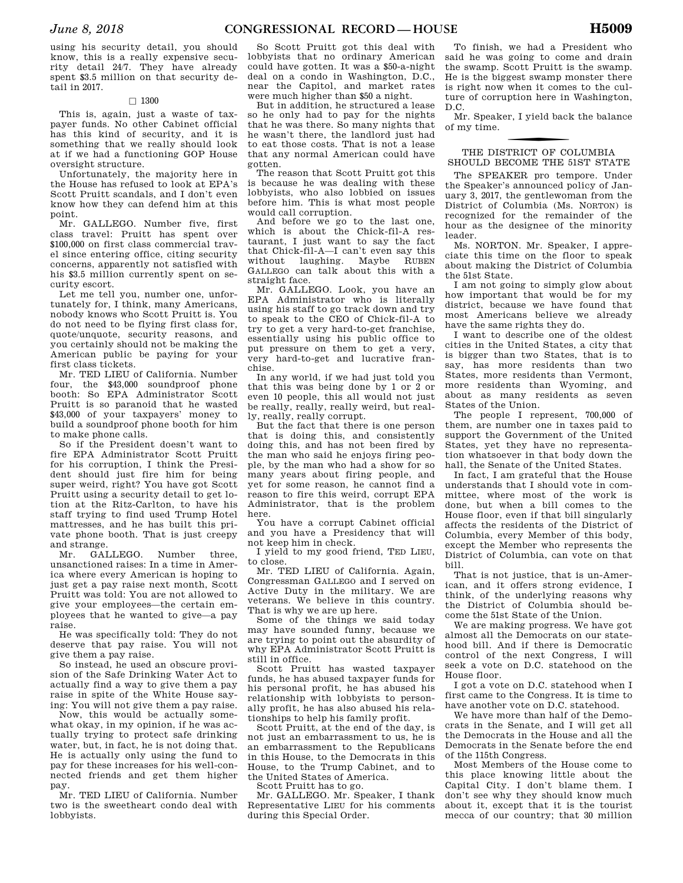using his security detail, you should know, this is a really expensive security detail 24/7. They have already spent \$3.5 million on that security detail in 2017.

#### $\Box$  1300

This is, again, just a waste of taxpayer funds. No other Cabinet official has this kind of security, and it is something that we really should look at if we had a functioning GOP House oversight structure.

Unfortunately, the majority here in the House has refused to look at EPA's Scott Pruitt scandals, and I don't even know how they can defend him at this point.

Mr. GALLEGO. Number five, first class travel: Pruitt has spent over \$100,000 on first class commercial travel since entering office, citing security concerns, apparently not satisfied with his \$3.5 million currently spent on security escort.

Let me tell you, number one, unfortunately for, I think, many Americans, nobody knows who Scott Pruitt is. You do not need to be flying first class for, quote/unquote, security reasons, and you certainly should not be making the American public be paying for your first class tickets.

Mr. TED LIEU of California. Number four, the \$43,000 soundproof phone booth: So EPA Administrator Scott Pruitt is so paranoid that he wasted \$43,000 of your taxpayers' money to build a soundproof phone booth for him to make phone calls.

So if the President doesn't want to fire EPA Administrator Scott Pruitt for his corruption, I think the President should just fire him for being super weird, right? You have got Scott Pruitt using a security detail to get lotion at the Ritz-Carlton, to have his staff trying to find used Trump Hotel mattresses, and he has built this private phone booth. That is just creepy and strange.

Mr. GALLEGO. Number three, unsanctioned raises: In a time in America where every American is hoping to just get a pay raise next month, Scott Pruitt was told: You are not allowed to give your employees—the certain employees that he wanted to give—a pay raise.

He was specifically told: They do not deserve that pay raise. You will not give them a pay raise.

So instead, he used an obscure provision of the Safe Drinking Water Act to actually find a way to give them a pay raise in spite of the White House saying: You will not give them a pay raise.

Now, this would be actually somewhat okay, in my opinion, if he was actually trying to protect safe drinking water, but, in fact, he is not doing that. He is actually only using the fund to pay for these increases for his well-connected friends and get them higher pay.

Mr. TED LIEU of California. Number two is the sweetheart condo deal with lobbyists.

So Scott Pruitt got this deal with lobbyists that no ordinary American could have gotten. It was a \$50-a-night deal on a condo in Washington, D.C., near the Capitol, and market rates were much higher than \$50 a night.

But in addition, he structured a lease so he only had to pay for the nights that he was there. So many nights that he wasn't there, the landlord just had to eat those costs. That is not a lease that any normal American could have gotten.

The reason that Scott Pruitt got this is because he was dealing with these lobbyists, who also lobbied on issues before him. This is what most people would call corruption.

And before we go to the last one, which is about the Chick-fil-A restaurant, I just want to say the fact that Chick-fil-A—I can't even say this without laughing. Maybe RUBEN GALLEGO can talk about this with a straight face.

Mr. GALLEGO. Look, you have an EPA Administrator who is literally using his staff to go track down and try to speak to the CEO of Chick-fil-A to try to get a very hard-to-get franchise, essentially using his public office to put pressure on them to get a very, very hard-to-get and lucrative franchise.

In any world, if we had just told you that this was being done by 1 or 2 or even 10 people, this all would not just be really, really, really weird, but really, really, really corrupt.

But the fact that there is one person that is doing this, and consistently doing this, and has not been fired by the man who said he enjoys firing people, by the man who had a show for so many years about firing people, and yet for some reason, he cannot find a reason to fire this weird, corrupt EPA Administrator, that is the problem here.

You have a corrupt Cabinet official and you have a Presidency that will not keep him in check.

I yield to my good friend, TED LIEU, to close.

Mr. TED LIEU of California. Again, Congressman GALLEGO and I served on Active Duty in the military. We are veterans. We believe in this country. That is why we are up here.

Some of the things we said today may have sounded funny, because we are trying to point out the absurdity of why EPA Administrator Scott Pruitt is still in office.

Scott Pruitt has wasted taxpayer funds, he has abused taxpayer funds for his personal profit, he has abused his relationship with lobbyists to personally profit, he has also abused his relationships to help his family profit.

Scott Pruitt, at the end of the day, is not just an embarrassment to us, he is an embarrassment to the Republicans in this House, to the Democrats in this House, to the Trump Cabinet, and to the United States of America.

Scott Pruitt has to go.

Mr. GALLEGO. Mr. Speaker, I thank Representative LIEU for his comments during this Special Order.

To finish, we had a President who said he was going to come and drain the swamp. Scott Pruitt is the swamp. He is the biggest swamp monster there is right now when it comes to the culture of corruption here in Washington, D.C.

Mr. Speaker, I yield back the balance of my time.

#### THE DISTRICT OF COLUMBIA SHOULD BECOME THE 51ST STATE

The SPEAKER pro tempore. Under the Speaker's announced policy of January 3, 2017, the gentlewoman from the District of Columbia (Ms. NORTON) is recognized for the remainder of the hour as the designee of the minority leader.

Ms. NORTON. Mr. Speaker, I appreciate this time on the floor to speak about making the District of Columbia the 51st State.

I am not going to simply glow about how important that would be for my district, because we have found that most Americans believe we already have the same rights they do.

I want to describe one of the oldest cities in the United States, a city that is bigger than two States, that is to say, has more residents than two States, more residents than Vermont, more residents than Wyoming, and about as many residents as seven States of the Union.

The people I represent, 700,000 of them, are number one in taxes paid to support the Government of the United States, yet they have no representation whatsoever in that body down the hall, the Senate of the United States.

In fact, I am grateful that the House understands that I should vote in committee, where most of the work is done, but when a bill comes to the House floor, even if that bill singularly affects the residents of the District of Columbia, every Member of this body, except the Member who represents the District of Columbia, can vote on that bill.

That is not justice, that is un-American, and it offers strong evidence, I think, of the underlying reasons why the District of Columbia should become the 51st State of the Union.

We are making progress. We have got almost all the Democrats on our statehood bill. And if there is Democratic control of the next Congress, I will seek a vote on D.C. statehood on the House floor.

I got a vote on D.C. statehood when I first came to the Congress. It is time to have another vote on D.C. statehood.

We have more than half of the Democrats in the Senate, and I will get all the Democrats in the House and all the Democrats in the Senate before the end of the 115th Congress.

Most Members of the House come to this place knowing little about the Capital City. I don't blame them. I don't see why they should know much about it, except that it is the tourist mecca of our country; that 30 million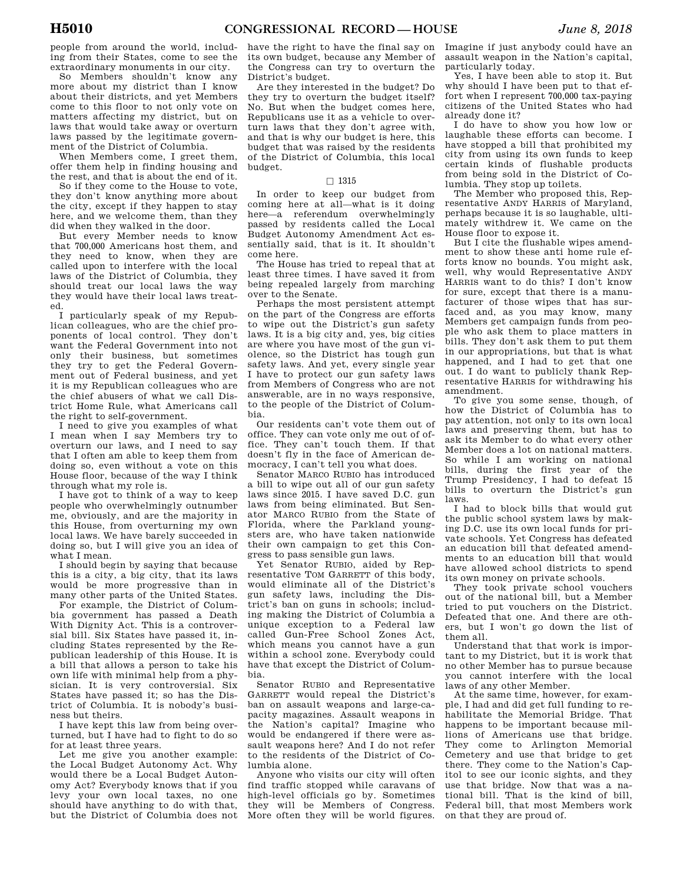people from around the world, including from their States, come to see the extraordinary monuments in our city.

So Members shouldn't know any more about my district than I know about their districts, and yet Members come to this floor to not only vote on matters affecting my district, but on laws that would take away or overturn laws passed by the legitimate government of the District of Columbia.

When Members come, I greet them, offer them help in finding housing and the rest, and that is about the end of it.

So if they come to the House to vote, they don't know anything more about the city, except if they happen to stay here, and we welcome them, than they did when they walked in the door.

But every Member needs to know that 700,000 Americans host them, and they need to know, when they are called upon to interfere with the local laws of the District of Columbia, they should treat our local laws the way they would have their local laws treated.

I particularly speak of my Republican colleagues, who are the chief proponents of local control. They don't want the Federal Government into not only their business, but sometimes they try to get the Federal Government out of Federal business, and yet it is my Republican colleagues who are the chief abusers of what we call District Home Rule, what Americans call the right to self-government.

I need to give you examples of what I mean when I say Members try to overturn our laws, and I need to say that I often am able to keep them from doing so, even without a vote on this House floor, because of the way I think through what my role is.

I have got to think of a way to keep people who overwhelmingly outnumber me, obviously, and are the majority in this House, from overturning my own local laws. We have barely succeeded in doing so, but I will give you an idea of what I mean.

I should begin by saying that because this is a city, a big city, that its laws would be more progressive than in many other parts of the United States.

For example, the District of Columbia government has passed a Death With Dignity Act. This is a controversial bill. Six States have passed it, including States represented by the Republican leadership of this House. It is a bill that allows a person to take his own life with minimal help from a physician. It is very controversial. Six States have passed it; so has the District of Columbia. It is nobody's business but theirs.

I have kept this law from being overturned, but I have had to fight to do so for at least three years.

Let me give you another example: the Local Budget Autonomy Act. Why would there be a Local Budget Autonomy Act? Everybody knows that if you levy your own local taxes, no one should have anything to do with that, but the District of Columbia does not

have the right to have the final say on its own budget, because any Member of the Congress can try to overturn the District's budget.

Are they interested in the budget? Do they try to overturn the budget itself? No. But when the budget comes here, Republicans use it as a vehicle to overturn laws that they don't agree with, and that is why our budget is here, this budget that was raised by the residents of the District of Columbia, this local budget.

#### $\Box$  1315

In order to keep our budget from coming here at all—what is it doing here—a referendum overwhelmingly passed by residents called the Local Budget Autonomy Amendment Act essentially said, that is it. It shouldn't come here.

The House has tried to repeal that at least three times. I have saved it from being repealed largely from marching over to the Senate.

Perhaps the most persistent attempt on the part of the Congress are efforts to wipe out the District's gun safety laws. It is a big city and, yes, big cities are where you have most of the gun violence, so the District has tough gun safety laws. And yet, every single year I have to protect our gun safety laws from Members of Congress who are not answerable, are in no ways responsive, to the people of the District of Columbia.

Our residents can't vote them out of office. They can vote only me out of office. They can't touch them. If that doesn't fly in the face of American democracy, I can't tell you what does.

Senator MARCO RUBIO has introduced a bill to wipe out all of our gun safety laws since 2015. I have saved D.C. gun laws from being eliminated. But Senator MARCO RUBIO from the State of Florida, where the Parkland youngsters are, who have taken nationwide their own campaign to get this Congress to pass sensible gun laws.

Yet Senator RUBIO, aided by Representative TOM GARRETT of this body, would eliminate all of the District's gun safety laws, including the District's ban on guns in schools; including making the District of Columbia a unique exception to a Federal law called Gun-Free School Zones Act, which means you cannot have a gun within a school zone. Everybody could have that except the District of Columbia.

Senator RUBIO and Representative GARRETT would repeal the District's ban on assault weapons and large-capacity magazines. Assault weapons in the Nation's capital? Imagine who would be endangered if there were assault weapons here? And I do not refer to the residents of the District of Columbia alone.

Anyone who visits our city will often find traffic stopped while caravans of high-level officials go by. Sometimes they will be Members of Congress. More often they will be world figures.

Imagine if just anybody could have an assault weapon in the Nation's capital, particularly today.

Yes, I have been able to stop it. But why should I have been put to that effort when I represent 700,000 tax-paying citizens of the United States who had already done it?

I do have to show you how low or laughable these efforts can become. I have stopped a bill that prohibited my city from using its own funds to keep certain kinds of flushable products from being sold in the District of Columbia. They stop up toilets.

The Member who proposed this, Representative ANDY HARRIS of Maryland, perhaps because it is so laughable, ultimately withdrew it. We came on the House floor to expose it.

But I cite the flushable wipes amendment to show these anti home rule efforts know no bounds. You might ask, well, why would Representative ANDY HARRIS want to do this? I don't know for sure, except that there is a manufacturer of those wipes that has surfaced and, as you may know, many Members get campaign funds from people who ask them to place matters in bills. They don't ask them to put them in our appropriations, but that is what happened, and I had to get that one out. I do want to publicly thank Representative HARRIS for withdrawing his amendment.

To give you some sense, though, of how the District of Columbia has to pay attention, not only to its own local laws and preserving them, but has to ask its Member to do what every other Member does a lot on national matters. So while I am working on national bills, during the first year of the Trump Presidency, I had to defeat 15 bills to overturn the District's gun laws.

I had to block bills that would gut the public school system laws by making D.C. use its own local funds for private schools. Yet Congress has defeated an education bill that defeated amendments to an education bill that would have allowed school districts to spend its own money on private schools.

They took private school vouchers out of the national bill, but a Member tried to put vouchers on the District. Defeated that one. And there are others, but I won't go down the list of them all.

Understand that that work is important to my District, but it is work that no other Member has to pursue because you cannot interfere with the local laws of any other Member.

At the same time, however, for example, I had and did get full funding to rehabilitate the Memorial Bridge. That happens to be important because millions of Americans use that bridge. They come to Arlington Memorial Cemetery and use that bridge to get there. They come to the Nation's Capitol to see our iconic sights, and they use that bridge. Now that was a national bill. That is the kind of bill, Federal bill, that most Members work on that they are proud of.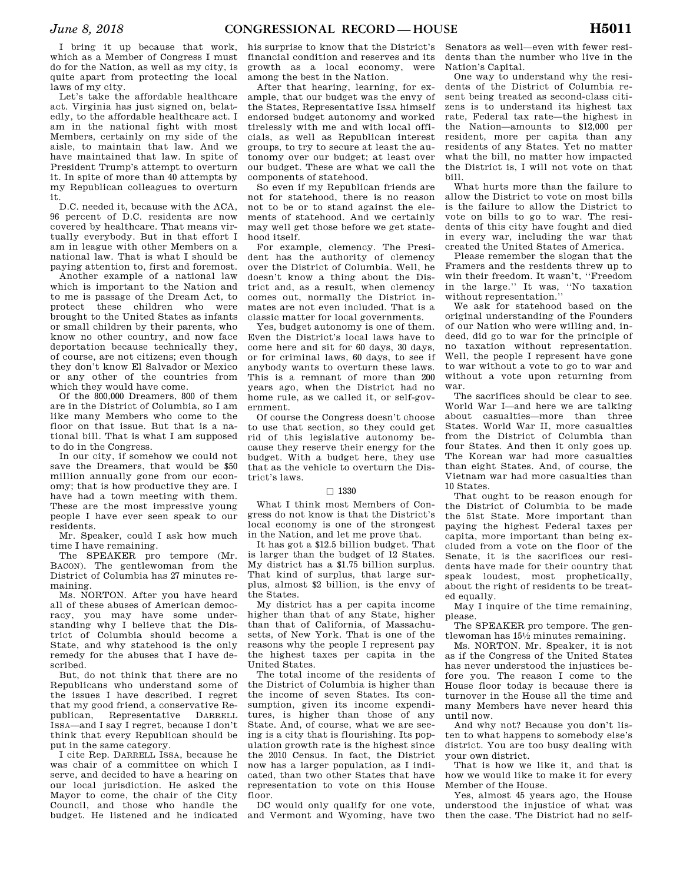I bring it up because that work, which as a Member of Congress I must do for the Nation, as well as my city, is quite apart from protecting the local laws of my city.

Let's take the affordable healthcare act. Virginia has just signed on, belatedly, to the affordable healthcare act. I am in the national fight with most Members, certainly on my side of the aisle, to maintain that law. And we have maintained that law. In spite of President Trump's attempt to overturn it. In spite of more than 40 attempts by my Republican colleagues to overturn it.

D.C. needed it, because with the ACA, 96 percent of D.C. residents are now covered by healthcare. That means virtually everybody. But in that effort I am in league with other Members on a national law. That is what I should be paying attention to, first and foremost.

Another example of a national law which is important to the Nation and to me is passage of the Dream Act, to protect these children who were brought to the United States as infants or small children by their parents, who know no other country, and now face deportation because technically they, of course, are not citizens; even though they don't know El Salvador or Mexico or any other of the countries from which they would have come.

Of the 800,000 Dreamers, 800 of them are in the District of Columbia, so I am like many Members who come to the floor on that issue. But that is a national bill. That is what I am supposed to do in the Congress.

In our city, if somehow we could not save the Dreamers, that would be \$50 million annually gone from our economy; that is how productive they are. I have had a town meeting with them. These are the most impressive young people I have ever seen speak to our residents.

Mr. Speaker, could I ask how much time I have remaining.

The SPEAKER pro tempore (Mr. BACON). The gentlewoman from the District of Columbia has 27 minutes remaining.

Ms. NORTON. After you have heard all of these abuses of American democracy, you may have some understanding why I believe that the District of Columbia should become a State, and why statehood is the only remedy for the abuses that I have described.

But, do not think that there are no Republicans who understand some of the issues I have described. I regret that my good friend, a conservative Republican, Representative DARRELL ISSA—and I say I regret, because I don't think that every Republican should be put in the same category.

I cite Rep. DARRELL ISSA, because he was chair of a committee on which I serve, and decided to have a hearing on our local jurisdiction. He asked the Mayor to come, the chair of the City Council, and those who handle the budget. He listened and he indicated

his surprise to know that the District's financial condition and reserves and its growth as a local economy, were among the best in the Nation.

After that hearing, learning, for example, that our budget was the envy of the States, Representative ISSA himself endorsed budget autonomy and worked tirelessly with me and with local officials, as well as Republican interest groups, to try to secure at least the autonomy over our budget; at least over our budget. These are what we call the components of statehood.

So even if my Republican friends are not for statehood, there is no reason not to be or to stand against the elements of statehood. And we certainly may well get those before we get statehood itself.

For example, clemency. The President has the authority of clemency over the District of Columbia. Well, he doesn't know a thing about the District and, as a result, when clemency comes out, normally the District inmates are not even included. That is a classic matter for local governments.

Yes, budget autonomy is one of them. Even the District's local laws have to come here and sit for 60 days, 30 days, or for criminal laws, 60 days, to see if anybody wants to overturn these laws. This is a remnant of more than 200 years ago, when the District had no home rule, as we called it, or self-government.

Of course the Congress doesn't choose to use that section, so they could get rid of this legislative autonomy because they reserve their energy for the budget. With a budget here, they use that as the vehicle to overturn the District's laws.

#### $\Box$  1330

What I think most Members of Congress do not know is that the District's local economy is one of the strongest in the Nation, and let me prove that.

It has got a \$12.5 billion budget. That is larger than the budget of 12 States. My district has a \$1.75 billion surplus. That kind of surplus, that large surplus, almost \$2 billion, is the envy of the States.

My district has a per capita income higher than that of any State, higher than that of California, of Massachusetts, of New York. That is one of the reasons why the people I represent pay the highest taxes per capita in the United States.

The total income of the residents of the District of Columbia is higher than the income of seven States. Its consumption, given its income expenditures, is higher than those of any State. And, of course, what we are seeing is a city that is flourishing. Its population growth rate is the highest since the 2010 Census. In fact, the District now has a larger population, as I indicated, than two other States that have representation to vote on this House floor.

DC would only qualify for one vote, and Vermont and Wyoming, have two

Senators as well—even with fewer residents than the number who live in the Nation's Capital.

One way to understand why the residents of the District of Columbia resent being treated as second-class citizens is to understand its highest tax rate, Federal tax rate—the highest in the Nation—amounts to \$12,000 per resident, more per capita than any residents of any States. Yet no matter what the bill, no matter how impacted the District is, I will not vote on that bill.

What hurts more than the failure to allow the District to vote on most bills is the failure to allow the District to vote on bills to go to war. The residents of this city have fought and died in every war, including the war that created the United States of America.

Please remember the slogan that the Framers and the residents threw up to win their freedom. It wasn't, ''Freedom in the large.'' It was, ''No taxation without representation.''

We ask for statehood based on the original understanding of the Founders of our Nation who were willing and, indeed, did go to war for the principle of no taxation without representation. Well, the people I represent have gone to war without a vote to go to war and without a vote upon returning from war.

The sacrifices should be clear to see. World War I—and here we are talking about casualties—more than three States. World War II, more casualties from the District of Columbia than four States. And then it only goes up. The Korean war had more casualties than eight States. And, of course, the Vietnam war had more casualties than 10 States.

That ought to be reason enough for the District of Columbia to be made the 51st State. More important than paying the highest Federal taxes per capita, more important than being excluded from a vote on the floor of the Senate, it is the sacrifices our residents have made for their country that speak loudest, most prophetically, about the right of residents to be treated equally.

May I inquire of the time remaining, please.

The SPEAKER pro tempore. The gentlewoman has  $15\frac{1}{2}$  minutes remaining.

Ms. NORTON. Mr. Speaker, it is not as if the Congress of the United States has never understood the injustices before you. The reason I come to the House floor today is because there is turnover in the House all the time and many Members have never heard this until now.

And why not? Because you don't listen to what happens to somebody else's district. You are too busy dealing with your own district.

That is how we like it, and that is how we would like to make it for every Member of the House.

Yes, almost 45 years ago, the House understood the injustice of what was then the case. The District had no self-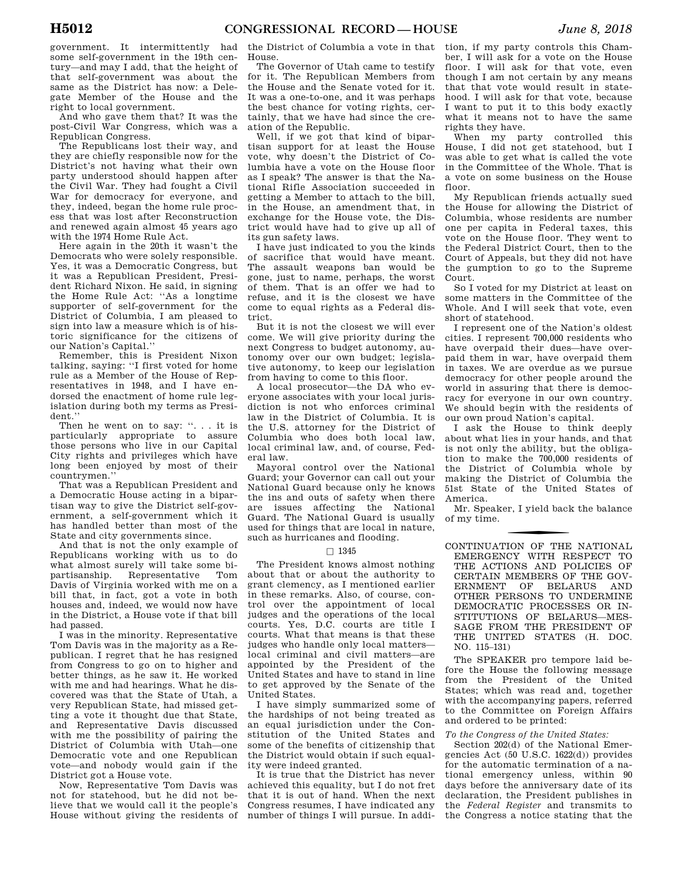government. It intermittently had some self-government in the 19th century—and may I add, that the height of that self-government was about the same as the District has now: a Delegate Member of the House and the right to local government.

And who gave them that? It was the post-Civil War Congress, which was a Republican Congress.

The Republicans lost their way, and they are chiefly responsible now for the District's not having what their own party understood should happen after the Civil War. They had fought a Civil War for democracy for everyone, and they, indeed, began the home rule process that was lost after Reconstruction and renewed again almost 45 years ago with the 1974 Home Rule Act.

Here again in the 20th it wasn't the Democrats who were solely responsible. Yes, it was a Democratic Congress, but it was a Republican President, President Richard Nixon. He said, in signing the Home Rule Act: ''As a longtime supporter of self-government for the District of Columbia, I am pleased to sign into law a measure which is of historic significance for the citizens of our Nation's Capital.''

Remember, this is President Nixon talking, saying: ''I first voted for home rule as a Member of the House of Representatives in 1948, and I have endorsed the enactment of home rule legislation during both my terms as President.''

Then he went on to say: ''. . . it is particularly appropriate to assure those persons who live in our Capital City rights and privileges which have long been enjoyed by most of their countrymen.''

That was a Republican President and a Democratic House acting in a bipartisan way to give the District self-government, a self-government which it has handled better than most of the State and city governments since.

And that is not the only example of Republicans working with us to do what almost surely will take some bipartisanship. Representative Tom Davis of Virginia worked with me on a bill that, in fact, got a vote in both houses and, indeed, we would now have in the District, a House vote if that bill had passed.

I was in the minority. Representative Tom Davis was in the majority as a Republican. I regret that he has resigned from Congress to go on to higher and better things, as he saw it. He worked with me and had hearings. What he discovered was that the State of Utah, a very Republican State, had missed getting a vote it thought due that State, and Representative Davis discussed with me the possibility of pairing the District of Columbia with Utah—one Democratic vote and one Republican vote—and nobody would gain if the District got a House vote.

Now, Representative Tom Davis was not for statehood, but he did not believe that we would call it the people's House without giving the residents of

the District of Columbia a vote in that House.

The Governor of Utah came to testify for it. The Republican Members from the House and the Senate voted for it. It was a one-to-one, and it was perhaps the best chance for voting rights, certainly, that we have had since the creation of the Republic.

Well, if we got that kind of bipartisan support for at least the House vote, why doesn't the District of Columbia have a vote on the House floor as I speak? The answer is that the National Rifle Association succeeded in getting a Member to attach to the bill, in the House, an amendment that, in exchange for the House vote, the District would have had to give up all of its gun safety laws.

I have just indicated to you the kinds of sacrifice that would have meant. The assault weapons ban would be gone, just to name, perhaps, the worst of them. That is an offer we had to refuse, and it is the closest we have come to equal rights as a Federal district.

But it is not the closest we will ever come. We will give priority during the next Congress to budget autonomy, autonomy over our own budget; legislative autonomy, to keep our legislation from having to come to this floor.

A local prosecutor—the DA who everyone associates with your local jurisdiction is not who enforces criminal law in the District of Columbia. It is the U.S. attorney for the District of Columbia who does both local law, local criminal law, and, of course, Federal law.

Mayoral control over the National Guard; your Governor can call out your National Guard because only he knows the ins and outs of safety when there are issues affecting the National Guard. The National Guard is usually used for things that are local in nature, such as hurricanes and flooding.

#### $\Box$  1345

The President knows almost nothing about that or about the authority to grant clemency, as I mentioned earlier in these remarks. Also, of course, control over the appointment of local judges and the operations of the local courts. Yes, D.C. courts are title I courts. What that means is that these judges who handle only local matters local criminal and civil matters—are appointed by the President of the United States and have to stand in line to get approved by the Senate of the United States.

I have simply summarized some of the hardships of not being treated as an equal jurisdiction under the Constitution of the United States and some of the benefits of citizenship that the District would obtain if such equality were indeed granted.

It is true that the District has never achieved this equality, but I do not fret that it is out of hand. When the next Congress resumes, I have indicated any number of things I will pursue. In addi-

tion, if my party controls this Chamber, I will ask for a vote on the House floor. I will ask for that vote, even though I am not certain by any means that that vote would result in statehood. I will ask for that vote, because I want to put it to this body exactly what it means not to have the same rights they have.

When my party controlled this House, I did not get statehood, but I was able to get what is called the vote in the Committee of the Whole. That is a vote on some business on the House floor.

My Republican friends actually sued the House for allowing the District of Columbia, whose residents are number one per capita in Federal taxes, this vote on the House floor. They went to the Federal District Court, then to the Court of Appeals, but they did not have the gumption to go to the Supreme Court.

So I voted for my District at least on some matters in the Committee of the Whole. And I will seek that vote, even short of statehood.

I represent one of the Nation's oldest cities. I represent 700,000 residents who have overpaid their dues—have overpaid them in war, have overpaid them in taxes. We are overdue as we pursue democracy for other people around the world in assuring that there is democracy for everyone in our own country. We should begin with the residents of our own proud Nation's capital.

I ask the House to think deeply about what lies in your hands, and that is not only the ability, but the obligation to make the 700,000 residents of the District of Columbia whole by making the District of Columbia the 51st State of the United States of America.

Mr. Speaker, I yield back the balance of my time.

CONTINUATION OF THE NATIONAL EMERGENCY WITH RESPECT TO THE ACTIONS AND POLICIES OF CERTAIN MEMBERS OF THE GOV-ERNMENT OF BELARUS AND OTHER PERSONS TO UNDERMINE DEMOCRATIC PROCESSES OR IN-STITUTIONS OF BELARUS—MES-SAGE FROM THE PRESIDENT OF THE UNITED STATES (H. DOC. NO. 115–131)

The SPEAKER pro tempore laid before the House the following message from the President of the United States; which was read and, together with the accompanying papers, referred to the Committee on Foreign Affairs and ordered to be printed:

#### *To the Congress of the United States:*

Section 202(d) of the National Emergencies Act (50 U.S.C. 1622(d)) provides for the automatic termination of a national emergency unless, within 90 days before the anniversary date of its declaration, the President publishes in the *Federal Register* and transmits to the Congress a notice stating that the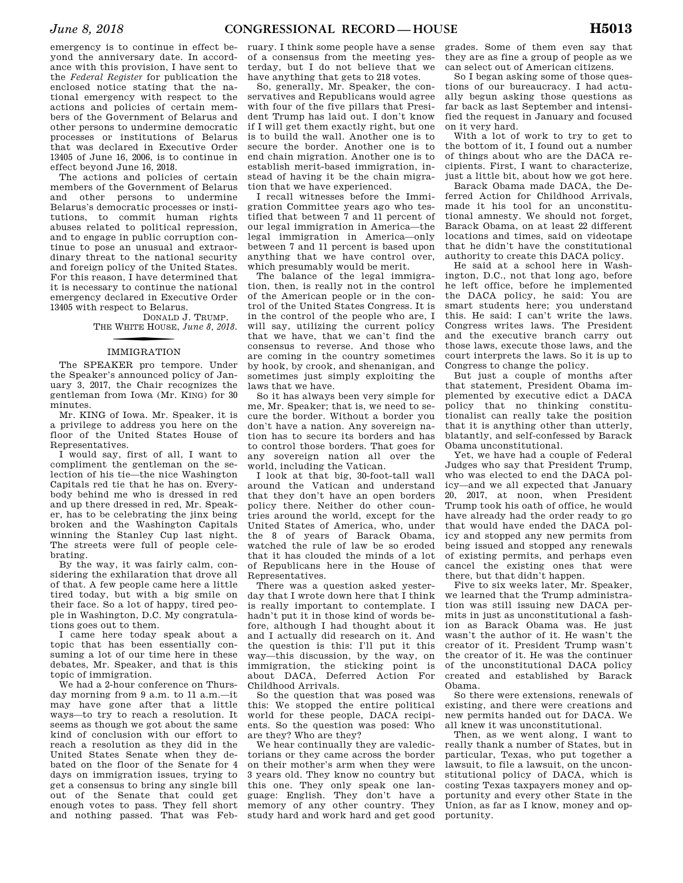emergency is to continue in effect beyond the anniversary date. In accordance with this provision, I have sent to the *Federal Register* for publication the enclosed notice stating that the national emergency with respect to the actions and policies of certain members of the Government of Belarus and other persons to undermine democratic processes or institutions of Belarus that was declared in Executive Order 13405 of June 16, 2006, is to continue in effect beyond June 16, 2018.

The actions and policies of certain members of the Government of Belarus and other persons to undermine Belarus's democratic processes or institutions, to commit human rights abuses related to political repression, and to engage in public corruption continue to pose an unusual and extraordinary threat to the national security and foreign policy of the United States. For this reason, I have determined that it is necessary to continue the national emergency declared in Executive Order 13405 with respect to Belarus.

DONALD J. TRUMP. THE WHITE HOUSE, *June 8, 2018.* 

# f IMMIGRATION

The SPEAKER pro tempore. Under the Speaker's announced policy of January 3, 2017, the Chair recognizes the gentleman from Iowa (Mr. KING) for 30 minutes.

Mr. KING of Iowa. Mr. Speaker, it is a privilege to address you here on the floor of the United States House of Representatives.

I would say, first of all, I want to compliment the gentleman on the selection of his tie—the nice Washington Capitals red tie that he has on. Everybody behind me who is dressed in red and up there dressed in red, Mr. Speaker, has to be celebrating the jinx being broken and the Washington Capitals winning the Stanley Cup last night. The streets were full of people celebrating.

By the way, it was fairly calm, considering the exhilaration that drove all of that. A few people came here a little tired today, but with a big smile on their face. So a lot of happy, tired people in Washington, D.C. My congratulations goes out to them.

I came here today speak about a topic that has been essentially consuming a lot of our time here in these debates, Mr. Speaker, and that is this topic of immigration.

We had a 2-hour conference on Thursday morning from 9 a.m. to 11 a.m.—it may have gone after that a little ways—to try to reach a resolution. It seems as though we got about the same kind of conclusion with our effort to reach a resolution as they did in the United States Senate when they debated on the floor of the Senate for 4 days on immigration issues, trying to get a consensus to bring any single bill out of the Senate that could get enough votes to pass. They fell short and nothing passed. That was Feb-

ruary. I think some people have a sense of a consensus from the meeting yesterday, but I do not believe that we have anything that gets to 218 votes.

So, generally, Mr. Speaker, the conservatives and Republicans would agree with four of the five pillars that President Trump has laid out. I don't know if I will get them exactly right, but one is to build the wall. Another one is to secure the border. Another one is to end chain migration. Another one is to establish merit-based immigration, instead of having it be the chain migration that we have experienced.

I recall witnesses before the Immigration Committee years ago who testified that between 7 and 11 percent of our legal immigration in America—the legal immigration in America—only between 7 and 11 percent is based upon anything that we have control over, which presumably would be merit.

The balance of the legal immigration, then, is really not in the control of the American people or in the control of the United States Congress. It is in the control of the people who are, I will say, utilizing the current policy that we have, that we can't find the consensus to reverse. And those who are coming in the country sometimes by hook, by crook, and shenanigan, and sometimes just simply exploiting the laws that we have.

So it has always been very simple for me, Mr. Speaker; that is, we need to secure the border. Without a border you don't have a nation. Any sovereign nation has to secure its borders and has to control those borders. That goes for any sovereign nation all over the world, including the Vatican.

I look at that big, 30-foot-tall wall around the Vatican and understand that they don't have an open borders policy there. Neither do other countries around the world, except for the United States of America, who, under the 8 of years of Barack Obama, watched the rule of law be so eroded that it has clouded the minds of a lot of Republicans here in the House of Representatives.

There was a question asked yesterday that I wrote down here that I think is really important to contemplate. I hadn't put it in those kind of words before, although I had thought about it and I actually did research on it. And the question is this: I'll put it this way—this discussion, by the way, on immigration, the sticking point is about DACA, Deferred Action For Childhood Arrivals.

So the question that was posed was this: We stopped the entire political world for these people, DACA recipients. So the question was posed: Who are they? Who are they?

We hear continually they are valedictorians or they came across the border on their mother's arm when they were 3 years old. They know no country but this one. They only speak one language: English. They don't have a memory of any other country. They study hard and work hard and get good

grades. Some of them even say that they are as fine a group of people as we can select out of American citizens.

So I began asking some of those questions of our bureaucracy. I had actually begun asking those questions as far back as last September and intensified the request in January and focused on it very hard.

With a lot of work to try to get to the bottom of it, I found out a number of things about who are the DACA recipients. First, I want to characterize, just a little bit, about how we got here.

Barack Obama made DACA, the Deferred Action for Childhood Arrivals, made it his tool for an unconstitutional amnesty. We should not forget, Barack Obama, on at least 22 different locations and times, said on videotape that he didn't have the constitutional authority to create this DACA policy.

He said at a school here in Washington, D.C., not that long ago, before he left office, before he implemented the DACA policy, he said: You are smart students here; you understand this. He said: I can't write the laws. Congress writes laws. The President and the executive branch carry out those laws, execute those laws, and the court interprets the laws. So it is up to Congress to change the policy.

But just a couple of months after that statement, President Obama implemented by executive edict a DACA policy that no thinking constitutionalist can really take the position that it is anything other than utterly, blatantly, and self-confessed by Barack Obama unconstitutional.

Yet, we have had a couple of Federal Judges who say that President Trump, who was elected to end the DACA policy—and we all expected that January 20, 2017, at noon, when President Trump took his oath of office, he would have already had the order ready to go that would have ended the DACA policy and stopped any new permits from being issued and stopped any renewals of existing permits, and perhaps even cancel the existing ones that were there, but that didn't happen.

Five to six weeks later, Mr. Speaker, we learned that the Trump administration was still issuing new DACA permits in just as unconstitutional a fashion as Barack Obama was. He just wasn't the author of it. He wasn't the creator of it. President Trump wasn't the creator of it. He was the continuer of the unconstitutional DACA policy created and established by Barack Obama.

So there were extensions, renewals of existing, and there were creations and new permits handed out for DACA. We all knew it was unconstitutional.

Then, as we went along, I want to really thank a number of States, but in particular, Texas, who put together a lawsuit, to file a lawsuit, on the unconstitutional policy of DACA, which is costing Texas taxpayers money and opportunity and every other State in the Union, as far as I know, money and opportunity.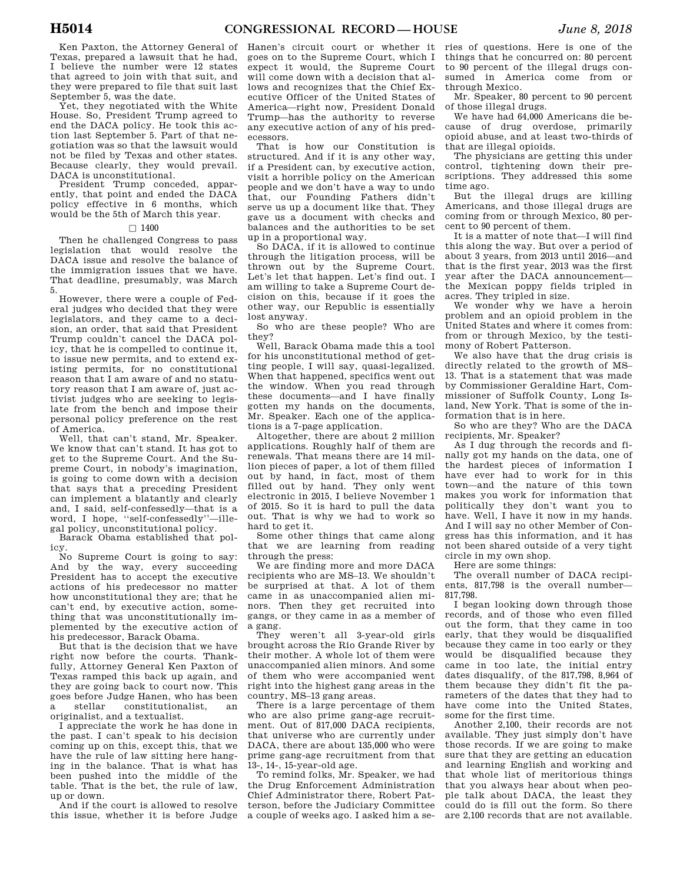Ken Paxton, the Attorney General of Texas, prepared a lawsuit that he had, I believe the number were 12 states that agreed to join with that suit, and they were prepared to file that suit last September 5, was the date.

Yet, they negotiated with the White House. So, President Trump agreed to end the DACA policy. He took this action last September 5. Part of that negotiation was so that the lawsuit would not be filed by Texas and other states. Because clearly, they would prevail. DACA is unconstitutional.

President Trump conceded, apparently, that point and ended the DACA policy effective in 6 months, which would be the 5th of March this year.

#### $\Box$  1400

Then he challenged Congress to pass legislation that would resolve the DACA issue and resolve the balance of the immigration issues that we have. That deadline, presumably, was March 5.

However, there were a couple of Federal judges who decided that they were legislators, and they came to a decision, an order, that said that President Trump couldn't cancel the DACA policy, that he is compelled to continue it, to issue new permits, and to extend existing permits, for no constitutional reason that I am aware of and no statutory reason that I am aware of, just activist judges who are seeking to legislate from the bench and impose their personal policy preference on the rest of America.

Well, that can't stand, Mr. Speaker. We know that can't stand. It has got to get to the Supreme Court. And the Supreme Court, in nobody's imagination, is going to come down with a decision that says that a preceding President can implement a blatantly and clearly and, I said, self-confessedly—that is a word, I hope, ''self-confessedly''—illegal policy, unconstitutional policy.

Barack Obama established that policy.

No Supreme Court is going to say: And by the way, every succeeding President has to accept the executive actions of his predecessor no matter how unconstitutional they are; that he can't end, by executive action, something that was unconstitutionally implemented by the executive action of his predecessor, Barack Obama.

But that is the decision that we have right now before the courts. Thankfully, Attorney General Ken Paxton of Texas ramped this back up again, and they are going back to court now. This goes before Judge Hanen, who has been a stellar constitutionalist, an originalist, and a textualist.

I appreciate the work he has done in the past. I can't speak to his decision coming up on this, except this, that we have the rule of law sitting here hanging in the balance. That is what has been pushed into the middle of the table. That is the bet, the rule of law, up or down.

And if the court is allowed to resolve this issue, whether it is before Judge Hanen's circuit court or whether it goes on to the Supreme Court, which I expect it would, the Supreme Court will come down with a decision that allows and recognizes that the Chief Executive Officer of the United States of America—right now, President Donald Trump—has the authority to reverse any executive action of any of his predecessors.

That is how our Constitution is structured. And if it is any other way, if a President can, by executive action, visit a horrible policy on the American people and we don't have a way to undo that, our Founding Fathers didn't serve us up a document like that. They gave us a document with checks and balances and the authorities to be set up in a proportional way.

So DACA, if it is allowed to continue through the litigation process, will be thrown out by the Supreme Court. Let's let that happen. Let's find out. I am willing to take a Supreme Court decision on this, because if it goes the other way, our Republic is essentially lost anyway.

So who are these people? Who are they?

Well, Barack Obama made this a tool for his unconstitutional method of getting people, I will say, quasi-legalized. When that happened, specifics went out the window. When you read through these documents—and I have finally gotten my hands on the documents, Mr. Speaker. Each one of the applications is a 7-page application.

Altogether, there are about 2 million applications. Roughly half of them are renewals. That means there are 14 million pieces of paper, a lot of them filled out by hand, in fact, most of them filled out by hand. They only went electronic in 2015, I believe November 1 of 2015. So it is hard to pull the data out. That is why we had to work so hard to get it.

Some other things that came along that we are learning from reading through the press:

We are finding more and more DACA recipients who are MS–13. We shouldn't be surprised at that. A lot of them came in as unaccompanied alien minors. Then they get recruited into gangs, or they came in as a member of a gang.

They weren't all 3-year-old girls brought across the Rio Grande River by their mother. A whole lot of them were unaccompanied alien minors. And some of them who were accompanied went right into the highest gang areas in the country, MS–13 gang areas.

There is a large percentage of them who are also prime gang-age recruitment. Out of 817,000 DACA recipients, that universe who are currently under DACA, there are about 135,000 who were prime gang-age recruitment from that 13-, 14-, 15-year-old age.

To remind folks, Mr. Speaker, we had the Drug Enforcement Administration Chief Administrator there, Robert Patterson, before the Judiciary Committee a couple of weeks ago. I asked him a se-

ries of questions. Here is one of the things that he concurred on: 80 percent to 90 percent of the illegal drugs consumed in America come from or through Mexico.

Mr. Speaker, 80 percent to 90 percent of those illegal drugs.

We have had 64,000 Americans die because of drug overdose, primarily opioid abuse, and at least two-thirds of that are illegal opioids.

The physicians are getting this under control, tightening down their prescriptions. They addressed this some time ago.

But the illegal drugs are killing Americans, and those illegal drugs are coming from or through Mexico, 80 percent to 90 percent of them.

It is a matter of note that—I will find this along the way. But over a period of about 3 years, from 2013 until 2016—and that is the first year, 2013 was the first year after the DACA announcement the Mexican poppy fields tripled in acres. They tripled in size.

We wonder why we have a heroin problem and an opioid problem in the United States and where it comes from: from or through Mexico, by the testimony of Robert Patterson.

We also have that the drug crisis is directly related to the growth of MS– 13. That is a statement that was made by Commissioner Geraldine Hart, Commissioner of Suffolk County, Long Island, New York. That is some of the information that is in here.

So who are they? Who are the DACA recipients, Mr. Speaker?

As I dug through the records and finally got my hands on the data, one of the hardest pieces of information I have ever had to work for in this town—and the nature of this town makes you work for information that politically they don't want you to have. Well, I have it now in my hands. And I will say no other Member of Congress has this information, and it has not been shared outside of a very tight circle in my own shop.

Here are some things:

The overall number of DACA recipients, 817,798 is the overall number— 817,798.

I began looking down through those records, and of those who even filled out the form, that they came in too early, that they would be disqualified because they came in too early or they would be disqualified because they came in too late, the initial entry dates disqualify, of the 817,798, 8,964 of them because they didn't fit the parameters of the dates that they had to have come into the United States, some for the first time.

Another 2,100, their records are not available. They just simply don't have those records. If we are going to make sure that they are getting an education and learning English and working and that whole list of meritorious things that you always hear about when people talk about DACA, the least they could do is fill out the form. So there are 2,100 records that are not available.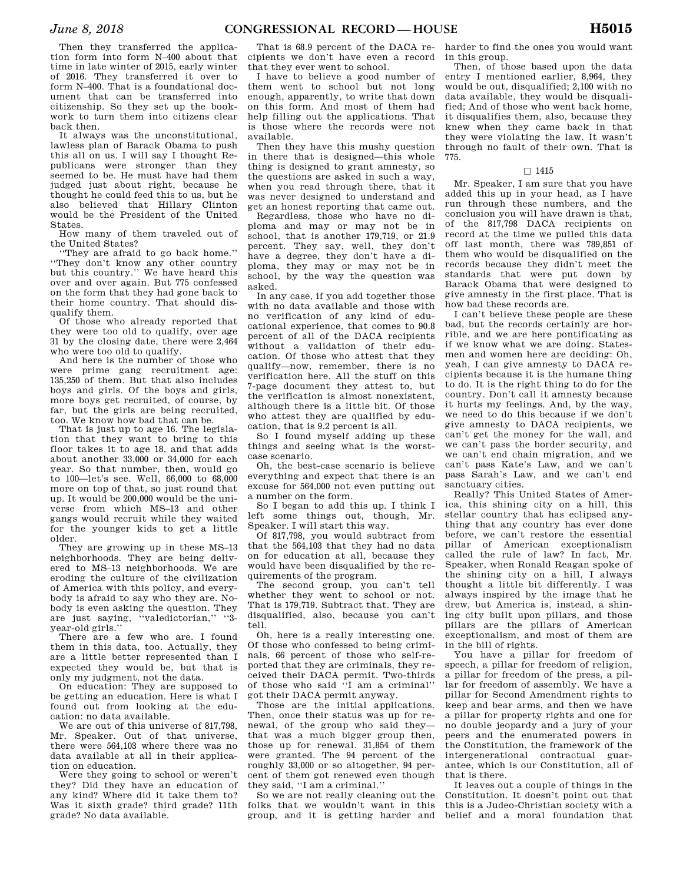Then they transferred the application form into form N–400 about that time in late winter of 2015, early winter of 2016. They transferred it over to form N–400. That is a foundational document that can be transferred into citizenship. So they set up the bookwork to turn them into citizens clear back then.

It always was the unconstitutional, lawless plan of Barack Obama to push this all on us. I will say I thought Republicans were stronger than they seemed to be. He must have had them judged just about right, because he thought he could feed this to us, but he also believed that Hillary Clinton would be the President of the United States.

How many of them traveled out of the United States?

''They are afraid to go back home.'' ''They don't know any other country but this country.'' We have heard this over and over again. But 775 confessed on the form that they had gone back to their home country. That should disqualify them.

Of those who already reported that they were too old to qualify, over age 31 by the closing date, there were 2,464 who were too old to qualify.

And here is the number of those who were prime gang recruitment age: 135,250 of them. But that also includes boys and girls. Of the boys and girls, more boys get recruited, of course, by far, but the girls are being recruited, too. We know how bad that can be.

That is just up to age 16. The legislation that they want to bring to this floor takes it to age 18, and that adds about another 33,000 or 34,000 for each year. So that number, then, would go to 100—let's see. Well, 66,000 to 68,000 more on top of that, so just round that up. It would be 200,000 would be the universe from which MS–13 and other gangs would recruit while they waited for the younger kids to get a little older.

They are growing up in these MS–13 neighborhoods. They are being delivered to MS–13 neighborhoods. We are eroding the culture of the civilization of America with this policy, and everybody is afraid to say who they are. Nobody is even asking the question. They are just saying, ''valedictorian,'' ''3 year-old girls.''

There are a few who are. I found them in this data, too. Actually, they are a little better represented than I expected they would be, but that is only my judgment, not the data.

On education: They are supposed to be getting an education. Here is what I found out from looking at the education: no data available.

We are out of this universe of 817,798, Mr. Speaker. Out of that universe, there were 564,103 where there was no data available at all in their application on education.

Were they going to school or weren't they? Did they have an education of any kind? Where did it take them to? Was it sixth grade? third grade? 11th grade? No data available.

That is 68.9 percent of the DACA recipients we don't have even a record that they ever went to school.

I have to believe a good number of them went to school but not long enough, apparently, to write that down on this form. And most of them had help filling out the applications. That is those where the records were not available.

Then they have this mushy question in there that is designed—this whole thing is designed to grant amnesty, so the questions are asked in such a way, when you read through there, that it was never designed to understand and get an honest reporting that came out.

Regardless, those who have no diploma and may or may not be in school, that is another 179,719, or 21.9 percent. They say, well, they don't have a degree, they don't have a diploma, they may or may not be in school, by the way the question was asked.

In any case, if you add together those with no data available and those with no verification of any kind of educational experience, that comes to 90.8 percent of all of the DACA recipients without a validation of their education. Of those who attest that they qualify—now, remember, there is no verification here. All the stuff on this 7-page document they attest to, but the verification is almost nonexistent, although there is a little bit. Of those who attest they are qualified by education, that is 9.2 percent is all.

So I found myself adding up these things and seeing what is the worstcase scenario.

Oh, the best-case scenario is believe everything and expect that there is an excuse for 564,000 not even putting out a number on the form.

So I began to add this up. I think I left some things out, though, Mr. Speaker. I will start this way.

Of 817,798, you would subtract from that the 564,103 that they had no data on for education at all, because they would have been disqualified by the requirements of the program.

The second group, you can't tell whether they went to school or not. That is 179,719. Subtract that. They are disqualified, also, because you can't tell.

Oh, here is a really interesting one. Of those who confessed to being criminals, 66 percent of those who self-reported that they are criminals, they received their DACA permit. Two-thirds of those who said ''I am a criminal'' got their DACA permit anyway.

Those are the initial applications. Then, once their status was up for renewal, of the group who said they that was a much bigger group then, those up for renewal. 31,854 of them were granted. The 94 percent of the roughly 33,000 or so altogether, 94 percent of them got renewed even though they said, ''I am a criminal.''

So we are not really cleaning out the folks that we wouldn't want in this group, and it is getting harder and

harder to find the ones you would want in this group.

Then, of those based upon the data entry I mentioned earlier, 8,964, they would be out, disqualified; 2,100 with no data available, they would be disqualified; And of those who went back home, it disqualifies them, also, because they knew when they came back in that they were violating the law. It wasn't through no fault of their own. That is 775.

#### $\square$  1415

Mr. Speaker, I am sure that you have added this up in your head, as I have run through these numbers, and the conclusion you will have drawn is that, of the 817,798 DACA recipients on record at the time we pulled this data off last month, there was 789,851 of them who would be disqualified on the records because they didn't meet the standards that were put down by Barack Obama that were designed to give amnesty in the first place. That is how bad these records are.

I can't believe these people are these bad, but the records certainly are horrible, and we are here pontificating as if we know what we are doing. Statesmen and women here are deciding: Oh, yeah, I can give amnesty to DACA recipients because it is the humane thing to do. It is the right thing to do for the country. Don't call it amnesty because it hurts my feelings. And, by the way, we need to do this because if we don't give amnesty to DACA recipients, we can't get the money for the wall, and we can't pass the border security, and we can't end chain migration, and we can't pass Kate's Law, and we can't pass Sarah's Law, and we can't end sanctuary cities.

Really? This United States of America, this shining city on a hill, this stellar country that has eclipsed anything that any country has ever done before, we can't restore the essential pillar of American exceptionalism called the rule of law? In fact, Mr. Speaker, when Ronald Reagan spoke of the shining city on a hill, I always thought a little bit differently. I was always inspired by the image that he drew, but America is, instead, a shining city built upon pillars, and those pillars are the pillars of American exceptionalism, and most of them are in the bill of rights.

You have a pillar for freedom of speech, a pillar for freedom of religion, a pillar for freedom of the press, a pillar for freedom of assembly. We have a pillar for Second Amendment rights to keep and bear arms, and then we have a pillar for property rights and one for no double jeopardy and a jury of your peers and the enumerated powers in the Constitution, the framework of the intergenerational contractual guarantee, which is our Constitution, all of that is there.

It leaves out a couple of things in the Constitution. It doesn't point out that this is a Judeo-Christian society with a belief and a moral foundation that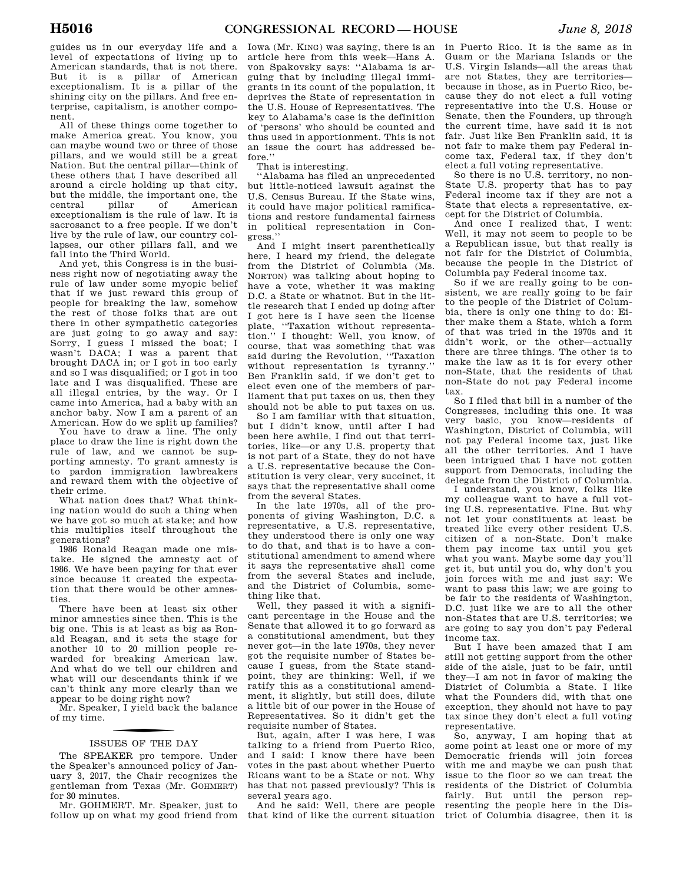guides us in our everyday life and a level of expectations of living up to American standards, that is not there. But it is a pillar of American exceptionalism. It is a pillar of the shining city on the pillars. And free enterprise, capitalism, is another component.

All of these things come together to make America great. You know, you can maybe wound two or three of those pillars, and we would still be a great Nation. But the central pillar—think of these others that I have described all around a circle holding up that city, but the middle, the important one, the central pillar of American exceptionalism is the rule of law. It is sacrosanct to a free people. If we don't live by the rule of law, our country collapses, our other pillars fall, and we fall into the Third World.

And yet, this Congress is in the business right now of negotiating away the rule of law under some myopic belief that if we just reward this group of people for breaking the law, somehow the rest of those folks that are out there in other sympathetic categories are just going to go away and say: Sorry, I guess I missed the boat; I wasn't DACA; I was a parent that brought DACA in; or I got in too early and so I was disqualified; or I got in too late and I was disqualified. These are all illegal entries, by the way. Or I came into America, had a baby with an anchor baby. Now I am a parent of an American. How do we split up families?

You have to draw a line. The only place to draw the line is right down the rule of law, and we cannot be supporting amnesty. To grant amnesty is to pardon immigration lawbreakers and reward them with the objective of their crime.

What nation does that? What thinking nation would do such a thing when we have got so much at stake; and how this multiplies itself throughout the generations?

1986 Ronald Reagan made one mistake. He signed the amnesty act of 1986. We have been paying for that ever since because it created the expectation that there would be other amnesties.

There have been at least six other minor amnesties since then. This is the big one. This is at least as big as Ronald Reagan, and it sets the stage for another 10 to 20 million people rewarded for breaking American law. And what do we tell our children and what will our descendants think if we can't think any more clearly than we appear to be doing right now?

Mr. Speaker, I yield back the balance of my time.

# f ISSUES OF THE DAY

The SPEAKER pro tempore. Under the Speaker's announced policy of January 3, 2017, the Chair recognizes the gentleman from Texas (Mr. GOHMERT) for 30 minutes.

Mr. GOHMERT. Mr. Speaker, just to follow up on what my good friend from

Iowa (Mr. KING) was saying, there is an article here from this week—Hans A. von Spakovsky says: ''Alabama is arguing that by including illegal immigrants in its count of the population, it deprives the State of representation in the U.S. House of Representatives. The key to Alabama's case is the definition of 'persons' who should be counted and thus used in apportionment. This is not an issue the court has addressed before.''

That is interesting.

''Alabama has filed an unprecedented but little-noticed lawsuit against the U.S. Census Bureau. If the State wins, it could have major political ramifications and restore fundamental fairness in political representation in Congress.''

And I might insert parenthetically here, I heard my friend, the delegate from the District of Columbia (Ms. NORTON) was talking about hoping to have a vote, whether it was making D.C. a State or whatnot. But in the little research that I ended up doing after I got here is I have seen the license plate, ''Taxation without representation.'' I thought: Well, you know, of course, that was something that was said during the Revolution, ''Taxation without representation is tyranny.'' Ben Franklin said, if we don't get to elect even one of the members of parliament that put taxes on us, then they should not be able to put taxes on us.

So I am familiar with that situation, but I didn't know, until after I had been here awhile, I find out that territories, like—or any U.S. property that is not part of a State, they do not have a U.S. representative because the Constitution is very clear, very succinct, it says that the representative shall come from the several States.

In the late 1970s, all of the proponents of giving Washington, D.C. a representative, a U.S. representative, they understood there is only one way to do that, and that is to have a constitutional amendment to amend where it says the representative shall come from the several States and include, and the District of Columbia, something like that.

Well, they passed it with a significant percentage in the House and the Senate that allowed it to go forward as a constitutional amendment, but they never got—in the late 1970s, they never got the requisite number of States because I guess, from the State standpoint, they are thinking: Well, if we ratify this as a constitutional amendment, it slightly, but still does, dilute a little bit of our power in the House of Representatives. So it didn't get the requisite number of States.

But, again, after I was here, I was talking to a friend from Puerto Rico, and I said: I know there have been votes in the past about whether Puerto Ricans want to be a State or not. Why has that not passed previously? This is several years ago.

And he said: Well, there are people that kind of like the current situation

in Puerto Rico. It is the same as in Guam or the Mariana Islands or the U.S. Virgin Islands—all the areas that are not States, they are territories because in those, as in Puerto Rico, because they do not elect a full voting representative into the U.S. House or Senate, then the Founders, up through the current time, have said it is not fair. Just like Ben Franklin said, it is not fair to make them pay Federal income tax, Federal tax, if they don't elect a full voting representative.

So there is no U.S. territory, no non-State U.S. property that has to pay Federal income tax if they are not a State that elects a representative, except for the District of Columbia.

And once I realized that, I went: Well, it may not seem to people to be a Republican issue, but that really is not fair for the District of Columbia, because the people in the District of Columbia pay Federal income tax.

So if we are really going to be consistent, we are really going to be fair to the people of the District of Columbia, there is only one thing to do: Either make them a State, which a form of that was tried in the 1970s and it didn't work, or the other—actually there are three things. The other is to make the law as it is for every other non-State, that the residents of that non-State do not pay Federal income tax.

So I filed that bill in a number of the Congresses, including this one. It was very basic, you know—residents of Washington, District of Columbia, will not pay Federal income tax, just like all the other territories. And I have been intrigued that I have not gotten support from Democrats, including the delegate from the District of Columbia.

I understand, you know, folks like my colleague want to have a full voting U.S. representative. Fine. But why not let your constituents at least be treated like every other resident U.S. citizen of a non-State. Don't make them pay income tax until you get what you want. Maybe some day you'll get it, but until you do, why don't you join forces with me and just say: We want to pass this law; we are going to be fair to the residents of Washington, D.C. just like we are to all the other non-States that are U.S. territories; we are going to say you don't pay Federal income tax.

But I have been amazed that I am still not getting support from the other side of the aisle, just to be fair, until they—I am not in favor of making the District of Columbia a State. I like what the Founders did, with that one exception, they should not have to pay tax since they don't elect a full voting representative.

So, anyway, I am hoping that at some point at least one or more of my Democratic friends will join forces with me and maybe we can push that issue to the floor so we can treat the residents of the District of Columbia fairly. But until the person representing the people here in the District of Columbia disagree, then it is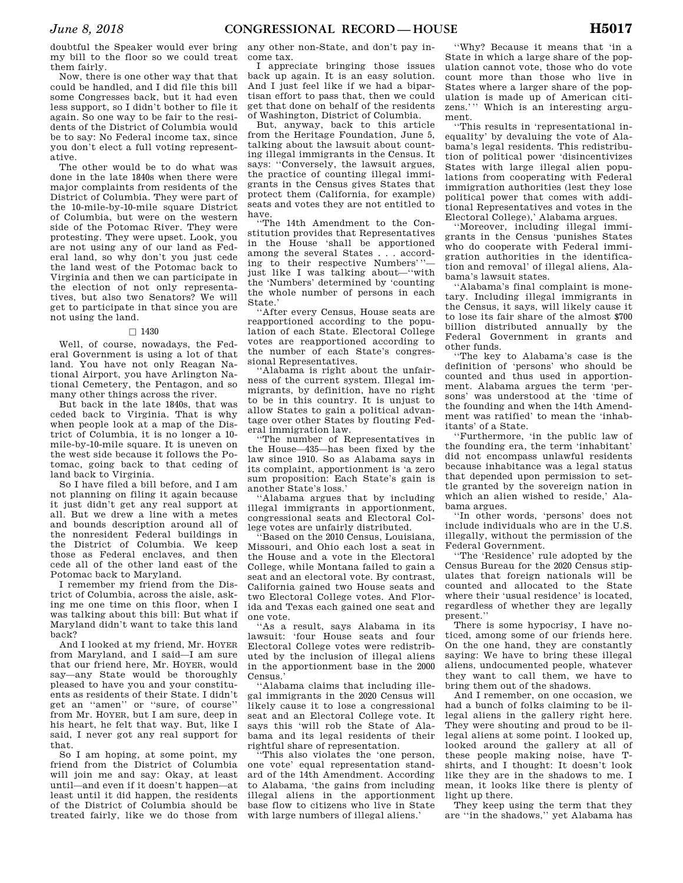doubtful the Speaker would ever bring my bill to the floor so we could treat them fairly.

Now, there is one other way that that could be handled, and I did file this bill some Congresses back, but it had even less support, so I didn't bother to file it again. So one way to be fair to the residents of the District of Columbia would be to say: No Federal income tax, since you don't elect a full voting representative.

The other would be to do what was done in the late 1840s when there were major complaints from residents of the District of Columbia. They were part of the 10-mile-by-10-mile square District of Columbia, but were on the western side of the Potomac River. They were protesting. They were upset. Look, you are not using any of our land as Federal land, so why don't you just cede the land west of the Potomac back to Virginia and then we can participate in the election of not only representatives, but also two Senators? We will get to participate in that since you are not using the land.

#### $\Box$  1430

Well, of course, nowadays, the Federal Government is using a lot of that land. You have not only Reagan National Airport, you have Arlington National Cemetery, the Pentagon, and so many other things across the river.

But back in the late 1840s, that was ceded back to Virginia. That is why when people look at a map of the District of Columbia, it is no longer a 10 mile-by-10-mile square. It is uneven on the west side because it follows the Potomac, going back to that ceding of land back to Virginia.

So I have filed a bill before, and I am not planning on filing it again because it just didn't get any real support at all. But we drew a line with a metes and bounds description around all of the nonresident Federal buildings in the District of Columbia. We keep those as Federal enclaves, and then cede all of the other land east of the Potomac back to Maryland.

I remember my friend from the District of Columbia, across the aisle, asking me one time on this floor, when I was talking about this bill: But what if Maryland didn't want to take this land back?

And I looked at my friend, Mr. HOYER from Maryland, and I said—I am sure that our friend here, Mr. HOYER, would say—any State would be thoroughly pleased to have you and your constituents as residents of their State. I didn't get an ''amen'' or ''sure, of course'' from Mr. HOYER, but I am sure, deep in his heart, he felt that way. But, like I said, I never got any real support for that.

So I am hoping, at some point, my friend from the District of Columbia will join me and say: Okay, at least until—and even if it doesn't happen—at least until it did happen, the residents of the District of Columbia should be treated fairly, like we do those from

any other non-State, and don't pay income tax.

I appreciate bringing those issues back up again. It is an easy solution. And I just feel like if we had a bipartisan effort to pass that, then we could get that done on behalf of the residents of Washington, District of Columbia.

But, anyway, back to this article from the Heritage Foundation, June 5, talking about the lawsuit about counting illegal immigrants in the Census. It says: ''Conversely, the lawsuit argues, the practice of counting illegal immigrants in the Census gives States that protect them (California, for example) seats and votes they are not entitled to have.

''The 14th Amendment to the Constitution provides that Representatives in the House 'shall be apportioned among the several States . . . according to their respective Numbers''' just like I was talking about—''with the 'Numbers' determined by 'counting the whole number of persons in each State.'

''After every Census, House seats are reapportioned according to the population of each State. Electoral College votes are reapportioned according to the number of each State's congressional Representatives.

'Alabama is right about the unfairness of the current system. Illegal immigrants, by definition, have no right to be in this country. It is unjust to allow States to gain a political advantage over other States by flouting Federal immigration law.

''The number of Representatives in the House—435—has been fixed by the law since 1910. So as Alabama says in its complaint, apportionment is 'a zero sum proposition: Each State's gain is another State's loss.'

''Alabama argues that by including illegal immigrants in apportionment, congressional seats and Electoral College votes are unfairly distributed.

Based on the 2010 Census, Louisiana, Missouri, and Ohio each lost a seat in the House and a vote in the Electoral College, while Montana failed to gain a seat and an electoral vote. By contrast, California gained two House seats and two Electoral College votes. And Florida and Texas each gained one seat and one vote.

''As a result, says Alabama in its lawsuit: 'four House seats and four Electoral College votes were redistributed by the inclusion of illegal aliens in the apportionment base in the 2000 Census.'

''Alabama claims that including illegal immigrants in the 2020 Census will likely cause it to lose a congressional seat and an Electoral College vote. It says this 'will rob the State of Alabama and its legal residents of their rightful share of representation.

''This also violates the 'one person, one vote' equal representation standard of the 14th Amendment. According to Alabama, 'the gains from including illegal aliens in the apportionment base flow to citizens who live in State with large numbers of illegal aliens.'

''Why? Because it means that 'in a State in which a large share of the population cannot vote, those who do vote count more than those who live in States where a larger share of the population is made up of American citizens.''' Which is an interesting argument.

''This results in 'representational inequality' by devaluing the vote of Alabama's legal residents. This redistribution of political power 'disincentivizes States with large illegal alien populations from cooperating with Federal immigration authorities (lest they lose political power that comes with additional Representatives and votes in the Electoral College),' Alabama argues.

''Moreover, including illegal immigrants in the Census 'punishes States who do cooperate with Federal immigration authorities in the identification and removal' of illegal aliens, Alabama's lawsuit states.

''Alabama's final complaint is monetary. Including illegal immigrants in the Census, it says, will likely cause it to lose its fair share of the almost \$700 billion distributed annually by the Federal Government in grants and other funds.

''The key to Alabama's case is the definition of 'persons' who should be counted and thus used in apportionment. Alabama argues the term 'persons' was understood at the 'time of the founding and when the 14th Amendment was ratified' to mean the 'inhabitants' of a State.

''Furthermore, 'in the public law of the founding era, the term 'inhabitant' did not encompass unlawful residents because inhabitance was a legal status that depended upon permission to settle granted by the sovereign nation in which an alien wished to reside,' Alabama argues.

''In other words, 'persons' does not include individuals who are in the U.S. illegally, without the permission of the Federal Government.

''The 'Residence' rule adopted by the Census Bureau for the 2020 Census stipulates that foreign nationals will be counted and allocated to the State where their 'usual residence' is located, regardless of whether they are legally present.''

There is some hypocrisy, I have noticed, among some of our friends here. On the one hand, they are constantly saying: We have to bring these illegal aliens, undocumented people, whatever they want to call them, we have to bring them out of the shadows.

And I remember, on one occasion, we had a bunch of folks claiming to be illegal aliens in the gallery right here. They were shouting and proud to be illegal aliens at some point. I looked up, looked around the gallery at all of these people making noise, have Tshirts, and I thought: It doesn't look like they are in the shadows to me. I mean, it looks like there is plenty of light up there.

They keep using the term that they are ''in the shadows,'' yet Alabama has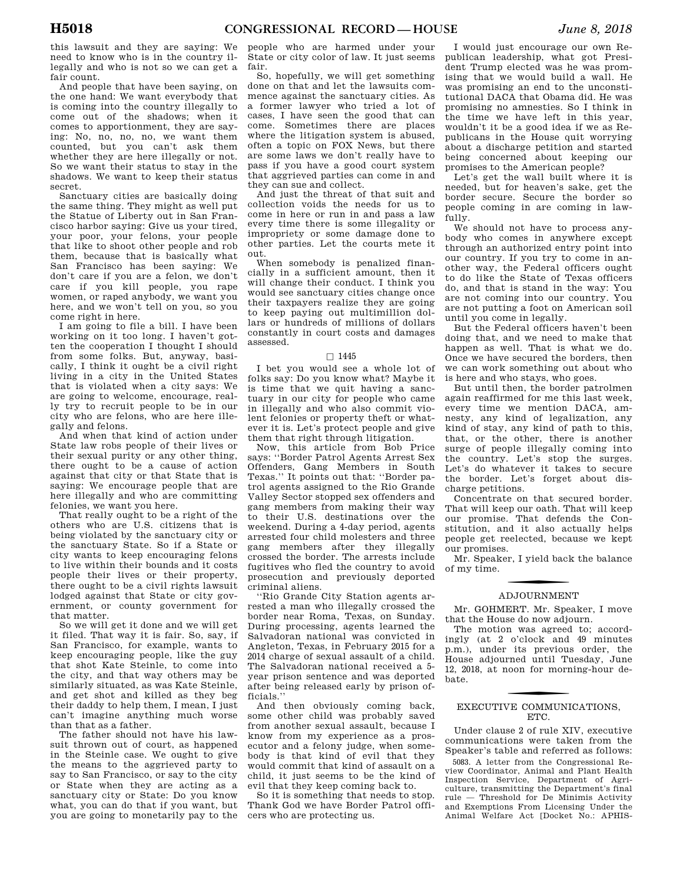this lawsuit and they are saying: We need to know who is in the country illegally and who is not so we can get a fair count.

And people that have been saying, on the one hand: We want everybody that is coming into the country illegally to come out of the shadows; when it comes to apportionment, they are saying: No, no, no, no, we want them counted, but you can't ask them whether they are here illegally or not. So we want their status to stay in the shadows. We want to keep their status secret.

Sanctuary cities are basically doing the same thing. They might as well put the Statue of Liberty out in San Francisco harbor saying: Give us your tired, your poor, your felons, your people that like to shoot other people and rob them, because that is basically what San Francisco has been saying: We don't care if you are a felon, we don't care if you kill people, you rape women, or raped anybody, we want you here, and we won't tell on you, so you come right in here.

I am going to file a bill. I have been working on it too long. I haven't gotten the cooperation I thought I should from some folks. But, anyway, basically, I think it ought be a civil right living in a city in the United States that is violated when a city says: We are going to welcome, encourage, really try to recruit people to be in our city who are felons, who are here illegally and felons.

And when that kind of action under State law robs people of their lives or their sexual purity or any other thing, there ought to be a cause of action against that city or that State that is saying: We encourage people that are here illegally and who are committing felonies, we want you here.

That really ought to be a right of the others who are U.S. citizens that is being violated by the sanctuary city or the sanctuary State. So if a State or city wants to keep encouraging felons to live within their bounds and it costs people their lives or their property, there ought to be a civil rights lawsuit lodged against that State or city government, or county government for that matter.

So we will get it done and we will get it filed. That way it is fair. So, say, if San Francisco, for example, wants to keep encouraging people, like the guy that shot Kate Steinle, to come into the city, and that way others may be similarly situated, as was Kate Steinle, and get shot and killed as they beg their daddy to help them, I mean, I just can't imagine anything much worse than that as a father.

The father should not have his lawsuit thrown out of court, as happened in the Steinle case. We ought to give the means to the aggrieved party to say to San Francisco, or say to the city or State when they are acting as a sanctuary city or State: Do you know what, you can do that if you want, but you are going to monetarily pay to the

people who are harmed under your State or city color of law. It just seems fair.

So, hopefully, we will get something done on that and let the lawsuits commence against the sanctuary cities. As a former lawyer who tried a lot of cases, I have seen the good that can come. Sometimes there are places where the litigation system is abused, often a topic on FOX News, but there are some laws we don't really have to pass if you have a good court system that aggrieved parties can come in and they can sue and collect.

And just the threat of that suit and collection voids the needs for us to come in here or run in and pass a law every time there is some illegality or impropriety or some damage done to other parties. Let the courts mete it out.

When somebody is penalized financially in a sufficient amount, then it will change their conduct. I think you would see sanctuary cities change once their taxpayers realize they are going to keep paying out multimillion dollars or hundreds of millions of dollars constantly in court costs and damages assessed.

#### $\square$  1445

I bet you would see a whole lot of folks say: Do you know what? Maybe it is time that we quit having a sanctuary in our city for people who came in illegally and who also commit violent felonies or property theft or whatever it is. Let's protect people and give them that right through litigation.

Now, this article from Bob Price says: ''Border Patrol Agents Arrest Sex Offenders, Gang Members in South Texas.'' It points out that: ''Border patrol agents assigned to the Rio Grande Valley Sector stopped sex offenders and gang members from making their way to their U.S. destinations over the weekend. During a 4-day period, agents arrested four child molesters and three gang members after they illegally crossed the border. The arrests include fugitives who fled the country to avoid prosecution and previously deported criminal aliens.

''Rio Grande City Station agents arrested a man who illegally crossed the border near Roma, Texas, on Sunday. During processing, agents learned the Salvadoran national was convicted in Angleton, Texas, in February 2015 for a 2014 charge of sexual assault of a child. The Salvadoran national received a 5 year prison sentence and was deported after being released early by prison officials.''

And then obviously coming back, some other child was probably saved from another sexual assault, because I know from my experience as a prosecutor and a felony judge, when somebody is that kind of evil that they would commit that kind of assault on a child, it just seems to be the kind of evil that they keep coming back to.

So it is something that needs to stop. Thank God we have Border Patrol officers who are protecting us.

I would just encourage our own Republican leadership, what got President Trump elected was he was promising that we would build a wall. He was promising an end to the unconstitutional DACA that Obama did. He was promising no amnesties. So I think in the time we have left in this year, wouldn't it be a good idea if we as Republicans in the House quit worrying about a discharge petition and started being concerned about keeping our promises to the American people?

Let's get the wall built where it is needed, but for heaven's sake, get the border secure. Secure the border so people coming in are coming in lawfully.

We should not have to process anybody who comes in anywhere except through an authorized entry point into our country. If you try to come in another way, the Federal officers ought to do like the State of Texas officers do, and that is stand in the way: You are not coming into our country. You are not putting a foot on American soil until you come in legally.

But the Federal officers haven't been doing that, and we need to make that happen as well. That is what we do. Once we have secured the borders, then we can work something out about who is here and who stays, who goes.

But until then, the border patrolmen again reaffirmed for me this last week, every time we mention DACA, amnesty, any kind of legalization, any kind of stay, any kind of path to this, that, or the other, there is another surge of people illegally coming into the country. Let's stop the surges. Let's do whatever it takes to secure the border. Let's forget about discharge petitions.

Concentrate on that secured border. That will keep our oath. That will keep our promise. That defends the Constitution, and it also actually helps people get reelected, because we kept our promises.

Mr. Speaker, I yield back the balance of my time.

#### ADJOURNMENT

Mr. GOHMERT. Mr. Speaker, I move that the House do now adjourn.

The motion was agreed to; accordingly (at 2 o'clock and 49 minutes p.m.), under its previous order, the House adjourned until Tuesday, June 12, 2018, at noon for morning-hour debate.

### EXECUTIVE COMMUNICATIONS, ETC.

Under clause 2 of rule XIV, executive communications were taken from the Speaker's table and referred as follows:

5083. A letter from the Congressional Review Coordinator, Animal and Plant Health Inspection Service, Department of Agriculture, transmitting the Department's final rule — Threshold for De Minimis Activity and Exemptions From Licensing Under the Animal Welfare Act [Docket No.: APHIS-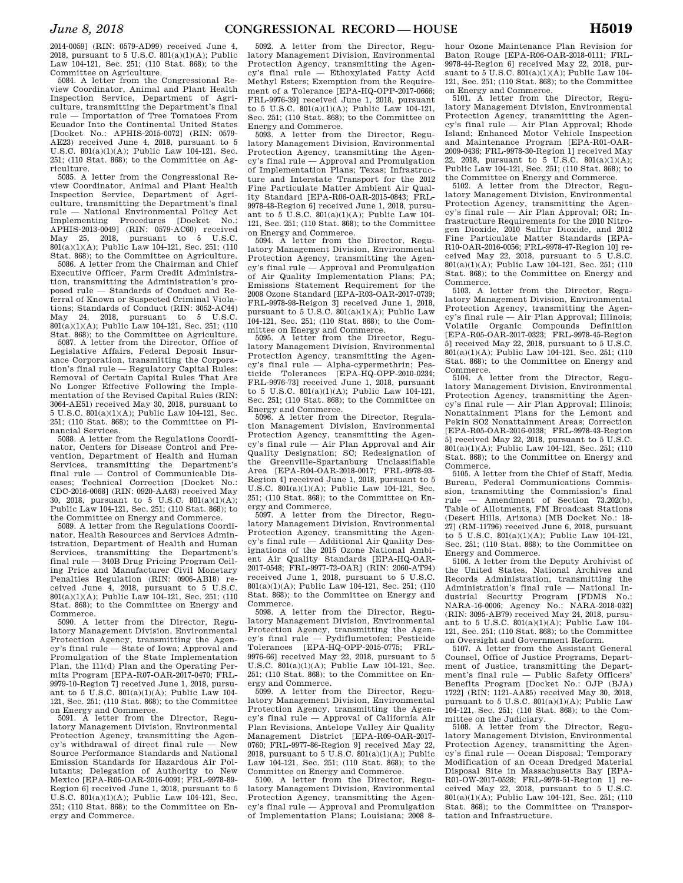2014-0059] (RIN: 0579-AD99) received June 4, 2018, pursuant to 5 U.S.C. 801(a)(1)(A); Public Law 104-121, Sec. 251; (110 Stat. 868); to the Committee on Agriculture.

5084. A letter from the Congressional Review Coordinator, Animal and Plant Health Inspection Service, Department of Agriculture, transmitting the Department's final rule — Importation of Tree Tomatoes From Ecuador Into the Continental United States [Docket No.: APHIS-2015-0072] (RIN: 0579- AE23) received June 4, 2018, pursuant to 5 U.S.C. 801(a)(1)(A); Public Law 104-121, Sec. 251; (110 Stat. 868); to the Committee on Agriculture.

5085. A letter from the Congressional Review Coordinator, Animal and Plant Health Inspection Service, Department of Agriculture, transmitting the Department's final rule — National Environmental Policy Act Implementing Procedures [Docket No.: APHIS-2013-0049] (RIN: 0579-AC60) received May 25, 2018, pursuant to 5 U.S.C. 801(a)(1)(A); Public Law 104-121, Sec. 251; (110 Stat. 868); to the Committee on Agriculture.

5086. A letter from the Chairman and Chief Executive Officer, Farm Credit Administration, transmitting the Administration's proposed rule — Standards of Conduct and Referral of Known or Suspected Criminal Violations; Standards of Conduct (RIN: 3052-AC44) May 24, 2018, pursuant to 5 U.S.C. 801(a)(1)(A); Public Law 104-121, Sec. 251; (110 Stat. 868); to the Committee on Agriculture.

5087. A letter from the Director, Office of Legislative Affairs, Federal Deposit Insurance Corporation, transmitting the Corporation's final rule — Regulatory Capital Rules: Removal of Certain Capital Rules That Are No Longer Effective Following the Implementation of the Revised Capital Rules (RIN: 3064-AE51) received May 30, 2018, pursuant to 5 U.S.C. 801(a)(1)(A); Public Law 104-121, Sec. 251; (110 Stat. 868); to the Committee on Financial Services.

5088. A letter from the Regulations Coordinator, Centers for Disease Control and Prevention, Department of Health and Human Services, transmitting the Department's final rule — Control of Communicable Diseases; Technical Correction [Docket No.: CDC-2016-0068] (RIN: 0920-AA63) received May 30, 2018, pursuant to 5 U.S.C. 801(a)(1)(A); Public Law 104-121, Sec. 251; (110 Stat. 868); to the Committee on Energy and Commerce.

5089. A letter from the Regulations Coordinator, Health Resources and Services Administration, Department of Health and Human Services, transmitting the Department's final rule — 340B Drug Pricing Program Ceiling Price and Manufacturer Civil Monetary Penalties Regulation (RIN: 0906-AB18) received June 4, 2018, pursuant to 5 U.S.C. 801(a)(1)(A); Public Law 104-121, Sec. 251; (110 Stat. 868); to the Committee on Energy and Commerce.

5090. A letter from the Director, Regulatory Management Division, Environmental Protection Agency, transmitting the Agency's final rule — State of Iowa; Approval and Promulgation of the State Implementation Plan, the 111(d) Plan and the Operating Permits Program [EPA-R07-OAR-2017-0470; FRL-9979-10-Region 7] received June 1, 2018, pursuant to 5 U.S.C. 801(a)(1)(A); Public Law 104- 121, Sec. 251; (110 Stat. 868); to the Committee on Energy and Commerce.

5091. A letter from the Director, Regulatory Management Division, Environmental Protection Agency, transmitting the Agency's withdrawal of direct final rule — New Source Performance Standards and National Emission Standards for Hazardous Air Pollutants; Delegation of Authority to New Mexico [EPA-R06-OAR-2016-0091; FRL-9978-89- Region 6] received June 1, 2018, pursuant to 5 U.S.C. 801(a)(1)(A); Public Law 104-121, Sec. 251; (110 Stat. 868); to the Committee on Energy and Commerce.

5092. A letter from the Director, Regulatory Management Division, Environmental Protection Agency, transmitting the Agency's final rule — Ethoxylated Fatty Acid Methyl Esters; Exemption from the Requirement of a Tolerance [EPA-HQ-OPP-2017-0666; FRL-9976-39] received June 1, 2018, pursuant to 5 U.S.C. 801(a)(1)(A); Public Law 104-121, Sec. 251; (110 Stat. 868); to the Committee on Energy and Commerce.<br> $5093 - 4$  letter from

A letter from the Director, Regulatory Management Division, Environmental Protection Agency, transmitting the Agency's final rule — Approval and Promulgation of Implementation Plans; Texas; Infrastructure and Interstate Transport for the 2012 Fine Particulate Matter Ambient Air Quality Standard [EPA-R06-OAR-2015-0843; FRL-9978-48-Region 6] received June 1, 2018, pursuant to 5 U.S.C. 801(a)(1)(A); Public Law 104- 121, Sec. 251; (110 Stat. 868); to the Committee

on Energy and Commerce.<br>5094. A letter from th letter from the Director, Regulatory Management Division, Environmental Protection Agency, transmitting the Agency's final rule — Approval and Promulgation of Air Quality Implementation Plans; PA; Emissions Statement Requirement for the 2008 Ozone Standard [EPA-R03-OAR-2017-0739; FRL-9978-98-Reigon 3] received June 1, 2018, pursuant to 5 U.S.C. 801(a)(1)(A); Public Law 104-121, Sec. 251; (110 Stat. 868); to the Committee on Energy and Commerce.

5095. A letter from the Director, Regulatory Management Division, Environmental Protection Agency, transmitting the Agency's final rule — Alpha-cypermethrin; Pesticide Tolerances [EPA-HQ-OPP-2010-0234; FRL-9976-73] received June 1, 2018, pursuant to 5 U.S.C. 801(a)(1)(A); Public Law 104-121, Sec. 251; (110 Stat. 868); to the Committee on Energy and Commerce.<br>5096 A letter from t

A letter from the Director, Regulation Management Division, Environmental Protection Agency, transmitting the Agency's final rule — Air Plan Approval and Air Quality Designation; SC; Redesignation of the Greenville-Spartanburg Unclassifiable Area [EPA-R04-OAR-2018-0017; FRL-9978-93- Region 4] received June 1, 2018, pursuant to 5 U.S.C. 801(a)(1)(A); Public Law 104-121, Sec. 251; (110 Stat. 868); to the Committee on Energy and Commerce.

5097. A letter from the Director, Regulatory Management Division, Environmental Protection Agency, transmitting the Agency's final rule — Additional Air Quality Designations of the 2015 Ozone National Ambient Air Quality Standards [EPA-HQ-OAR-2017-0548; FRL-9977-72-OAR] (RIN: 2060-AT94) received June 1, 2018, pursuant to 5 U.S.C. 801(a)(1)(A); Public Law 104-121, Sec. 251; (110 Stat. 868); to the Committee on Energy and Commerce.

5098. A letter from the Director, Regulatory Management Division, Environmental Protection Agency, transmitting the Agency's final rule — Pydiflumetofen; Pesticide Tolerances [EPA-HQ-OPP-2015-0775; FRL-9976-66] received May 22, 2018, pursuant to 5 U.S.C. 801(a)(1)(A); Public Law 104-121, Sec. 251; (110 Stat. 868); to the Committee on Energy and Commerce.

5099. A letter from the Director, Regulatory Management Division, Environmental Protection Agency, transmitting the Agency's final rule — Approval of California Air Plan Revisions, Antelope Valley Air Quality Management District [EPA-R09-OAR-2017- 0760; FRL-9977-86-Region 9] received May 22, 2018, pursuant to 5 U.S.C.  $\frac{801(a)(1)(A)}{B}$ ; Public Law 104-121, Sec. 251; (110 Stat. 868); to the Committee on Energy and Commerce.

5100. A letter from the Director, Regulatory Management Division, Environmental Protection Agency, transmitting the Agency's final rule — Approval and Promulgation of Implementation Plans; Louisiana; 2008 8-

hour Ozone Maintenance Plan Revision for Baton Rouge [EPA-R06-OAR-2018-0111; FRL-9978-44-Region 6] received May 22, 2018, pursuant to 5 U.S.C. 801(a)(1)(A); Public Law 104- 121, Sec. 251; (110 Stat. 868); to the Committee on Energy and Commerce.

5101. A letter from the Director, Regulatory Management Division, Environmental Protection Agency, transmitting the Agency's final rule — Air Plan Approval; Rhode Island; Enhanced Motor Vehicle Inspection and Maintenance Program [EPA-R01-OAR-2009-0436; FRL-9978-30-Region 1] received May 22, 2018, pursuant to 5 U.S.C. 801(a)(1)(A); Public Law 104-121, Sec. 251; (110 Stat. 868); to

the Committee on Energy and Commerce. 5102. A letter from the Director, Regulatory Management Division, Environmental Protection Agency, transmitting the Agency's final rule — Air Plan Approval; OR; Infrastructure Requirements for the 2010 Nitrogen Dioxide, 2010 Sulfur Dioxide, and 2012 Fine Particulate Matter Standards [EPA-R10-OAR-2016-0056; FRL-9978-47-Region 10] received May 22, 2018, pursuant to 5 U.S.C. 801(a)(1)(A); Public Law 104-121, Sec. 251; (110 Stat. 868); to the Committee on Energy and Commerce.

5103. A letter from the Director, Regulatory Management Division, Environmental Protection Agency, transmitting the Agency's final rule — Air Plan Approval; Illinois; Volatile Organic Compounds Definition [EPA-R05-OAR-2017-0323; FRL-9978-45-Region 5] received May 22, 2018, pursuant to 5 U.S.C. 801(a)(1)(A); Public Law 104-121, Sec. 251; (110 Stat. 868); to the Committee on Energy and Commerce.

5104. A letter from the Director, Regulatory Management Division, Environmental Protection Agency, transmitting the Agency's final rule — Air Plan Approval; Illinois; Nonattainment Plans for the Lemont and Pekin SO2 Nonattainment Areas; Correction [EPA-R05-OAR-2016-0138; FRL-9978-43-Region 5] received May 22, 2018, pursuant to 5 U.S.C. 801(a)(1)(A); Public Law 104-121, Sec. 251; (110 Stat. 868); to the Committee on Energy and Commerce.

5105. A letter from the Chief of Staff, Media Bureau, Federal Communications Commission, transmitting the Commission's final rule — Amendment of Section 73.202(b), Table of Allotments, FM Broadcast Stations (Desert Hills, Arizona) [MB Docket No.: 18- 27] (RM-11796) received June 6, 2018, pursuant to 5 U.S.C. 801(a)(1)(A); Public Law 104-121, Sec. 251; (110 Stat. 868); to the Committee on Energy and Commerce.

5106. A letter from the Deputy Archivist of the United States, National Archives and Records Administration, transmitting the Administration's final rule — National Industrial Security Program [FDMS No.: NARA-16-0006; Agency No.: NARA-2018-032] (RIN: 3095-AB79) received May 24, 2018, pursuant to 5 U.S.C. 801(a)(1)(A); Public Law 104- 121, Sec. 251; (110 Stat. 868); to the Committee on Oversight and Government Reform.

5107. A letter from the Assistant General Counsel, Office of Justice Programs, Department of Justice, transmitting the Department's final rule — Public Safety Officers' Benefits Program [Docket No.: OJP (BJA) 1722] (RIN: 1121-AA85) received May 30, 2018, pursuant to 5 U.S.C. 801(a)(1)(A); Public Law 104-121, Sec. 251; (110 Stat. 868); to the Committee on the Judiciary. 5108. A letter from the Director, Regu-

latory Management Division, Environmental Protection Agency, transmitting the Agency's final rule — Ocean Disposal; Temporary Modification of an Ocean Dredged Material Disposal Site in Massachusetts Bay [EPA-R01-OW-2017-0528; FRL-9978-51-Region 1] received May 22, 2018, pursuant to 5 U.S.C. 801(a)(1)(A); Public Law 104-121, Sec. 251; (110 Stat. 868); to the Committee on Transportation and Infrastructure.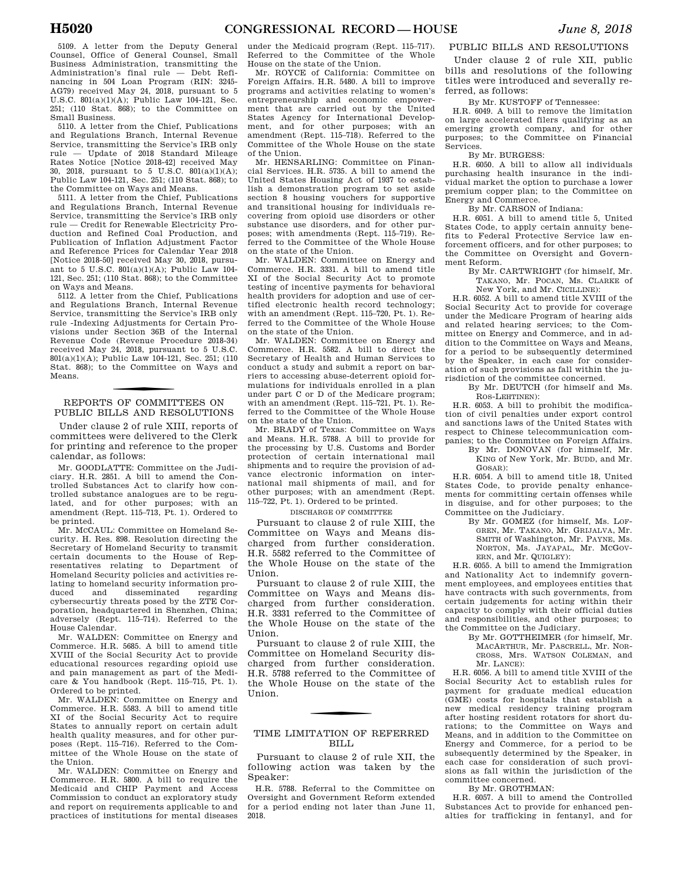5109. A letter from the Deputy General Counsel, Office of General Counsel, Small Business Administration, transmitting the Administration's final rule — Debt Refinancing in 504 Loan Program (RIN: 3245- AG79) received May 24, 2018, pursuant to 5 U.S.C. 801(a)(1)(A); Public Law 104-121, Sec. 251; (110 Stat. 868); to the Committee on Small Business.

5110. A letter from the Chief, Publications and Regulations Branch, Internal Revenue Service, transmitting the Service's IRB only rule — Update of 2018 Standard Mileage Rates Notice [Notice 2018-42] received May 30, 2018, pursuant to 5 U.S.C. 801(a)(1)(A); Public Law 104-121, Sec. 251; (110 Stat. 868); to the Committee on Ways and Means.

5111. A letter from the Chief, Publications and Regulations Branch, Internal Revenue Service, transmitting the Service's IRB only rule — Credit for Renewable Electricity Production and Refined Coal Production, and Publication of Inflation Adjustment Factor and Reference Prices for Calendar Year 2018 [Notice 2018-50] received May 30, 2018, pursuant to 5 U.S.C. 801(a)(1)(A); Public Law 104- 121, Sec. 251; (110 Stat. 868); to the Committee on Ways and Means.

5112. A letter from the Chief, Publications and Regulations Branch, Internal Revenue Service, transmitting the Service's IRB only rule -Indexing Adjustments for Certain Provisions under Section 36B of the Internal Revenue Code (Revenue Procedure 2018-34) received May 24, 2018, pursuant to 5 U.S.C. 801(a)(1)(A); Public Law 104-121, Sec. 251; (110 Stat. 868); to the Committee on Ways and Means.

#### f REPORTS OF COMMITTEES ON PUBLIC BILLS AND RESOLUTIONS

Under clause 2 of rule XIII, reports of committees were delivered to the Clerk for printing and reference to the proper calendar, as follows:

Mr. GOODLATTE: Committee on the Judiciary. H.R. 2851. A bill to amend the Controlled Substances Act to clarify how controlled substance analogues are to be regulated, and for other purposes; with an amendment (Rept. 115–713, Pt. 1). Ordered to be printed.

Mr. MCCAUL: Committee on Homeland Security. H. Res. 898. Resolution directing the Secretary of Homeland Security to transmit certain documents to the House of Representatives relating to Department of Homeland Security policies and activities relating to homeland security information produced and disseminated regarding cybersecurtiy threats posed by the ZTE Corporation, headquartered in Shenzhen, China; adversely (Rept. 115–714). Referred to the House Calendar.

Mr. WALDEN: Committee on Energy and Commerce. H.R. 5685. A bill to amend title XVIII of the Social Security Act to provide educational resources regarding opioid use and pain management as part of the Medicare & You handbook (Rept. 115–715, Pt. 1). Ordered to be printed.

Mr. WALDEN: Committee on Energy and Commerce. H.R. 5583. A bill to amend title XI of the Social Security Act to require States to annually report on certain adult health quality measures, and for other purposes (Rept. 115–716). Referred to the Committee of the Whole House on the state of the Union.

Mr. WALDEN: Committee on Energy and Commerce. H.R. 5800. A bill to require the Medicaid and CHIP Payment and Access Commission to conduct an exploratory study and report on requirements applicable to and practices of institutions for mental diseases

under the Medicaid program (Rept. 115–717). Referred to the Committee of the Whole House on the state of the Union.

Mr. ROYCE of California: Committee on Foreign Affairs. H.R. 5480. A bill to improve programs and activities relating to women's entrepreneurship and economic empowerment that are carried out by the United States Agency for International Development, and for other purposes; with an amendment (Rept. 115–718). Referred to the Committee of the Whole House on the state of the Union.

Mr. HENSARLING: Committee on Financial Services. H.R. 5735. A bill to amend the United States Housing Act of 1937 to establish a demonstration program to set aside section 8 housing vouchers for supportive and transitional housing for individuals recovering from opioid use disorders or other substance use disorders, and for other purposes; with amendments (Rept. 115–719). Referred to the Committee of the Whole House on the state of the Union.

Mr. WALDEN: Committee on Energy and Commerce. H.R. 3331. A bill to amend title XI of the Social Security Act to promote testing of incentive payments for behavioral health providers for adoption and use of certified electronic health record technology; with an amendment (Rept. 115–720, Pt. 1). Referred to the Committee of the Whole House on the state of the Union.

Mr. WALDEN: Committee on Energy and Commerce. H.R. 5582. A bill to direct the Secretary of Health and Human Services to conduct a study and submit a report on barriers to accessing abuse-deterrent opioid formulations for individuals enrolled in a plan under part C or D of the Medicare program; with an amendment (Rept. 115–721, Pt. 1). Referred to the Committee of the Whole House on the state of the Union.

Mr. BRADY of Texas: Committee on Ways and Means. H.R. 5788. A bill to provide for the processing by U.S. Customs and Border protection of certain international mail shipments and to require the provision of advance electronic information on international mail shipments of mail, and for other purposes; with an amendment (Rept. 115–722, Pt. 1). Ordered to be printed.

DISCHARGE OF COMMITTEE

Pursuant to clause 2 of rule XIII, the Committee on Ways and Means discharged from further consideration. H.R. 5582 referred to the Committee of the Whole House on the state of the Union.

Pursuant to clause 2 of rule XIII, the Committee on Ways and Means discharged from further consideration. H.R. 3331 referred to the Committee of the Whole House on the state of the Union.

Pursuant to clause 2 of rule XIII, the Committee on Homeland Security discharged from further consideration. H.R. 5788 referred to the Committee of the Whole House on the state of the Union.

#### TIME LIMITATION OF REFERRED BILL

Pursuant to clause 2 of rule XII, the following action was taken by the Speaker:

H.R. 5788. Referral to the Committee on Oversight and Government Reform extended for a period ending not later than June 11, 2018.

#### PUBLIC BILLS AND RESOLUTIONS

Under clause 2 of rule XII, public bills and resolutions of the following titles were introduced and severally referred, as follows:

By Mr. KUSTOFF of Tennessee:

H.R. 6049. A bill to remove the limitation on large accelerated filers qualifying as an emerging growth company, and for other purposes; to the Committee on Financial Services.

By Mr. BURGESS:

H.R. 6050. A bill to allow all individuals purchasing health insurance in the individual market the option to purchase a lower premium copper plan; to the Committee on Energy and Commerce.

By Mr. CARSON of Indiana:

H.R. 6051. A bill to amend title 5, United States Code, to apply certain annuity benefits to Federal Protective Service law enforcement officers, and for other purposes; to the Committee on Oversight and Government Reform.

By Mr. CARTWRIGHT (for himself, Mr. TAKANO, Mr. POCAN, Ms. CLARKE of New York, and Mr. CICILLINE):

H.R. 6052. A bill to amend title XVIII of the Social Security Act to provide for coverage under the Medicare Program of hearing aids and related hearing services; to the Committee on Energy and Commerce, and in addition to the Committee on Ways and Means for a period to be subsequently determined by the Speaker, in each case for consideration of such provisions as fall within the jurisdiction of the committee concerned.

By Mr. DEUTCH (for himself and Ms. ROS-LEHTINEN):

H.R. 6053. A bill to prohibit the modification of civil penalties under export control and sanctions laws of the United States with respect to Chinese telecommunication companies; to the Committee on Foreign Affairs.

By Mr. DONOVAN (for himself, Mr. KING of New York, Mr. BUDD, and Mr. GOSAR):

H.R. 6054. A bill to amend title 18, United States Code, to provide penalty enhancements for committing certain offenses while in disguise, and for other purposes; to the Committee on the Judiciary.

By Mr. GOMEZ (for himself, Ms. LOF-GREN, Mr. TAKANO, Mr. GRIJALVA, Mr. SMITH of Washington, Mr. PAYNE, Ms. NORTON, Ms. JAYAPAL, Mr. MCGOV-ERN, and Mr. QUIGLEY):

H.R. 6055. A bill to amend the Immigration and Nationality Act to indemnify government employees, and employees entities that have contracts with such governments, from certain judgements for acting within their capacity to comply with their official duties and responsibilities, and other purposes; to the Committee on the Judiciary.

By Mr. GOTTHEIMER (for himself, Mr. MACARTHUR, Mr. PASCRELL, Mr. NOR-CROSS, Mrs. WATSON COLEMAN, and Mr. LANCE):

H.R. 6056. A bill to amend title XVIII of the Social Security Act to establish rules for payment for graduate medical education (GME) costs for hospitals that establish a new medical residency training program after hosting resident rotators for short durations; to the Committee on Ways and Means, and in addition to the Committee on Energy and Commerce, for a period to be subsequently determined by the Speaker, in each case for consideration of such provisions as fall within the jurisdiction of the committee concerned.

By Mr. GROTHMAN:

H.R. 6057. A bill to amend the Controlled Substances Act to provide for enhanced penalties for trafficking in fentanyl, and for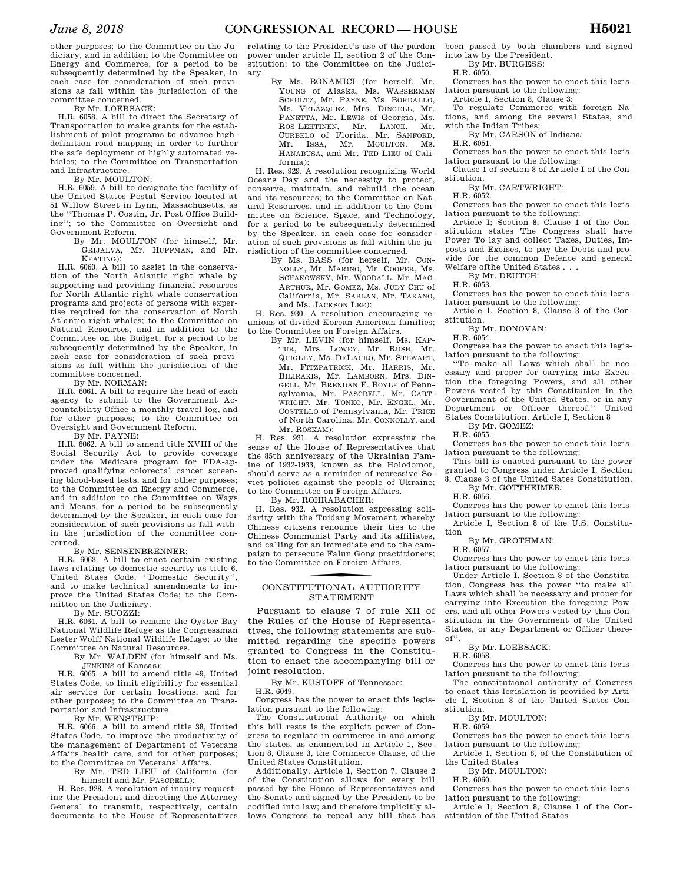other purposes; to the Committee on the Judiciary, and in addition to the Committee on Energy and Commerce, for a period to be subsequently determined by the Speaker, in each case for consideration of such provisions as fall within the jurisdiction of the committee concerned.

By Mr. LOEBSACK:

H.R. 6058. A bill to direct the Secretary of Transportation to make grants for the establishment of pilot programs to advance highdefinition road mapping in order to further the safe deployment of highly automated vehicles; to the Committee on Transportation and Infrastructure.

By Mr. MOULTON:

H.R. 6059. A bill to designate the facility of the United States Postal Service located at 51 Willow Street in Lynn, Massachusetts, as the ''Thomas P. Costin, Jr. Post Office Building''; to the Committee on Oversight and Government Reform.

By Mr. MOULTON (for himself, Mr. GRIJALVA, Mr. HUFFMAN, and Mr. KEATING):

H.R. 6060. A bill to assist in the conservation of the North Atlantic right whale by supporting and providing financial resources for North Atlantic right whale conservation programs and projects of persons with expertise required for the conservation of North Atlantic right whales; to the Committee on Natural Resources, and in addition to the Committee on the Budget, for a period to be subsequently determined by the Speaker, in each case for consideration of such provisions as fall within the jurisdiction of the committee concerned.

By Mr. NORMAN:

H.R. 6061. A bill to require the head of each agency to submit to the Government Accountability Office a monthly travel log, and for other purposes; to the Committee on Oversight and Government Reform.

By Mr. PAYNE:

H.R. 6062. A bill to amend title XVIII of the Social Security Act to provide coverage under the Medicare program for FDA-approved qualifying colorectal cancer screening blood-based tests, and for other purposes; to the Committee on Energy and Commerce, and in addition to the Committee on Ways and Means, for a period to be subsequently determined by the Speaker, in each case for consideration of such provisions as fall within the jurisdiction of the committee concerned.

By Mr. SENSENBRENNER:

H.R. 6063. A bill to enact certain existing laws relating to domestic security as title  $\ddot{6}$ , United Staes Code, ''Domestic Security'', and to make technical amendments to improve the United States Code; to the Committee on the Judiciary.

By Mr. SUOZZI: H.R. 6064. A bill to rename the Oyster Bay National Wildlife Refuge as the Congressman Lester Wolff National Wildlife Refuge; to the Committee on Natural Resources.

By Mr. WALDEN (for himself and Ms. JENKINS of Kansas):

H.R. 6065. A bill to amend title 49, United States Code, to limit eligibility for essential air service for certain locations, and for other purposes; to the Committee on Transportation and Infrastructure.

By Mr. WENSTRUP:

H.R. 6066. A bill to amend title 38, United States Code, to improve the productivity of the management of Department of Veterans Affairs health care, and for other purposes; to the Committee on Veterans' Affairs.

By Mr. TED LIEU of California (for

himself and Mr. PASCRELL): H. Res. 928. A resolution of inquiry requesting the President and directing the Attorney General to transmit, respectively, certain documents to the House of Representatives

relating to the President's use of the pardon power under article II, section 2 of the Constitution; to the Committee on the Judiciary.

By Ms. BONAMICI (for herself, Mr. YOUNG of Alaska, Ms. WASSERMAN SCHULTZ, Mr. PAYNE, Ms. BORDALLO, Ms. VELÁZQUEZ, Mrs. DINGELL, Mr. PANETTA, Mr. LEWIS of Georgia, Ms. ROS-LEHTINEN, Mr. LANCE, Mr. CURBELO of Florida, Mr. SANFORD, Mr. ISSA, Mr. MOULTON, Ms. HANABUSA, and Mr. TED LIEU of California):

H. Res. 929. A resolution recognizing World Oceans Day and the necessity to protect, conserve, maintain, and rebuild the ocean and its resources; to the Committee on Natural Resources, and in addition to the Committee on Science, Space, and Technology, for a period to be subsequently determined by the Speaker, in each case for consideration of such provisions as fall within the jurisdiction of the committee concerned.

> By Ms. BASS (for herself, Mr. CON-NOLLY, Mr. MARINO, Mr. COOPER, Ms. SCHAKOWSKY, Mr. WOODALL, Mr. MAC-ARTHUR, Mr. GOMEZ, Ms. JUDY CHU of California, Mr. SABLAN, Mr. TAKANO, and Ms. JACKSON LEE):

H. Res. 930. A resolution encouraging reunions of divided Korean-American families; to the Committee on Foreign Affairs.

By Mr. LEVIN (for himself, Ms. KAP-TUR, Mrs. LOWEY, Mr. RUSH, Mr. QUIGLEY, Ms. DELAURO, Mr. STEWART, Mr. FITZPATRICK, Mr. HARRIS, Mr. BILIRAKIS, Mr. LAMBORN, Mrs. DIN-GELL, Mr. BRENDAN F. BOYLE of Pennsylvania, Mr. PASCRELL, Mr. CART-WRIGHT, Mr. TONKO, Mr. ENGEL, Mr. COSTELLO of Pennsylvania, Mr. PRICE of North Carolina, Mr. CONNOLLY, and Mr. ROSKAM):

H. Res. 931. A resolution expressing the sense of the House of Representatives that the 85th anniversary of the Ukrainian Famine of 1932-1933, known as the Holodomor, should serve as a reminder of repressive Soviet policies against the people of Ukraine; to the Committee on Foreign Affairs.

By Mr. ROHRABACHER:

H. Res. 932. A resolution expressing solidarity with the Tuidang Movement whereby Chinese citizens renounce their ties to the Chinese Communist Party and its affiliates, and calling for an immediate end to the campaign to persecute Falun Gong practitioners; to the Committee on Foreign Affairs.

#### CONSTITUTIONAL AUTHORITY STATEMENT

Pursuant to clause 7 of rule XII of the Rules of the House of Representatives, the following statements are submitted regarding the specific powers granted to Congress in the Constitution to enact the accompanying bill or joint resolution.

By Mr. KUSTOFF of Tennessee:

H.R. 6049.

Congress has the power to enact this legislation pursuant to the following:

The Constitutional Authority on which this bill rests is the explicit power of Congress to regulate in commerce in and among the states, as enumerated in Article 1, Section 8, Clause 3, the Commerce Clause, of the United States Constitution.

Additionally, Article 1, Section 7, Clause 2 of the Constitution allows for every bill passed by the House of Representatives and the Senate and signed by the President to be codified into law; and therefore implicitly allows Congress to repeal any bill that has

been passed by both chambers and signed into law by the President.

By Mr. BURGESS:

H.R. 6050.

Congress has the power to enact this legislation pursuant to the following:

Article 1, Section 8, Clause 3:

To regulate Commerce with foreign Nations, and among the several States, and with the Indian Tribes;

By Mr. CARSON of Indiana:

H.R. 6051.

Congress has the power to enact this legislation pursuant to the following:

Clause 1 of section 8 of Article I of the Constitution.

By Mr. CARTWRIGHT:

H.R. 6052.

Congress has the power to enact this legislation pursuant to the following:

Article I; Section 8; Clause 1 of the Constitution states The Congress shall have Power To lay and collect Taxes, Duties, Imposts and Excises, to pay the Debts and provide for the common Defence and general Welfare ofthe United States . . .

By Mr. DEUTCH:

H.R. 6053.

Congress has the power to enact this legislation pursuant to the following:

Article 1, Section 8, Clause 3 of the Constitution.

By Mr. DONOVAN:

H.R. 6054.

Congress has the power to enact this legislation pursuant to the following:

''To make all Laws which shall be necessary and proper for carrying into Execution the foregoing Powers, and all other Powers vested by this Constitution in the Government of the United States, or in any Department or Officer thereof.'' United States Constitution, Article I, Section 8

By Mr. GOMEZ:

H.R. 6055. Congress has the power to enact this legis-

lation pursuant to the following: This bill is enacted pursuant to the power granted to Congress under Article I, Section

8, Clause 3 of the United Sates Constitution. By Mr. GOTTHEIMER:

H.R. 6056.

Congress has the power to enact this legislation pursuant to the following:

Article I, Section 8 of the U.S. Constitution

By Mr. GROTHMAN:

H.R. 6057.

Congress has the power to enact this legislation pursuant to the following:

Under Article I, Section 8 of the Constitution, Congress has the power ''to make all Laws which shall be necessary and proper for carrying into Execution the foregoing Powers, and all other Powers vested by this Constitution in the Government of the United States, or any Department or Officer thereof''.

By Mr. LOEBSACK:

H.R. 6058.

Congress has the power to enact this legislation pursuant to the following:

The constitutional authority of Congress to enact this legislation is provided by Article I, Section 8 of the United States Constitution.

By Mr. MOULTON:

H.R. 6059.

Congress has the power to enact this legislation pursuant to the following:

Article 1, Section 8, of the Constitution of the United States

By Mr. MOULTON:

H.R. 6060.

Congress has the power to enact this legislation pursuant to the following:

Article 1, Section 8, Clause 1 of the Constitution of the United States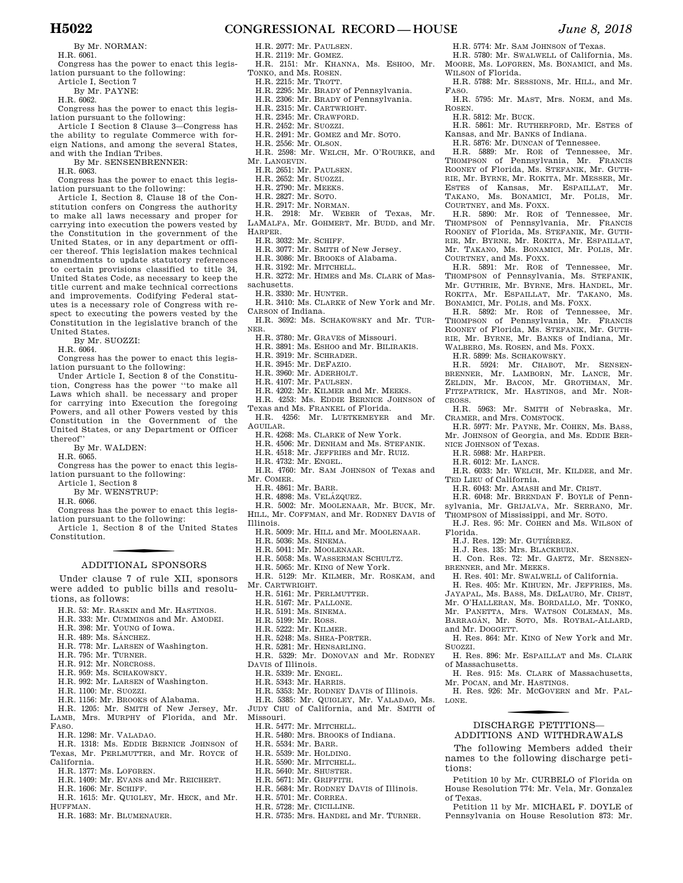By Mr. NORMAN:

H.R. 6061.

Congress has the power to enact this legislation pursuant to the following:

Article I, Section 7

By Mr. PAYNE:

H.R. 6062.

Congress has the power to enact this legislation pursuant to the following:

Article I Section 8 Clause 3—Congress has the ability to regulate Commerce with foreign Nations, and among the several States, and with the Indian Tribes.

By Mr. SENSENBRENNER:

H.R. 6063.

Congress has the power to enact this legislation pursuant to the following:

Article I, Section 8, Clause 18 of the Constitution confers on Congress the authority to make all laws necessary and proper for carrying into execution the powers vested by the Constitution in the government of the United States, or in any department or officer thereof. This legislation makes technical amendments to update statutory references to certain provisions classified to title 34, United States Code, as necessary to keep the title current and make technical corrections and improvements. Codifying Federal statutes is a necessary role of Congress with respect to executing the powers vested by the Constitution in the legislative branch of the United States.

By Mr. SUOZZI:

H.R. 6064.

Congress has the power to enact this legislation pursuant to the following:

Under Article I, Section 8 of the Constitution, Congress has the power ''to make all Laws which shall. be necessary and proper for carrying into Execution the foregoing Powers, and all other Powers vested by this Constitution in the Government of the United States, or any Department or Officer thereof''

By Mr. WALDEN:

H.R. 6065.

Congress has the power to enact this legislation pursuant to the following: Article 1, Section 8

By Mr. WENSTRUP:

H.R. 6066.

Congress has the power to enact this legislation pursuant to the following:

Article 1, Section 8 of the United States Constitution.

#### ADDITIONAL SPONSORS

Under clause 7 of rule XII, sponsors were added to public bills and resolutions, as follows:

- H.R. 53: Mr. RASKIN and Mr. HASTINGS.
- H.R. 333: Mr. CUMMINGS and Mr. AMODEI.
- H.R. 398: Mr. YOUNG of Iowa.
- H.R. 489: Ms. SÁNCHEZ.
- H.R. 778: Mr. LARSEN of Washington.
- H.R. 795: Mr. TURNER.
- H.R. 912: Mr. NORCROSS.
- H.R. 959: Ms. SCHAKOWSKY.
- H.R. 992: Mr. LARSEN of Washington.
- H.R. 1100: Mr. SUOZZI.
- H.R. 1156: Mr. BROOKS of Alabama.
- H.R. 1205: Mr. SMITH of New Jersey, Mr.
- LAMB, Mrs. MURPHY of Florida, and Mr. FASO.
- H.R. 1298: Mr. VALADAO.
- H.R. 1318: Ms. EDDIE BERNICE JOHNSON of Texas, Mr. PERLMUTTER, and Mr. ROYCE of California.
- H.R. 1377: Ms. LOFGREN.
- H.R. 1409: Mr. EVANS and Mr. REICHERT.
- H.R. 1606: Mr. SCHIFF.
- H.R. 1615: Mr. QUIGLEY, Mr. HECK, and Mr. HUFFMAN.
- H.R. 1683: Mr. BLUMENAUER.

## **H5022 CONGRESSIONAL RECORD — HOUSE** *June 8, 2018*

- H.R. 2077: Mr. PAULSEN.
- H.R. 2119: Mr. GOMEZ.
- H.R. 2151: Mr. KHANNA, Ms. ESHOO, Mr. TONKO, and Ms. ROSEN.

H.R. 5774: Mr. SAM JOHNSON of Texas. H.R. 5780: Mr. SWALWELL of California, Ms. MOORE, Ms. LOFGREN, Ms. BONAMICI, and Ms.

H.R. 5788: Mr. SESSIONS, Mr. HILL, and Mr.

H.R. 5795: Mr. MAST, Mrs. NOEM, and Ms.

H.R. 5861: Mr. RUTHERFORD, Mr. ESTES of

H.R. 5890: Mr. ROE of Tennessee, Mr. THOMPSON of Pennsylvania, Mr. FRANCIS ROONEY of Florida, Ms. STEFANIK, Mr. GUTH-RIE, Mr. BYRNE, Mr. ROKITA, Mr. ESPAILLAT, Mr. TAKANO, Ms. BONAMICI, Mr. POLIS, Mr.

H.R. 5891: Mr. ROE of Tennessee, Mr. THOMPSON of Pennsylvania, Ms. STEFANIK, Mr. GUTHRIE, Mr. BYRNE, Mrs. HANDEL, Mr. ROKITA, Mr. ESPAILLAT, Mr. TAKANO, Ms. BONAMICI, Mr. POLIS, and Ms. FOXX.

H.R. 5892: Mr. ROE of Tennessee, Mr. THOMPSON of Pennsylvania, Mr. FRANCIS ROONEY of Florida, Ms. STEFANIK, Mr. GUTH-RIE, Mr. BYRNE, Mr. BANKS of Indiana, Mr. WALBERG, Ms. ROSEN, and Ms. FOXX. H.R. 5899: Ms. SCHAKOWSKY.

H.R. 5924: Mr. CHABOT, Mr. SENSEN-BRENNER, Mr. LAMBORN, Mr. LANCE, Mr. ZELDIN, Mr. BACON, Mr. GROTHMAN, Mr. FITZPATRICK, Mr. HASTINGS, and Mr. NOR-

H.R. 5963: Mr. SMITH of Nebraska, Mr.

H.R. 5977: Mr. PAYNE, Mr. COHEN, Ms. BASS, Mr. JOHNSON of Georgia, and Ms. EDDIE BER-

H.R. 6033: Mr. WELCH, Mr. KILDEE, and Mr.

H. Con. Res. 72: Mr. GAETZ, Mr. SENSEN-

H. Res. 864: Mr. KING of New York and Mr.

H. Res. 896: Mr. ESPAILLAT and Ms. CLARK

H. Res. 915: Ms. CLARK of Massachusetts,

H. Res. 926: Mr. MCGOVERN and Mr. PAL-

f DISCHARGE PETITIONS— ADDITIONS AND WITHDRAWALS The following Members added their names to the following discharge peti-

Petition 10 by Mr. CURBELO of Florida on House Resolution 774: Mr. Vela, Mr. Gonzalez

Petition 11 by Mr. MICHAEL F. DOYLE of Pennsylvania on House Resolution 873: Mr.

H. Res. 401: Mr. SWALWELL of California. H. Res. 405: Mr. KIHUEN, Mr. JEFFRIES, Ms. JAYAPAL, Ms. BASS, Ms. DELAURO, Mr. CRIST, Mr. O'HALLERAN, Ms. BORDALLO, Mr. TONKO, Mr. PANETTA, Mrs. WATSON COLEMAN, Ms. BARRAGÁN, Mr. SOTO, Ms. ROYBAL-ALLARD,

H.R. 6043: Mr. AMASH and Mr. CRIST. H.R. 6048: Mr. BRENDAN F. BOYLE of Pennsylvania, Mr. GRIJALVA, Mr. SERRANO, Mr. THOMPSON of Mississippi, and Mr. SOTO. H.J. Res. 95: Mr. COHEN and Ms. WILSON of

H.J. Res. 129: Mr. GUTIÉRREZ. H.J. Res. 135: Mrs. BLACKBURN.

BRENNER, and Mr. MEEKS.

and Mr. DOGGETT.

of Massachusetts.

Mr. POCAN, and Mr. HASTINGS.

WILSON of Florida.

H.R. 5812: Mr. BUCK.

COURTNEY, and Ms. FOXX.

COURTNEY, and Ms. FOXX.

CRAMER, and Mrs. COMSTOCK.

NICE JOHNSON of Texas. H.R. 5988: Mr. HARPER. H.R. 6012: Mr. LANCE.

TED LIEU of California.

Kansas, and Mr. BANKS of Indiana. H.R. 5876: Mr. DUNCAN of Tennessee. H.R. 5889: Mr. ROE of Tennessee, Mr. THOMPSON of Pennsylvania, Mr. FRANCIS ROONEY of Florida, Ms. STEFANIK, Mr. GUTH-RIE, Mr. BYRNE, Mr. ROKITA, Mr. MESSER, Mr. ESTES of Kansas, Mr. ESPAILLAT, Mr. TAKANO, Ms. BONAMICI, Mr. POLIS, Mr.

FASO.

ROSEN.

CROSS.

Florida.

SUOZZI.

LONE.

tions:

of Texas.

- H.R. 2215: Mr. TROTT.
- H.R. 2295: Mr. BRADY of Pennsylvania.
- H.R. 2306: Mr. BRADY of Pennsylvania.
- H.R. 2315: Mr. CARTWRIGHT.
- H.R. 2345: Mr. CRAWFORD.
- H.R. 2452: Mr. SUOZZI.
- H.R. 2491: Mr. GOMEZ and Mr. SOTO.
- H.R. 2556: Mr. OLSON. H.R. 2598: Mr. WELCH, Mr. O'ROURKE, and
- Mr. LANGEVIN.
- H.R. 2651: Mr. PAULSEN.
- H.R. 2652: Mr. SUOZZI. H.R. 2790: Mr. MEEKS.
- 
- H.R. 2827: Mr. SOTO.
- H.R. 2917: Mr. NORMAN.
- H.R. 2918: Mr. WEBER of Texas, Mr. LAMALFA, Mr. GOHMERT, Mr. BUDD, and Mr. HARPER.
	-
	- H.R. 3032: Mr. SCHIFF.
	- H.R. 3077: Mr. SMITH of New Jersey.
	- H.R. 3086: Mr. BROOKS of Alabama.
	- H.R. 3192: Mr. MITCHELL.
- H.R. 3272: Mr. HIMES and Ms. CLARK of Massachusetts.
- H.R. 3330: Mr. HUNTER.
- H.R. 3410: Ms. CLARKE of New York and Mr. CARSON of Indiana.
- H.R. 3692: Ms. SCHAKOWSKY and Mr. TUR-NER.
- H.R. 3780: Mr. GRAVES of Missouri.

H.R. 3891: Ms. ESHOO and Mr. BILIRAKIS.

- H.R. 3919: Mr. SCHRADER.
- H.R. 3945: Mr. DEFAZIO.
- H.R. 3960: Mr. ADERHOLT.
- H.R. 4107: Mr. PAULSEN.
- H.R. 4202: Mr. KILMER and Mr. MEEKS.
- H.R. 4253: Ms. EDDIE BERNICE JOHNSON of Texas and Ms. FRANKEL of Florida.

H.R. 4256: Mr. LUETKEMEYER and Mr. AGUILAR.

- H.R. 4268: Ms. CLARKE of New York.
- H.R. 4506: Mr. DENHAM and Ms. STEFANIK.
- H.R. 4518: Mr. JEFFRIES and Mr. RUIZ.
- H.R. 4732: Mr. ENGEL.
- H.R. 4760: Mr. SAM JOHNSON of Texas and Mr. COMER.
- H.R. 4861: Mr. BARR.
- H.R. 4898: Ms. VELÁZQUEZ.
- H.R. 5002: Mr. MOOLENAAR, Mr. BUCK, Mr. HILL, Mr. COFFMAN, and Mr. RODNEY DAVIS of Illinois.
- H.R. 5009: Mr. HILL and Mr. MOOLENAAR.
- H.R. 5036: Ms. SINEMA.
- H.R. 5041: Mr. MOOLENAAR.
- H.R. 5058: Ms. WASSERMAN SCHULTZ.
- H.R. 5065: Mr. KING of New York.
- H.R. 5129: Mr. KILMER, Mr. ROSKAM, and Mr. CARTWRIGHT.

H.R. 5329: Mr. DONOVAN and Mr. RODNEY

H.R. 5353: Mr. RODNEY DAVIS of Illinois. H.R. 5385: Mr. QUIGLEY, Mr. VALADAO, Ms. JUDY CHU of California, and Mr. SMITH of

H.R. 5684: Mr. RODNEY DAVIS of Illinois.

H.R. 5735: Mrs. HANDEL and Mr. TURNER.

H.R. 5161: Mr. PERLMUTTER.

H.R. 5248: Ms. SHEA-PORTER. H.R. 5281: Mr. HENSARLING.

H.R. 5477: Mr. MITCHELL. H.R. 5480: Mrs. BROOKS of Indiana.

H.R. 5534: Mr. BARR. H.R. 5539: Mr. HOLDING. H.R. 5590: Mr. MITCHELL. H.R. 5640: Mr. SHUSTER. H.R. 5671: Mr. GRIFFITH.

H.R. 5701: Mr. CORREA. H.R. 5728: Mr. CICILLINE.

- H.R. 5167: Mr. PALLONE.
- H.R. 5191: Ms. SINEMA. H.R. 5199: Mr. ROSS. H.R. 5222: Mr. KILMER.

DAVIS of Illinois. H.R. 5339: Mr. ENGEL. H.R. 5343: Mr. HARRIS.

Missouri.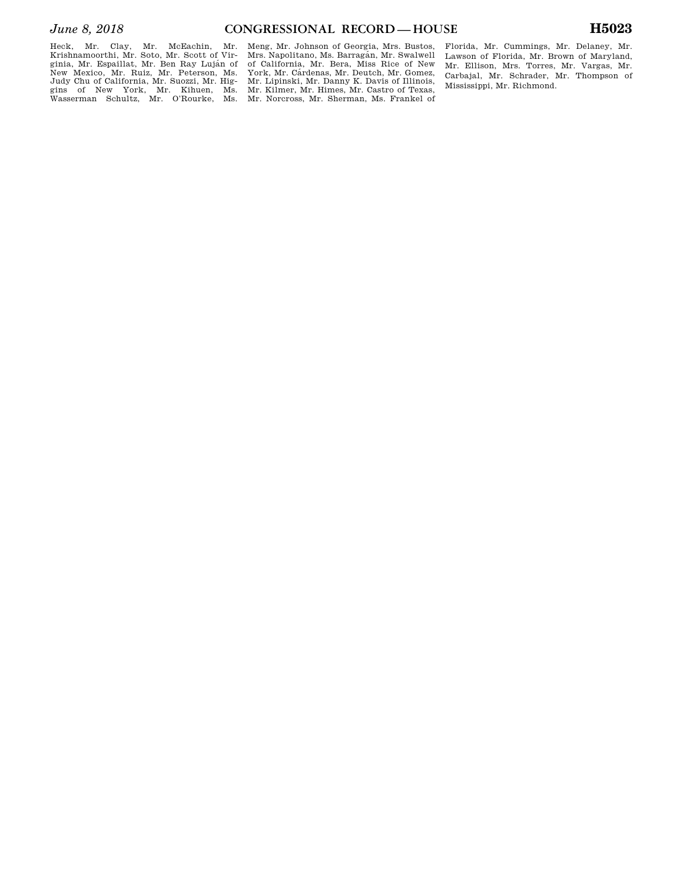Heck, Mr. Clay, Mr. McEachin, Mr. Krishnamoorthi, Mr. Soto, Mr. Scott of Virginia, Mr. Espaillat, Mr. Ben Ray Luján of New Mexico, Mr. Ruiz, Mr. Peterson, Ms. Judy Chu of California, Mr. Suozzi, Mr. Higgins of New York, Mr. Kihuen, Ms. Wasserman Schultz, Mr. O'Rourke, Ms.

Meng, Mr. Johnson of Georgia, Mrs. Bustos, Mrs. Napolitano, Ms. Barragán, Mr. Swalwell of California, Mr. Bera, Miss Rice of New York, Mr. Cárdenas, Mr. Deutch, Mr. Gomez, Mr. Lipinski, Mr. Danny K. Davis of Illinois, Mr. Kilmer, Mr. Himes, Mr. Castro of Texas, Mr. Norcross, Mr. Sherman, Ms. Frankel of

Florida, Mr. Cummings, Mr. Delaney, Mr. Lawson of Florida, Mr. Brown of Maryland, Mr. Ellison, Mrs. Torres, Mr. Vargas, Mr. Carbajal, Mr. Schrader, Mr. Thompson of Mississippi, Mr. Richmond.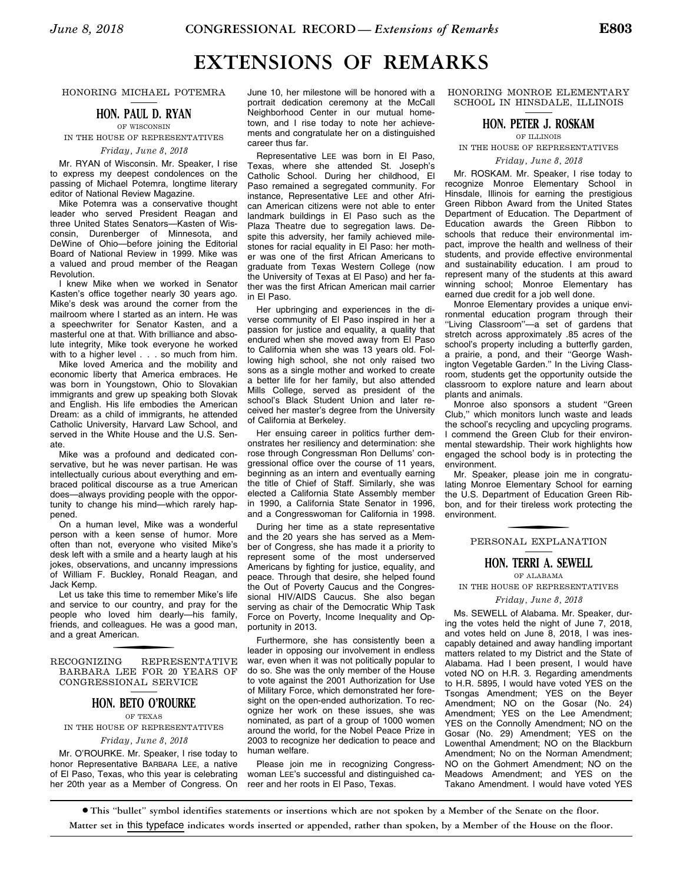# **EXTENSIONS OF REMARKS**

#### HONORING MICHAEL POTEMRA

#### **HON. PAUL D. RYAN**

OF WISCONSIN IN THE HOUSE OF REPRESENTATIVES

*Friday, June 8, 2018* 

Mr. RYAN of Wisconsin. Mr. Speaker, I rise to express my deepest condolences on the passing of Michael Potemra, longtime literary editor of National Review Magazine.

Mike Potemra was a conservative thought leader who served President Reagan and three United States Senators—Kasten of Wisconsin, Durenberger of Minnesota, and DeWine of Ohio—before joining the Editorial Board of National Review in 1999. Mike was a valued and proud member of the Reagan Revolution.

I knew Mike when we worked in Senator Kasten's office together nearly 30 years ago. Mike's desk was around the corner from the mailroom where I started as an intern. He was a speechwriter for Senator Kasten, and a masterful one at that. With brilliance and absolute integrity, Mike took everyone he worked with to a higher level . . . so much from him.

Mike loved America and the mobility and economic liberty that America embraces. He was born in Youngstown, Ohio to Slovakian immigrants and grew up speaking both Slovak and English. His life embodies the American Dream: as a child of immigrants, he attended Catholic University, Harvard Law School, and served in the White House and the U.S. Senate.

Mike was a profound and dedicated conservative, but he was never partisan. He was intellectually curious about everything and embraced political discourse as a true American does—always providing people with the opportunity to change his mind—which rarely happened.

On a human level, Mike was a wonderful person with a keen sense of humor. More often than not, everyone who visited Mike's desk left with a smile and a hearty laugh at his jokes, observations, and uncanny impressions of William F. Buckley, Ronald Reagan, and Jack Kemp.

Let us take this time to remember Mike's life and service to our country, and pray for the people who loved him dearly—his family, friends, and colleagues. He was a good man, and a great American.

RECOGNIZING REPRESENTATIVE BARBARA LEE FOR 20 YEARS OF CONGRESSIONAL SERVICE

#### **HON. BETO O'ROURKE**

OF TEXAS IN THE HOUSE OF REPRESENTATIVES

#### *Friday, June 8, 2018*

Mr. O'ROURKE. Mr. Speaker, I rise today to honor Representative BARBARA LEE, a native of El Paso, Texas, who this year is celebrating her 20th year as a Member of Congress. On

June 10, her milestone will be honored with a portrait dedication ceremony at the McCall Neighborhood Center in our mutual hometown, and I rise today to note her achievements and congratulate her on a distinguished career thus far.

Representative LEE was born in El Paso, Texas, where she attended St. Joseph's Catholic School. During her childhood, El Paso remained a segregated community. For instance, Representative LEE and other African American citizens were not able to enter landmark buildings in El Paso such as the Plaza Theatre due to segregation laws. Despite this adversity, her family achieved milestones for racial equality in El Paso: her mother was one of the first African Americans to graduate from Texas Western College (now the University of Texas at El Paso) and her father was the first African American mail carrier in El Paso.

Her upbringing and experiences in the diverse community of El Paso inspired in her a passion for justice and equality, a quality that endured when she moved away from El Paso to California when she was 13 years old. Following high school, she not only raised two sons as a single mother and worked to create a better life for her family, but also attended Mills College, served as president of the school's Black Student Union and later received her master's degree from the University of California at Berkeley.

Her ensuing career in politics further demonstrates her resiliency and determination: she rose through Congressman Ron Dellums' congressional office over the course of 11 years, beginning as an intern and eventually earning the title of Chief of Staff. Similarly, she was elected a California State Assembly member in 1990, a California State Senator in 1996, and a Congresswoman for California in 1998.

During her time as a state representative and the 20 years she has served as a Member of Congress, she has made it a priority to represent some of the most underserved Americans by fighting for justice, equality, and peace. Through that desire, she helped found the Out of Poverty Caucus and the Congressional HIV/AIDS Caucus. She also began serving as chair of the Democratic Whip Task Force on Poverty, Income Inequality and Opportunity in 2013.

Furthermore, she has consistently been a leader in opposing our involvement in endless war, even when it was not politically popular to do so. She was the only member of the House to vote against the 2001 Authorization for Use of Military Force, which demonstrated her foresight on the open-ended authorization. To recognize her work on these issues, she was nominated, as part of a group of 1000 women around the world, for the Nobel Peace Prize in 2003 to recognize her dedication to peace and human welfare.

Please join me in recognizing Congresswoman LEE's successful and distinguished career and her roots in El Paso, Texas.

HONORING MONROE ELEMENTARY SCHOOL IN HINSDALE, ILLINOIS

#### **HON. PETER J. ROSKAM**

#### OF ILLINOIS

## IN THE HOUSE OF REPRESENTATIVES

*Friday, June 8, 2018* 

Mr. ROSKAM. Mr. Speaker, I rise today to recognize Monroe Elementary School in Hinsdale, Illinois for earning the prestigious Green Ribbon Award from the United States Department of Education. The Department of Education awards the Green Ribbon to schools that reduce their environmental impact, improve the health and wellness of their students, and provide effective environmental and sustainability education. I am proud to represent many of the students at this award winning school; Monroe Elementary has earned due credit for a job well done.

Monroe Elementary provides a unique environmental education program through their ''Living Classroom''—a set of gardens that stretch across approximately .85 acres of the school's property including a butterfly garden, a prairie, a pond, and their ''George Washington Vegetable Garden.'' In the Living Classroom, students get the opportunity outside the classroom to explore nature and learn about plants and animals.

Monroe also sponsors a student ''Green Club,'' which monitors lunch waste and leads the school's recycling and upcycling programs. I commend the Green Club for their environmental stewardship. Their work highlights how engaged the school body is in protecting the environment.

Mr. Speaker, please join me in congratulating Monroe Elementary School for earning the U.S. Department of Education Green Ribbon, and for their tireless work protecting the environment.

# f PERSONAL EXPLANATION

#### **HON. TERRI A. SEWELL**

OF ALABAMA IN THE HOUSE OF REPRESENTATIVES

*Friday, June 8, 2018* 

Ms. SEWELL of Alabama. Mr. Speaker, during the votes held the night of June 7, 2018, and votes held on June 8, 2018, I was inescapably detained and away handling important matters related to my District and the State of Alabama. Had I been present, I would have voted NO on H.R. 3. Regarding amendments to H.R. 5895, I would have voted YES on the Tsongas Amendment; YES on the Beyer Amendment; NO on the Gosar (No. 24) Amendment; YES on the Lee Amendment; YES on the Connolly Amendment; NO on the Gosar (No. 29) Amendment; YES on the Lowenthal Amendment; NO on the Blackburn Amendment; No on the Norman Amendment; NO on the Gohmert Amendment; NO on the Meadows Amendment; and YES on the Takano Amendment. I would have voted YES

∑ **This ''bullet'' symbol identifies statements or insertions which are not spoken by a Member of the Senate on the floor. Matter set in** this typeface **indicates words inserted or appended, rather than spoken, by a Member of the House on the floor.**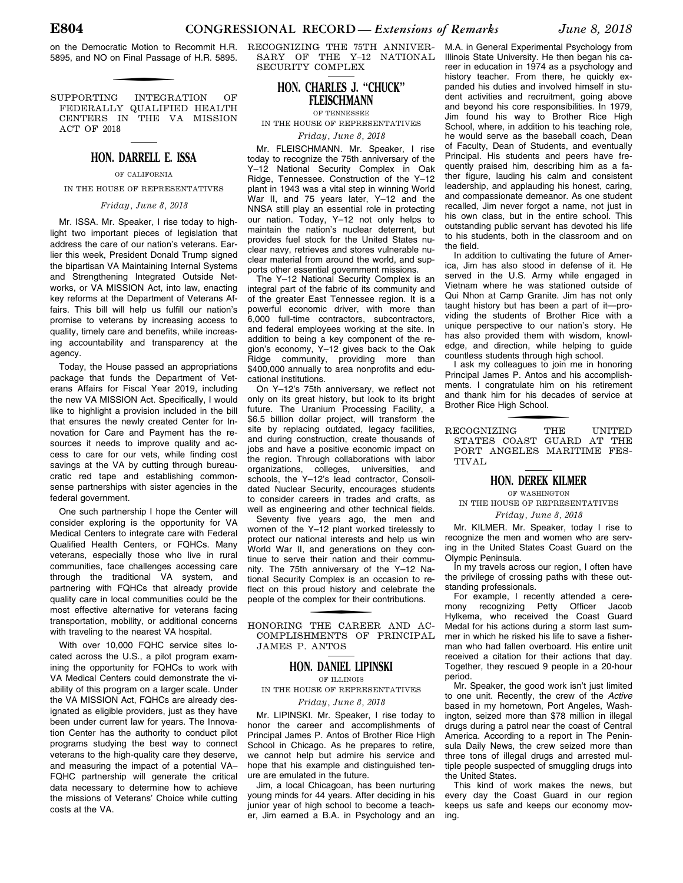on the Democratic Motion to Recommit H.R. 5895, and NO on Final Passage of H.R. 5895.

SUPPORTING INTEGRATION OF FEDERALLY QUALIFIED HEALTH CENTERS IN THE VA MISSION ACT OF 2018

#### **HON. DARRELL E. ISSA**

OF CALIFORNIA

IN THE HOUSE OF REPRESENTATIVES

#### *Friday, June 8, 2018*

Mr. ISSA. Mr. Speaker, I rise today to highlight two important pieces of legislation that address the care of our nation's veterans. Earlier this week, President Donald Trump signed the bipartisan VA Maintaining Internal Systems and Strengthening Integrated Outside Networks, or VA MISSION Act, into law, enacting key reforms at the Department of Veterans Affairs. This bill will help us fulfill our nation's promise to veterans by increasing access to quality, timely care and benefits, while increasing accountability and transparency at the agency.

Today, the House passed an appropriations package that funds the Department of Veterans Affairs for Fiscal Year 2019, including the new VA MISSION Act. Specifically, I would like to highlight a provision included in the bill that ensures the newly created Center for Innovation for Care and Payment has the resources it needs to improve quality and access to care for our vets, while finding cost savings at the VA by cutting through bureaucratic red tape and establishing commonsense partnerships with sister agencies in the federal government.

One such partnership I hope the Center will consider exploring is the opportunity for VA Medical Centers to integrate care with Federal Qualified Health Centers, or FQHCs. Many veterans, especially those who live in rural communities, face challenges accessing care through the traditional VA system, and partnering with FQHCs that already provide quality care in local communities could be the most effective alternative for veterans facing transportation, mobility, or additional concerns with traveling to the nearest VA hospital.

With over 10,000 FQHC service sites located across the U.S., a pilot program examining the opportunity for FQHCs to work with VA Medical Centers could demonstrate the viability of this program on a larger scale. Under the VA MISSION Act, FQHCs are already designated as eligible providers, just as they have been under current law for years. The Innovation Center has the authority to conduct pilot programs studying the best way to connect veterans to the high-quality care they deserve, and measuring the impact of a potential VA– FQHC partnership will generate the critical data necessary to determine how to achieve the missions of Veterans' Choice while cutting costs at the VA.

RECOGNIZING THE 75TH ANNIVER-SARY OF THE Y-12 NATIONAL SECURITY COMPLEX

#### **HON. CHARLES J. ''CHUCK'' FLEISCHMANN**

OF TENNESSEE

IN THE HOUSE OF REPRESENTATIVES *Friday, June 8, 2018* 

Mr. FLEISCHMANN. Mr. Speaker, I rise today to recognize the 75th anniversary of the Y–12 National Security Complex in Oak Ridge, Tennessee. Construction of the Y–12 plant in 1943 was a vital step in winning World War II, and 75 years later, Y–12 and the NNSA still play an essential role in protecting our nation. Today, Y–12 not only helps to maintain the nation's nuclear deterrent, but provides fuel stock for the United States nuclear navy, retrieves and stores vulnerable nuclear material from around the world, and supports other essential government missions.

The Y–12 National Security Complex is an integral part of the fabric of its community and of the greater East Tennessee region. It is a powerful economic driver, with more than 6,000 full-time contractors, subcontractors, and federal employees working at the site. In addition to being a key component of the region's economy, Y–12 gives back to the Oak Ridge community, providing more than \$400,000 annually to area nonprofits and educational institutions.

On Y–12's 75th anniversary, we reflect not only on its great history, but look to its bright future. The Uranium Processing Facility, a \$6.5 billion dollar project, will transform the site by replacing outdated, legacy facilities, and during construction, create thousands of jobs and have a positive economic impact on the region. Through collaborations with labor organizations, colleges, universities, and schools, the Y–12's lead contractor, Consolidated Nuclear Security, encourages students to consider careers in trades and crafts, as well as engineering and other technical fields.

Seventy five years ago, the men and women of the Y–12 plant worked tirelessly to protect our national interests and help us win World War II, and generations on they continue to serve their nation and their community. The 75th anniversary of the Y–12 National Security Complex is an occasion to reflect on this proud history and celebrate the people of the complex for their contributions.

HONORING THE CAREER AND AC-COMPLISHMENTS OF PRINCIPAL JAMES P. ANTOS

#### **HON. DANIEL LIPINSKI**

OF ILLINOIS

IN THE HOUSE OF REPRESENTATIVES

#### *Friday, June 8, 2018*

Mr. LIPINSKI. Mr. Speaker, I rise today to honor the career and accomplishments of Principal James P. Antos of Brother Rice High School in Chicago. As he prepares to retire, we cannot help but admire his service and hope that his example and distinguished tenure are emulated in the future.

Jim, a local Chicagoan, has been nurturing young minds for 44 years. After deciding in his junior year of high school to become a teacher, Jim earned a B.A. in Psychology and an M.A. in General Experimental Psychology from Illinois State University. He then began his career in education in 1974 as a psychology and history teacher. From there, he quickly expanded his duties and involved himself in student activities and recruitment, going above and beyond his core responsibilities. In 1979, Jim found his way to Brother Rice High School, where, in addition to his teaching role, he would serve as the baseball coach, Dean of Faculty, Dean of Students, and eventually Principal. His students and peers have frequently praised him, describing him as a father figure, lauding his calm and consistent leadership, and applauding his honest, caring, and compassionate demeanor. As one student recalled, Jim never forgot a name, not just in his own class, but in the entire school. This outstanding public servant has devoted his life to his students, both in the classroom and on the field.

In addition to cultivating the future of America, Jim has also stood in defense of it. He served in the U.S. Army while engaged in Vietnam where he was stationed outside of Qui Nhon at Camp Granite. Jim has not only taught history but has been a part of it—providing the students of Brother Rice with a unique perspective to our nation's story. He has also provided them with wisdom, knowledge, and direction, while helping to guide countless students through high school.

I ask my colleagues to join me in honoring Principal James P. Antos and his accomplishments. I congratulate him on his retirement and thank him for his decades of service at Brother Rice High School.

THE RECOGNIZING THE UNITED STATES COAST GUARD AT THE PORT ANGELES MARITIME FES-TIVAL.

### **HON. DEREK KILMER**

OF WASHINGTON IN THE HOUSE OF REPRESENTATIVES

*Friday, June 8, 2018* 

Mr. KILMER. Mr. Speaker, today I rise to recognize the men and women who are serving in the United States Coast Guard on the Olympic Peninsula.

In my travels across our region, I often have the privilege of crossing paths with these outstanding professionals.

For example, I recently attended a cere-<br>mony recognizing Petty Officer Jacob recognizing Petty Officer Hylkema, who received the Coast Guard Medal for his actions during a storm last summer in which he risked his life to save a fisherman who had fallen overboard. His entire unit received a citation for their actions that day. Together, they rescued 9 people in a 20-hour period.

Mr. Speaker, the good work isn't just limited to one unit. Recently, the crew of the *Active*  based in my hometown, Port Angeles, Washington, seized more than \$78 million in illegal drugs during a patrol near the coast of Central America. According to a report in The Peninsula Daily News, the crew seized more than three tons of illegal drugs and arrested multiple people suspected of smuggling drugs into the United States.

This kind of work makes the news, but every day the Coast Guard in our region keeps us safe and keeps our economy moving.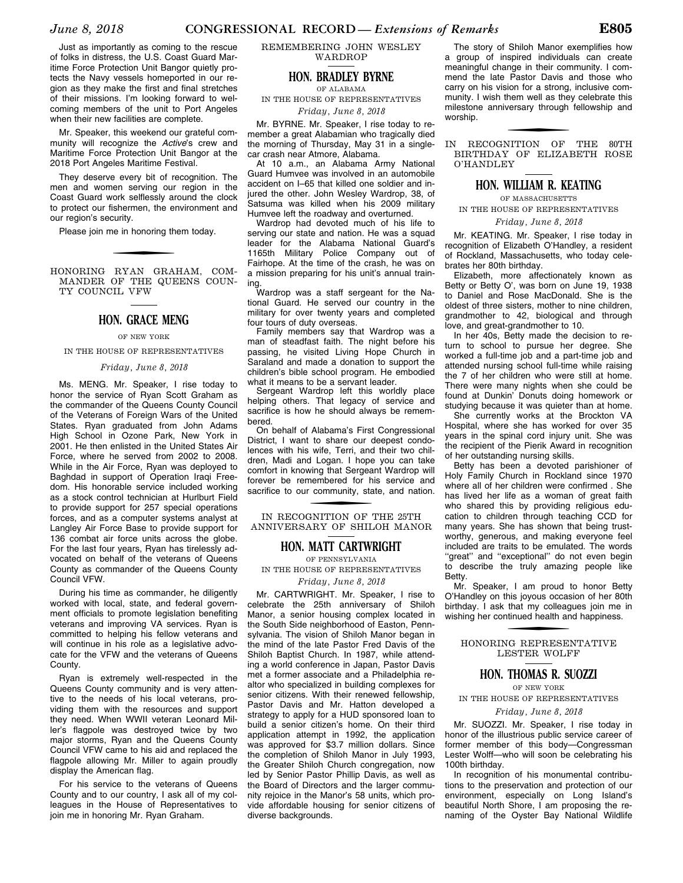Just as importantly as coming to the rescue of folks in distress, the U.S. Coast Guard Maritime Force Protection Unit Bangor quietly protects the Navy vessels homeported in our region as they make the first and final stretches of their missions. I'm looking forward to welcoming members of the unit to Port Angeles when their new facilities are complete.

Mr. Speaker, this weekend our grateful community will recognize the *Active*'s crew and Maritime Force Protection Unit Bangor at the 2018 Port Angeles Maritime Festival.

They deserve every bit of recognition. The men and women serving our region in the Coast Guard work selflessly around the clock to protect our fishermen, the environment and our region's security.

Please join me in honoring them today.

HONORING RYAN GRAHAM, COM-MANDER OF THE QUEENS COUN-TY COUNCIL VFW

#### **HON. GRACE MENG**

#### OF NEW YORK

IN THE HOUSE OF REPRESENTATIVES

#### *Friday, June 8, 2018*

Ms. MENG. Mr. Speaker, I rise today to honor the service of Ryan Scott Graham as the commander of the Queens County Council of the Veterans of Foreign Wars of the United States. Ryan graduated from John Adams High School in Ozone Park, New York in 2001. He then enlisted in the United States Air Force, where he served from 2002 to 2008. While in the Air Force, Ryan was deployed to Baghdad in support of Operation Iraqi Freedom. His honorable service included working as a stock control technician at Hurlburt Field to provide support for 257 special operations forces, and as a computer systems analyst at Langley Air Force Base to provide support for 136 combat air force units across the globe. For the last four years, Ryan has tirelessly advocated on behalf of the veterans of Queens County as commander of the Queens County Council VFW.

During his time as commander, he diligently worked with local, state, and federal government officials to promote legislation benefiting veterans and improving VA services. Ryan is committed to helping his fellow veterans and will continue in his role as a legislative advocate for the VFW and the veterans of Queens County.

Ryan is extremely well-respected in the Queens County community and is very attentive to the needs of his local veterans, providing them with the resources and support they need. When WWII veteran Leonard Miller's flagpole was destroyed twice by two major storms, Ryan and the Queens County Council VFW came to his aid and replaced the flagpole allowing Mr. Miller to again proudly display the American flag.

For his service to the veterans of Queens County and to our country, I ask all of my colleagues in the House of Representatives to join me in honoring Mr. Ryan Graham.

#### REMEMBERING JOHN WESLEY WARDROP

#### **HON. BRADLEY BYRNE**

OF ALABAMA

IN THE HOUSE OF REPRESENTATIVES *Friday, June 8, 2018* 

Mr. BYRNE. Mr. Speaker, I rise today to remember a great Alabamian who tragically died the morning of Thursday, May 31 in a singlecar crash near Atmore, Alabama.

At 10 a.m., an Alabama Army National Guard Humvee was involved in an automobile accident on I–65 that killed one soldier and injured the other. John Wesley Wardrop, 38, of Satsuma was killed when his 2009 military Humvee left the roadway and overturned.

Wardrop had devoted much of his life to serving our state and nation. He was a squad leader for the Alabama National Guard's 1165th Military Police Company out of Fairhope. At the time of the crash, he was on a mission preparing for his unit's annual training.

Wardrop was a staff sergeant for the National Guard. He served our country in the military for over twenty years and completed four tours of duty overseas.

Family members say that Wardrop was a man of steadfast faith. The night before his passing, he visited Living Hope Church in Saraland and made a donation to support the children's bible school program. He embodied what it means to be a servant leader.

Sergeant Wardrop left this worldly place helping others. That legacy of service and sacrifice is how he should always be remembered.

On behalf of Alabama's First Congressional District, I want to share our deepest condolences with his wife, Terri, and their two children, Madi and Logan. I hope you can take comfort in knowing that Sergeant Wardrop will forever be remembered for his service and sacrifice to our community, state, and nation.

IN RECOGNITION OF THE 25TH ANNIVERSARY OF SHILOH MANOR

#### **HON. MATT CARTWRIGHT**

OF PENNSYLVANIA IN THE HOUSE OF REPRESENTATIVES

*Friday, June 8, 2018* 

Mr. CARTWRIGHT. Mr. Speaker, I rise to celebrate the 25th anniversary of Shiloh Manor, a senior housing complex located in the South Side neighborhood of Easton, Pennsylvania. The vision of Shiloh Manor began in the mind of the late Pastor Fred Davis of the Shiloh Baptist Church. In 1987, while attending a world conference in Japan, Pastor Davis met a former associate and a Philadelphia realtor who specialized in building complexes for senior citizens. With their renewed fellowship, Pastor Davis and Mr. Hatton developed a strategy to apply for a HUD sponsored loan to build a senior citizen's home. On their third application attempt in 1992, the application was approved for \$3.7 million dollars. Since the completion of Shiloh Manor in July 1993, the Greater Shiloh Church congregation, now led by Senior Pastor Phillip Davis, as well as the Board of Directors and the larger community rejoice in the Manor's 58 units, which provide affordable housing for senior citizens of diverse backgrounds.

The story of Shiloh Manor exemplifies how a group of inspired individuals can create meaningful change in their community. I commend the late Pastor Davis and those who carry on his vision for a strong, inclusive community. I wish them well as they celebrate this milestone anniversary through fellowship and worship.

f IN RECOGNITION OF THE 80TH BIRTHDAY OF ELIZABETH ROSE O'HANDLEY

#### **HON. WILLIAM R. KEATING**

OF MASSACHUSETTS IN THE HOUSE OF REPRESENTATIVES

*Friday, June 8, 2018* 

Mr. KEATING. Mr. Speaker, I rise today in recognition of Elizabeth O'Handley, a resident of Rockland, Massachusetts, who today celebrates her 80th birthday.

Elizabeth, more affectionately known as Betty or Betty O', was born on June 19, 1938 to Daniel and Rose MacDonald. She is the oldest of three sisters, mother to nine children, grandmother to 42, biological and through love, and great-grandmother to 10.

In her 40s, Betty made the decision to return to school to pursue her degree. She worked a full-time job and a part-time job and attended nursing school full-time while raising the 7 of her children who were still at home. There were many nights when she could be found at Dunkin' Donuts doing homework or studying because it was quieter than at home.

She currently works at the Brockton VA Hospital, where she has worked for over 35 years in the spinal cord injury unit. She was the recipient of the Pierik Award in recognition of her outstanding nursing skills.

Betty has been a devoted parishioner of Holy Family Church in Rockland since 1970 where all of her children were confirmed . She has lived her life as a woman of great faith who shared this by providing religious education to children through teaching CCD for many years. She has shown that being trustworthy, generous, and making everyone feel included are traits to be emulated. The words "great" and "exceptional" do not even begin to describe the truly amazing people like Betty.

Mr. Speaker, I am proud to honor Betty O'Handley on this joyous occasion of her 80th birthday. I ask that my colleagues join me in wishing her continued health and happiness.

f HONORING REPRESENTATIVE LESTER WOLFF

#### **HON. THOMAS R. SUOZZI**

OF NEW YORK

IN THE HOUSE OF REPRESENTATIVES

#### *Friday, June 8, 2018*

Mr. SUOZZI. Mr. Speaker, I rise today in honor of the illustrious public service career of former member of this body—Congressman Lester Wolff—who will soon be celebrating his 100th birthday.

In recognition of his monumental contributions to the preservation and protection of our environment, especially on Long Island's beautiful North Shore, I am proposing the renaming of the Oyster Bay National Wildlife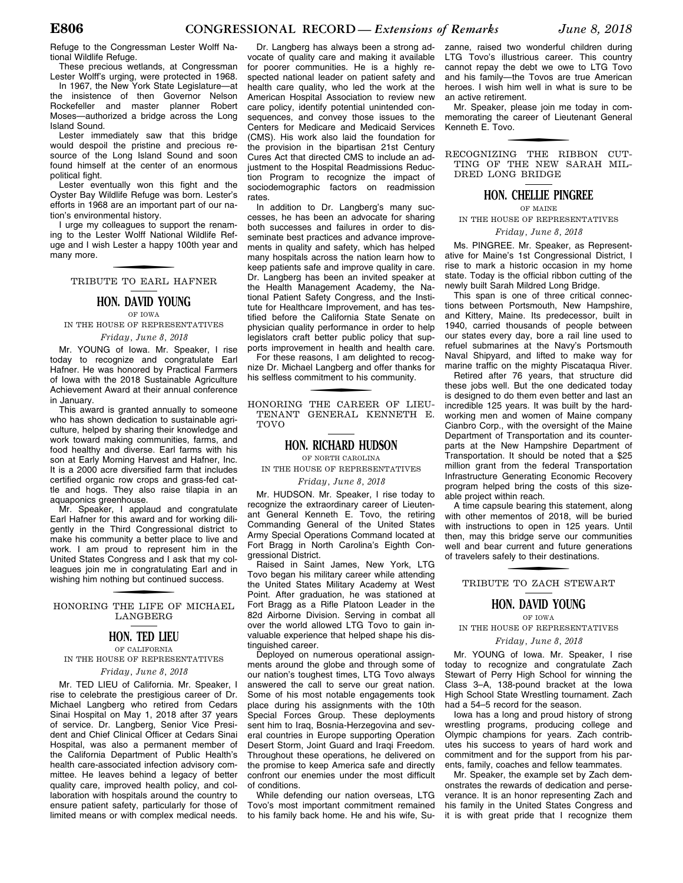Refuge to the Congressman Lester Wolff National Wildlife Refuge.

These precious wetlands, at Congressman Lester Wolff's urging, were protected in 1968.

In 1967, the New York State Legislature-at the insistence of then Governor Nelson Rockefeller and master planner Robert Moses—authorized a bridge across the Long Island Sound.

Lester immediately saw that this bridge would despoil the pristine and precious resource of the Long Island Sound and soon found himself at the center of an enormous political fight.

Lester eventually won this fight and the Oyster Bay Wildlife Refuge was born. Lester's efforts in 1968 are an important part of our nation's environmental history.

I urge my colleagues to support the renaming to the Lester Wolff National Wildlife Refuge and I wish Lester a happy 100th year and many more.

f TRIBUTE TO EARL HAFNER

#### **HON. DAVID YOUNG**

OF IOWA

IN THE HOUSE OF REPRESENTATIVES *Friday, June 8, 2018* 

Mr. YOUNG of Iowa. Mr. Speaker, I rise today to recognize and congratulate Earl Hafner. He was honored by Practical Farmers of Iowa with the 2018 Sustainable Agriculture Achievement Award at their annual conference in January.

This award is granted annually to someone who has shown dedication to sustainable agriculture, helped by sharing their knowledge and work toward making communities, farms, and food healthy and diverse. Earl farms with his son at Early Morning Harvest and Hafner, Inc. It is a 2000 acre diversified farm that includes certified organic row crops and grass-fed cattle and hogs. They also raise tilapia in an aquaponics greenhouse.

Mr. Speaker, I applaud and congratulate Earl Hafner for this award and for working diligently in the Third Congressional district to make his community a better place to live and work. I am proud to represent him in the United States Congress and I ask that my colleagues join me in congratulating Earl and in wishing him nothing but continued success.

f HONORING THE LIFE OF MICHAEL LANGBERG

#### **HON. TED LIEU**

#### OF CALIFORNIA IN THE HOUSE OF REPRESENTATIVES *Friday, June 8, 2018*

Mr. TED LIEU of California. Mr. Speaker, I rise to celebrate the prestigious career of Dr. Michael Langberg who retired from Cedars Sinai Hospital on May 1, 2018 after 37 years of service. Dr. Langberg, Senior Vice President and Chief Clinical Officer at Cedars Sinai Hospital, was also a permanent member of

the California Department of Public Health's health care-associated infection advisory committee. He leaves behind a legacy of better quality care, improved health policy, and collaboration with hospitals around the country to ensure patient safety, particularly for those of limited means or with complex medical needs.

Dr. Langberg has always been a strong advocate of quality care and making it available for poorer communities. He is a highly respected national leader on patient safety and health care quality, who led the work at the American Hospital Association to review new care policy, identify potential unintended consequences, and convey those issues to the Centers for Medicare and Medicaid Services (CMS). His work also laid the foundation for the provision in the bipartisan 21st Century Cures Act that directed CMS to include an adjustment to the Hospital Readmissions Reduction Program to recognize the impact of sociodemographic factors on readmission rates.

In addition to Dr. Langberg's many successes, he has been an advocate for sharing both successes and failures in order to disseminate best practices and advance improvements in quality and safety, which has helped many hospitals across the nation learn how to keep patients safe and improve quality in care. Dr. Langberg has been an invited speaker at the Health Management Academy, the National Patient Safety Congress, and the Institute for Healthcare Improvement, and has testified before the California State Senate on physician quality performance in order to help legislators craft better public policy that supports improvement in health and health care.

For these reasons, I am delighted to recognize Dr. Michael Langberg and offer thanks for his selfless commitment to his community.

f HONORING THE CAREER OF LIEU-TENANT GENERAL KENNETH E. TOVO

#### **HON. RICHARD HUDSON**

OF NORTH CAROLINA

IN THE HOUSE OF REPRESENTATIVES

#### *Friday, June 8, 2018*

Mr. HUDSON. Mr. Speaker, I rise today to recognize the extraordinary career of Lieutenant General Kenneth E. Tovo, the retiring Commanding General of the United States Army Special Operations Command located at Fort Bragg in North Carolina's Eighth Congressional District.

Raised in Saint James, New York, LTG Tovo began his military career while attending the United States Military Academy at West Point. After graduation, he was stationed at Fort Bragg as a Rifle Platoon Leader in the 82d Airborne Division. Serving in combat all over the world allowed LTG Tovo to gain invaluable experience that helped shape his distinguished career.

Deployed on numerous operational assignments around the globe and through some of our nation's toughest times, LTG Tovo always answered the call to serve our great nation. Some of his most notable engagements took place during his assignments with the 10th Special Forces Group. These deployments sent him to Iraq, Bosnia-Herzegovina and several countries in Europe supporting Operation Desert Storm, Joint Guard and Iraqi Freedom. Throughout these operations, he delivered on the promise to keep America safe and directly confront our enemies under the most difficult of conditions.

While defending our nation overseas, LTG Tovo's most important commitment remained to his family back home. He and his wife, Su-

zanne, raised two wonderful children during LTG Tovo's illustrious career. This country cannot repay the debt we owe to LTG Tovo and his family—the Tovos are true American heroes. I wish him well in what is sure to be an active retirement.

Mr. Speaker, please join me today in commemorating the career of Lieutenant General Kenneth E. Tovo.

f RECOGNIZING THE RIBBON CUT-TING OF THE NEW SARAH MIL-DRED LONG BRIDGE

#### **HON. CHELLIE PINGREE**

OF MAINE

IN THE HOUSE OF REPRESENTATIVES

*Friday, June 8, 2018* 

Ms. PINGREE. Mr. Speaker, as Representative for Maine's 1st Congressional District, I rise to mark a historic occasion in my home state. Today is the official ribbon cutting of the newly built Sarah Mildred Long Bridge.

This span is one of three critical connections between Portsmouth, New Hampshire, and Kittery, Maine. Its predecessor, built in 1940, carried thousands of people between our states every day, bore a rail line used to refuel submarines at the Navy's Portsmouth Naval Shipyard, and lifted to make way for marine traffic on the mighty Piscataqua River.

Retired after 76 years, that structure did these jobs well. But the one dedicated today is designed to do them even better and last an incredible 125 years. It was built by the hardworking men and women of Maine company Cianbro Corp., with the oversight of the Maine Department of Transportation and its counterparts at the New Hampshire Department of Transportation. It should be noted that a \$25 million grant from the federal Transportation Infrastructure Generating Economic Recovery program helped bring the costs of this sizeable project within reach.

A time capsule bearing this statement, along with other mementos of 2018, will be buried with instructions to open in 125 years. Until then, may this bridge serve our communities well and bear current and future generations of travelers safely to their destinations.

# f TRIBUTE TO ZACH STEWART

**HON. DAVID YOUNG** 

OF IOWA

IN THE HOUSE OF REPRESENTATIVES

*Friday, June 8, 2018* 

Mr. YOUNG of Iowa. Mr. Speaker, I rise today to recognize and congratulate Zach Stewart of Perry High School for winning the Class 3–A, 138-pound bracket at the Iowa High School State Wrestling tournament. Zach had a 54–5 record for the season.

Iowa has a long and proud history of strong wrestling programs, producing college and Olympic champions for years. Zach contributes his success to years of hard work and commitment and for the support from his parents, family, coaches and fellow teammates.

Mr. Speaker, the example set by Zach demonstrates the rewards of dedication and perseverance. It is an honor representing Zach and his family in the United States Congress and it is with great pride that I recognize them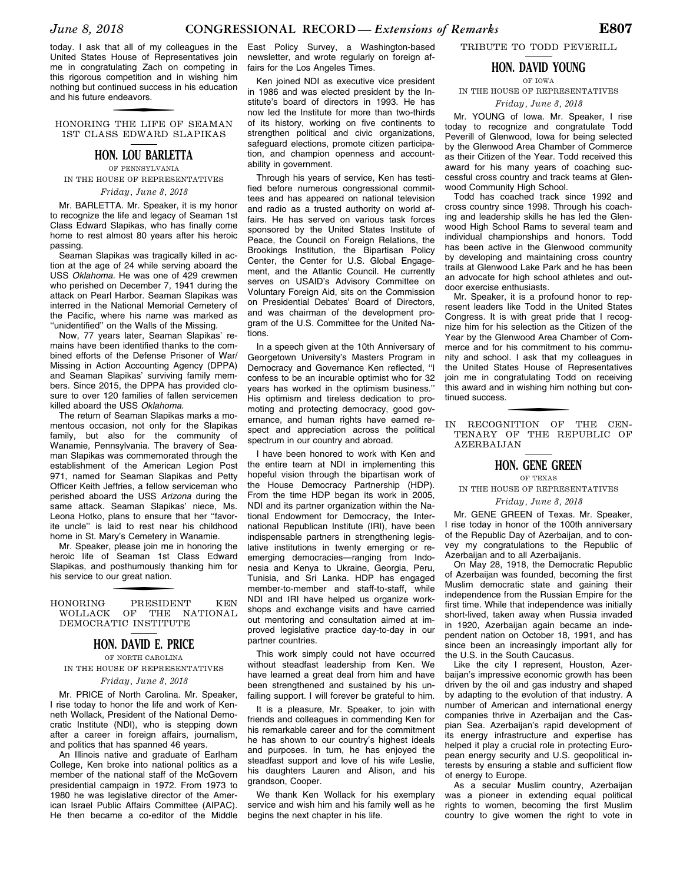today. I ask that all of my colleagues in the United States House of Representatives join me in congratulating Zach on competing in this rigorous competition and in wishing him nothing but continued success in his education and his future endeavors.

f HONORING THE LIFE OF SEAMAN 1ST CLASS EDWARD SLAPIKAS

#### **HON. LOU BARLETTA**

OF PENNSYLVANIA IN THE HOUSE OF REPRESENTATIVES

#### *Friday, June 8, 2018*

Mr. BARLETTA. Mr. Speaker, it is my honor to recognize the life and legacy of Seaman 1st Class Edward Slapikas, who has finally come home to rest almost 80 years after his heroic passing.

Seaman Slapikas was tragically killed in action at the age of 24 while serving aboard the USS *Oklahoma.* He was one of 429 crewmen who perished on December 7, 1941 during the attack on Pearl Harbor. Seaman Slapikas was interred in the National Memorial Cemetery of the Pacific, where his name was marked as ''unidentified'' on the Walls of the Missing.

Now, 77 years later, Seaman Slapikas' remains have been identified thanks to the combined efforts of the Defense Prisoner of War/ Missing in Action Accounting Agency (DPPA) and Seaman Slapikas' surviving family members. Since 2015, the DPPA has provided closure to over 120 families of fallen servicemen killed aboard the USS *Oklahoma.* 

The return of Seaman Slapikas marks a momentous occasion, not only for the Slapikas family, but also for the community of Wanamie, Pennsylvania. The bravery of Seaman Slapikas was commemorated through the establishment of the American Legion Post 971, named for Seaman Slapikas and Petty Officer Keith Jeffries, a fellow serviceman who perished aboard the USS *Arizona* during the same attack. Seaman Slapikas' niece, Ms. Leona Hotko, plans to ensure that her ''favorite uncle'' is laid to rest near his childhood home in St. Mary's Cemetery in Wanamie.

Mr. Speaker, please join me in honoring the heroic life of Seaman 1st Class Edward Slapikas, and posthumously thanking him for his service to our great nation.

#### HONORING PRESIDENT KEN WOLLACK OF THE NATIONAL DEMOCRATIC INSTITUTE

#### **HON. DAVID E. PRICE**

OF NORTH CAROLINA IN THE HOUSE OF REPRESENTATIVES

#### *Friday, June 8, 2018*

Mr. PRICE of North Carolina. Mr. Speaker, I rise today to honor the life and work of Kenneth Wollack, President of the National Democratic Institute (NDI), who is stepping down after a career in foreign affairs, journalism, and politics that has spanned 46 years.

An Illinois native and graduate of Earlham College, Ken broke into national politics as a member of the national staff of the McGovern presidential campaign in 1972. From 1973 to 1980 he was legislative director of the American Israel Public Affairs Committee (AIPAC). He then became a co-editor of the Middle East Policy Survey, a Washington-based newsletter, and wrote regularly on foreign affairs for the Los Angeles Times.

Ken joined NDI as executive vice president in 1986 and was elected president by the Institute's board of directors in 1993. He has now led the Institute for more than two-thirds of its history, working on five continents to strengthen political and civic organizations, safeguard elections, promote citizen participation, and champion openness and accountability in government.

Through his years of service, Ken has testified before numerous congressional committees and has appeared on national television and radio as a trusted authority on world affairs. He has served on various task forces sponsored by the United States Institute of Peace, the Council on Foreign Relations, the Brookings Institution, the Bipartisan Policy Center, the Center for U.S. Global Engagement, and the Atlantic Council. He currently serves on USAID's Advisory Committee on Voluntary Foreign Aid, sits on the Commission on Presidential Debates' Board of Directors, and was chairman of the development program of the U.S. Committee for the United Nations.

In a speech given at the 10th Anniversary of Georgetown University's Masters Program in Democracy and Governance Ken reflected, ''I confess to be an incurable optimist who for 32 years has worked in the optimism business.'' His optimism and tireless dedication to promoting and protecting democracy, good governance, and human rights have earned respect and appreciation across the political spectrum in our country and abroad.

I have been honored to work with Ken and the entire team at NDI in implementing this hopeful vision through the bipartisan work of the House Democracy Partnership (HDP). From the time HDP began its work in 2005, NDI and its partner organization within the National Endowment for Democracy, the International Republican Institute (IRI), have been indispensable partners in strengthening legislative institutions in twenty emerging or reemerging democracies—ranging from Indonesia and Kenya to Ukraine, Georgia, Peru, Tunisia, and Sri Lanka. HDP has engaged member-to-member and staff-to-staff, while NDI and IRI have helped us organize workshops and exchange visits and have carried out mentoring and consultation aimed at improved legislative practice day-to-day in our partner countries.

This work simply could not have occurred without steadfast leadership from Ken. We have learned a great deal from him and have been strengthened and sustained by his unfailing support. I will forever be grateful to him.

It is a pleasure, Mr. Speaker, to join with friends and colleagues in commending Ken for his remarkable career and for the commitment he has shown to our country's highest ideals and purposes. In turn, he has enjoyed the steadfast support and love of his wife Leslie, his daughters Lauren and Alison, and his grandson, Cooper.

We thank Ken Wollack for his exemplary service and wish him and his family well as he begins the next chapter in his life.

TRIBUTE TO TODD PEVERILL

#### **HON. DAVID YOUNG** OF IOWA

#### IN THE HOUSE OF REPRESENTATIVES

*Friday, June 8, 2018* 

Mr. YOUNG of Iowa. Mr. Speaker, I rise today to recognize and congratulate Todd Peverill of Glenwood, Iowa for being selected by the Glenwood Area Chamber of Commerce as their Citizen of the Year. Todd received this award for his many years of coaching successful cross country and track teams at Glenwood Community High School.

Todd has coached track since 1992 and cross country since 1998. Through his coaching and leadership skills he has led the Glenwood High School Rams to several team and individual championships and honors. Todd has been active in the Glenwood community by developing and maintaining cross country trails at Glenwood Lake Park and he has been an advocate for high school athletes and outdoor exercise enthusiasts.

Mr. Speaker, it is a profound honor to represent leaders like Todd in the United States Congress. It is with great pride that I recognize him for his selection as the Citizen of the Year by the Glenwood Area Chamber of Commerce and for his commitment to his community and school. I ask that my colleagues in the United States House of Representatives join me in congratulating Todd on receiving this award and in wishing him nothing but continued success.

IN RECOGNITION OF THE CEN-TENARY OF THE REPUBLIC OF AZERBAIJAN

#### **HON. GENE GREEN**

#### OF TEXAS

IN THE HOUSE OF REPRESENTATIVES

#### *Friday, June 8, 2018*

Mr. GENE GREEN of Texas. Mr. Speaker, I rise today in honor of the 100th anniversary of the Republic Day of Azerbaijan, and to convey my congratulations to the Republic of Azerbaijan and to all Azerbaijanis.

On May 28, 1918, the Democratic Republic of Azerbaijan was founded, becoming the first Muslim democratic state and gaining their independence from the Russian Empire for the first time. While that independence was initially short-lived, taken away when Russia invaded in 1920, Azerbaijan again became an independent nation on October 18, 1991, and has since been an increasingly important ally for the U.S. in the South Caucasus.

Like the city I represent, Houston, Azerbaijan's impressive economic growth has been driven by the oil and gas industry and shaped by adapting to the evolution of that industry. A number of American and international energy companies thrive in Azerbaijan and the Caspian Sea. Azerbaijan's rapid development of its energy infrastructure and expertise has helped it play a crucial role in protecting European energy security and U.S. geopolitical interests by ensuring a stable and sufficient flow of energy to Europe.

As a secular Muslim country, Azerbaijan was a pioneer in extending equal political rights to women, becoming the first Muslim country to give women the right to vote in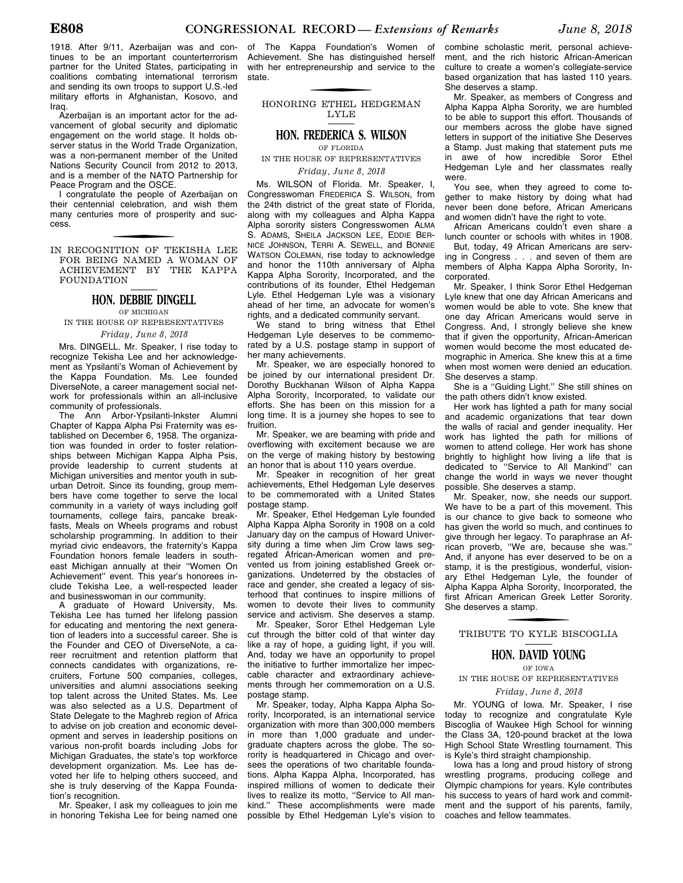1918. After 9/11, Azerbaijan was and continues to be an important counterterrorism partner for the United States, participating in coalitions combating international terrorism and sending its own troops to support U.S.-led military efforts in Afghanistan, Kosovo, and Iraq.

Azerbaijan is an important actor for the advancement of global security and diplomatic engagement on the world stage. It holds observer status in the World Trade Organization, was a non-permanent member of the United Nations Security Council from 2012 to 2013, and is a member of the NATO Partnership for Peace Program and the OSCE.

I congratulate the people of Azerbaijan on their centennial celebration, and wish them many centuries more of prosperity and success.

f IN RECOGNITION OF TEKISHA LEE FOR BEING NAMED A WOMAN OF ACHIEVEMENT BY THE KAPPA **FOUNDATION** 

#### **HON. DEBBIE DINGELL**

OF MICHIGAN IN THE HOUSE OF REPRESENTATIVES

#### *Friday, June 8, 2018*

Mrs. DINGELL. Mr. Speaker, I rise today to recognize Tekisha Lee and her acknowledgement as Ypsilanti's Woman of Achievement by the Kappa Foundation. Ms. Lee founded DiverseNote, a career management social network for professionals within an all-inclusive community of professionals.

The Ann Arbor-Ypsilanti-Inkster Alumni Chapter of Kappa Alpha Psi Fraternity was established on December 6, 1958. The organization was founded in order to foster relationships between Michigan Kappa Alpha Psis, provide leadership to current students at Michigan universities and mentor youth in suburban Detroit. Since its founding, group members have come together to serve the local community in a variety of ways including golf tournaments, college fairs, pancake breakfasts, Meals on Wheels programs and robust scholarship programming. In addition to their myriad civic endeavors, the fraternity's Kappa Foundation honors female leaders in southeast Michigan annually at their ''Women On Achievement'' event. This year's honorees include Tekisha Lee, a well-respected leader and businesswoman in our community.

A graduate of Howard University, Ms. Tekisha Lee has turned her lifelong passion for educating and mentoring the next generation of leaders into a successful career. She is the Founder and CEO of DiverseNote, a career recruitment and retention platform that connects candidates with organizations, recruiters, Fortune 500 companies, colleges, universities and alumni associations seeking top talent across the United States. Ms. Lee was also selected as a U.S. Department of State Delegate to the Maghreb region of Africa to advise on job creation and economic development and serves in leadership positions on various non-profit boards including Jobs for Michigan Graduates, the state's top workforce development organization. Ms. Lee has devoted her life to helping others succeed, and she is truly deserving of the Kappa Foundation's recognition.

Mr. Speaker, I ask my colleagues to join me in honoring Tekisha Lee for being named one of The Kappa Foundation's Women of Achievement. She has distinguished herself with her entrepreneurship and service to the state.

f HONORING ETHEL HEDGEMAN LYLE

#### **HON. FREDERICA S. WILSON** OF FLORIDA

IN THE HOUSE OF REPRESENTATIVES

*Friday, June 8, 2018* 

Ms. WILSON of Florida. Mr. Speaker, I, Congresswoman FREDERICA S. WILSON, from the 24th district of the great state of Florida, along with my colleagues and Alpha Kappa Alpha sorority sisters Congresswomen ALMA S. ADAMS, SHEILA JACKSON LEE, EDDIE BER-NICE JOHNSON, TERRI A. SEWELL, and BONNIE WATSON COLEMAN, rise today to acknowledge and honor the 110th anniversary of Alpha Kappa Alpha Sorority, Incorporated, and the contributions of its founder, Ethel Hedgeman Lyle. Ethel Hedgeman Lyle was a visionary ahead of her time, an advocate for women's rights, and a dedicated community servant.

We stand to bring witness that Ethel Hedgeman Lyle deserves to be commemorated by a U.S. postage stamp in support of her many achievements.

Mr. Speaker, we are especially honored to be joined by our international president Dr. Dorothy Buckhanan Wilson of Alpha Kappa Alpha Sorority, Incorporated, to validate our efforts. She has been on this mission for a long time. It is a journey she hopes to see to fruition.

Mr. Speaker, we are beaming with pride and overflowing with excitement because we are on the verge of making history by bestowing an honor that is about 110 years overdue.

Mr. Speaker in recognition of her great achievements, Ethel Hedgeman Lyle deserves to be commemorated with a United States postage stamp.

Mr. Speaker, Ethel Hedgeman Lyle founded Alpha Kappa Alpha Sorority in 1908 on a cold January day on the campus of Howard University during a time when Jim Crow laws segregated African-American women and prevented us from joining established Greek organizations. Undeterred by the obstacles of race and gender, she created a legacy of sisterhood that continues to inspire millions of women to devote their lives to community service and activism. She deserves a stamp.

Mr. Speaker, Soror Ethel Hedgeman Lyle cut through the bitter cold of that winter day like a ray of hope, a guiding light, if you will. And, today we have an opportunity to propel the initiative to further immortalize her impeccable character and extraordinary achievements through her commemoration on a U.S. postage stamp.

Mr. Speaker, today, Alpha Kappa Alpha Sorority, Incorporated, is an international service organization with more than 300,000 members in more than 1,000 graduate and undergraduate chapters across the globe. The sorority is headquartered in Chicago and oversees the operations of two charitable foundations. Alpha Kappa Alpha, Incorporated, has inspired millions of women to dedicate their lives to realize its motto, ''Service to All mankind.'' These accomplishments were made possible by Ethel Hedgeman Lyle's vision to

combine scholastic merit, personal achievement, and the rich historic African-American culture to create a women's collegiate-service based organization that has lasted 110 years. She deserves a stamp.

Mr. Speaker, as members of Congress and Alpha Kappa Alpha Sorority, we are humbled to be able to support this effort. Thousands of our members across the globe have signed letters in support of the initiative She Deserves a Stamp. Just making that statement puts me in awe of how incredible Soror Ethel Hedgeman Lyle and her classmates really were.

You see, when they agreed to come together to make history by doing what had never been done before, African Americans and women didn't have the right to vote.

African Americans couldn't even share a lunch counter or schools with whites in 1908.

But, today, 49 African Americans are serving in Congress . . . and seven of them are members of Alpha Kappa Alpha Sorority, Incorporated.

Mr. Speaker, I think Soror Ethel Hedgeman Lyle knew that one day African Americans and women would be able to vote. She knew that one day African Americans would serve in Congress. And, I strongly believe she knew that if given the opportunity, African-American women would become the most educated demographic in America. She knew this at a time when most women were denied an education. She deserves a stamp.

She is a ''Guiding Light.'' She still shines on the path others didn't know existed.

Her work has lighted a path for many social and academic organizations that tear down the walls of racial and gender inequality. Her work has lighted the path for millions of women to attend college. Her work has shone brightly to highlight how living a life that is dedicated to ''Service to All Mankind'' can change the world in ways we never thought possible. She deserves a stamp.

Mr. Speaker, now, she needs our support. We have to be a part of this movement. This is our chance to give back to someone who has given the world so much, and continues to give through her legacy. To paraphrase an African proverb, ''We are, because she was.'' And, if anyone has ever deserved to be on a stamp, it is the prestigious, wonderful, visionary Ethel Hedgeman Lyle, the founder of Alpha Kappa Alpha Sorority, Incorporated, the first African American Greek Letter Sorority. She deserves a stamp.

# f TRIBUTE TO KYLE BISCOGLIA

#### **HON. DAVID YOUNG**

OF IOWA

IN THE HOUSE OF REPRESENTATIVES

#### *Friday, June 8, 2018*

Mr. YOUNG of Iowa. Mr. Speaker, I rise today to recognize and congratulate Kyle Biscoglia of Waukee High School for winning the Class 3A, 120-pound bracket at the Iowa High School State Wrestling tournament. This is Kyle's third straight championship.

Iowa has a long and proud history of strong wrestling programs, producing college and Olympic champions for years. Kyle contributes his success to years of hard work and commitment and the support of his parents, family, coaches and fellow teammates.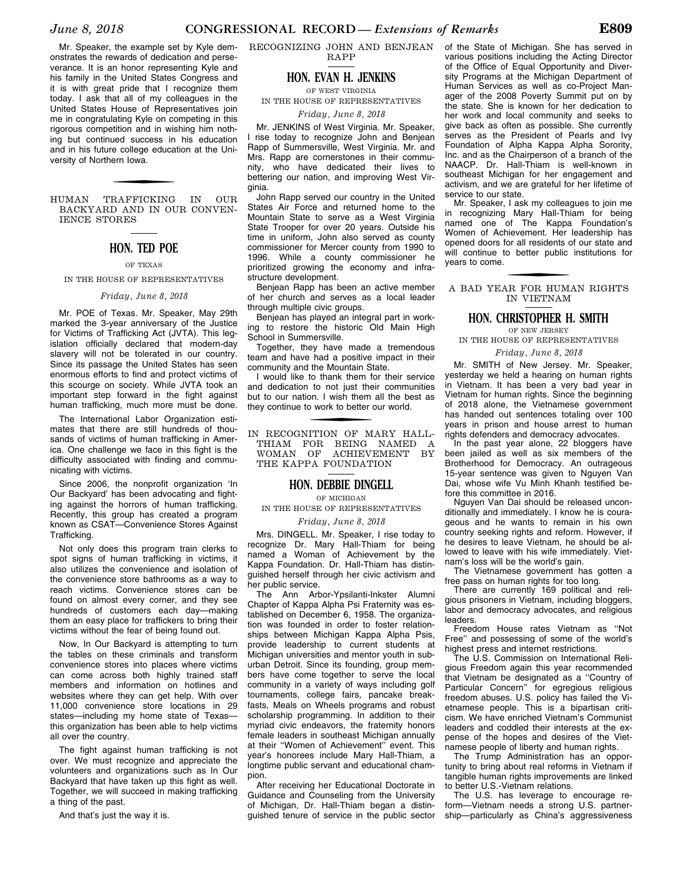Mr. Speaker, the example set by Kyle demonstrates the rewards of dedication and perseverance. It is an honor representing Kyle and his family in the United States Congress and it is with great pride that I recognize them today. I ask that all of my colleagues in the United States House of Representatives join me in congratulating Kyle on competing in this rigorous competition and in wishing him nothing but continued success in his education and in his future college education at the University of Northern Iowa.

HUMAN TRAFFICKING IN OUR BACKYARD AND IN OUR CONVEN-IENCE STORES

#### **HON. TED POE**

#### OF TEXAS

#### IN THE HOUSE OF REPRESENTATIVES

#### *Friday, June 8, 2018*

Mr. POE of Texas. Mr. Speaker, May 29th marked the 3-year anniversary of the Justice for Victims of Trafficking Act (JVTA). This legislation officially declared that modern-day slavery will not be tolerated in our country. Since its passage the United States has seen enormous efforts to find and protect victims of this scourge on society. While JVTA took an important step forward in the fight against human trafficking, much more must be done.

The International Labor Organization estimates that there are still hundreds of thousands of victims of human trafficking in America. One challenge we face in this fight is the difficulty associated with finding and communicating with victims.

Since 2006, the nonprofit organization 'In Our Backyard' has been advocating and fighting against the horrors of human trafficking. Recently, this group has created a program known as CSAT—Convenience Stores Against Trafficking.

Not only does this program train clerks to spot signs of human trafficking in victims, it also utilizes the convenience and isolation of the convenience store bathrooms as a way to reach victims. Convenience stores can be found on almost every corner, and they see hundreds of customers each day—making them an easy place for traffickers to bring their victims without the fear of being found out.

Now, In Our Backyard is attempting to turn the tables on these criminals and transform convenience stores into places where victims can come across both highly trained staff members and information on hotlines and websites where they can get help. With over 11,000 convenience store locations in 29 states—including my home state of Texas this organization has been able to help victims all over the country.

The fight against human trafficking is not over. We must recognize and appreciate the volunteers and organizations such as In Our Backyard that have taken up this fight as well. Together, we will succeed in making trafficking a thing of the past.

And that's just the way it is.

RECOGNIZING JOHN AND BENJEAN RAPP

#### **HON. EVAN H. JENKINS**

OF WEST VIRGINIA

IN THE HOUSE OF REPRESENTATIVES

*Friday, June 8, 2018* 

Mr. JENKINS of West Virginia. Mr. Speaker, I rise today to recognize John and Benjean Rapp of Summersville, West Virginia. Mr. and Mrs. Rapp are cornerstones in their community, who have dedicated their lives to bettering our nation, and improving West Virginia.

John Rapp served our country in the United States Air Force and returned home to the Mountain State to serve as a West Virginia State Trooper for over 20 years. Outside his time in uniform, John also served as county commissioner for Mercer county from 1990 to 1996. While a county commissioner he prioritized growing the economy and infrastructure development.

Benjean Rapp has been an active member of her church and serves as a local leader through multiple civic groups.

Benjean has played an integral part in working to restore the historic Old Main High School in Summersville.

Together, they have made a tremendous team and have had a positive impact in their community and the Mountain State.

I would like to thank them for their service and dedication to not just their communities but to our nation. I wish them all the best as they continue to work to better our world.

IN RECOGNITION OF MARY HALL-THIAM FOR BEING NAMED A<br>WOMAN OF ACHIEVEMENT BY ACHIEVEMENT BY THE KAPPA FOUNDATION

#### **HON. DEBBIE DINGELL**

OF MICHIGAN

IN THE HOUSE OF REPRESENTATIVES

### *Friday, June 8, 2018*

Mrs. DINGELL. Mr. Speaker, I rise today to recognize Dr. Mary Hall-Thiam for being named a Woman of Achievement by the Kappa Foundation. Dr. Hall-Thiam has distinguished herself through her civic activism and her public service.

The Ann Arbor-Ypsilanti-Inkster Alumni Chapter of Kappa Alpha Psi Fraternity was established on December 6, 1958. The organization was founded in order to foster relationships between Michigan Kappa Alpha Psis, provide leadership to current students at Michigan universities and mentor youth in suburban Detroit. Since its founding, group members have come together to serve the local community in a variety of ways including golf tournaments, college fairs, pancake breakfasts, Meals on Wheels programs and robust scholarship programming. In addition to their myriad civic endeavors, the fraternity honors female leaders in southeast Michigan annually at their ''Women of Achievement'' event. This year's honorees include Mary Hall-Thiam, a longtime public servant and educational champion.

After receiving her Educational Doctorate in Guidance and Counseling from the University of Michigan, Dr. Hall-Thiam began a distinguished tenure of service in the public sector

of the State of Michigan. She has served in various positions including the Acting Director of the Office of Equal Opportunity and Diversity Programs at the Michigan Department of Human Services as well as co-Project Manager of the 2008 Poverty Summit put on by the state. She is known for her dedication to her work and local community and seeks to give back as often as possible. She currently serves as the President of Pearls and Ivy Foundation of Alpha Kappa Alpha Sorority, Inc. and as the Chairperson of a branch of the NAACP. Dr. Hall-Thiam is well-known in southeast Michigan for her engagement and activism, and we are grateful for her lifetime of service to our state.

Mr. Speaker, I ask my colleagues to join me in recognizing Mary Hall-Thiam for being named one of The Kappa Foundation's Women of Achievement. Her leadership has opened doors for all residents of our state and will continue to better public institutions for years to come.

f A BAD YEAR FOR HUMAN RIGHTS IN VIETNAM

#### **HON. CHRISTOPHER H. SMITH**

OF NEW JERSEY

IN THE HOUSE OF REPRESENTATIVES *Friday, June 8, 2018* 

Mr. SMITH of New Jersey. Mr. Speaker, yesterday we held a hearing on human rights in Vietnam. It has been a very bad year in Vietnam for human rights. Since the beginning of 2018 alone, the Vietnamese government has handed out sentences totaling over 100 years in prison and house arrest to human rights defenders and democracy advocates.

In the past year alone, 22 bloggers have been jailed as well as six members of the Brotherhood for Democracy. An outrageous 15-year sentence was given to Nguyen Van Dai, whose wife Vu Minh Khanh testified before this committee in 2016.

Nguyen Van Dai should be released unconditionally and immediately. I know he is courageous and he wants to remain in his own country seeking rights and reform. However, if he desires to leave Vietnam, he should be allowed to leave with his wife immediately. Vietnam's loss will be the world's gain.

The Vietnamese government has gotten a free pass on human rights for too long.

There are currently 169 political and religious prisoners in Vietnam, including bloggers, labor and democracy advocates, and religious leaders.

Freedom House rates Vietnam as ''Not Free'' and possessing of some of the world's highest press and internet restrictions.

The U.S. Commission on International Religious Freedom again this year recommended that Vietnam be designated as a ''Country of Particular Concern'' for egregious religious freedom abuses. U.S. policy has failed the Vietnamese people. This is a bipartisan criticism. We have enriched Vietnam's Communist leaders and coddled their interests at the expense of the hopes and desires of the Vietnamese people of liberty and human rights.

The Trump Administration has an opportunity to bring about real reforms in Vietnam if tangible human rights improvements are linked to better U.S.-Vietnam relations.

The U.S. has leverage to encourage reform—Vietnam needs a strong U.S. partnership—particularly as China's aggressiveness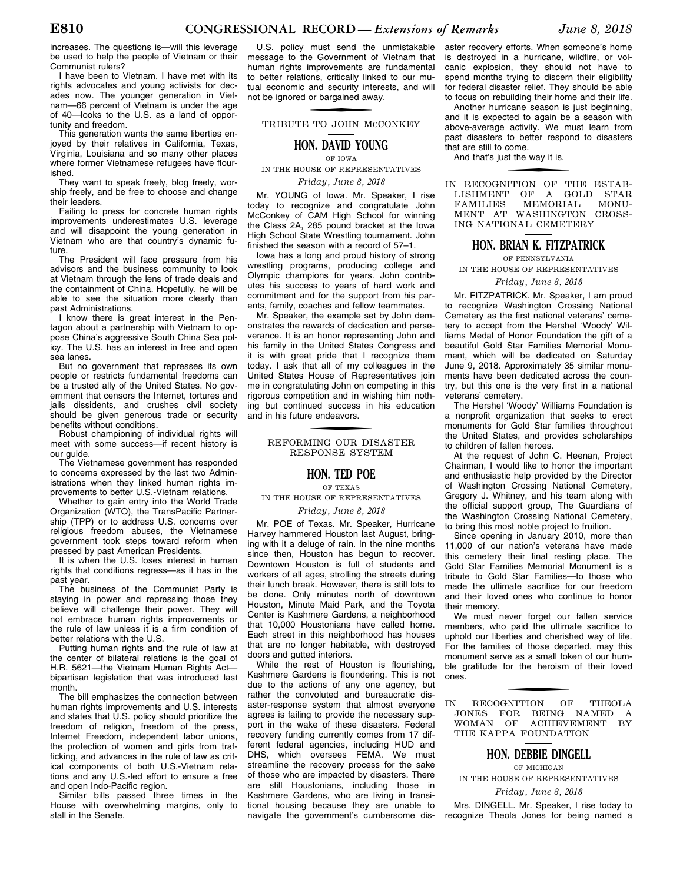increases. The questions is—will this leverage be used to help the people of Vietnam or their Communist rulers?

I have been to Vietnam. I have met with its rights advocates and young activists for decades now. The younger generation in Vietnam—66 percent of Vietnam is under the age of 40—looks to the U.S. as a land of opportunity and freedom.

This generation wants the same liberties enjoyed by their relatives in California, Texas, Virginia, Louisiana and so many other places where former Vietnamese refugees have flourished.

They want to speak freely, blog freely, worship freely, and be free to choose and change their leaders.

Failing to press for concrete human rights improvements underestimates U.S. leverage and will disappoint the young generation in Vietnam who are that country's dynamic future.

The President will face pressure from his advisors and the business community to look at Vietnam through the lens of trade deals and the containment of China. Hopefully, he will be able to see the situation more clearly than past Administrations.

I know there is great interest in the Pentagon about a partnership with Vietnam to oppose China's aggressive South China Sea policy. The U.S. has an interest in free and open sea lanes.

But no government that represses its own people or restricts fundamental freedoms can be a trusted ally of the United States. No government that censors the Internet, tortures and jails dissidents, and crushes civil society should be given generous trade or security benefits without conditions.

Robust championing of individual rights will meet with some success—if recent history is our guide.

The Vietnamese government has responded to concerns expressed by the last two Administrations when they linked human rights improvements to better U.S.-Vietnam relations.

Whether to gain entry into the World Trade Organization (WTO), the TransPacific Partnership (TPP) or to address U.S. concerns over religious freedom abuses, the Vietnamese government took steps toward reform when pressed by past American Presidents.

It is when the U.S. loses interest in human rights that conditions regress—as it has in the past year.

The business of the Communist Party is staying in power and repressing those they believe will challenge their power. They will not embrace human rights improvements or the rule of law unless it is a firm condition of better relations with the U.S.

Putting human rights and the rule of law at the center of bilateral relations is the goal of H.R. 5621—the Vietnam Human Rights Act bipartisan legislation that was introduced last month.

The bill emphasizes the connection between human rights improvements and U.S. interests and states that U.S. policy should prioritize the freedom of religion, freedom of the press, Internet Freedom, independent labor unions, the protection of women and girls from trafficking, and advances in the rule of law as critical components of both U.S.-Vietnam relations and any U.S.-led effort to ensure a free and open Indo-Pacific region.

Similar bills passed three times in the House with overwhelming margins, only to stall in the Senate.

U.S. policy must send the unmistakable message to the Government of Vietnam that human rights improvements are fundamental to better relations, critically linked to our mutual economic and security interests, and will not be ignored or bargained away.

f TRIBUTE TO JOHN MCCONKEY

#### **HON. DAVID YOUNG**

OF IOWA

IN THE HOUSE OF REPRESENTATIVES

*Friday, June 8, 2018* 

Mr. YOUNG of Iowa. Mr. Speaker, I rise today to recognize and congratulate John McConkey of CAM High School for winning the Class 2A, 285 pound bracket at the Iowa High School State Wrestling tournament. John finished the season with a record of 57–1.

Iowa has a long and proud history of strong wrestling programs, producing college and Olympic champions for years. John contributes his success to years of hard work and commitment and for the support from his parents, family, coaches and fellow teammates.

Mr. Speaker, the example set by John demonstrates the rewards of dedication and perseverance. It is an honor representing John and his family in the United States Congress and it is with great pride that I recognize them today. I ask that all of my colleagues in the United States House of Representatives join me in congratulating John on competing in this rigorous competition and in wishing him nothing but continued success in his education and in his future endeavors.

## f REFORMING OUR DISASTER RESPONSE SYSTEM

#### **HON. TED POE**

OF TEXAS

IN THE HOUSE OF REPRESENTATIVES

#### *Friday, June 8, 2018*

Mr. POE of Texas. Mr. Speaker, Hurricane Harvey hammered Houston last August, bringing with it a deluge of rain. In the nine months since then, Houston has begun to recover. Downtown Houston is full of students and workers of all ages, strolling the streets during their lunch break. However, there is still lots to be done. Only minutes north of downtown Houston, Minute Maid Park, and the Toyota Center is Kashmere Gardens, a neighborhood that 10,000 Houstonians have called home. Each street in this neighborhood has houses that are no longer habitable, with destroyed doors and gutted interiors.

While the rest of Houston is flourishing, Kashmere Gardens is floundering. This is not due to the actions of any one agency, but rather the convoluted and bureaucratic disaster-response system that almost everyone agrees is failing to provide the necessary support in the wake of these disasters. Federal recovery funding currently comes from 17 different federal agencies, including HUD and DHS, which oversees FEMA. We must streamline the recovery process for the sake of those who are impacted by disasters. There are still Houstonians, including those in Kashmere Gardens, who are living in transitional housing because they are unable to navigate the government's cumbersome dis-

aster recovery efforts. When someone's home is destroyed in a hurricane, wildfire, or volcanic explosion, they should not have to spend months trying to discern their eligibility for federal disaster relief. They should be able to focus on rebuilding their home and their life.

Another hurricane season is just beginning, and it is expected to again be a season with above-average activity. We must learn from past disasters to better respond to disasters that are still to come.

And that's just the way it is.

f IN RECOGNITION OF THE ESTAB-LISHMENT OF A GOLD STAR<br>FAMILIES MEMORIAL MONU-MEMORIAL MONU-MENT AT WASHINGTON CROSS-ING NATIONAL CEMETERY

#### **HON. BRIAN K. FITZPATRICK**

OF PENNSYLVANIA

IN THE HOUSE OF REPRESENTATIVES

#### *Friday, June 8, 2018*

Mr. FITZPATRICK. Mr. Speaker, I am proud to recognize Washington Crossing National Cemetery as the first national veterans' cemetery to accept from the Hershel 'Woody' Williams Medal of Honor Foundation the gift of a beautiful Gold Star Families Memorial Monument, which will be dedicated on Saturday June 9, 2018. Approximately 35 similar monuments have been dedicated across the country, but this one is the very first in a national veterans' cemetery.

The Hershel 'Woody' Williams Foundation is a nonprofit organization that seeks to erect monuments for Gold Star families throughout the United States, and provides scholarships to children of fallen heroes.

At the request of John C. Heenan, Project Chairman, I would like to honor the important and enthusiastic help provided by the Director of Washington Crossing National Cemetery, Gregory J. Whitney, and his team along with the official support group, The Guardians of the Washington Crossing National Cemetery, to bring this most noble project to fruition.

Since opening in January 2010, more than 11,000 of our nation's veterans have made this cemetery their final resting place. The Gold Star Families Memorial Monument is a tribute to Gold Star Families—to those who made the ultimate sacrifice for our freedom and their loved ones who continue to honor their memory.

We must never forget our fallen service members, who paid the ultimate sacrifice to uphold our liberties and cherished way of life. For the families of those departed, may this monument serve as a small token of our humble gratitude for the heroism of their loved ones.

IN RECOGNITION OF THEOLA JONES FOR BEING NAMED A WOMAN OF ACHIEVEMENT BY THE KAPPA FOUNDATION

#### **HON. DEBBIE DINGELL**

OF MICHIGAN

IN THE HOUSE OF REPRESENTATIVES

*Friday, June 8, 2018* 

Mrs. DINGELL. Mr. Speaker, I rise today to recognize Theola Jones for being named a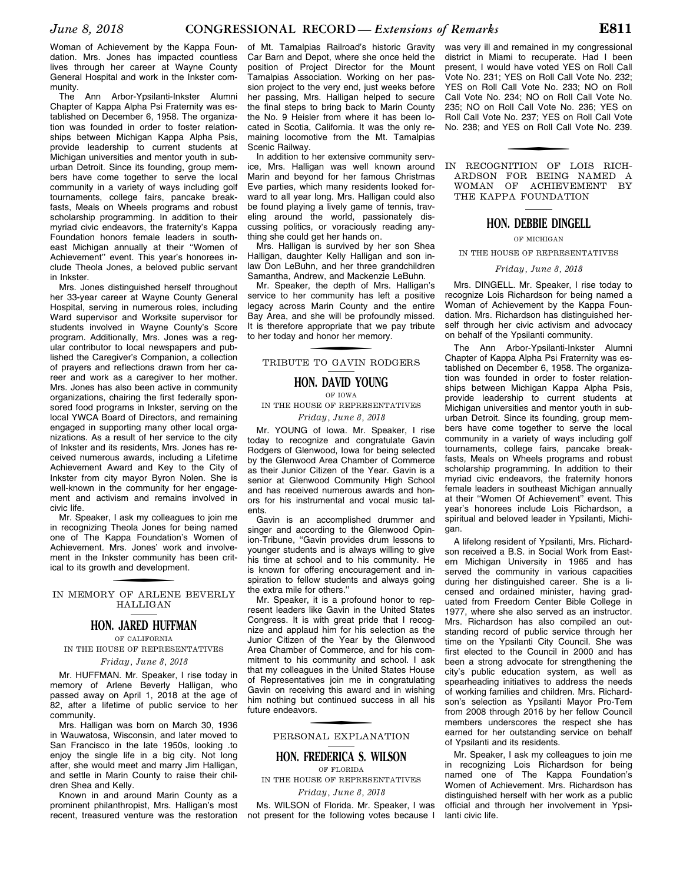Woman of Achievement by the Kappa Foundation. Mrs. Jones has impacted countless lives through her career at Wayne County General Hospital and work in the Inkster community.

The Ann Arbor-Ypsilanti-Inkster Alumni Chapter of Kappa Alpha Psi Fraternity was established on December 6, 1958. The organization was founded in order to foster relationships between Michigan Kappa Alpha Psis, provide leadership to current students at Michigan universities and mentor youth in suburban Detroit. Since its founding, group members have come together to serve the local community in a variety of ways including golf tournaments, college fairs, pancake breakfasts, Meals on Wheels programs and robust scholarship programming. In addition to their myriad civic endeavors, the fraternity's Kappa Foundation honors female leaders in southeast Michigan annually at their ''Women of Achievement'' event. This year's honorees include Theola Jones, a beloved public servant in Inkster.

Mrs. Jones distinguished herself throughout her 33-year career at Wayne County General Hospital, serving in numerous roles, including Ward supervisor and Worksite supervisor for students involved in Wayne County's Score program. Additionally, Mrs. Jones was a regular contributor to local newspapers and published the Caregiver's Companion, a collection of prayers and reflections drawn from her career and work as a caregiver to her mother. Mrs. Jones has also been active in community organizations, chairing the first federally sponsored food programs in Inkster, serving on the local YWCA Board of Directors, and remaining engaged in supporting many other local organizations. As a result of her service to the city of Inkster and its residents, Mrs. Jones has received numerous awards, including a Lifetime Achievement Award and Key to the City of Inkster from city mayor Byron Nolen. She is well-known in the community for her engagement and activism and remains involved in civic life.

Mr. Speaker, I ask my colleagues to join me in recognizing Theola Jones for being named one of The Kappa Foundation's Women of Achievement. Mrs. Jones' work and involvement in the Inkster community has been critical to its growth and development.

## IN MEMORY OF ARLENE BEVERLY HALLIGAN

#### **HON. JARED HUFFMAN**

OF CALIFORNIA

IN THE HOUSE OF REPRESENTATIVES *Friday, June 8, 2018* 

Mr. HUFFMAN. Mr. Speaker, I rise today in memory of Arlene Beverly Halligan, who passed away on April 1, 2018 at the age of 82, after a lifetime of public service to her community.

Mrs. Halligan was born on March 30, 1936 in Wauwatosa, Wisconsin, and later moved to San Francisco in the late 1950s, looking .to enjoy the single life in a big city. Not long after, she would meet and marry Jim Halligan, and settle in Marin County to raise their children Shea and Kelly.

Known in and around Marin County as a prominent philanthropist, Mrs. Halligan's most recent, treasured venture was the restoration

of Mt. Tamalpias Railroad's historic Gravity Car Barn and Depot, where she once held the position of Project Director for the Mount Tamalpias Association. Working on her passion project to the very end, just weeks before her passing, Mrs. Halligan helped to secure the final steps to bring back to Marin County the No. 9 Heisler from where it has been located in Scotia, California. It was the only remaining locomotive from the Mt. Tamalpias Scenic Railway.

In addition to her extensive community service, Mrs. Halligan was well known around Marin and beyond for her famous Christmas Eve parties, which many residents looked forward to all year long. Mrs. Halligan could also be found playing a lively game of tennis, traveling around the world, passionately discussing politics, or voraciously reading anything she could get her hands on.

Mrs. Halligan is survived by her son Shea Halligan, daughter Kelly Halligan and son inlaw Don LeBuhn, and her three grandchildren Samantha, Andrew, and Mackenzie LeBuhn.

Mr. Speaker, the depth of Mrs. Halligan's service to her community has left a positive legacy across Marin County and the entire Bay Area, and she will be profoundly missed. It is therefore appropriate that we pay tribute to her today and honor her memory.

# f TRIBUTE TO GAVIN RODGERS

#### **HON. DAVID YOUNG**

#### OF IOWA

IN THE HOUSE OF REPRESENTATIVES *Friday, June 8, 2018* 

Mr. YOUNG of Iowa. Mr. Speaker, I rise today to recognize and congratulate Gavin Rodgers of Glenwood, Iowa for being selected by the Glenwood Area Chamber of Commerce as their Junior Citizen of the Year. Gavin is a senior at Glenwood Community High School and has received numerous awards and honors for his instrumental and vocal music talents.

Gavin is an accomplished drummer and singer and according to the Glenwood Opinion-Tribune, ''Gavin provides drum lessons to younger students and is always willing to give his time at school and to his community. He is known for offering encouragement and inspiration to fellow students and always going the extra mile for others.''

Mr. Speaker, it is a profound honor to represent leaders like Gavin in the United States Congress. It is with great pride that I recognize and applaud him for his selection as the Junior Citizen of the Year by the Glenwood Area Chamber of Commerce, and for his commitment to his community and school. I ask that my colleagues in the United States House of Representatives join me in congratulating Gavin on receiving this award and in wishing him nothing but continued success in all his future endeavors.

# f PERSONAL EXPLANATION

#### **HON. FREDERICA S. WILSON** OF FLORIDA

IN THE HOUSE OF REPRESENTATIVES *Friday, June 8, 2018* 

Ms. WILSON of Florida. Mr. Speaker, I was not present for the following votes because I

was very ill and remained in my congressional district in Miami to recuperate. Had I been present, I would have voted YES on Roll Call Vote No. 231; YES on Roll Call Vote No. 232; YES on Roll Call Vote No. 233; NO on Roll Call Vote No. 234; NO on Roll Call Vote No. 235; NO on Roll Call Vote No. 236; YES on Roll Call Vote No. 237; YES on Roll Call Vote No. 238; and YES on Roll Call Vote No. 239.

#### IN RECOGNITION OF LOIS RICH-ARDSON FOR BEING NAMED A WOMAN OF ACHIEVEMENT BY THE KAPPA FOUNDATION

#### **HON. DEBBIE DINGELL**

OF MICHIGAN

IN THE HOUSE OF REPRESENTATIVES

#### *Friday, June 8, 2018*

Mrs. DINGELL. Mr. Speaker, I rise today to recognize Lois Richardson for being named a Woman of Achievement by the Kappa Foundation. Mrs. Richardson has distinguished herself through her civic activism and advocacy on behalf of the Ypsilanti community.

The Ann Arbor-Ypsilanti-Inkster Alumni Chapter of Kappa Alpha Psi Fraternity was established on December 6, 1958. The organization was founded in order to foster relationships between Michigan Kappa Alpha Psis, provide leadership to current students at Michigan universities and mentor youth in suburban Detroit. Since its founding, group members have come together to serve the local community in a variety of ways including golf tournaments, college fairs, pancake breakfasts, Meals on Wheels programs and robust scholarship programming. In addition to their myriad civic endeavors, the fraternity honors female leaders in southeast Michigan annually at their ''Women Of Achievement'' event. This year's honorees include Lois Richardson, a spiritual and beloved leader in Ypsilanti, Michigan.

A lifelong resident of Ypsilanti, Mrs. Richardson received a B.S. in Social Work from Eastern Michigan University in 1965 and has served the community in various capacities during her distinguished career. She is a licensed and ordained minister, having graduated from Freedom Center Bible College in 1977, where she also served as an instructor. Mrs. Richardson has also compiled an outstanding record of public service through her time on the Ypsilanti City Council. She was first elected to the Council in 2000 and has been a strong advocate for strengthening the city's public education system, as well as spearheading initiatives to address the needs of working families and children. Mrs. Richardson's selection as Ypsilanti Mayor Pro-Tem from 2008 through 2016 by her fellow Council members underscores the respect she has earned for her outstanding service on behalf of Ypsilanti and its residents.

Mr. Speaker, I ask my colleagues to join me in recognizing Lois Richardson for being named one of The Kappa Foundation's Women of Achievement. Mrs. Richardson has distinguished herself with her work as a public official and through her involvement in Ypsilanti civic life.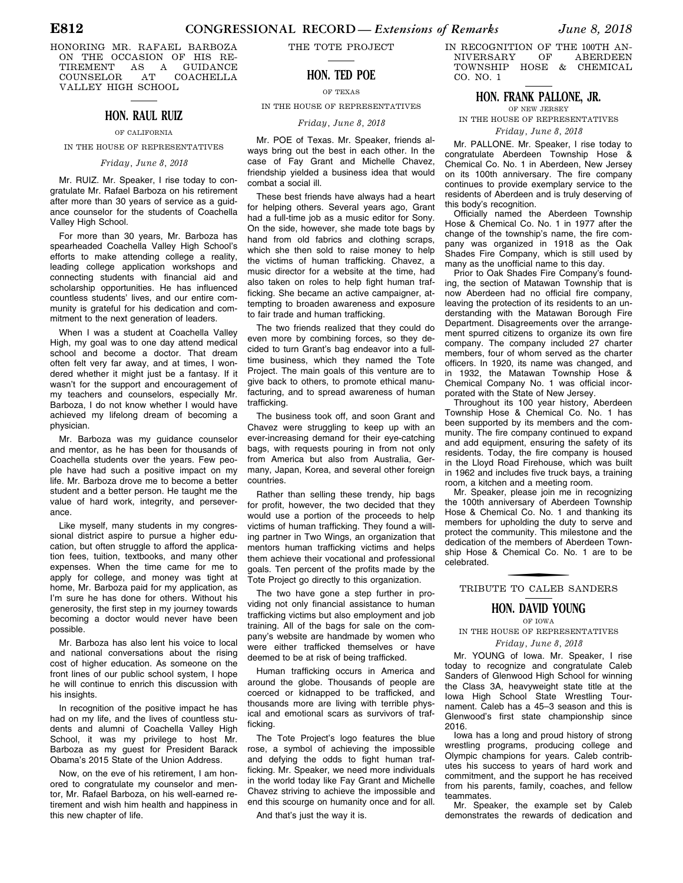HONORING MR. RAFAEL BARBOZA ON THE OCCASION OF HIS RE-TIREMENT AS A GUIDANCE COUNSELOR AT COACHELLA VALLEY HIGH SCHOOL

## **HON. RAUL RUIZ**

#### OF CALIFORNIA

IN THE HOUSE OF REPRESENTATIVES

#### *Friday, June 8, 2018*

Mr. RUIZ. Mr. Speaker, I rise today to congratulate Mr. Rafael Barboza on his retirement after more than 30 years of service as a guidance counselor for the students of Coachella Valley High School.

For more than 30 years, Mr. Barboza has spearheaded Coachella Valley High School's efforts to make attending college a reality, leading college application workshops and connecting students with financial aid and scholarship opportunities. He has influenced countless students' lives, and our entire community is grateful for his dedication and commitment to the next generation of leaders.

When I was a student at Coachella Valley High, my goal was to one day attend medical school and become a doctor. That dream often felt very far away, and at times, I wondered whether it might just be a fantasy. If it wasn't for the support and encouragement of my teachers and counselors, especially Mr. Barboza, I do not know whether I would have achieved my lifelong dream of becoming a physician.

Mr. Barboza was my guidance counselor and mentor, as he has been for thousands of Coachella students over the years. Few people have had such a positive impact on my life. Mr. Barboza drove me to become a better student and a better person. He taught me the value of hard work, integrity, and perseverance.

Like myself, many students in my congressional district aspire to pursue a higher education, but often struggle to afford the application fees, tuition, textbooks, and many other expenses. When the time came for me to apply for college, and money was tight at home, Mr. Barboza paid for my application, as I'm sure he has done for others. Without his generosity, the first step in my journey towards becoming a doctor would never have been possible.

Mr. Barboza has also lent his voice to local and national conversations about the rising cost of higher education. As someone on the front lines of our public school system, I hope he will continue to enrich this discussion with his insights.

In recognition of the positive impact he has had on my life, and the lives of countless students and alumni of Coachella Valley High School, it was my privilege to host Mr. Barboza as my guest for President Barack Obama's 2015 State of the Union Address.

Now, on the eve of his retirement, I am honored to congratulate my counselor and mentor, Mr. Rafael Barboza, on his well-earned retirement and wish him health and happiness in this new chapter of life.

THE TOTE PROJECT

#### **HON. TED POE**

OF TEXAS

IN THE HOUSE OF REPRESENTATIVES

#### *Friday, June 8, 2018*

Mr. POE of Texas. Mr. Speaker, friends always bring out the best in each other. In the case of Fay Grant and Michelle Chavez, friendship yielded a business idea that would combat a social ill.

These best friends have always had a heart for helping others. Several years ago, Grant had a full-time job as a music editor for Sony. On the side, however, she made tote bags by hand from old fabrics and clothing scraps. which she then sold to raise money to help the victims of human trafficking. Chavez, a music director for a website at the time, had also taken on roles to help fight human trafficking. She became an active campaigner, attempting to broaden awareness and exposure to fair trade and human trafficking.

The two friends realized that they could do even more by combining forces, so they decided to turn Grant's bag endeavor into a fulltime business, which they named the Tote Project. The main goals of this venture are to give back to others, to promote ethical manufacturing, and to spread awareness of human trafficking.

The business took off, and soon Grant and Chavez were struggling to keep up with an ever-increasing demand for their eye-catching bags, with requests pouring in from not only from America but also from Australia, Germany, Japan, Korea, and several other foreign countries.

Rather than selling these trendy, hip bags for profit, however, the two decided that they would use a portion of the proceeds to help victims of human trafficking. They found a willing partner in Two Wings, an organization that mentors human trafficking victims and helps them achieve their vocational and professional goals. Ten percent of the profits made by the Tote Project go directly to this organization.

The two have gone a step further in providing not only financial assistance to human trafficking victims but also employment and job training. All of the bags for sale on the company's website are handmade by women who were either trafficked themselves or have deemed to be at risk of being trafficked.

Human trafficking occurs in America and around the globe. Thousands of people are coerced or kidnapped to be trafficked, and thousands more are living with terrible physical and emotional scars as survivors of trafficking.

The Tote Project's logo features the blue rose, a symbol of achieving the impossible and defying the odds to fight human trafficking. Mr. Speaker, we need more individuals in the world today like Fay Grant and Michelle Chavez striving to achieve the impossible and end this scourge on humanity once and for all.

And that's just the way it is.

IN RECOGNITION OF THE 100TH AN-<br>NIVERSARY OF ABERDEEN NIVERSARY OF ABERDEEN TOWNSHIP HOSE & CHEMICAL CO. NO. 1

#### **HON. FRANK PALLONE, JR.**

OF NEW JERSEY IN THE HOUSE OF REPRESENTATIVES

#### *Friday, June 8, 2018*

Mr. PALLONE. Mr. Speaker, I rise today to congratulate Aberdeen Township Hose & Chemical Co. No. 1 in Aberdeen, New Jersey on its 100th anniversary. The fire company continues to provide exemplary service to the residents of Aberdeen and is truly deserving of this body's recognition.

Officially named the Aberdeen Township Hose & Chemical Co. No. 1 in 1977 after the change of the township's name, the fire company was organized in 1918 as the Oak Shades Fire Company, which is still used by many as the unofficial name to this day.

Prior to Oak Shades Fire Company's founding, the section of Matawan Township that is now Aberdeen had no official fire company, leaving the protection of its residents to an understanding with the Matawan Borough Fire Department. Disagreements over the arrangement spurred citizens to organize its own fire company. The company included 27 charter members, four of whom served as the charter officers. In 1920, its name was changed, and in 1932, the Matawan Township Hose & Chemical Company No. 1 was official incorporated with the State of New Jersey.

Throughout its 100 year history, Aberdeen Township Hose & Chemical Co. No. 1 has been supported by its members and the community. The fire company continued to expand and add equipment, ensuring the safety of its residents. Today, the fire company is housed in the Lloyd Road Firehouse, which was built in 1962 and includes five truck bays, a training room, a kitchen and a meeting room.

Mr. Speaker, please join me in recognizing the 100th anniversary of Aberdeen Township Hose & Chemical Co. No. 1 and thanking its members for upholding the duty to serve and protect the community. This milestone and the dedication of the members of Aberdeen Township Hose & Chemical Co. No. 1 are to be celebrated.

# f TRIBUTE TO CALEB SANDERS

#### **HON. DAVID YOUNG**

OF IOWA IN THE HOUSE OF REPRESENTATIVES

#### *Friday, June 8, 2018*

Mr. YOUNG of Iowa. Mr. Speaker, I rise today to recognize and congratulate Caleb Sanders of Glenwood High School for winning the Class 3A, heavyweight state title at the Iowa High School State Wrestling Tournament. Caleb has a 45–3 season and this is Glenwood's first state championship since 2016.

Iowa has a long and proud history of strong wrestling programs, producing college and Olympic champions for years. Caleb contributes his success to years of hard work and commitment, and the support he has received from his parents, family, coaches, and fellow teammates.

Mr. Speaker, the example set by Caleb demonstrates the rewards of dedication and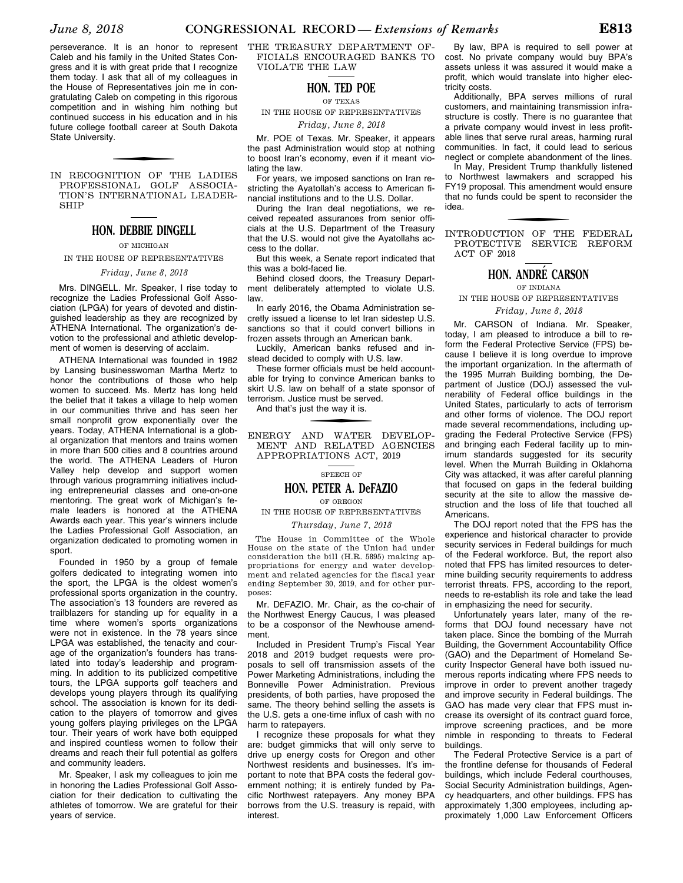perseverance. It is an honor to represent Caleb and his family in the United States Congress and it is with great pride that I recognize them today. I ask that all of my colleagues in the House of Representatives join me in congratulating Caleb on competing in this rigorous competition and in wishing him nothing but continued success in his education and in his future college football career at South Dakota State University.

IN RECOGNITION OF THE LADIES PROFESSIONAL GOLF ASSOCIA-TION'S INTERNATIONAL LEADER-SHIP

#### **HON. DEBBIE DINGELL**

#### OF MICHIGAN

### IN THE HOUSE OF REPRESENTATIVES

#### *Friday, June 8, 2018*

Mrs. DINGELL. Mr. Speaker, I rise today to recognize the Ladies Professional Golf Association (LPGA) for years of devoted and distinguished leadership as they are recognized by ATHENA International. The organization's devotion to the professional and athletic development of women is deserving of acclaim.

ATHENA International was founded in 1982 by Lansing businesswoman Martha Mertz to honor the contributions of those who help women to succeed. Ms. Mertz has long held the belief that it takes a village to help women in our communities thrive and has seen her small nonprofit grow exponentially over the years. Today, ATHENA International is a global organization that mentors and trains women in more than 500 cities and 8 countries around the world. The ATHENA Leaders of Huron Valley help develop and support women through various programming initiatives including entrepreneurial classes and one-on-one mentoring. The great work of Michigan's female leaders is honored at the ATHENA Awards each year. This year's winners include the Ladies Professional Golf Association, an organization dedicated to promoting women in sport.

Founded in 1950 by a group of female golfers dedicated to integrating women into the sport, the LPGA is the oldest women's professional sports organization in the country. The association's 13 founders are revered as trailblazers for standing up for equality in a time where women's sports organizations were not in existence. In the 78 years since LPGA was established, the tenacity and courage of the organization's founders has translated into today's leadership and programming. In addition to its publicized competitive tours, the LPGA supports golf teachers and develops young players through its qualifying school. The association is known for its dedication to the players of tomorrow and gives young golfers playing privileges on the LPGA tour. Their years of work have both equipped and inspired countless women to follow their dreams and reach their full potential as golfers and community leaders.

Mr. Speaker, I ask my colleagues to join me in honoring the Ladies Professional Golf Association for their dedication to cultivating the athletes of tomorrow. We are grateful for their years of service.

THE TREASURY DEPARTMENT OF-FICIALS ENCOURAGED BANKS TO VIOLATE THE LAW

#### **HON. TED POE**

#### OF TEXAS

IN THE HOUSE OF REPRESENTATIVES

*Friday, June 8, 2018* 

Mr. POE of Texas. Mr. Speaker, it appears the past Administration would stop at nothing to boost Iran's economy, even if it meant violating the law.

For years, we imposed sanctions on Iran restricting the Ayatollah's access to American financial institutions and to the U.S. Dollar.

During the Iran deal negotiations, we received repeated assurances from senior officials at the U.S. Department of the Treasury that the U.S. would not give the Ayatollahs access to the dollar.

But this week, a Senate report indicated that this was a bold-faced lie.

Behind closed doors, the Treasury Department deliberately attempted to violate U.S. law.

In early 2016, the Obama Administration secretly issued a license to let Iran sidestep U.S. sanctions so that it could convert billions in frozen assets through an American bank.

Luckily, American banks refused and instead decided to comply with U.S. law.

These former officials must be held accountable for trying to convince American banks to skirt U.S. law on behalf of a state sponsor of terrorism. Justice must be served.

And that's just the way it is.

f ENERGY AND WATER DEVELOP-MENT AND RELATED AGENCIES APPROPRIATIONS ACT, 2019

#### SPEECH OF

#### **HON. PETER A. DeFAZIO** OF OREGON

# IN THE HOUSE OF REPRESENTATIVES

#### *Thursday, June 7, 2018*

The House in Committee of the Whole House on the state of the Union had under consideration the bill (H.R. 5895) making appropriations for energy and water development and related agencies for the fiscal year ending September 30, 2019, and for other purposes:

Mr. DEFAZIO. Mr. Chair, as the co-chair of the Northwest Energy Caucus, I was pleased to be a cosponsor of the Newhouse amendment.

Included in President Trump's Fiscal Year 2018 and 2019 budget requests were proposals to sell off transmission assets of the Power Marketing Administrations, including the Bonneville Power Administration. Previous presidents, of both parties, have proposed the same. The theory behind selling the assets is the U.S. gets a one-time influx of cash with no harm to ratepayers.

I recognize these proposals for what they are: budget gimmicks that will only serve to drive up energy costs for Oregon and other Northwest residents and businesses. It's important to note that BPA costs the federal government nothing; it is entirely funded by Pacific Northwest ratepayers. Any money BPA borrows from the U.S. treasury is repaid, with interest.

By law, BPA is required to sell power at cost. No private company would buy BPA's assets unless it was assured it would make a profit, which would translate into higher electricity costs.

Additionally, BPA serves millions of rural customers, and maintaining transmission infrastructure is costly. There is no guarantee that a private company would invest in less profitable lines that serve rural areas, harming rural communities. In fact, it could lead to serious neglect or complete abandonment of the lines.

In May, President Trump thankfully listened to Northwest lawmakers and scrapped his FY19 proposal. This amendment would ensure that no funds could be spent to reconsider the idea.

f INTRODUCTION OF THE FEDERAL PROTECTIVE SERVICE REFORM ACT OF 2018

#### **HON. ANDRE´ CARSON**

#### OF INDIANA

IN THE HOUSE OF REPRESENTATIVES

*Friday, June 8, 2018* 

Mr. CARSON of Indiana. Mr. Speaker, today, I am pleased to introduce a bill to reform the Federal Protective Service (FPS) because I believe it is long overdue to improve the important organization. In the aftermath of the 1995 Murrah Building bombing, the Department of Justice (DOJ) assessed the vulnerability of Federal office buildings in the United States, particularly to acts of terrorism and other forms of violence. The DOJ report made several recommendations, including upgrading the Federal Protective Service (FPS) and bringing each Federal facility up to minimum standards suggested for its security level. When the Murrah Building in Oklahoma City was attacked, it was after careful planning that focused on gaps in the federal building security at the site to allow the massive destruction and the loss of life that touched all Americans.

The DOJ report noted that the FPS has the experience and historical character to provide security services in Federal buildings for much of the Federal workforce. But, the report also noted that FPS has limited resources to determine building security requirements to address terrorist threats. FPS, according to the report, needs to re-establish its role and take the lead in emphasizing the need for security.

Unfortunately years later, many of the reforms that DOJ found necessary have not taken place. Since the bombing of the Murrah Building, the Government Accountability Office (GAO) and the Department of Homeland Security Inspector General have both issued numerous reports indicating where FPS needs to improve in order to prevent another tragedy and improve security in Federal buildings. The GAO has made very clear that FPS must increase its oversight of its contract guard force, improve screening practices, and be more nimble in responding to threats to Federal buildings.

The Federal Protective Service is a part of the frontline defense for thousands of Federal buildings, which include Federal courthouses, Social Security Administration buildings, Agency headquarters, and other buildings. FPS has approximately 1,300 employees, including approximately 1,000 Law Enforcement Officers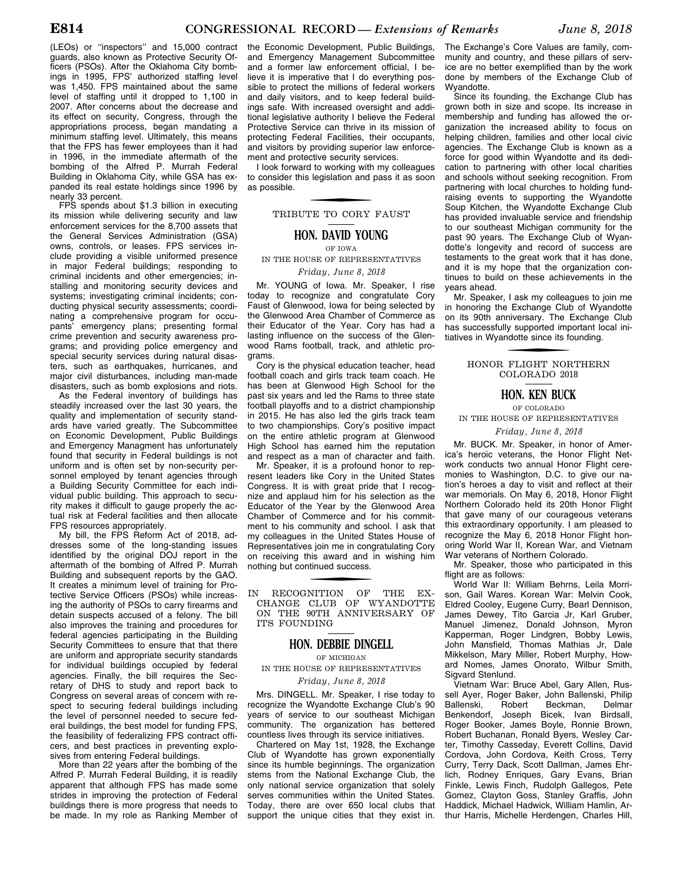(LEOs) or ''inspectors'' and 15,000 contract guards, also known as Protective Security Officers (PSOs). After the Oklahoma City bombings in 1995, FPS' authorized staffing level was 1,450. FPS maintained about the same level of staffing until it dropped to 1,100 in 2007. After concerns about the decrease and its effect on security, Congress, through the appropriations process, began mandating a minimum staffing level. Ultimately, this means that the FPS has fewer employees than it had in 1996, in the immediate aftermath of the bombing of the Alfred P. Murrah Federal Building in Oklahoma City, while GSA has expanded its real estate holdings since 1996 by nearly 33 percent.

FPS spends about \$1.3 billion in executing its mission while delivering security and law enforcement services for the 8,700 assets that the General Services Administration (GSA) owns, controls, or leases. FPS services include providing a visible uniformed presence in major Federal buildings; responding to criminal incidents and other emergencies; installing and monitoring security devices and systems; investigating criminal incidents; conducting physical security assessments; coordinating a comprehensive program for occupants' emergency plans; presenting formal crime prevention and security awareness programs; and providing police emergency and special security services during natural disasters, such as earthquakes, hurricanes, and major civil disturbances, including man-made disasters, such as bomb explosions and riots.

As the Federal inventory of buildings has steadily increased over the last 30 years, the quality and implementation of security standards have varied greatly. The Subcommittee on Economic Development, Public Buildings and Emergency Managment has unfortunately found that security in Federal buildings is not uniform and is often set by non-security personnel employed by tenant agencies through a Building Security Committee for each individual public building. This approach to security makes it difficult to gauge properly the actual risk at Federal facilities and then allocate FPS resources appropriately.

My bill, the FPS Reform Act of 2018, addresses some of the long-standing issues identified by the original DOJ report in the aftermath of the bombing of Alfred P. Murrah Building and subsequent reports by the GAO. It creates a minimum level of training for Protective Service Officers (PSOs) while increasing the authority of PSOs to carry firearms and detain suspects accused of a felony. The bill also improves the training and procedures for federal agencies participating in the Building Security Committees to ensure that that there are uniform and appropriate security standards for individual buildings occupied by federal agencies. Finally, the bill requires the Secretary of DHS to study and report back to Congress on several areas of concern with respect to securing federal buildings including the level of personnel needed to secure federal buildings, the best model for funding FPS, the feasibility of federalizing FPS contract officers, and best practices in preventing explosives from entering Federal buildings.

More than 22 years after the bombing of the Alfred P. Murrah Federal Building, it is readily apparent that although FPS has made some strides in improving the protection of Federal buildings there is more progress that needs to be made. In my role as Ranking Member of the Economic Development, Public Buildings, and Emergency Management Subcommittee and a former law enforcement official, I believe it is imperative that I do everything possible to protect the millions of federal workers and daily visitors, and to keep federal buildings safe. With increased oversight and additional legislative authority I believe the Federal Protective Service can thrive in its mission of protecting Federal Facilities, their occupants, and visitors by providing superior law enforcement and protective security services.

I look forward to working with my colleagues to consider this legislation and pass it as soon as possible.

# f TRIBUTE TO CORY FAUST

#### **HON. DAVID YOUNG**

#### OF IOWA

IN THE HOUSE OF REPRESENTATIVES *Friday, June 8, 2018* 

Mr. YOUNG of Iowa. Mr. Speaker, I rise today to recognize and congratulate Cory Faust of Glenwood, Iowa for being selected by the Glenwood Area Chamber of Commerce as their Educator of the Year. Cory has had a lasting influence on the success of the Glenwood Rams football, track, and athletic programs.

Cory is the physical education teacher, head football coach and girls track team coach. He has been at Glenwood High School for the past six years and led the Rams to three state football playoffs and to a district championship in 2015. He has also led the girls track team to two championships. Cory's positive impact on the entire athletic program at Glenwood High School has earned him the reputation and respect as a man of character and faith.

Mr. Speaker, it is a profound honor to represent leaders like Cory in the United States Congress. It is with great pride that I recognize and applaud him for his selection as the Educator of the Year by the Glenwood Area Chamber of Commerce and for his commitment to his community and school. I ask that my colleagues in the United States House of Representatives join me in congratulating Cory on receiving this award and in wishing him nothing but continued success.

f IN RECOGNITION OF THE EX-CHANGE CLUB OF WYANDOTTE ON THE 90TH ANNIVERSARY OF ITS FOUNDING

#### **HON. DEBBIE DINGELL**

OF MICHIGAN

IN THE HOUSE OF REPRESENTATIVES

*Friday, June 8, 2018* 

Mrs. DINGELL. Mr. Speaker, I rise today to recognize the Wyandotte Exchange Club's 90 years of service to our southeast Michigan community. The organization has bettered countless lives through its service initiatives.

Chartered on May 1st, 1928, the Exchange Club of Wyandotte has grown exponentially since its humble beginnings. The organization stems from the National Exchange Club, the only national service organization that solely serves communities within the United States. Today, there are over 650 local clubs that support the unique cities that they exist in. The Exchange's Core Values are family, community and country, and these pillars of service are no better exemplified than by the work done by members of the Exchange Club of Wyandotte.

Since its founding, the Exchange Club has grown both in size and scope. Its increase in membership and funding has allowed the organization the increased ability to focus on helping children, families and other local civic agencies. The Exchange Club is known as a force for good within Wyandotte and its dedication to partnering with other local charities and schools without seeking recognition. From partnering with local churches to holding fundraising events to supporting the Wyandotte Soup Kitchen, the Wyandotte Exchange Club has provided invaluable service and friendship to our southeast Michigan community for the past 90 years. The Exchange Club of Wyandotte's longevity and record of success are testaments to the great work that it has done, and it is my hope that the organization continues to build on these achievements in the years ahead.

Mr. Speaker, I ask my colleagues to join me in honoring the Exchange Club of Wyandotte on its 90th anniversary. The Exchange Club has successfully supported important local initiatives in Wyandotte since its founding.

> f HONOR FLIGHT NORTHERN COLORADO 2018

#### **HON. KEN BUCK**

OF COLORADO IN THE HOUSE OF REPRESENTATIVES

*Friday, June 8, 2018* 

Mr. BUCK. Mr. Speaker, in honor of America's heroic veterans, the Honor Flight Network conducts two annual Honor Flight ceremonies to Washington, D.C. to give our nation's heroes a day to visit and reflect at their war memorials. On May 6, 2018, Honor Flight Northern Colorado held its 20th Honor Flight that gave many of our courageous veterans this extraordinary opportunity. I am pleased to recognize the May 6, 2018 Honor Flight honoring World War II, Korean War, and Vietnam War veterans of Northern Colorado.

Mr. Speaker, those who participated in this flight are as follows:

World War II: William Behrns, Leila Morrison, Gail Wares. Korean War: Melvin Cook, Eldred Cooley, Eugene Curry, Bearl Dennison, James Dewey, Tito Garcia Jr, Karl Gruber, Manuel Jimenez, Donald Johnson, Myron Kapperman, Roger Lindgren, Bobby Lewis, John Mansfield, Thomas Mathias Jr, Dale Mikkelson, Mary Miller, Robert Murphy, Howard Nomes, James Onorato, Wilbur Smith, Sigvard Stenlund.

Vietnam War: Bruce Abel, Gary Allen, Russell Ayer, Roger Baker, John Ballenski, Philip<br>Ballenski. Robert Beckman, Delmar Ballenski, Robert Beckman, Benkendorf, Joseph Bicek, Ivan Birdsall, Roger Booker, James Boyle, Ronnie Brown, Robert Buchanan, Ronald Byers, Wesley Carter, Timothy Casseday, Everett Collins, David Cordova, John Cordova, Keith Cross, Terry Curry, Terry Dack, Scott Dallman, James Ehrlich, Rodney Enriques, Gary Evans, Brian Finkle, Lewis Finch, Rudolph Gallegos, Pete Gomez, Clayton Goss, Stanley Graffis, John Haddick, Michael Hadwick, William Hamlin, Arthur Harris, Michelle Herdengen, Charles Hill,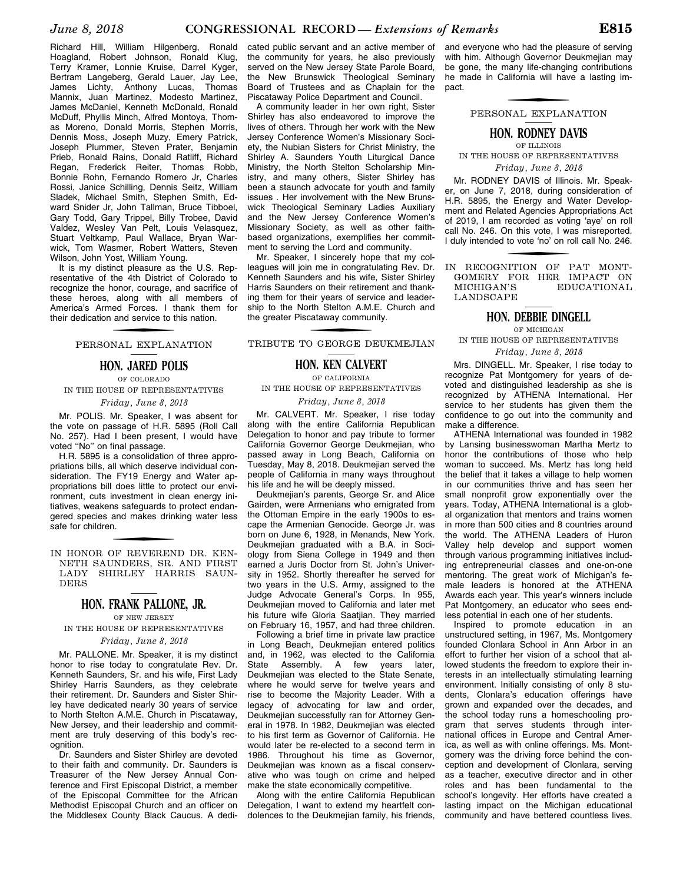Richard Hill, William Hilgenberg, Ronald Hoagland, Robert Johnson, Ronald Klug, Terry Kramer, Lonnie Kruise, Darrel Kyger, Bertram Langeberg, Gerald Lauer, Jay Lee, James Lichty, Anthony Lucas, Thomas Mannix, Juan Martinez, Modesto Martinez, James McDaniel, Kenneth McDonald, Ronald McDuff, Phyllis Minch, Alfred Montoya, Thomas Moreno, Donald Morris, Stephen Morris, Dennis Moss, Joseph Muzy, Emery Patrick, Joseph Plummer, Steven Prater, Benjamin Prieb, Ronald Rains, Donald Ratliff, Richard Regan, Frederick Reiter, Thomas Robb, Bonnie Rohn, Fernando Romero Jr, Charles Rossi, Janice Schilling, Dennis Seitz, William Sladek, Michael Smith, Stephen Smith, Edward Snider Jr, John Tallman, Bruce Tibboel, Gary Todd, Gary Trippel, Billy Trobee, David Valdez, Wesley Van Pelt, Louis Velasquez, Stuart Veltkamp, Paul Wallace, Bryan Warwick, Tom Wasmer, Robert Watters, Steven Wilson, John Yost, William Young.

It is my distinct pleasure as the U.S. Representative of the 4th District of Colorado to recognize the honor, courage, and sacrifice of these heroes, along with all members of America's Armed Forces. I thank them for their dedication and service to this nation.

# f PERSONAL EXPLANATION

#### **HON. JARED POLIS**

#### OF COLORADO

#### IN THE HOUSE OF REPRESENTATIVES *Friday, June 8, 2018*

Mr. POLIS. Mr. Speaker, I was absent for the vote on passage of H.R. 5895 (Roll Call No. 257). Had I been present, I would have voted ''No'' on final passage.

H.R. 5895 is a consolidation of three appropriations bills, all which deserve individual consideration. The FY19 Energy and Water appropriations bill does little to protect our environment, cuts investment in clean energy initiatives, weakens safeguards to protect endangered species and makes drinking water less safe for children.

f IN HONOR OF REVEREND DR. KEN-NETH SAUNDERS, SR. AND FIRST LADY SHIRLEY HARRIS SAUN-DERS

#### **HON. FRANK PALLONE, JR.**

OF NEW JERSEY

IN THE HOUSE OF REPRESENTATIVES

#### *Friday, June 8, 2018*

Mr. PALLONE. Mr. Speaker, it is my distinct honor to rise today to congratulate Rev. Dr. Kenneth Saunders, Sr. and his wife, First Lady Shirley Harris Saunders, as they celebrate their retirement. Dr. Saunders and Sister Shirley have dedicated nearly 30 years of service to North Stelton A.M.E. Church in Piscataway, New Jersey, and their leadership and commitment are truly deserving of this body's recognition.

Dr. Saunders and Sister Shirley are devoted to their faith and community. Dr. Saunders is Treasurer of the New Jersey Annual Conference and First Episcopal District, a member of the Episcopal Committee for the African Methodist Episcopal Church and an officer on the Middlesex County Black Caucus. A dedicated public servant and an active member of the community for years, he also previously served on the New Jersey State Parole Board, the New Brunswick Theological Seminary Board of Trustees and as Chaplain for the Piscataway Police Department and Council.

A community leader in her own right, Sister Shirley has also endeavored to improve the lives of others. Through her work with the New Jersey Conference Women's Missionary Society, the Nubian Sisters for Christ Ministry, the Shirley A. Saunders Youth Liturgical Dance Ministry, the North Stelton Scholarship Ministry, and many others, Sister Shirley has been a staunch advocate for youth and family issues . Her involvement with the New Brunswick Theological Seminary Ladies Auxiliary and the New Jersey Conference Women's Missionary Society, as well as other faithbased organizations, exemplifies her commitment to serving the Lord and community.

Mr. Speaker, I sincerely hope that my colleagues will join me in congratulating Rev. Dr. Kenneth Saunders and his wife, Sister Shirley Harris Saunders on their retirement and thanking them for their years of service and leadership to the North Stelton A.M.E. Church and the greater Piscataway community.

f TRIBUTE TO GEORGE DEUKMEJIAN

#### **HON. KEN CALVERT**

OF CALIFORNIA

IN THE HOUSE OF REPRESENTATIVES

*Friday, June 8, 2018* 

Mr. CALVERT. Mr. Speaker, I rise today along with the entire California Republican Delegation to honor and pay tribute to former California Governor George Deukmejian, who passed away in Long Beach, California on Tuesday, May 8, 2018. Deukmejian served the people of California in many ways throughout his life and he will be deeply missed.

Deukmejian's parents, George Sr. and Alice Gairden, were Armenians who emigrated from the Ottoman Empire in the early 1900s to escape the Armenian Genocide. George Jr. was born on June 6, 1928, in Menands, New York. Deukmejian graduated with a B.A. in Sociology from Siena College in 1949 and then earned a Juris Doctor from St. John's University in 1952. Shortly thereafter he served for two years in the U.S. Army, assigned to the Judge Advocate General's Corps. In 955, Deukmejian moved to California and later met his future wife Gloria Saatjian. They married on February 16, 1957, and had three children.

Following a brief time in private law practice in Long Beach, Deukmejian entered politics and, in 1962, was elected to the California State Assembly. A few years later, Deukmejian was elected to the State Senate, where he would serve for twelve years and rise to become the Majority Leader. With a legacy of advocating for law and order, Deukmejian successfully ran for Attorney General in 1978. In 1982, Deukmejian was elected to his first term as Governor of California. He would later be re-elected to a second term in 1986. Throughout his time as Governor, Deukmejian was known as a fiscal conservative who was tough on crime and helped make the state economically competitive.

Along with the entire California Republican Delegation, I want to extend my heartfelt condolences to the Deukmejian family, his friends, and everyone who had the pleasure of serving with him. Although Governor Deukmejian may be gone, the many life-changing contributions he made in California will have a lasting impact.

f PERSONAL EXPLANATION

#### **HON. RODNEY DAVIS** OF ILLINOIS

IN THE HOUSE OF REPRESENTATIVES *Friday, June 8, 2018* 

Mr. RODNEY DAVIS of Illinois. Mr. Speaker, on June 7, 2018, during consideration of H.R. 5895, the Energy and Water Development and Related Agencies Appropriations Act of 2019, I am recorded as voting 'aye' on roll call No. 246. On this vote, I was misreported. I duly intended to vote 'no' on roll call No. 246.

f IN RECOGNITION OF PAT MONT-GOMERY FOR HER IMPACT ON MICHIGAN'S EDUCATIONAL  ${\tt EDUCATIONAL}$ LANDSCAPE

#### **HON. DEBBIE DINGELL**

OF MICHIGAN IN THE HOUSE OF REPRESENTATIVES

#### *Friday, June 8, 2018*

Mrs. DINGELL. Mr. Speaker, I rise today to recognize Pat Montgomery for years of devoted and distinguished leadership as she is recognized by ATHENA International. Her service to her students has given them the confidence to go out into the community and make a difference.

ATHENA International was founded in 1982 by Lansing businesswoman Martha Mertz to honor the contributions of those who help woman to succeed. Ms. Mertz has long held the belief that it takes a village to help women in our communities thrive and has seen her small nonprofit grow exponentially over the years. Today, ATHENA International is a global organization that mentors and trains women in more than 500 cities and 8 countries around the world. The ATHENA Leaders of Huron Valley help develop and support women through various programming initiatives including entrepreneurial classes and one-on-one mentoring. The great work of Michigan's female leaders is honored at the ATHENA Awards each year. This year's winners include Pat Montgomery, an educator who sees endless potential in each one of her students.

Inspired to promote education in an unstructured setting, in 1967, Ms. Montgomery founded Clonlara School in Ann Arbor in an effort to further her vision of a school that allowed students the freedom to explore their interests in an intellectually stimulating learning environment. Initially consisting of only 8 students, Clonlara's education offerings have grown and expanded over the decades, and the school today runs a homeschooling program that serves students through international offices in Europe and Central America, as well as with online offerings. Ms. Montgomery was the driving force behind the conception and development of Clonlara, serving as a teacher, executive director and in other roles and has been fundamental to the school's longevity. Her efforts have created a lasting impact on the Michigan educational community and have bettered countless lives.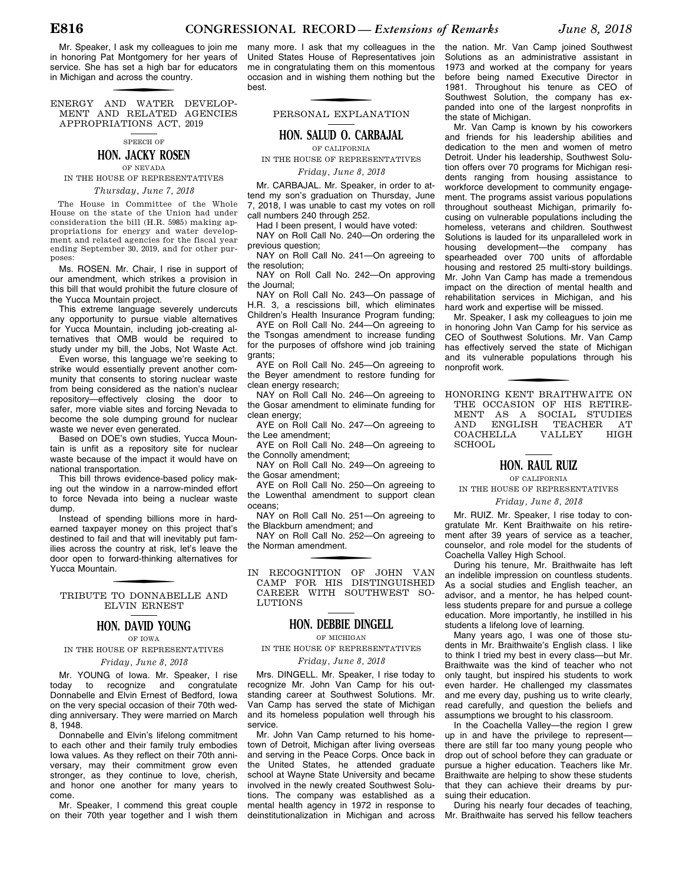Mr. Speaker, I ask my colleagues to join me in honoring Pat Montgomery for her years of service. She has set a high bar for educators in Michigan and across the country.

f ENERGY AND WATER DEVELOP-MENT AND RELATED AGENCIES APPROPRIATIONS ACT, 2019

SPEECH OF

#### **HON. JACKY ROSEN**

OF NEVADA IN THE HOUSE OF REPRESENTATIVES

*Thursday, June 7, 2018* 

The House in Committee of the Whole House on the state of the Union had under consideration the bill (H.R. 5985) making appropriations for energy and water development and related agencies for the fiscal year ending September 30, 2019, and for other purposes:

Ms. ROSEN. Mr. Chair, I rise in support of our amendment, which strikes a provision in this bill that would prohibit the future closure of the Yucca Mountain project.

This extreme language severely undercuts any opportunity to pursue viable alternatives for Yucca Mountain, including job-creating alternatives that OMB would be required to study under my bill, the Jobs, Not Waste Act.

Even worse, this language we're seeking to strike would essentially prevent another community that consents to storing nuclear waste from being considered as the nation's nuclear repository—effectively closing the door to safer, more viable sites and forcing Nevada to become the sole dumping ground for nuclear waste we never even generated.

Based on DOE's own studies, Yucca Mountain is unfit as a repository site for nuclear waste because of the impact it would have on national transportation.

This bill throws evidence-based policy making out the window in a narrow-minded effort to force Nevada into being a nuclear waste dump.

Instead of spending billions more in hardearned taxpayer money on this project that's destined to fail and that will inevitably put families across the country at risk, let's leave the door open to forward-thinking alternatives for Yucca Mountain.

f TRIBUTE TO DONNABELLE AND ELVIN ERNEST

#### **HON. DAVID YOUNG**

OF IOWA IN THE HOUSE OF REPRESENTATIVES

#### *Friday, June 8, 2018*

Mr. YOUNG of Iowa. Mr. Speaker, I rise<br>day to recognize and congratulate today to recognize and Donnabelle and Elvin Ernest of Bedford, Iowa on the very special occasion of their 70th wedding anniversary. They were married on March 8, 1948

Donnabelle and Elvin's lifelong commitment to each other and their family truly embodies Iowa values. As they reflect on their 70th anniversary, may their commitment grow even stronger, as they continue to love, cherish, and honor one another for many years to come.

Mr. Speaker, I commend this great couple on their 70th year together and I wish them

many more. I ask that my colleagues in the United States House of Representatives join me in congratulating them on this momentous occasion and in wishing them nothing but the best.

f PERSONAL EXPLANATION

**HON. SALUD O. CARBAJAL** 

OF CALIFORNIA IN THE HOUSE OF REPRESENTATIVES

*Friday, June 8, 2018* 

Mr. CARBAJAL. Mr. Speaker, in order to attend my son's graduation on Thursday, June 7, 2018, I was unable to cast my votes on roll call numbers 240 through 252.

Had I been present, I would have voted:

NAY on Roll Call No. 240—On ordering the previous question;

NAY on Roll Call No. 241—On agreeing to the resolution;

NAY on Roll Call No. 242—On approving the Journal;

NAY on Roll Call No. 243—On passage of H.R. 3, a rescissions bill, which eliminates Children's Health Insurance Program funding;

AYE on Roll Call No. 244—On agreeing to the Tsongas amendment to increase funding for the purposes of offshore wind job training grants;

AYE on Roll Call No. 245—On agreeing to the Beyer amendment to restore funding for clean energy research;

NAY on Roll Call No. 246-On agreeing to the Gosar amendment to eliminate funding for clean energy;

AYE on Roll Call No. 247—On agreeing to the Lee amendment;

AYE on Roll Call No. 248—On agreeing to the Connolly amendment;

NAY on Roll Call No. 249-On agreeing to the Gosar amendment;

AYE on Roll Call No. 250—On agreeing to the Lowenthal amendment to support clean oceans;

NAY on Roll Call No. 251—On agreeing to the Blackburn amendment; and

NAY on Roll Call No. 252—On agreeing to the Norman amendment.

IN RECOGNITION OF JOHN VAN CAMP FOR HIS DISTINGUISHED CAREER WITH SOUTHWEST SO-LUTIONS

#### **HON. DEBBIE DINGELL**

OF MICHIGAN

IN THE HOUSE OF REPRESENTATIVES

#### *Friday, June 8, 2018*

Mrs. DINGELL. Mr. Speaker, I rise today to recognize Mr. John Van Camp for his outstanding career at Southwest Solutions. Mr. Van Camp has served the state of Michigan and its homeless population well through his service.

Mr. John Van Camp returned to his hometown of Detroit, Michigan after living overseas and serving in the Peace Corps. Once back in the United States, he attended graduate school at Wayne State University and became involved in the newly created Southwest Solutions. The company was established as a mental health agency in 1972 in response to deinstitutionalization in Michigan and across

the nation. Mr. Van Camp joined Southwest Solutions as an administrative assistant in 1973 and worked at the company for years before being named Executive Director in 1981. Throughout his tenure as CEO of Southwest Solution, the company has expanded into one of the largest nonprofits in the state of Michigan.

Mr. Van Camp is known by his coworkers and friends for his leadership abilities and dedication to the men and women of metro Detroit. Under his leadership, Southwest Solution offers over 70 programs for Michigan residents ranging from housing assistance to workforce development to community engagement. The programs assist various populations throughout southeast Michigan, primarily focusing on vulnerable populations including the homeless, veterans and children. Southwest Solutions is lauded for its unparalleled work in housing development—the company has spearheaded over 700 units of affordable housing and restored 25 multi-story buildings. Mr. John Van Camp has made a tremendous impact on the direction of mental health and rehabilitation services in Michigan, and his hard work and expertise will be missed.

Mr. Speaker, I ask my colleagues to join me in honoring John Van Camp for his service as CEO of Southwest Solutions. Mr. Van Camp has effectively served the state of Michigan and its vulnerable populations through his nonprofit work.

f HONORING KENT BRAITHWAITE ON THE OCCASION OF HIS RETIRE-MENT AS A SOCIAL STUDIES<br>AND ENGLISH TEACHER AT **ENGLISH TEACH<br>HELLA VALLEY** COACHELLA VALLEY HIGH SCHOOL

#### **HON. RAUL RUIZ**

OF CALIFORNIA

IN THE HOUSE OF REPRESENTATIVES

#### *Friday, June 8, 2018*

Mr. RUIZ. Mr. Speaker, I rise today to congratulate Mr. Kent Braithwaite on his retirement after 39 years of service as a teacher, counselor, and role model for the students of Coachella Valley High School.

During his tenure, Mr. Braithwaite has left an indelible impression on countless students. As a social studies and English teacher, an advisor, and a mentor, he has helped countless students prepare for and pursue a college education. More importantly, he instilled in his students a lifelong love of learning.

Many years ago, I was one of those students in Mr. Braithwaite's English class. I like to think I tried my best in every class—but Mr. Braithwaite was the kind of teacher who not only taught, but inspired his students to work even harder. He challenged my classmates and me every day, pushing us to write clearly, read carefully, and question the beliefs and assumptions we brought to his classroom.

In the Coachella Valley—the region I grew up in and have the privilege to represent there are still far too many young people who drop out of school before they can graduate or pursue a higher education. Teachers like Mr. Braithwaite are helping to show these students that they can achieve their dreams by pursuing their education.

During his nearly four decades of teaching, Mr. Braithwaite has served his fellow teachers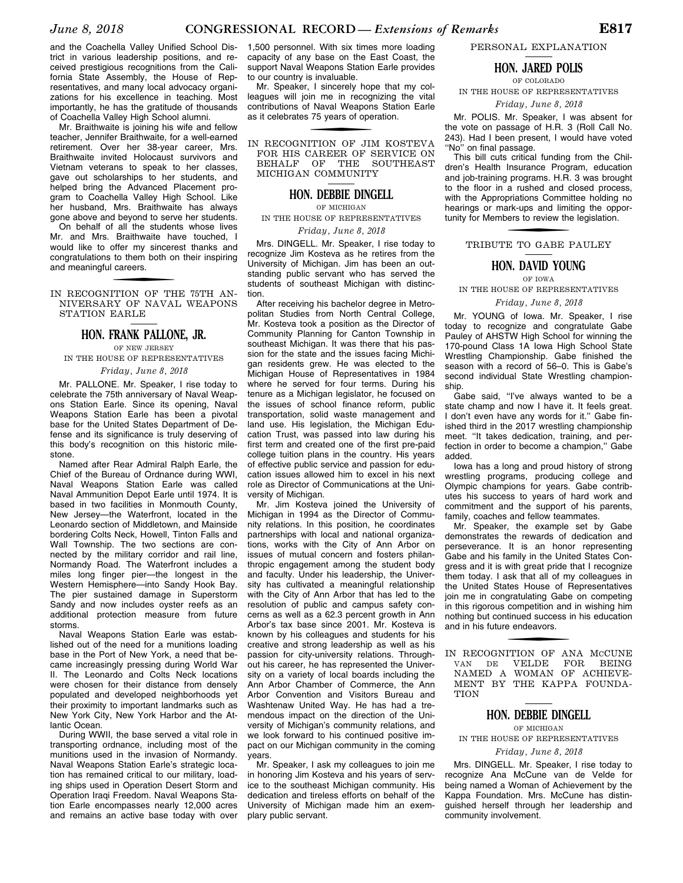and the Coachella Valley Unified School District in various leadership positions, and received prestigious recognitions from the California State Assembly, the House of Representatives, and many local advocacy organizations for his excellence in teaching. Most importantly, he has the gratitude of thousands of Coachella Valley High School alumni.

Mr. Braithwaite is joining his wife and fellow teacher, Jennifer Braithwaite, for a well-earned retirement. Over her 38-year career, Mrs. Braithwaite invited Holocaust survivors and Vietnam veterans to speak to her classes, gave out scholarships to her students, and helped bring the Advanced Placement program to Coachella Valley High School. Like her husband, Mrs. Braithwaite has always gone above and beyond to serve her students. On behalf of all the students whose lives Mr. and Mrs. Braithwaite have touched, I would like to offer my sincerest thanks and congratulations to them both on their inspiring and meaningful careers.

IN RECOGNITION OF THE 75TH AN-NIVERSARY OF NAVAL WEAPONS STATION EARLE

#### **HON. FRANK PALLONE, JR.**

OF NEW JERSEY IN THE HOUSE OF REPRESENTATIVES

#### *Friday, June 8, 2018*

Mr. PALLONE. Mr. Speaker, I rise today to celebrate the 75th anniversary of Naval Weapons Station Earle. Since its opening, Naval Weapons Station Earle has been a pivotal base for the United States Department of Defense and its significance is truly deserving of this body's recognition on this historic milestone.

Named after Rear Admiral Ralph Earle, the Chief of the Bureau of Ordnance during WWI, Naval Weapons Station Earle was called Naval Ammunition Depot Earle until 1974. It is based in two facilities in Monmouth County, New Jersey—the Waterfront, located in the Leonardo section of Middletown, and Mainside bordering Colts Neck, Howell, Tinton Falls and Wall Township. The two sections are connected by the military corridor and rail line, Normandy Road. The Waterfront includes a miles long finger pier—the longest in the Western Hemisphere—into Sandy Hook Bay. The pier sustained damage in Superstorm Sandy and now includes oyster reefs as an additional protection measure from future storms.

Naval Weapons Station Earle was established out of the need for a munitions loading base in the Port of New York, a need that became increasingly pressing during World War II. The Leonardo and Colts Neck locations were chosen for their distance from densely populated and developed neighborhoods yet their proximity to important landmarks such as New York City, New York Harbor and the Atlantic Ocean.

During WWII, the base served a vital role in transporting ordnance, including most of the munitions used in the invasion of Normandy. Naval Weapons Station Earle's strategic location has remained critical to our military, loading ships used in Operation Desert Storm and Operation Iraqi Freedom. Naval Weapons Station Earle encompasses nearly 12,000 acres and remains an active base today with over

1,500 personnel. With six times more loading capacity of any base on the East Coast, the support Naval Weapons Station Earle provides to our country is invaluable.

Mr. Speaker, I sincerely hope that my colleagues will join me in recognizing the vital contributions of Naval Weapons Station Earle as it celebrates 75 years of operation.

IN RECOGNITION OF JIM KOSTEVA FOR HIS CAREER OF SERVICE ON BEHALF OF THE SOUTHEAST MICHIGAN COMMUNITY

#### **HON. DEBBIE DINGELL**

OF MICHIGAN

IN THE HOUSE OF REPRESENTATIVES

#### *Friday, June 8, 2018*

Mrs. DINGELL. Mr. Speaker, I rise today to recognize Jim Kosteva as he retires from the University of Michigan. Jim has been an outstanding public servant who has served the students of southeast Michigan with distinction.

After receiving his bachelor degree in Metropolitan Studies from North Central College, Mr. Kosteva took a position as the Director of Community Planning for Canton Township in southeast Michigan. It was there that his passion for the state and the issues facing Michigan residents grew. He was elected to the Michigan House of Representatives in 1984 where he served for four terms. During his tenure as a Michigan legislator, he focused on the issues of school finance reform, public transportation, solid waste management and land use. His legislation, the Michigan Education Trust, was passed into law during his first term and created one of the first pre-paid college tuition plans in the country. His years of effective public service and passion for education issues allowed him to excel in his next role as Director of Communications at the University of Michigan.

Mr. Jim Kosteva joined the University of Michigan in 1994 as the Director of Community relations. In this position, he coordinates partnerships with local and national organizations, works with the City of Ann Arbor on issues of mutual concern and fosters philanthropic engagement among the student body and faculty. Under his leadership, the University has cultivated a meaningful relationship with the City of Ann Arbor that has led to the resolution of public and campus safety concerns as well as a 62.3 percent growth in Ann Arbor's tax base since 2001. Mr. Kosteva is known by his colleagues and students for his creative and strong leadership as well as his passion for city-university relations. Throughout his career, he has represented the University on a variety of local boards including the Ann Arbor Chamber of Commerce, the Ann Arbor Convention and Visitors Bureau and Washtenaw United Way. He has had a tremendous impact on the direction of the University of Michigan's community relations, and we look forward to his continued positive impact on our Michigan community in the coming years.

Mr. Speaker, I ask my colleagues to join me in honoring Jim Kosteva and his years of service to the southeast Michigan community. His dedication and tireless efforts on behalf of the University of Michigan made him an exemplary public servant.

PERSONAL EXPLANATION

## **HON. JARED POLIS**

OF COLORADO

IN THE HOUSE OF REPRESENTATIVES

#### *Friday, June 8, 2018*

Mr. POLIS. Mr. Speaker, I was absent for the vote on passage of H.R. 3 (Roll Call No. 243). Had I been present, I would have voted "No" on final passage.

This bill cuts critical funding from the Children's Health Insurance Program, education and job-training programs. H.R. 3 was brought to the floor in a rushed and closed process, with the Appropriations Committee holding no hearings or mark-ups and limiting the opportunity for Members to review the legislation.

# f TRIBUTE TO GABE PAULEY

#### **HON. DAVID YOUNG**

OF IOWA

IN THE HOUSE OF REPRESENTATIVES

#### *Friday, June 8, 2018*

Mr. YOUNG of Iowa. Mr. Speaker, I rise today to recognize and congratulate Gabe Pauley of AHSTW High School for winning the 170-pound Class 1A Iowa High School State Wrestling Championship. Gabe finished the season with a record of 56–0. This is Gabe's second individual State Wrestling championship.

Gabe said, ''I've always wanted to be a state champ and now I have it. It feels great. I don't even have any words for it." Gabe finished third in the 2017 wrestling championship meet. ''It takes dedication, training, and perfection in order to become a champion,'' Gabe added.

Iowa has a long and proud history of strong wrestling programs, producing college and Olympic champions for years. Gabe contributes his success to years of hard work and commitment and the support of his parents, family, coaches and fellow teammates.

Mr. Speaker, the example set by Gabe demonstrates the rewards of dedication and perseverance. It is an honor representing Gabe and his family in the United States Congress and it is with great pride that I recognize them today. I ask that all of my colleagues in the United States House of Representatives join me in congratulating Gabe on competing in this rigorous competition and in wishing him nothing but continued success in his education and in his future endeavors.

IN RECOGNITION OF ANA MCCUNE VAN DE VELDE FOR BEING NAMED A WOMAN OF ACHIEVE-MENT BY THE KAPPA FOUNDA-**TION** 

# **HON. DEBBIE DINGELL**

OF MICHIGAN

#### IN THE HOUSE OF REPRESENTATIVES

#### *Friday, June 8, 2018*

Mrs. DINGELL. Mr. Speaker, I rise today to recognize Ana McCune van de Velde for being named a Woman of Achievement by the Kappa Foundation. Mrs. McCune has distinguished herself through her leadership and community involvement.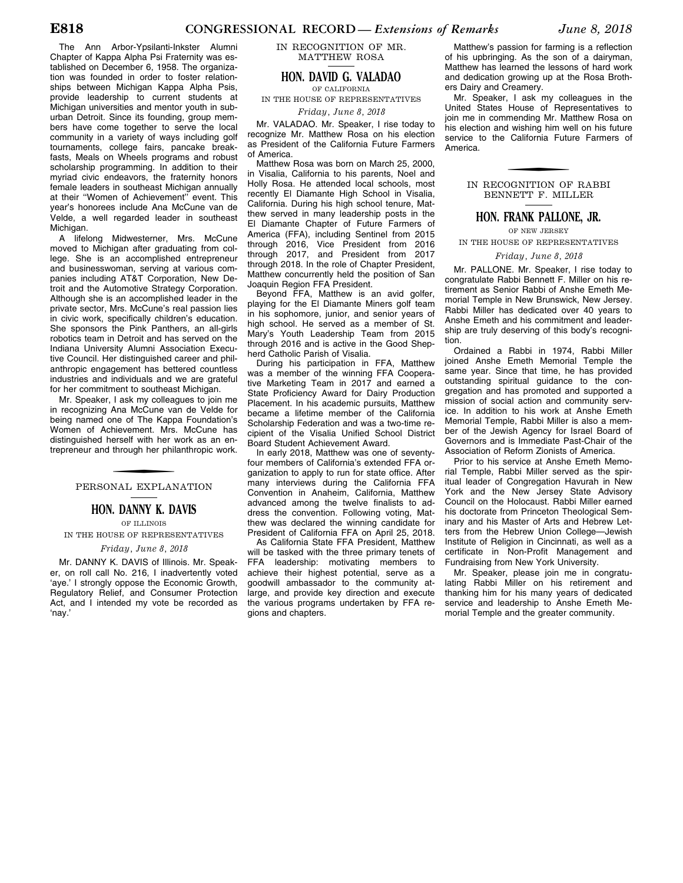The Ann Arbor-Ypsilanti-Inkster Alumni Chapter of Kappa Alpha Psi Fraternity was established on December 6, 1958. The organization was founded in order to foster relationships between Michigan Kappa Alpha Psis, provide leadership to current students at Michigan universities and mentor youth in suburban Detroit. Since its founding, group members have come together to serve the local community in a variety of ways including golf tournaments, college fairs, pancake breakfasts, Meals on Wheels programs and robust scholarship programming. In addition to their myriad civic endeavors, the fraternity honors female leaders in southeast Michigan annually at their ''Women of Achievement'' event. This year's honorees include Ana McCune van de Velde, a well regarded leader in southeast Michigan.

A lifelong Midwesterner, Mrs. McCune moved to Michigan after graduating from college. She is an accomplished entrepreneur and businesswoman, serving at various companies including AT&T Corporation, New Detroit and the Automotive Strategy Corporation. Although she is an accomplished leader in the private sector, Mrs. McCune's real passion lies in civic work, specifically children's education. She sponsors the Pink Panthers, an all-girls robotics team in Detroit and has served on the Indiana University Alumni Association Executive Council. Her distinguished career and philanthropic engagement has bettered countless industries and individuals and we are grateful for her commitment to southeast Michigan.

Mr. Speaker, I ask my colleagues to join me in recognizing Ana McCune van de Velde for being named one of The Kappa Foundation's Women of Achievement. Mrs. McCune has distinguished herself with her work as an entrepreneur and through her philanthropic work.

#### PERSONAL EXPLANATION

## **HON. DANNY K. DAVIS**

OF ILLINOIS

#### IN THE HOUSE OF REPRESENTATIVES *Friday, June 8, 2018*

Mr. DANNY K. DAVIS of Illinois. Mr. Speaker, on roll call No. 216, I inadvertently voted 'aye.' I strongly oppose the Economic Growth, Regulatory Relief, and Consumer Protection Act, and I intended my vote be recorded as 'nay.'

IN RECOGNITION OF MR. MATTHEW ROSA

### **HON. DAVID G. VALADAO**

OF CALIFORNIA IN THE HOUSE OF REPRESENTATIVES *Friday, June 8, 2018* 

Mr. VALADAO. Mr. Speaker, I rise today to recognize Mr. Matthew Rosa on his election as President of the California Future Farmers of America.

Matthew Rosa was born on March 25, 2000, in Visalia, California to his parents, Noel and Holly Rosa. He attended local schools, most recently El Diamante High School in Visalia, California. During his high school tenure, Matthew served in many leadership posts in the El Diamante Chapter of Future Farmers of America (FFA), including Sentinel from 2015 through 2016, Vice President from 2016 through 2017, and President from 2017 through 2018. In the role of Chapter President, Matthew concurrently held the position of San Joaquin Region FFA President.

Beyond FFA, Matthew is an avid golfer, playing for the El Diamante Miners golf team in his sophomore, junior, and senior years of high school. He served as a member of St. Mary's Youth Leadership Team from 2015 through 2016 and is active in the Good Shepherd Catholic Parish of Visalia.

During his participation in FFA, Matthew was a member of the winning FFA Cooperative Marketing Team in 2017 and earned a State Proficiency Award for Dairy Production Placement. In his academic pursuits, Matthew became a lifetime member of the California Scholarship Federation and was a two-time recipient of the Visalia Unified School District Board Student Achievement Award.

In early 2018, Matthew was one of seventyfour members of California's extended FFA organization to apply to run for state office. After many interviews during the California FFA Convention in Anaheim, California, Matthew advanced among the twelve finalists to address the convention. Following voting, Matthew was declared the winning candidate for President of California FFA on April 25, 2018.

As California State FFA President, Matthew will be tasked with the three primary tenets of FFA leadership: motivating members to achieve their highest potential, serve as a goodwill ambassador to the community atlarge, and provide key direction and execute the various programs undertaken by FFA regions and chapters.

Matthew's passion for farming is a reflection of his upbringing. As the son of a dairyman, Matthew has learned the lessons of hard work and dedication growing up at the Rosa Brothers Dairy and Creamery.

Mr. Speaker, I ask my colleagues in the United States House of Representatives to join me in commending Mr. Matthew Rosa on his election and wishing him well on his future service to the California Future Farmers of America.

#### IN RECOGNITION OF RABBI BENNETT F. MILLER

#### **HON. FRANK PALLONE, JR.**

OF NEW JERSEY

IN THE HOUSE OF REPRESENTATIVES

#### *Friday, June 8, 2018*

Mr. PALLONE. Mr. Speaker, I rise today to congratulate Rabbi Bennett F. Miller on his retirement as Senior Rabbi of Anshe Emeth Memorial Temple in New Brunswick, New Jersey. Rabbi Miller has dedicated over 40 years to Anshe Emeth and his commitment and leadership are truly deserving of this body's recognition.

Ordained a Rabbi in 1974, Rabbi Miller joined Anshe Emeth Memorial Temple the same year. Since that time, he has provided outstanding spiritual guidance to the congregation and has promoted and supported a mission of social action and community service. In addition to his work at Anshe Emeth Memorial Temple, Rabbi Miller is also a member of the Jewish Agency for Israel Board of Governors and is Immediate Past-Chair of the Association of Reform Zionists of America.

Prior to his service at Anshe Emeth Memorial Temple, Rabbi Miller served as the spiritual leader of Congregation Havurah in New York and the New Jersey State Advisory Council on the Holocaust. Rabbi Miller earned his doctorate from Princeton Theological Seminary and his Master of Arts and Hebrew Letters from the Hebrew Union College—Jewish Institute of Religion in Cincinnati, as well as a certificate in Non-Profit Management and Fundraising from New York University.

Mr. Speaker, please join me in congratulating Rabbi Miller on his retirement and thanking him for his many years of dedicated service and leadership to Anshe Emeth Memorial Temple and the greater community.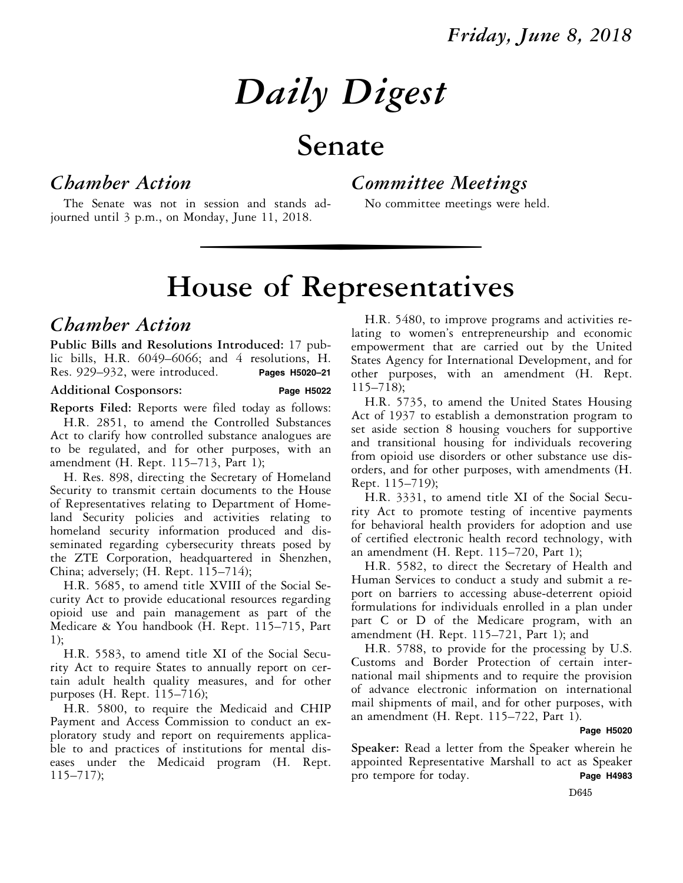# *Daily Digest*

# **Senate**

# *Chamber Action*

*Committee Meetings* 

The Senate was not in session and stands adjourned until 3 p.m., on Monday, June 11, 2018.

## No committee meetings were held.

# wise of Representative **House of Representatives**

# *Chamber Action*

**Public Bills and Resolutions Introduced:** 17 public bills, H.R. 6049–6066; and 4 resolutions, H. Res. 929–932, were introduced. **Pages H5020–21** 

#### **Additional Cosponsors: Page H5022**

**Reports Filed:** Reports were filed today as follows:

H.R. 2851, to amend the Controlled Substances Act to clarify how controlled substance analogues are to be regulated, and for other purposes, with an amendment (H. Rept. 115–713, Part 1);

H. Res. 898, directing the Secretary of Homeland Security to transmit certain documents to the House of Representatives relating to Department of Homeland Security policies and activities relating to homeland security information produced and disseminated regarding cybersecurity threats posed by the ZTE Corporation, headquartered in Shenzhen, China; adversely; (H. Rept. 115–714);

H.R. 5685, to amend title XVIII of the Social Security Act to provide educational resources regarding opioid use and pain management as part of the Medicare & You handbook (H. Rept. 115–715, Part 1);

H.R. 5583, to amend title XI of the Social Security Act to require States to annually report on certain adult health quality measures, and for other purposes (H. Rept. 115–716);

H.R. 5800, to require the Medicaid and CHIP Payment and Access Commission to conduct an exploratory study and report on requirements applicable to and practices of institutions for mental diseases under the Medicaid program (H. Rept. 115–717);

H.R. 5480, to improve programs and activities relating to women's entrepreneurship and economic empowerment that are carried out by the United States Agency for International Development, and for other purposes, with an amendment (H. Rept. 115–718);

H.R. 5735, to amend the United States Housing Act of 1937 to establish a demonstration program to set aside section 8 housing vouchers for supportive and transitional housing for individuals recovering from opioid use disorders or other substance use disorders, and for other purposes, with amendments (H. Rept. 115–719);

H.R. 3331, to amend title XI of the Social Security Act to promote testing of incentive payments for behavioral health providers for adoption and use of certified electronic health record technology, with an amendment (H. Rept. 115–720, Part 1);

H.R. 5582, to direct the Secretary of Health and Human Services to conduct a study and submit a report on barriers to accessing abuse-deterrent opioid formulations for individuals enrolled in a plan under part C or D of the Medicare program, with an amendment (H. Rept. 115–721, Part 1); and

H.R. 5788, to provide for the processing by U.S. Customs and Border Protection of certain international mail shipments and to require the provision of advance electronic information on international mail shipments of mail, and for other purposes, with an amendment (H. Rept. 115–722, Part 1).

#### **Page H5020**

**Speaker:** Read a letter from the Speaker wherein he appointed Representative Marshall to act as Speaker pro tempore for today. **Page H4983** 

D645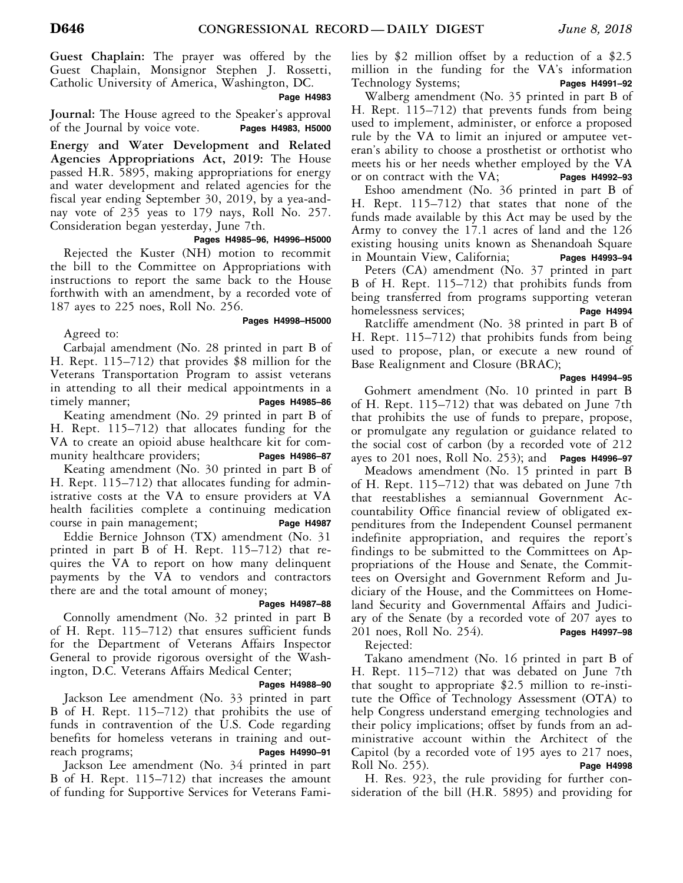**Guest Chaplain:** The prayer was offered by the Guest Chaplain, Monsignor Stephen J. Rossetti, Catholic University of America, Washington, DC.

#### **Page H4983**

**Journal:** The House agreed to the Speaker's approval of the Journal by voice vote. **Pages H4983, H5000** of the Journal by voice vote.

**Energy and Water Development and Related Agencies Appropriations Act, 2019:** The House passed H.R. 5895, making appropriations for energy and water development and related agencies for the fiscal year ending September 30, 2019, by a yea-andnay vote of 235 yeas to 179 nays, Roll No. 257. Consideration began yesterday, June 7th.

 **Pages H4985–96, H4996–H5000** 

Rejected the Kuster (NH) motion to recommit the bill to the Committee on Appropriations with instructions to report the same back to the House forthwith with an amendment, by a recorded vote of 187 ayes to 225 noes, Roll No. 256.

#### **Pages H4998–H5000**

Agreed to:

Carbajal amendment (No. 28 printed in part B of H. Rept. 115–712) that provides \$8 million for the Veterans Transportation Program to assist veterans in attending to all their medical appointments in a timely manner; **Pages H4985–86** 

Keating amendment (No. 29 printed in part B of H. Rept. 115–712) that allocates funding for the VA to create an opioid abuse healthcare kit for community healthcare providers; Pages H4986-87

Keating amendment (No. 30 printed in part B of H. Rept. 115–712) that allocates funding for administrative costs at the VA to ensure providers at VA health facilities complete a continuing medication course in pain management; **Page H4987** 

Eddie Bernice Johnson (TX) amendment (No. 31 printed in part B of H. Rept. 115–712) that requires the VA to report on how many delinquent payments by the VA to vendors and contractors there are and the total amount of money;

#### **Pages H4987–88**

Connolly amendment (No. 32 printed in part B of H. Rept. 115–712) that ensures sufficient funds for the Department of Veterans Affairs Inspector General to provide rigorous oversight of the Washington, D.C. Veterans Affairs Medical Center;

#### **Pages H4988–90**

Jackson Lee amendment (No. 33 printed in part B of H. Rept. 115–712) that prohibits the use of funds in contravention of the U.S. Code regarding benefits for homeless veterans in training and outreach programs; **Pages H4990–91** 

Jackson Lee amendment (No. 34 printed in part B of H. Rept. 115–712) that increases the amount of funding for Supportive Services for Veterans Families by \$2 million offset by a reduction of a \$2.5 million in the funding for the VA's information Technology Systems; **Pages H4991–92** 

Walberg amendment (No. 35 printed in part B of H. Rept. 115–712) that prevents funds from being used to implement, administer, or enforce a proposed rule by the VA to limit an injured or amputee veteran's ability to choose a prosthetist or orthotist who meets his or her needs whether employed by the VA or on contract with the VA; **Pages H4992–93** 

Eshoo amendment (No. 36 printed in part B of H. Rept. 115–712) that states that none of the funds made available by this Act may be used by the Army to convey the 17.1 acres of land and the 126 existing housing units known as Shenandoah Square in Mountain View, California; **Pages H4993–94** 

Peters (CA) amendment (No. 37 printed in part B of H. Rept. 115–712) that prohibits funds from being transferred from programs supporting veteran homelessness services; Page H4994

Ratcliffe amendment (No. 38 printed in part B of H. Rept. 115–712) that prohibits funds from being used to propose, plan, or execute a new round of Base Realignment and Closure (BRAC);

#### **Pages H4994–95**

Gohmert amendment (No. 10 printed in part B of H. Rept. 115–712) that was debated on June 7th that prohibits the use of funds to prepare, propose, or promulgate any regulation or guidance related to the social cost of carbon (by a recorded vote of 212 ayes to 201 noes, Roll No. 253); and **Pages H4996–97** 

Meadows amendment (No. 15 printed in part B of H. Rept. 115–712) that was debated on June 7th that reestablishes a semiannual Government Accountability Office financial review of obligated expenditures from the Independent Counsel permanent indefinite appropriation, and requires the report's findings to be submitted to the Committees on Appropriations of the House and Senate, the Committees on Oversight and Government Reform and Judiciary of the House, and the Committees on Homeland Security and Governmental Affairs and Judiciary of the Senate (by a recorded vote of 207 ayes to 201 noes, Roll No. 254). **Pages H4997–98** 

Rejected:

Takano amendment (No. 16 printed in part B of H. Rept. 115–712) that was debated on June 7th that sought to appropriate \$2.5 million to re-institute the Office of Technology Assessment (OTA) to help Congress understand emerging technologies and their policy implications; offset by funds from an administrative account within the Architect of the Capitol (by a recorded vote of 195 ayes to 217 noes,<br>Roll No. 255). Page H4998 **Roll No. 255).** 

H. Res. 923, the rule providing for further consideration of the bill (H.R. 5895) and providing for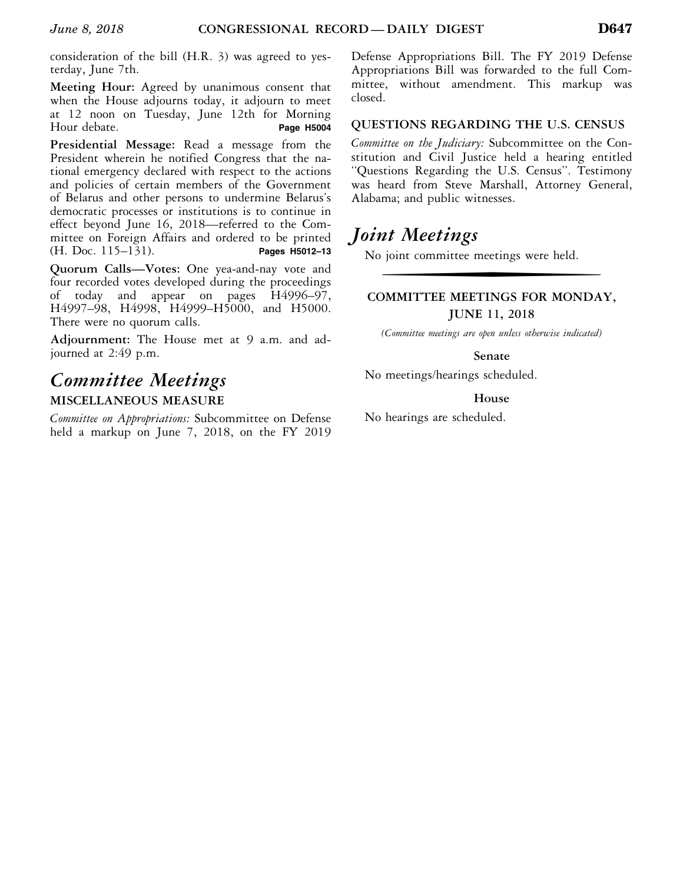consideration of the bill (H.R. 3) was agreed to yesterday, June 7th.

**Meeting Hour:** Agreed by unanimous consent that when the House adjourns today, it adjourn to meet at 12 noon on Tuesday, June 12th for Morning Hour debate. **Page H5004** 

**Presidential Message:** Read a message from the President wherein he notified Congress that the national emergency declared with respect to the actions and policies of certain members of the Government of Belarus and other persons to undermine Belarus's democratic processes or institutions is to continue in effect beyond June 16, 2018—referred to the Committee on Foreign Affairs and ordered to be printed<br>(H. Doc. 115–131). Pages H5012-13 (H. Doc. 115–131).

**Quorum Calls—Votes:** One yea-and-nay vote and four recorded votes developed during the proceedings of today and appear on pages H4996–97, H4997–98, H4998, H4999–H5000, and H5000. There were no quorum calls.

**Adjournment:** The House met at 9 a.m. and adjourned at 2:49 p.m.

# *Committee Meetings*  **MISCELLANEOUS MEASURE**

*Committee on Appropriations:* Subcommittee on Defense held a markup on June 7, 2018, on the FY 2019 Defense Appropriations Bill. The FY 2019 Defense Appropriations Bill was forwarded to the full Committee, without amendment. This markup was closed.

#### **QUESTIONS REGARDING THE U.S. CENSUS**

*Committee on the Judiciary:* Subcommittee on the Constitution and Civil Justice held a hearing entitled ''Questions Regarding the U.S. Census''. Testimony was heard from Steve Marshall, Attorney General, Alabama; and public witnesses.

# *Joint Meetings*

No joint committee meetings were held.

# f **COMMITTEE MEETINGS FOR MONDAY, JUNE 11, 2018**

*(Committee meetings are open unless otherwise indicated)* 

#### **Senate**

No meetings/hearings scheduled.

#### **House**

No hearings are scheduled.